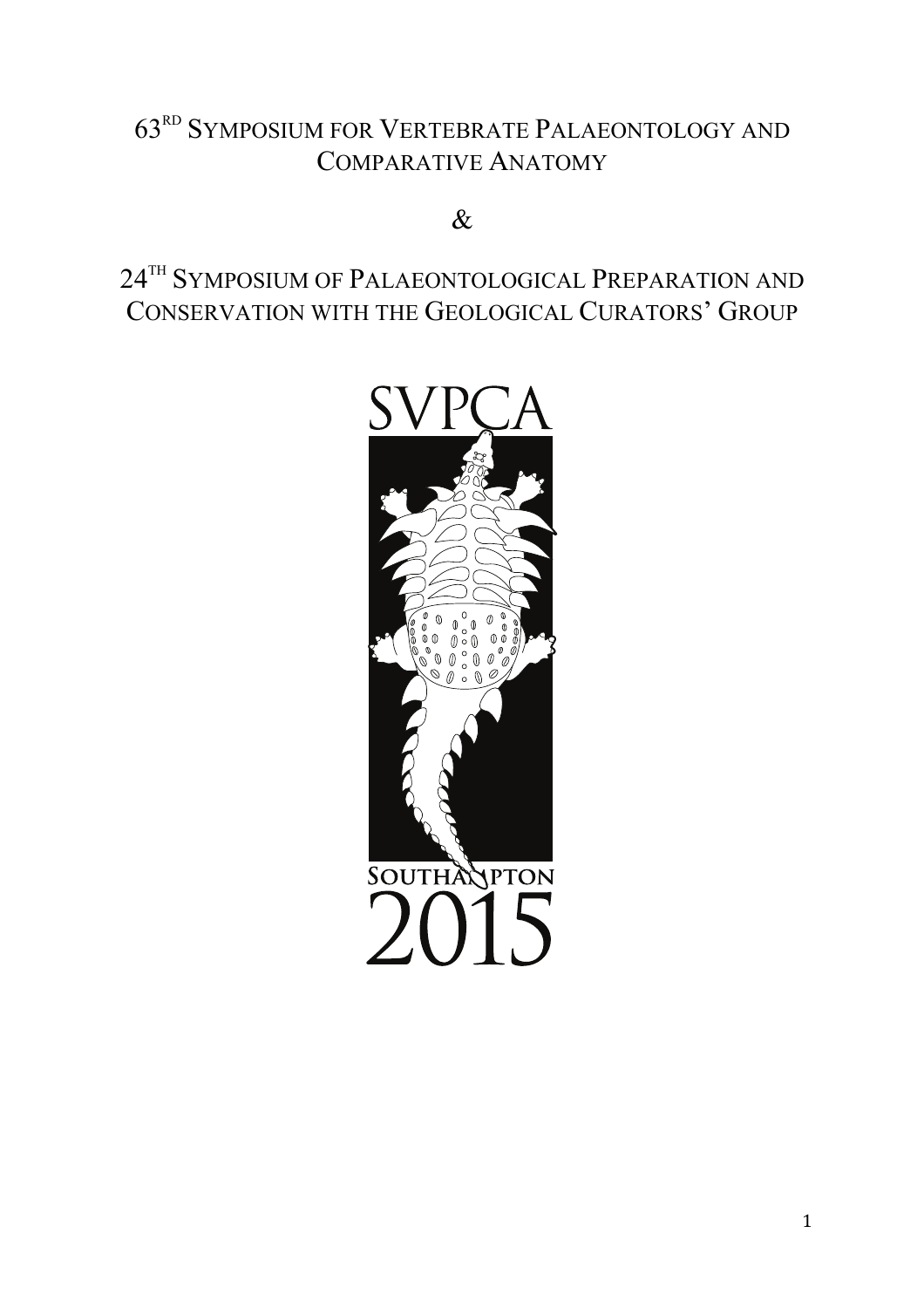# 63RD SYMPOSIUM FOR VERTEBRATE PALAEONTOLOGY AND COMPARATIVE ANATOMY

# &

# 24TH SYMPOSIUM OF PALAEONTOLOGICAL PREPARATION AND CONSERVATION WITH THE GEOLOGICAL CURATORS' GROUP

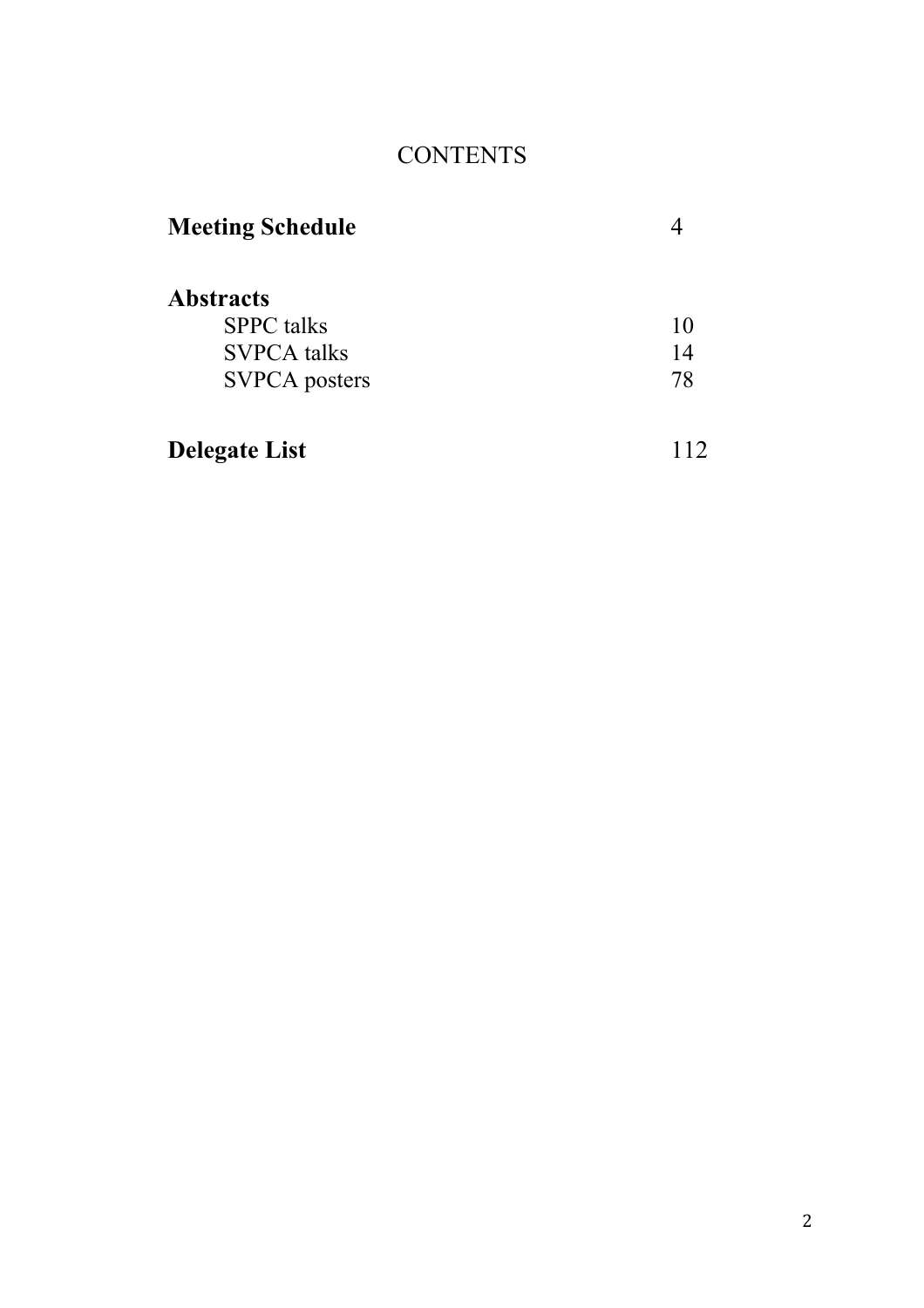# **CONTENTS**

| <b>Meeting Schedule</b> |     |
|-------------------------|-----|
| <b>Abstracts</b>        |     |
| <b>SPPC</b> talks       | 10  |
| <b>SVPCA</b> talks      | 14  |
| <b>SVPCA</b> posters    | 78  |
| <b>Delegate List</b>    | 112 |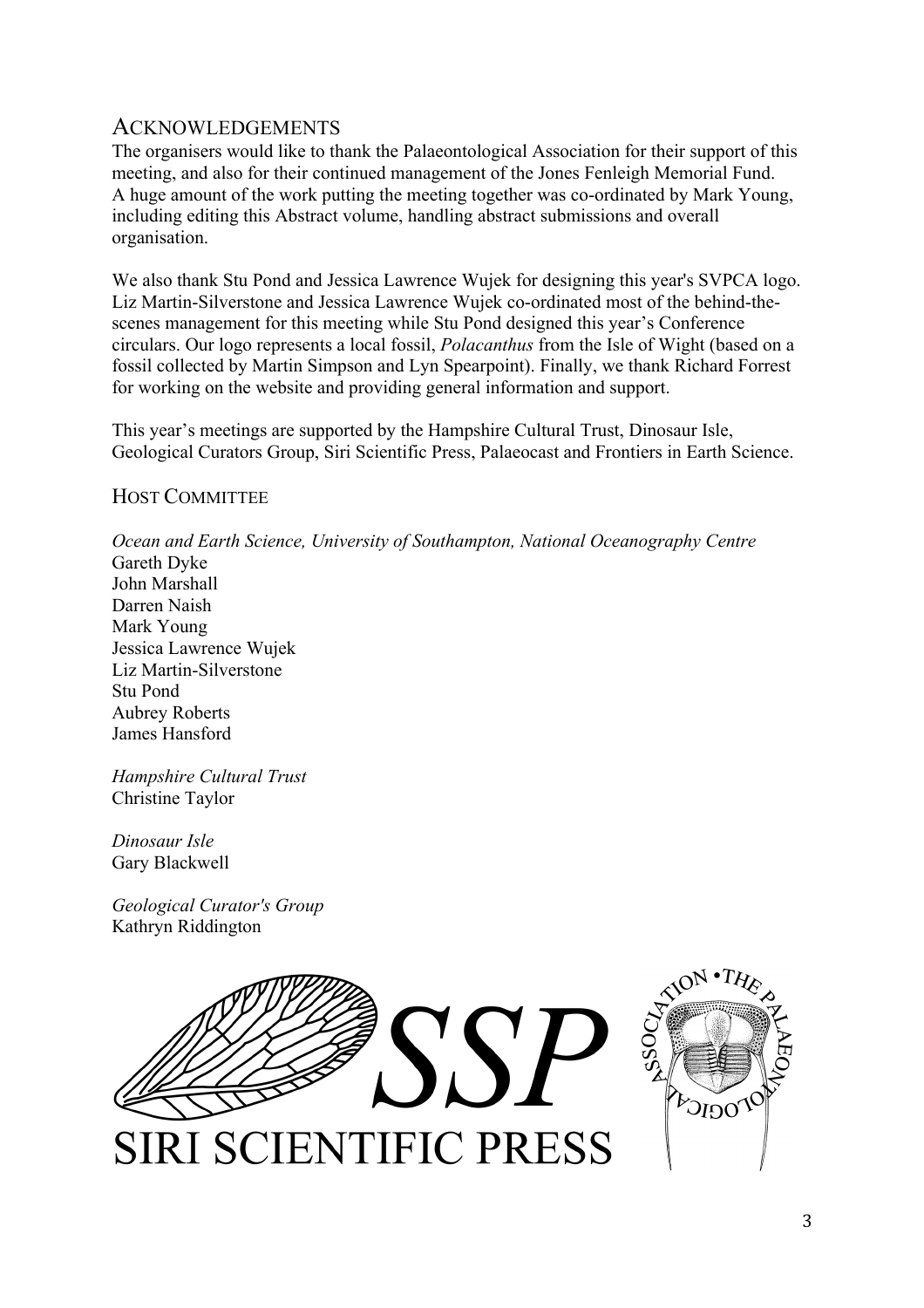# **ACKNOWLEDGEMENTS**

The organisers would like to thank the Palaeontological Association for their support of this meeting, and also for their continued management of the Jones Fenleigh Memorial Fund. A huge amount of the work putting the meeting together was co-ordinated by Mark Young, including editing this Abstract volume, handling abstract submissions and overall organisation.

We also thank Stu Pond and Jessica Lawrence Wujek for designing this year's SVPCA logo. Liz Martin-Silverstone and Jessica Lawrence Wujek co-ordinated most of the behind-thescenes management for this meeting while Stu Pond designed this year's Conference circulars. Our logo represents a local fossil, *Polacanthus* from the Isle of Wight (based on a fossil collected by Martin Simpson and Lyn Spearpoint). Finally, we thank Richard Forrest for working on the website and providing general information and support.

This year's meetings are supported by the Hampshire Cultural Trust, Dinosaur Isle, Geological Curators Group, Siri Scientific Press, Palaeocast and Frontiers in Earth Science.

# HOST COMMITTEE

*Ocean and Earth Science, University of Southampton, National Oceanography Centre* Gareth Dyke John Marshall

Darren Naish Mark Young Jessica Lawrence Wujek Liz Martin-Silverstone Stu Pond Aubrey Roberts James Hansford

*Hampshire Cultural Trust* Christine Taylor

*Dinosaur Isle* Gary Blackwell

*Geological Curator's Group* Kathryn Riddington

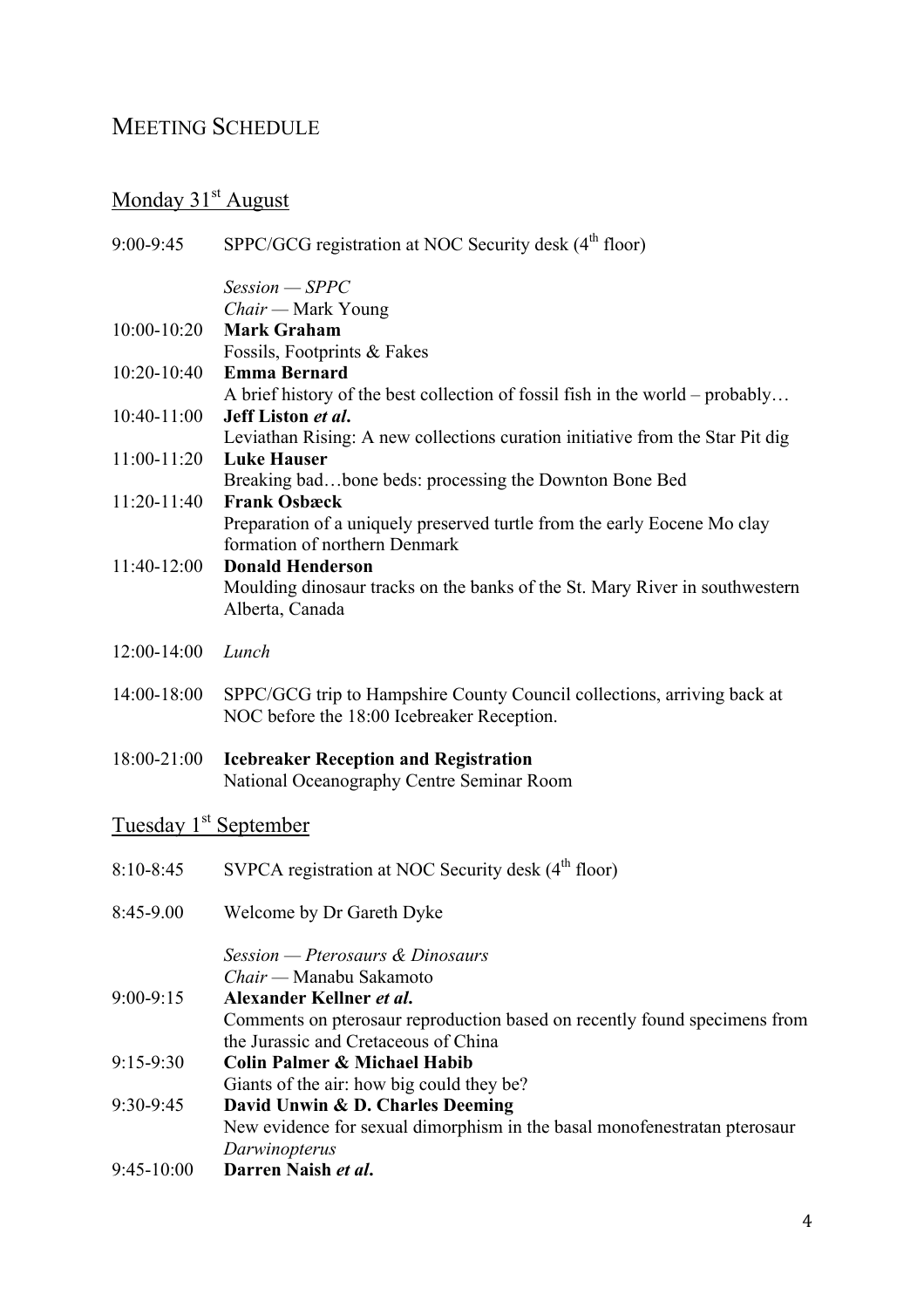# MEETING SCHEDULE

# Monday 31<sup>st</sup> August

| $9:00 - 9:45$                     | SPPC/GCG registration at NOC Security desk (4 <sup>th</sup> floor)            |
|-----------------------------------|-------------------------------------------------------------------------------|
|                                   | $Session - SPPC$                                                              |
|                                   | Chair — Mark Young                                                            |
| 10:00-10:20                       | <b>Mark Graham</b>                                                            |
|                                   | Fossils, Footprints & Fakes                                                   |
| 10:20-10:40                       | <b>Emma Bernard</b>                                                           |
|                                   | A brief history of the best collection of fossil fish in the world – probably |
| 10:40-11:00                       | Jeff Liston et al.                                                            |
|                                   | Leviathan Rising: A new collections curation initiative from the Star Pit dig |
| 11:00-11:20                       | <b>Luke Hauser</b>                                                            |
|                                   | Breaking badbone beds: processing the Downton Bone Bed                        |
| 11:20-11:40                       | <b>Frank Osbæck</b>                                                           |
|                                   | Preparation of a uniquely preserved turtle from the early Eocene Mo clay      |
|                                   | formation of northern Denmark                                                 |
| 11:40-12:00                       | <b>Donald Henderson</b>                                                       |
|                                   | Moulding dinosaur tracks on the banks of the St. Mary River in southwestern   |
|                                   | Alberta, Canada                                                               |
| 12:00-14:00                       | Lunch                                                                         |
|                                   |                                                                               |
| 14:00-18:00                       | SPPC/GCG trip to Hampshire County Council collections, arriving back at       |
|                                   | NOC before the 18:00 Icebreaker Reception.                                    |
| 18:00-21:00                       | <b>Icebreaker Reception and Registration</b>                                  |
|                                   | National Oceanography Centre Seminar Room                                     |
|                                   |                                                                               |
| Tuesday 1 <sup>st</sup> September |                                                                               |
|                                   |                                                                               |
| $8:10 - 8:45$                     | SVPCA registration at NOC Security desk (4 <sup>th</sup> floor)               |
|                                   |                                                                               |
| 8:45-9.00                         | Welcome by Dr Gareth Dyke                                                     |
|                                   | Session - Pterosaurs & Dinosaurs                                              |
|                                   | Chair — Manabu Sakamoto                                                       |
| $9:00 - 9:15$                     | Alexander Kellner et al.                                                      |
|                                   | Comments on pterosaur reproduction based on recently found specimens from     |
|                                   | the Jurassic and Cretaceous of China                                          |
| $9:15-9:30$                       | <b>Colin Palmer &amp; Michael Habib</b>                                       |
|                                   | Giants of the air: how big could they be?                                     |
| 9:30-9:45                         | David Unwin & D. Charles Deeming                                              |
|                                   | New evidence for sexual dimorphism in the basal monofenestratan pterosaur     |
|                                   | Darwinopterus                                                                 |
| $9:45-10:00$                      | Darren Naish et al.                                                           |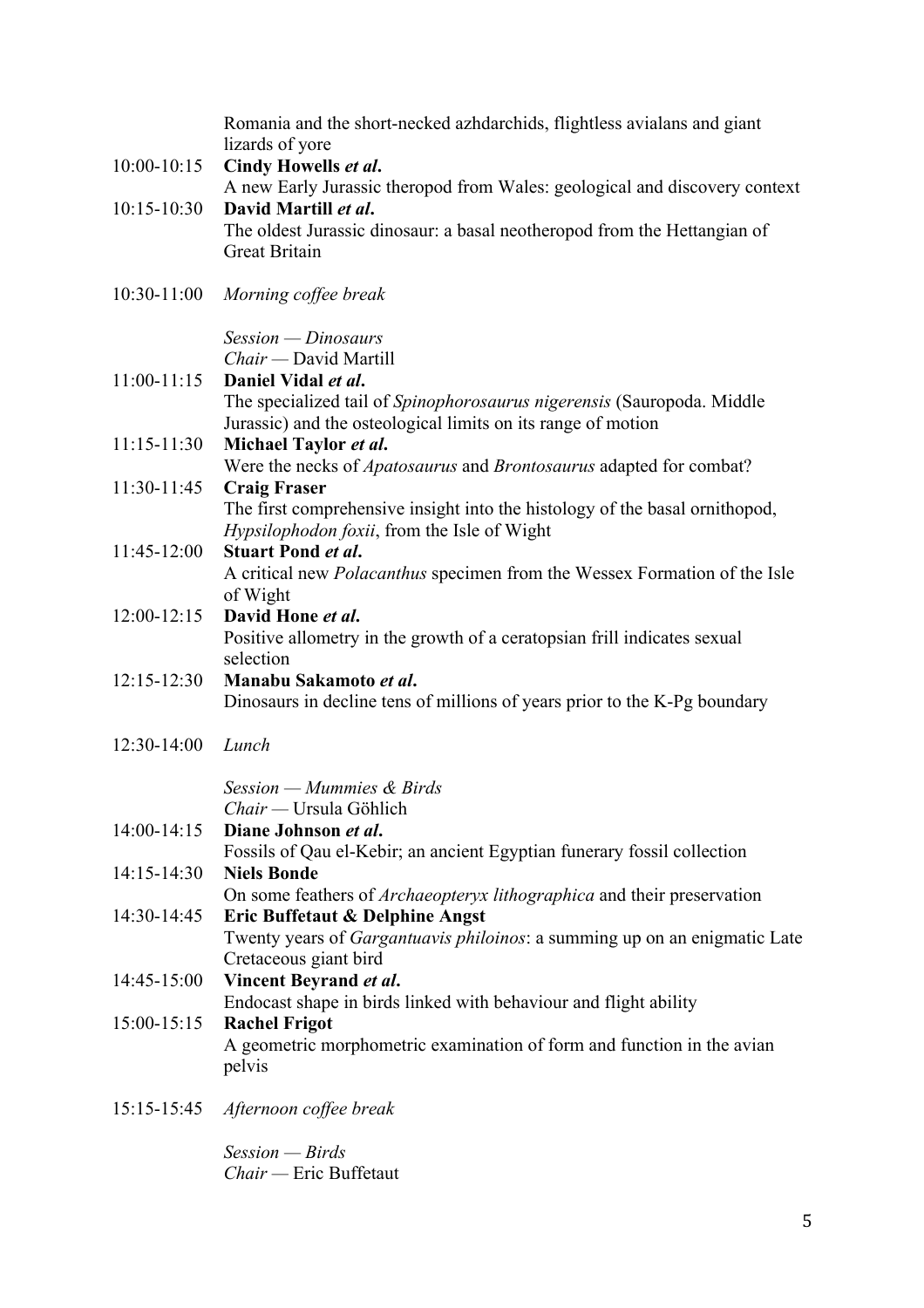|                 | Romania and the short-necked azhdarchids, flightless avialans and giant<br>lizards of yore         |
|-----------------|----------------------------------------------------------------------------------------------------|
| 10:00-10:15     | Cindy Howells et al.                                                                               |
|                 | A new Early Jurassic theropod from Wales: geological and discovery context                         |
| 10:15-10:30     | David Martill et al.<br>The oldest Jurassic dinosaur: a basal neotheropod from the Hettangian of   |
|                 | <b>Great Britain</b>                                                                               |
| $10:30 - 11:00$ | Morning coffee break                                                                               |
|                 | $Session - Dinosaux$                                                                               |
|                 | Chair - David Martill                                                                              |
| $11:00-11:15$   | Daniel Vidal et al.<br>The specialized tail of Spinophorosaurus nigerensis (Sauropoda. Middle      |
|                 | Jurassic) and the osteological limits on its range of motion                                       |
| $11:15 - 11:30$ | Michael Taylor et al.                                                                              |
|                 | Were the necks of <i>Apatosaurus</i> and <i>Brontosaurus</i> adapted for combat?                   |
| 11:30-11:45     | <b>Craig Fraser</b><br>The first comprehensive insight into the histology of the basal ornithopod, |
|                 | <i>Hypsilophodon foxii</i> , from the Isle of Wight                                                |
| 11:45-12:00     | <b>Stuart Pond et al.</b>                                                                          |
|                 | A critical new <i>Polacanthus</i> specimen from the Wessex Formation of the Isle                   |
|                 | of Wight                                                                                           |
| $12:00 - 12:15$ | David Hone et al.<br>Positive allometry in the growth of a ceratopsian frill indicates sexual      |
|                 | selection                                                                                          |
| $12:15 - 12:30$ | Manabu Sakamoto et al.                                                                             |
|                 | Dinosaurs in decline tens of millions of years prior to the K-Pg boundary                          |
| $12:30-14:00$   | Lunch                                                                                              |
|                 | Session – Mummies & Birds                                                                          |
|                 | Chair — Ursula Göhlich                                                                             |
| 14:00-14:15     | Diane Johnson et al.<br>Fossils of Qau el-Kebir; an ancient Egyptian funerary fossil collection    |
| $14:15 - 14:30$ | <b>Niels Bonde</b>                                                                                 |
|                 | On some feathers of Archaeopteryx lithographica and their preservation                             |
| 14:30-14:45     | Eric Buffetaut & Delphine Angst                                                                    |
|                 | Twenty years of Gargantuavis philoinos: a summing up on an enigmatic Late                          |
| 14:45-15:00     | Cretaceous giant bird<br>Vincent Beyrand et al.                                                    |
|                 | Endocast shape in birds linked with behaviour and flight ability                                   |
| $15:00-15:15$   | <b>Rachel Frigot</b>                                                                               |
|                 | A geometric morphometric examination of form and function in the avian<br>pelvis                   |
| 15:15-15:45     | Afternoon coffee break                                                                             |

*Session — Birds Chair —* Eric Buffetaut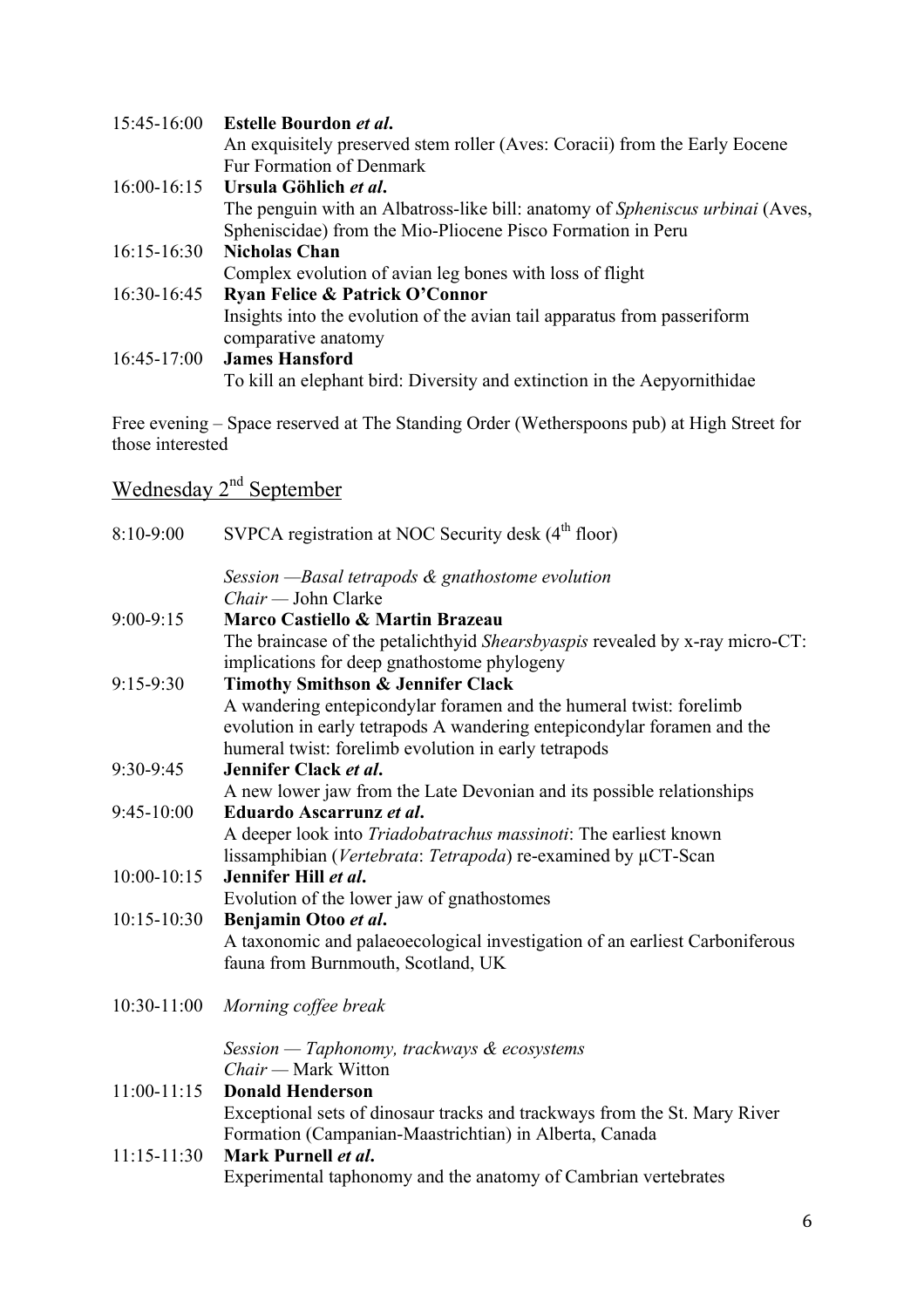|                 | 15:45-16:00 Estelle Bourdon et al.                                                   |
|-----------------|--------------------------------------------------------------------------------------|
|                 | An exquisitely preserved stem roller (Aves: Coracii) from the Early Eocene           |
|                 | <b>Fur Formation of Denmark</b>                                                      |
| $16:00 - 16:15$ | Ursula Göhlich et al.                                                                |
|                 | The penguin with an Albatross-like bill: anatomy of <i>Spheniscus urbinai</i> (Aves, |
|                 | Spheniscidae) from the Mio-Pliocene Pisco Formation in Peru                          |
| $16:15 - 16:30$ | <b>Nicholas Chan</b>                                                                 |
|                 | Complex evolution of avian leg bones with loss of flight                             |
| 16:30-16:45     | <b>Ryan Felice &amp; Patrick O'Connor</b>                                            |
|                 | Insights into the evolution of the avian tail apparatus from passeriform             |
|                 | comparative anatomy                                                                  |
| $16:45-17:00$   | <b>James Hansford</b>                                                                |
|                 | To kill an elephant bird: Diversity and extinction in the Aepyornithidae             |

Free evening – Space reserved at The Standing Order (Wetherspoons pub) at High Street for those interested

# Wednesday 2<sup>nd</sup> September

| 8:10-9:00       | SVPCA registration at NOC Security desk (4 <sup>th</sup> floor)                                                                                                                                       |
|-----------------|-------------------------------------------------------------------------------------------------------------------------------------------------------------------------------------------------------|
|                 | Session - Basal tetrapods & gnathostome evolution                                                                                                                                                     |
|                 | $Chair$ — John Clarke                                                                                                                                                                                 |
| $9:00-9:15$     | Marco Castiello & Martin Brazeau                                                                                                                                                                      |
|                 | The braincase of the petalichthyid Shearsbyaspis revealed by x-ray micro-CT:<br>implications for deep gnathostome phylogeny                                                                           |
| $9:15-9:30$     | <b>Timothy Smithson &amp; Jennifer Clack</b>                                                                                                                                                          |
|                 | A wandering entepicondylar foramen and the humeral twist: forelimb<br>evolution in early tetrapods A wandering entepicondylar foramen and the<br>humeral twist: forelimb evolution in early tetrapods |
| 9:30-9:45       | Jennifer Clack et al.                                                                                                                                                                                 |
|                 | A new lower jaw from the Late Devonian and its possible relationships                                                                                                                                 |
| 9:45-10:00      | Eduardo Ascarrunz et al.                                                                                                                                                                              |
|                 | A deeper look into Triadobatrachus massinoti: The earliest known                                                                                                                                      |
|                 | lissamphibian (Vertebrata: Tetrapoda) re-examined by µCT-Scan                                                                                                                                         |
| $10:00 - 10:15$ | Jennifer Hill et al.                                                                                                                                                                                  |
|                 | Evolution of the lower jaw of gnathostomes                                                                                                                                                            |
| 10:15-10:30     | Benjamin Otoo et al.                                                                                                                                                                                  |
|                 | A taxonomic and palaeoecological investigation of an earliest Carboniferous<br>fauna from Burnmouth, Scotland, UK                                                                                     |
| 10:30-11:00     | Morning coffee break                                                                                                                                                                                  |
|                 | Session - Taphonomy, trackways & ecosystems                                                                                                                                                           |
|                 | Chair — Mark Witton                                                                                                                                                                                   |
| $11:00-11:15$   | <b>Donald Henderson</b>                                                                                                                                                                               |
|                 | Exceptional sets of dinosaur tracks and trackways from the St. Mary River<br>Formation (Campanian-Maastrichtian) in Alberta, Canada                                                                   |
| 11:15-11:30     | Mark Purnell et al.                                                                                                                                                                                   |
|                 | Experimental taphonomy and the anatomy of Cambrian vertebrates                                                                                                                                        |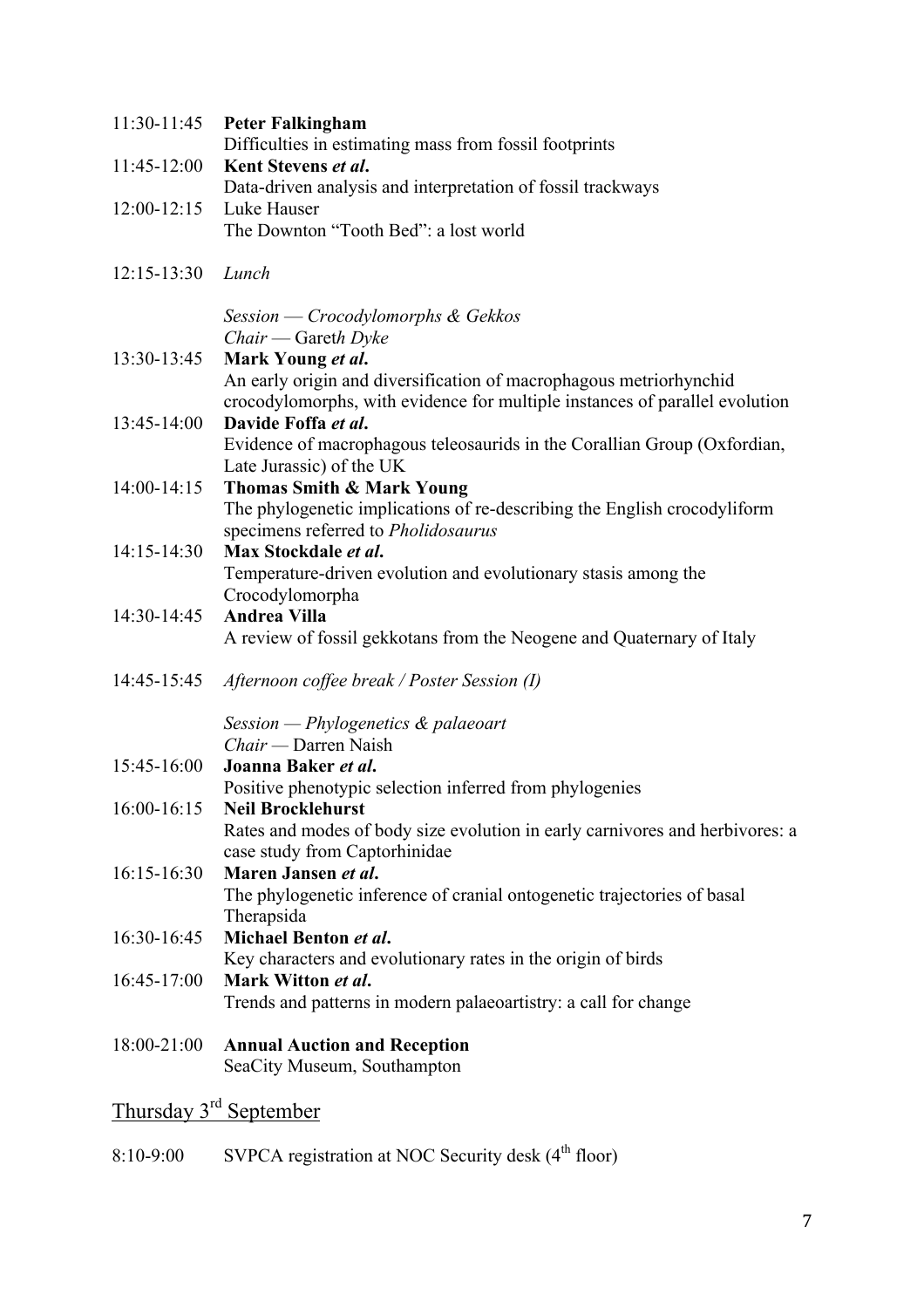| 11:30-11:45                        | <b>Peter Falkingham</b>                                                                                                                           |  |
|------------------------------------|---------------------------------------------------------------------------------------------------------------------------------------------------|--|
| 11:45-12:00                        | Difficulties in estimating mass from fossil footprints<br>Kent Stevens et al.                                                                     |  |
|                                    | Data-driven analysis and interpretation of fossil trackways                                                                                       |  |
| $12:00 - 12:15$                    | Luke Hauser                                                                                                                                       |  |
|                                    | The Downton "Tooth Bed": a lost world                                                                                                             |  |
| $12:15 - 13:30$                    | Lunch                                                                                                                                             |  |
|                                    | Session — Crocodylomorphs & Gekkos                                                                                                                |  |
|                                    | Chair — Gareth Dyke                                                                                                                               |  |
| 13:30-13:45                        | Mark Young et al.                                                                                                                                 |  |
|                                    | An early origin and diversification of macrophagous metriorhynchid<br>crocodylomorphs, with evidence for multiple instances of parallel evolution |  |
| 13:45-14:00                        | Davide Foffa et al.                                                                                                                               |  |
|                                    | Evidence of macrophagous teleosaurids in the Corallian Group (Oxfordian,                                                                          |  |
|                                    | Late Jurassic) of the UK                                                                                                                          |  |
| 14:00-14:15                        | <b>Thomas Smith &amp; Mark Young</b><br>The phylogenetic implications of re-describing the English crocodyliform                                  |  |
|                                    | specimens referred to Pholidosaurus                                                                                                               |  |
| 14:15-14:30                        | Max Stockdale et al.                                                                                                                              |  |
|                                    | Temperature-driven evolution and evolutionary stasis among the                                                                                    |  |
|                                    | Crocodylomorpha                                                                                                                                   |  |
| 14:30-14:45                        | <b>Andrea Villa</b>                                                                                                                               |  |
|                                    | A review of fossil gekkotans from the Neogene and Quaternary of Italy                                                                             |  |
| 14:45-15:45                        | Afternoon coffee break / Poster Session (I)                                                                                                       |  |
|                                    | Session - Phylogenetics $\&$ palaeoart                                                                                                            |  |
|                                    | Chair — Darren Naish                                                                                                                              |  |
| 15:45-16:00                        | Joanna Baker et al.                                                                                                                               |  |
|                                    | Positive phenotypic selection inferred from phylogenies                                                                                           |  |
|                                    | 16:00-16:15 Neil Brocklehurst                                                                                                                     |  |
|                                    | Rates and modes of body size evolution in early carnivores and herbivores: a                                                                      |  |
| 16:15-16:30                        | case study from Captorhinidae<br>Maren Jansen et al.                                                                                              |  |
|                                    | The phylogenetic inference of cranial ontogenetic trajectories of basal                                                                           |  |
|                                    | Therapsida                                                                                                                                        |  |
| 16:30-16:45                        | Michael Benton et al.                                                                                                                             |  |
|                                    | Key characters and evolutionary rates in the origin of birds                                                                                      |  |
| 16:45-17:00                        | Mark Witton et al.                                                                                                                                |  |
|                                    | Trends and patterns in modern palaeoartistry: a call for change                                                                                   |  |
| 18:00-21:00                        | <b>Annual Auction and Reception</b>                                                                                                               |  |
|                                    | SeaCity Museum, Southampton                                                                                                                       |  |
| Thursday 3 <sup>rd</sup> September |                                                                                                                                                   |  |
|                                    |                                                                                                                                                   |  |

8:10-9:00 SVPCA registration at NOC Security desk (4<sup>th</sup> floor)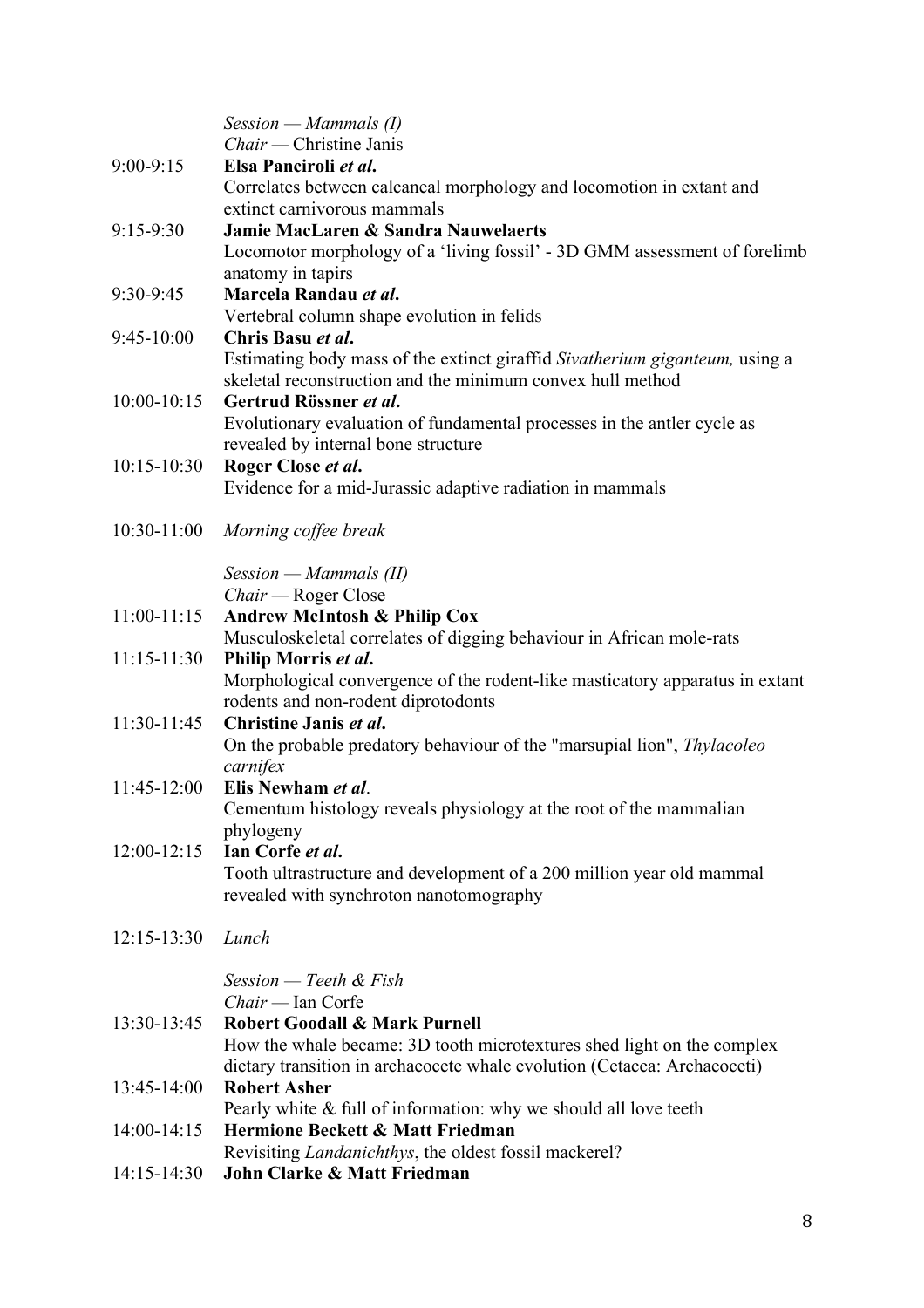|                 | $Session - Mammals (I)$                                                                         |
|-----------------|-------------------------------------------------------------------------------------------------|
|                 | Chair — Christine Janis                                                                         |
| $9:00 - 9:15$   | Elsa Panciroli et al.                                                                           |
|                 | Correlates between calcaneal morphology and locomotion in extant and                            |
|                 | extinct carnivorous mammals                                                                     |
| $9:15-9:30$     | <b>Jamie MacLaren &amp; Sandra Nauwelaerts</b>                                                  |
|                 | Locomotor morphology of a 'living fossil' - 3D GMM assessment of forelimb                       |
|                 | anatomy in tapirs                                                                               |
| 9:30-9:45       | Marcela Randau et al.                                                                           |
| 9:45-10:00      | Vertebral column shape evolution in felids<br>Chris Basu et al.                                 |
|                 | Estimating body mass of the extinct giraffid Sivatherium giganteum, using a                     |
|                 | skeletal reconstruction and the minimum convex hull method                                      |
| $10:00 - 10:15$ | Gertrud Rössner et al.                                                                          |
|                 | Evolutionary evaluation of fundamental processes in the antler cycle as                         |
|                 | revealed by internal bone structure                                                             |
| $10:15 - 10:30$ | Roger Close et al.                                                                              |
|                 | Evidence for a mid-Jurassic adaptive radiation in mammals                                       |
|                 |                                                                                                 |
|                 | 10:30-11:00 Morning coffee break                                                                |
|                 |                                                                                                 |
|                 | $Session - Mammals (II)$                                                                        |
|                 | $Chair - Roger Close$                                                                           |
| $11:00-11:15$   | <b>Andrew McIntosh &amp; Philip Cox</b>                                                         |
|                 | Musculoskeletal correlates of digging behaviour in African mole-rats                            |
| $11:15 - 11:30$ | Philip Morris et al.                                                                            |
|                 | Morphological convergence of the rodent-like masticatory apparatus in extant                    |
| 11:30-11:45     | rodents and non-rodent diprotodonts<br>Christine Janis et al.                                   |
|                 | On the probable predatory behaviour of the "marsupial lion", Thylacoleo                         |
|                 | carnifex                                                                                        |
| $11:45-12:00$   | Elis Newham et al.                                                                              |
|                 | Cementum histology reveals physiology at the root of the mammalian                              |
|                 | phylogeny                                                                                       |
| $12:00-12:15$   | Ian Corfe et al.                                                                                |
|                 | Tooth ultrastructure and development of a 200 million year old mammal                           |
|                 | revealed with synchroton nanotomography                                                         |
|                 |                                                                                                 |
| $12:15 - 13:30$ | Lunch                                                                                           |
|                 |                                                                                                 |
|                 | Session — Teeth & Fish                                                                          |
|                 | $Chair$ — Ian Corfe                                                                             |
| 13:30-13:45     | <b>Robert Goodall &amp; Mark Purnell</b>                                                        |
|                 | How the whale became: 3D tooth microtextures shed light on the complex                          |
|                 | dietary transition in archaeocete whale evolution (Cetacea: Archaeoceti)<br><b>Robert Asher</b> |
| 13:45-14:00     | Pearly white & full of information: why we should all love teeth                                |
| 14:00-14:15     | Hermione Beckett & Matt Friedman                                                                |
|                 | Revisiting Landanichthys, the oldest fossil mackerel?                                           |
| 14:15-14:30     | John Clarke & Matt Friedman                                                                     |
|                 |                                                                                                 |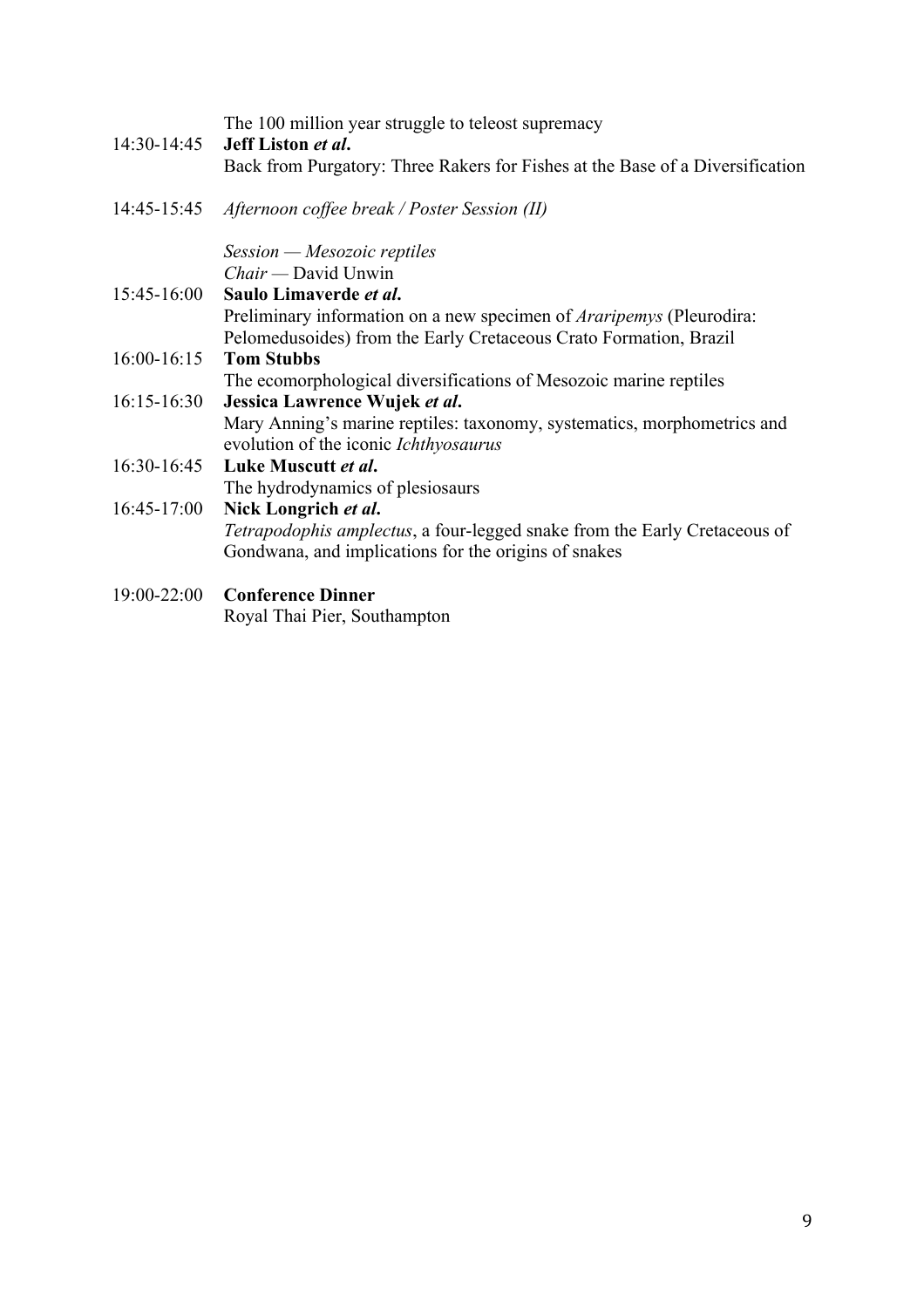| 14:30-14:45     | The 100 million year struggle to teleost supremacy<br>Jeff Liston et al.<br>Back from Purgatory: Three Rakers for Fishes at the Base of a Diversification |
|-----------------|-----------------------------------------------------------------------------------------------------------------------------------------------------------|
| 14:45-15:45     | Afternoon coffee break / Poster Session (II)                                                                                                              |
|                 | $Session-Mesozoic$ reptiles<br>Chair — David Unwin                                                                                                        |
| 15:45-16:00     | Saulo Limaverde et al.                                                                                                                                    |
|                 | Preliminary information on a new specimen of <i>Araripemys</i> (Pleurodira:                                                                               |
|                 | Pelomedusoides) from the Early Cretaceous Crato Formation, Brazil                                                                                         |
| $16:00-16:15$   | <b>Tom Stubbs</b>                                                                                                                                         |
|                 | The ecomorphological diversifications of Mesozoic marine reptiles                                                                                         |
| $16:15 - 16:30$ | Jessica Lawrence Wujek et al.                                                                                                                             |
|                 | Mary Anning's marine reptiles: taxonomy, systematics, morphometrics and<br>evolution of the iconic Ichthyosaurus                                          |
| $16:30-16:45$   | Luke Muscutt et al.                                                                                                                                       |
|                 | The hydrodynamics of plesiosaurs                                                                                                                          |
| $16:45-17:00$   | Nick Longrich et al.                                                                                                                                      |
|                 | Tetrapodophis amplectus, a four-legged snake from the Early Cretaceous of                                                                                 |
|                 | Gondwana, and implications for the origins of snakes                                                                                                      |
| $19:00 - 22:00$ | <b>Conference Dinner</b>                                                                                                                                  |

Royal Thai Pier, Southampton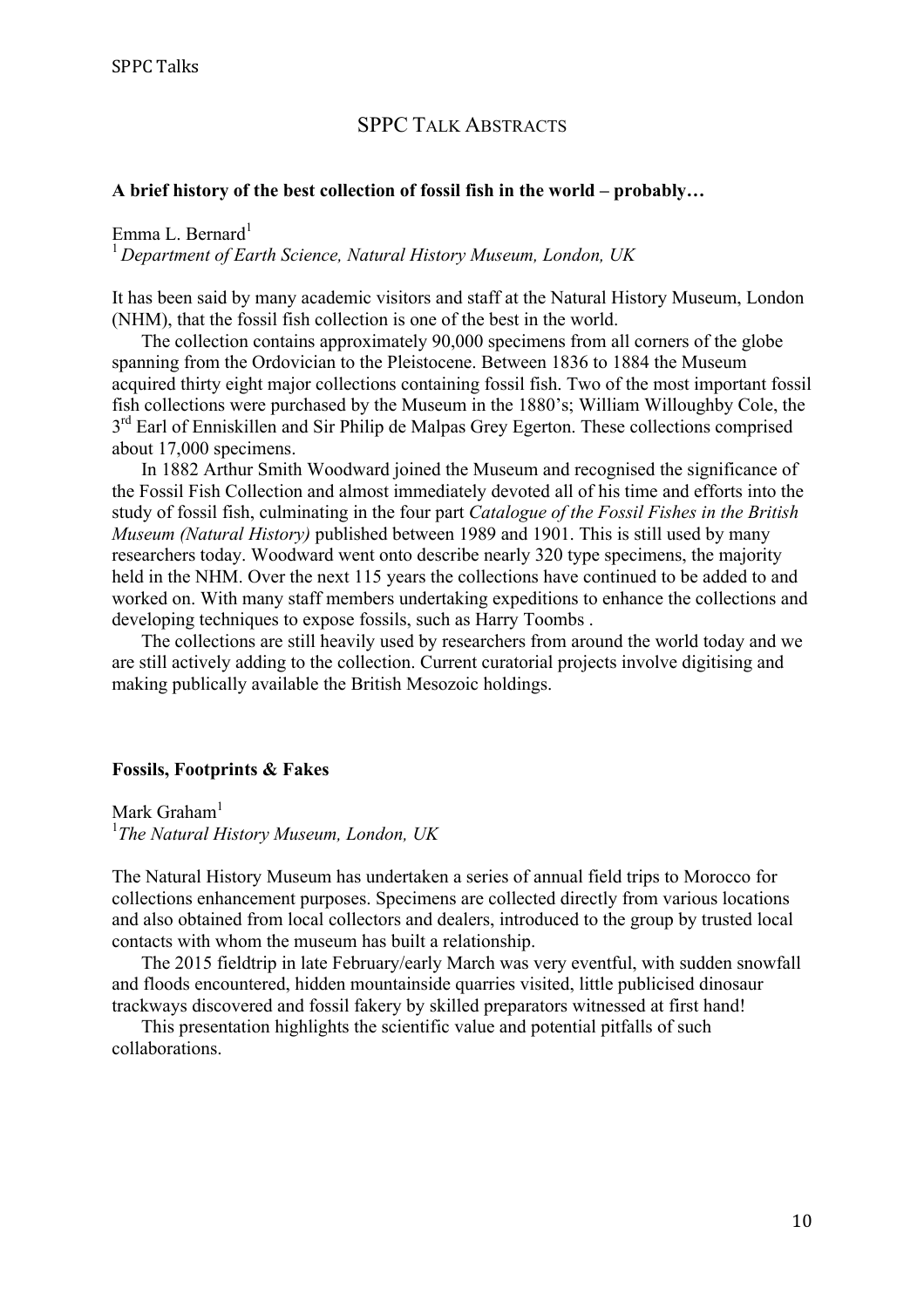# SPPC TALK ABSTRACTS

#### **A brief history of the best collection of fossil fish in the world – probably…**

#### Emma L. Bernard $<sup>1</sup>$ </sup>

<sup>1</sup>*Department of Earth Science, Natural History Museum, London, UK*

It has been said by many academic visitors and staff at the Natural History Museum, London (NHM), that the fossil fish collection is one of the best in the world.

The collection contains approximately 90,000 specimens from all corners of the globe spanning from the Ordovician to the Pleistocene. Between 1836 to 1884 the Museum acquired thirty eight major collections containing fossil fish. Two of the most important fossil fish collections were purchased by the Museum in the 1880's; William Willoughby Cole, the  $3<sup>rd</sup>$  Earl of Enniskillen and Sir Philip de Malpas Grey Egerton. These collections comprised about 17,000 specimens.

In 1882 Arthur Smith Woodward joined the Museum and recognised the significance of the Fossil Fish Collection and almost immediately devoted all of his time and efforts into the study of fossil fish, culminating in the four part *Catalogue of the Fossil Fishes in the British Museum (Natural History)* published between 1989 and 1901. This is still used by many researchers today. Woodward went onto describe nearly 320 type specimens, the majority held in the NHM. Over the next 115 years the collections have continued to be added to and worked on. With many staff members undertaking expeditions to enhance the collections and developing techniques to expose fossils, such as Harry Toombs .

The collections are still heavily used by researchers from around the world today and we are still actively adding to the collection. Current curatorial projects involve digitising and making publically available the British Mesozoic holdings.

#### **Fossils, Footprints & Fakes**

Mark Graham<sup>1</sup> 1 *The Natural History Museum, London, UK*

The Natural History Museum has undertaken a series of annual field trips to Morocco for collections enhancement purposes. Specimens are collected directly from various locations and also obtained from local collectors and dealers, introduced to the group by trusted local contacts with whom the museum has built a relationship.

The 2015 fieldtrip in late February/early March was very eventful, with sudden snowfall and floods encountered, hidden mountainside quarries visited, little publicised dinosaur trackways discovered and fossil fakery by skilled preparators witnessed at first hand!

This presentation highlights the scientific value and potential pitfalls of such collaborations.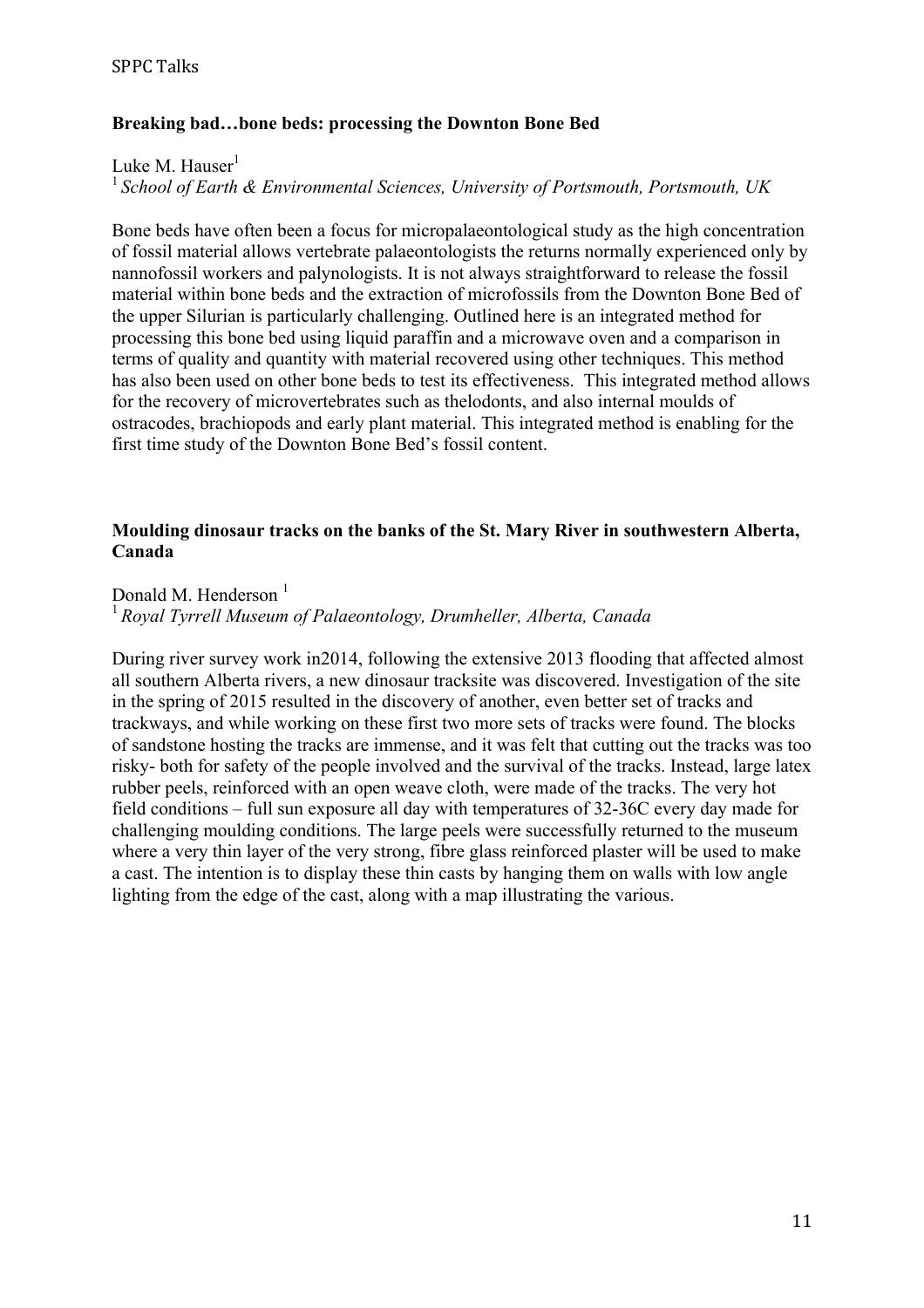# **Breaking bad…bone beds: processing the Downton Bone Bed**

Luke M. Hauser $<sup>1</sup>$ </sup>

<sup>1</sup>*School of Earth & Environmental Sciences, University of Portsmouth, Portsmouth, UK*

Bone beds have often been a focus for micropalaeontological study as the high concentration of fossil material allows vertebrate palaeontologists the returns normally experienced only by nannofossil workers and palynologists. It is not always straightforward to release the fossil material within bone beds and the extraction of microfossils from the Downton Bone Bed of the upper Silurian is particularly challenging. Outlined here is an integrated method for processing this bone bed using liquid paraffin and a microwave oven and a comparison in terms of quality and quantity with material recovered using other techniques. This method has also been used on other bone beds to test its effectiveness. This integrated method allows for the recovery of microvertebrates such as thelodonts, and also internal moulds of ostracodes, brachiopods and early plant material. This integrated method is enabling for the first time study of the Downton Bone Bed's fossil content.

#### **Moulding dinosaur tracks on the banks of the St. Mary River in southwestern Alberta, Canada**

## Donald M. Henderson<sup>1</sup>

<sup>1</sup> *Royal Tyrrell Museum of Palaeontology, Drumheller, Alberta, Canada*

During river survey work in2014, following the extensive 2013 flooding that affected almost all southern Alberta rivers, a new dinosaur tracksite was discovered. Investigation of the site in the spring of 2015 resulted in the discovery of another, even better set of tracks and trackways, and while working on these first two more sets of tracks were found. The blocks of sandstone hosting the tracks are immense, and it was felt that cutting out the tracks was too risky- both for safety of the people involved and the survival of the tracks. Instead, large latex rubber peels, reinforced with an open weave cloth, were made of the tracks. The very hot field conditions – full sun exposure all day with temperatures of 32-36C every day made for challenging moulding conditions. The large peels were successfully returned to the museum where a very thin layer of the very strong, fibre glass reinforced plaster will be used to make a cast. The intention is to display these thin casts by hanging them on walls with low angle lighting from the edge of the cast, along with a map illustrating the various.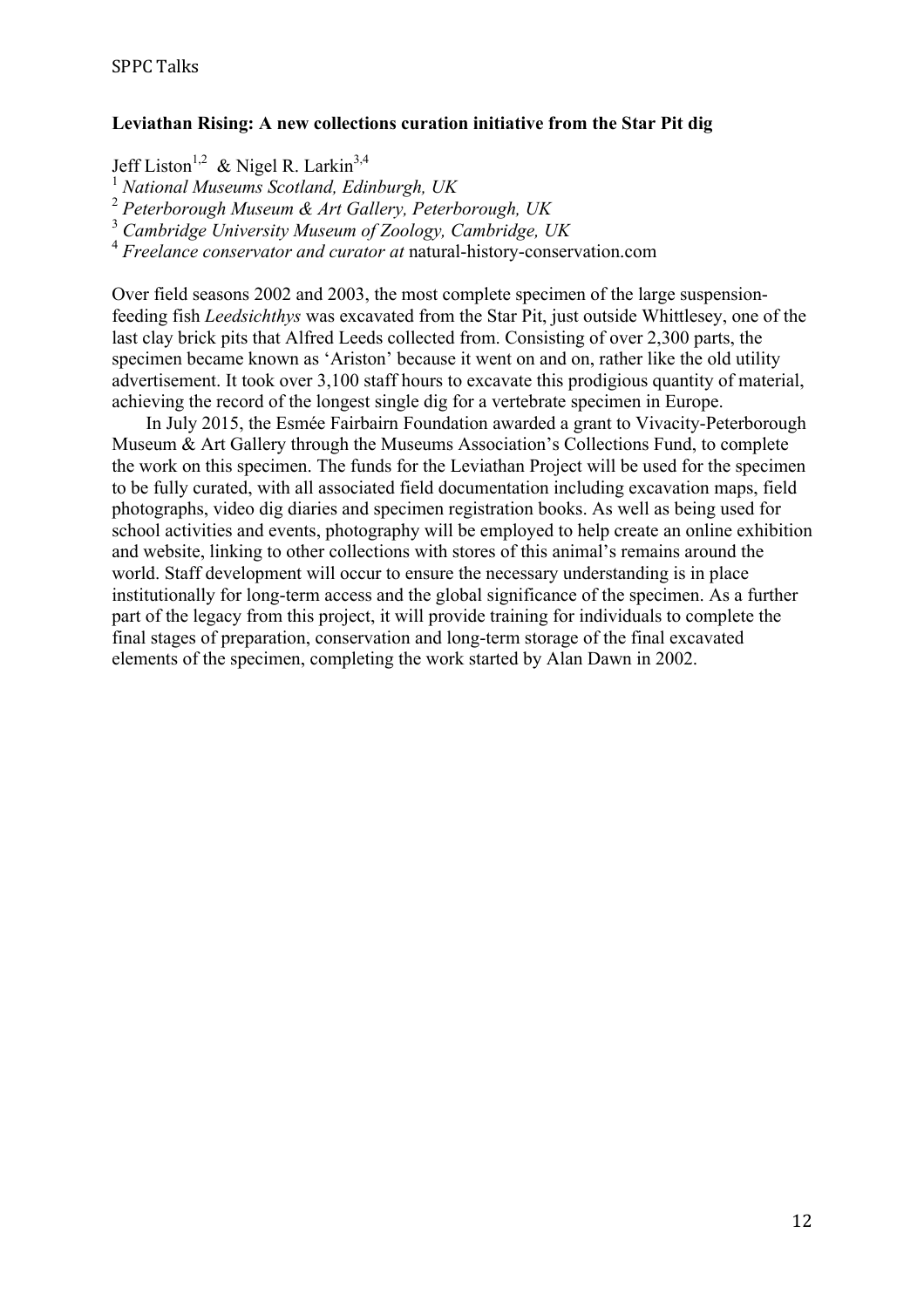### **Leviathan Rising: A new collections curation initiative from the Star Pit dig**

Jeff Liston<sup>1,2</sup> & Nigel R. Larkin<sup>3,4</sup>

1  *National Museums Scotland, Edinburgh, UK* 

<sup>2</sup> *Peterborough Museum & Art Gallery, Peterborough, UK*

3  *Cambridge University Museum of Zoology, Cambridge, UK*

<sup>4</sup> *Freelance conservator and curator at* natural-history-conservation.com

Over field seasons 2002 and 2003, the most complete specimen of the large suspensionfeeding fish *Leedsichthys* was excavated from the Star Pit, just outside Whittlesey, one of the last clay brick pits that Alfred Leeds collected from. Consisting of over 2,300 parts, the specimen became known as 'Ariston' because it went on and on, rather like the old utility advertisement. It took over 3,100 staff hours to excavate this prodigious quantity of material, achieving the record of the longest single dig for a vertebrate specimen in Europe.

In July 2015, the Esmée Fairbairn Foundation awarded a grant to Vivacity-Peterborough Museum & Art Gallery through the Museums Association's Collections Fund, to complete the work on this specimen. The funds for the Leviathan Project will be used for the specimen to be fully curated, with all associated field documentation including excavation maps, field photographs, video dig diaries and specimen registration books. As well as being used for school activities and events, photography will be employed to help create an online exhibition and website, linking to other collections with stores of this animal's remains around the world. Staff development will occur to ensure the necessary understanding is in place institutionally for long-term access and the global significance of the specimen. As a further part of the legacy from this project, it will provide training for individuals to complete the final stages of preparation, conservation and long-term storage of the final excavated elements of the specimen, completing the work started by Alan Dawn in 2002.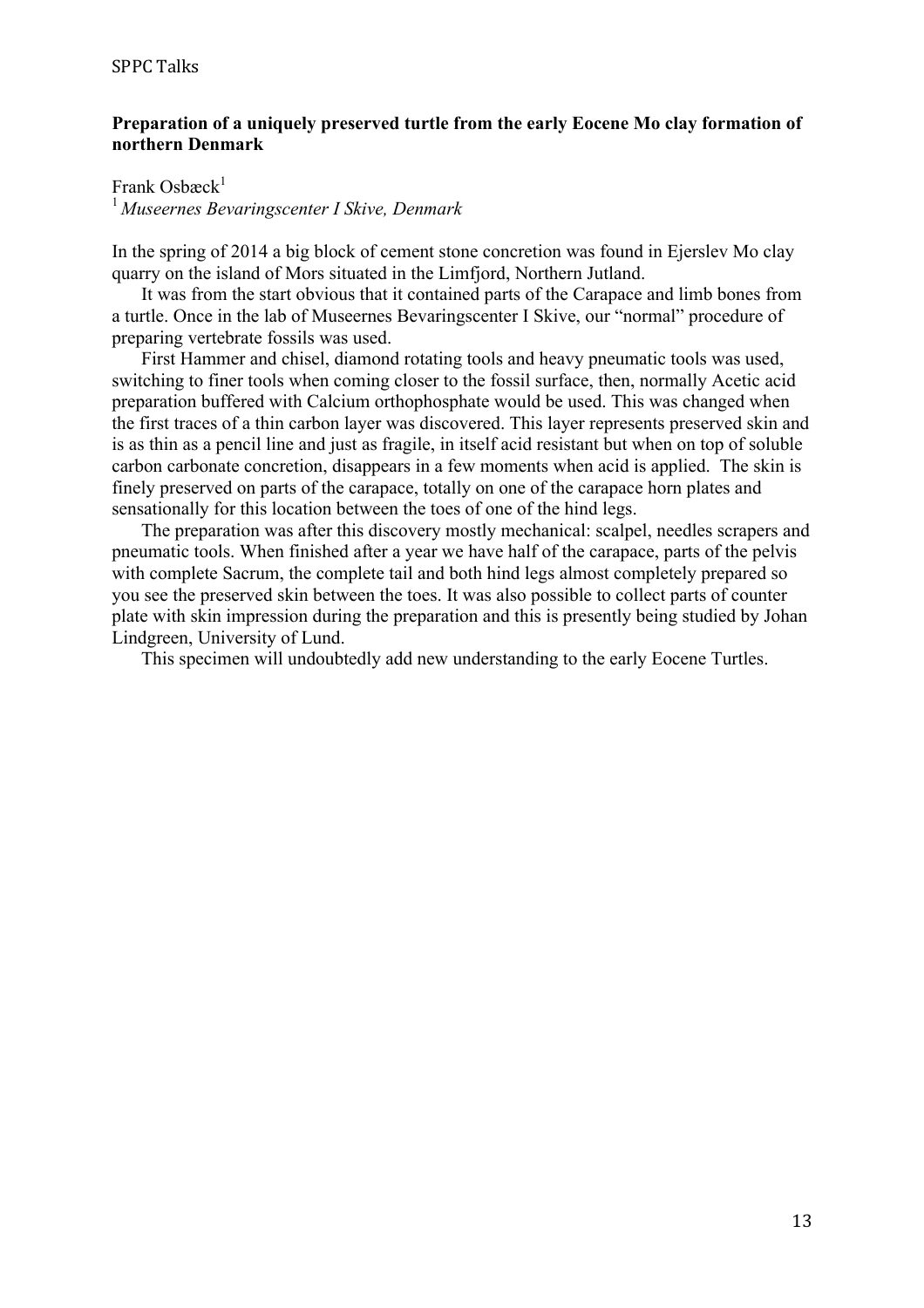### **Preparation of a uniquely preserved turtle from the early Eocene Mo clay formation of northern Denmark**

Frank Osbæck $<sup>1</sup>$ </sup>

<sup>1</sup>*Museernes Bevaringscenter I Skive, Denmark*

In the spring of 2014 a big block of cement stone concretion was found in Ejerslev Mo clay quarry on the island of Mors situated in the Limfjord, Northern Jutland.

It was from the start obvious that it contained parts of the Carapace and limb bones from a turtle. Once in the lab of Museernes Bevaringscenter I Skive, our "normal" procedure of preparing vertebrate fossils was used.

First Hammer and chisel, diamond rotating tools and heavy pneumatic tools was used, switching to finer tools when coming closer to the fossil surface, then, normally Acetic acid preparation buffered with Calcium orthophosphate would be used. This was changed when the first traces of a thin carbon layer was discovered. This layer represents preserved skin and is as thin as a pencil line and just as fragile, in itself acid resistant but when on top of soluble carbon carbonate concretion, disappears in a few moments when acid is applied. The skin is finely preserved on parts of the carapace, totally on one of the carapace horn plates and sensationally for this location between the toes of one of the hind legs.

The preparation was after this discovery mostly mechanical: scalpel, needles scrapers and pneumatic tools. When finished after a year we have half of the carapace, parts of the pelvis with complete Sacrum, the complete tail and both hind legs almost completely prepared so you see the preserved skin between the toes. It was also possible to collect parts of counter plate with skin impression during the preparation and this is presently being studied by Johan Lindgreen, University of Lund.

This specimen will undoubtedly add new understanding to the early Eocene Turtles.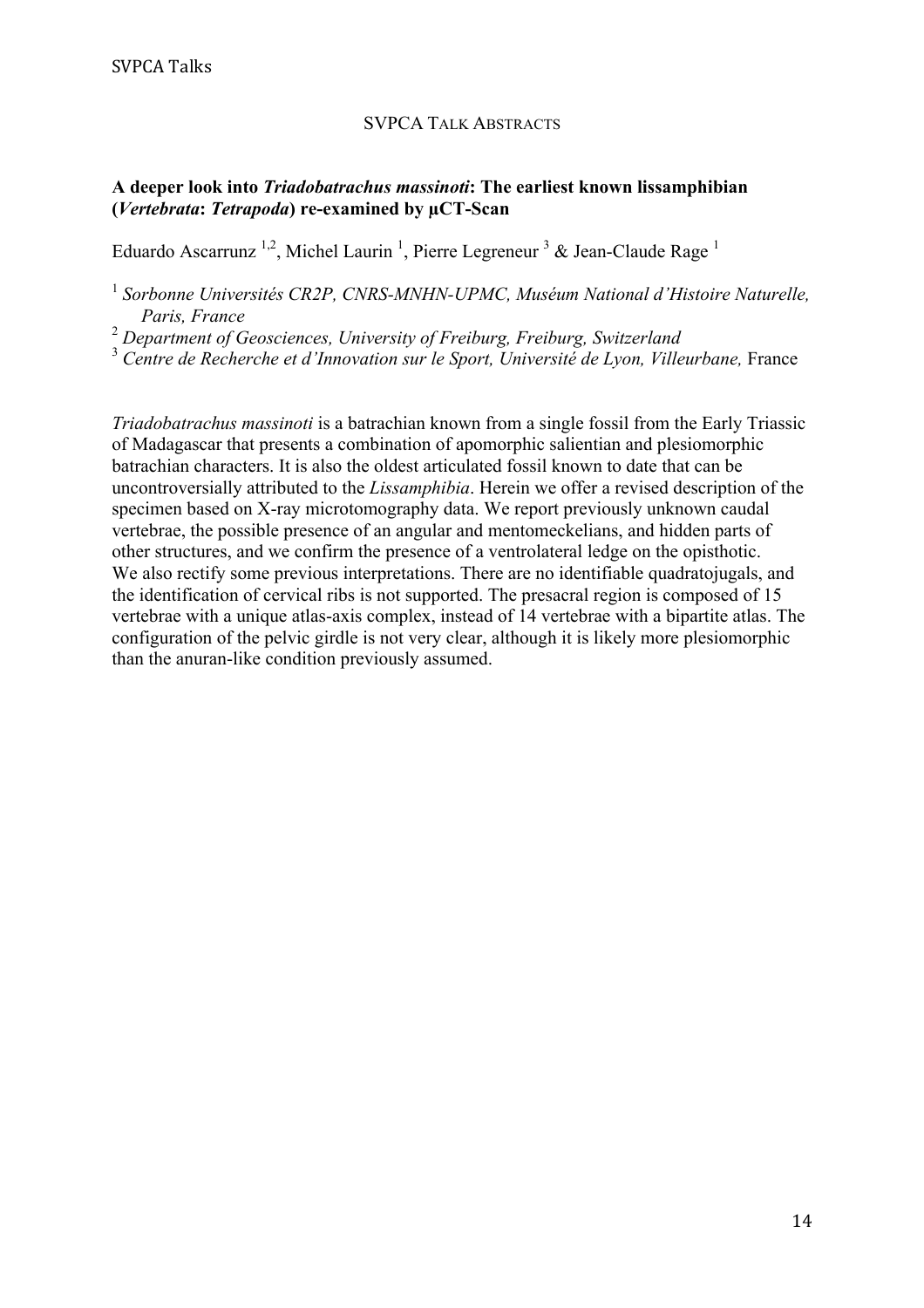#### SVPCA TALK ABSTRACTS

# **A deeper look into** *Triadobatrachus massinoti***: The earliest known lissamphibian (***Vertebrata***:** *Tetrapoda***) re-examined by µCT-Scan**

Eduardo Ascarrunz<sup>1,2</sup>, Michel Laurin<sup>1</sup>, Pierre Legreneur<sup>3</sup> & Jean-Claude Rage<sup>1</sup>

<sup>1</sup> Sorbonne Universités CR2P, CNRS-MNHN-UPMC, Muséum National d'Histoire Naturelle, *Paris, France*

<sup>2</sup> *Department of Geosciences, University of Freiburg, Freiburg, Switzerland*

<sup>3</sup> *Centre de Recherche et d'Innovation sur le Sport, Université de Lyon, Villeurbane,* France

*Triadobatrachus massinoti* is a batrachian known from a single fossil from the Early Triassic of Madagascar that presents a combination of apomorphic salientian and plesiomorphic batrachian characters. It is also the oldest articulated fossil known to date that can be uncontroversially attributed to the *Lissamphibia*. Herein we offer a revised description of the specimen based on X-ray microtomography data. We report previously unknown caudal vertebrae, the possible presence of an angular and mentomeckelians, and hidden parts of other structures, and we confirm the presence of a ventrolateral ledge on the opisthotic. We also rectify some previous interpretations. There are no identifiable quadratojugals, and the identification of cervical ribs is not supported. The presacral region is composed of 15 vertebrae with a unique atlas-axis complex, instead of 14 vertebrae with a bipartite atlas. The configuration of the pelvic girdle is not very clear, although it is likely more plesiomorphic than the anuran-like condition previously assumed.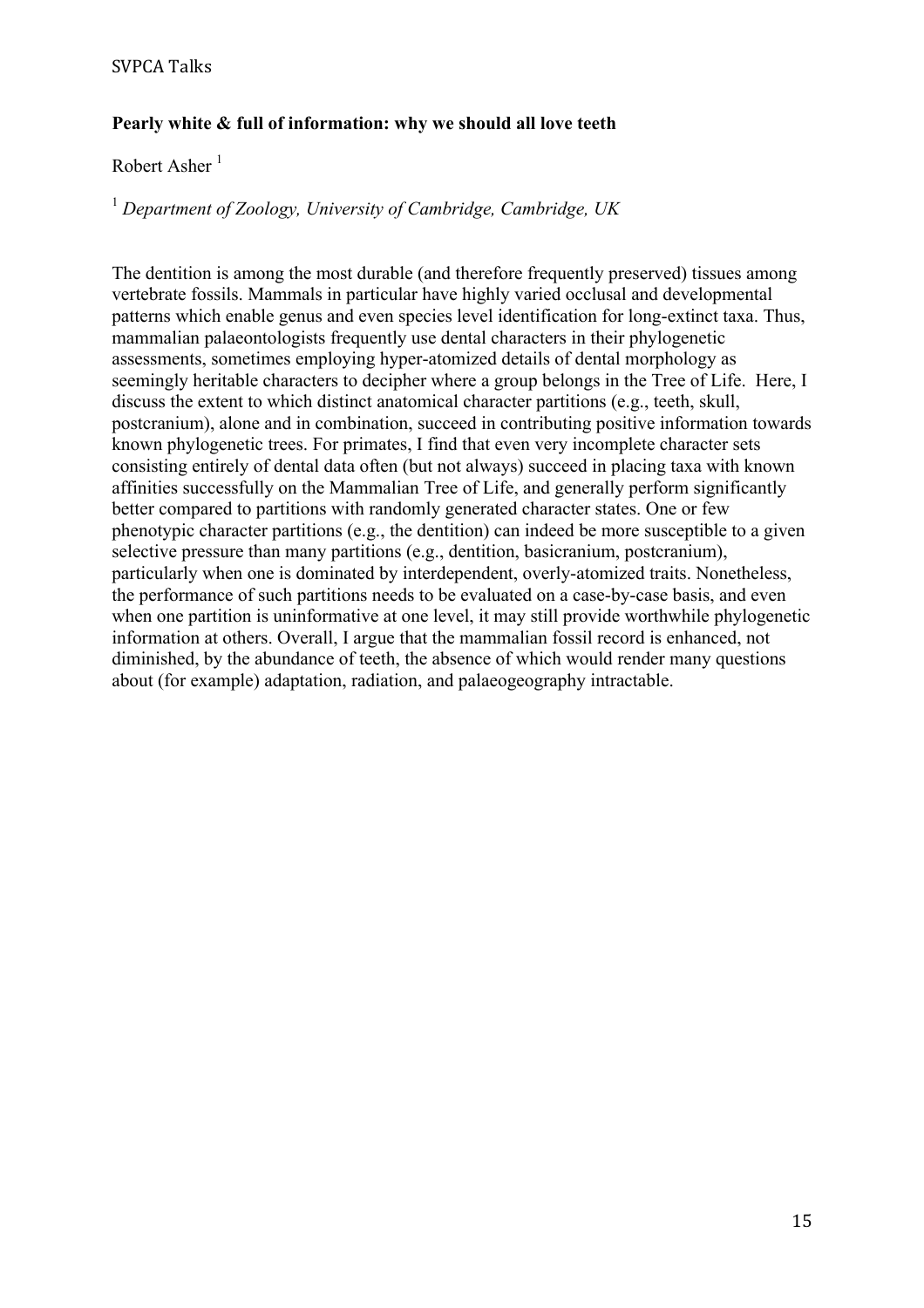# **Pearly white & full of information: why we should all love teeth**

# Robert Asher $<sup>1</sup>$ </sup>

# <sup>1</sup> *Department of Zoology, University of Cambridge, Cambridge, UK*

The dentition is among the most durable (and therefore frequently preserved) tissues among vertebrate fossils. Mammals in particular have highly varied occlusal and developmental patterns which enable genus and even species level identification for long-extinct taxa. Thus, mammalian palaeontologists frequently use dental characters in their phylogenetic assessments, sometimes employing hyper-atomized details of dental morphology as seemingly heritable characters to decipher where a group belongs in the Tree of Life. Here, I discuss the extent to which distinct anatomical character partitions (e.g., teeth, skull, postcranium), alone and in combination, succeed in contributing positive information towards known phylogenetic trees. For primates, I find that even very incomplete character sets consisting entirely of dental data often (but not always) succeed in placing taxa with known affinities successfully on the Mammalian Tree of Life, and generally perform significantly better compared to partitions with randomly generated character states. One or few phenotypic character partitions (e.g., the dentition) can indeed be more susceptible to a given selective pressure than many partitions (e.g., dentition, basicranium, postcranium), particularly when one is dominated by interdependent, overly-atomized traits. Nonetheless, the performance of such partitions needs to be evaluated on a case-by-case basis, and even when one partition is uninformative at one level, it may still provide worthwhile phylogenetic information at others. Overall, I argue that the mammalian fossil record is enhanced, not diminished, by the abundance of teeth, the absence of which would render many questions about (for example) adaptation, radiation, and palaeogeography intractable.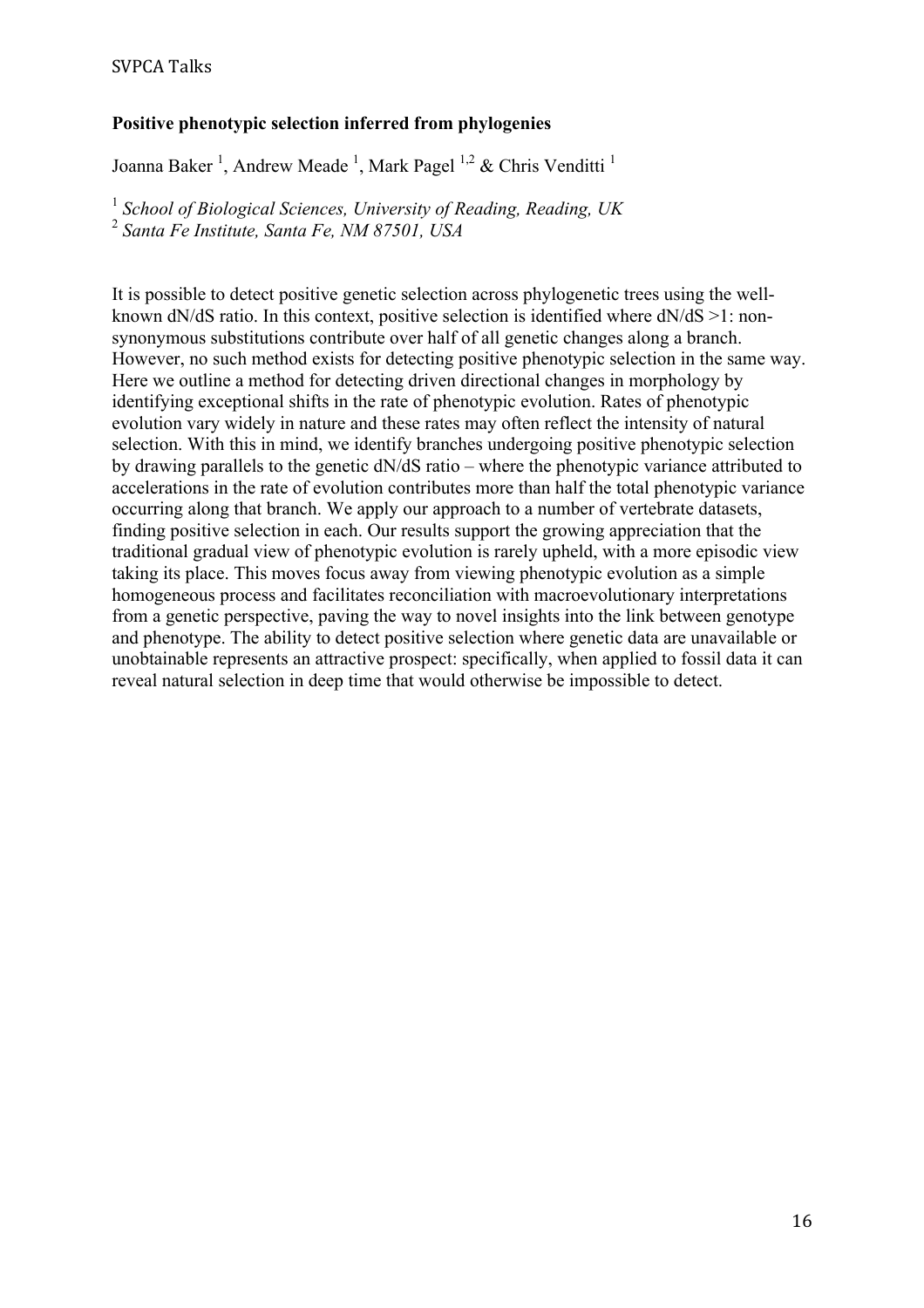## SVPCA Talks

### **Positive phenotypic selection inferred from phylogenies**

Joanna Baker<sup>1</sup>, Andrew Meade<sup>1</sup>, Mark Pagel<sup>1,2</sup> & Chris Venditti<sup>1</sup>

<sup>1</sup> *School of Biological Sciences, University of Reading, Reading, UK*

<sup>2</sup> *Santa Fe Institute, Santa Fe, NM 87501, USA*

It is possible to detect positive genetic selection across phylogenetic trees using the wellknown dN/dS ratio. In this context, positive selection is identified where dN/dS >1: nonsynonymous substitutions contribute over half of all genetic changes along a branch. However, no such method exists for detecting positive phenotypic selection in the same way. Here we outline a method for detecting driven directional changes in morphology by identifying exceptional shifts in the rate of phenotypic evolution. Rates of phenotypic evolution vary widely in nature and these rates may often reflect the intensity of natural selection. With this in mind, we identify branches undergoing positive phenotypic selection by drawing parallels to the genetic dN/dS ratio – where the phenotypic variance attributed to accelerations in the rate of evolution contributes more than half the total phenotypic variance occurring along that branch. We apply our approach to a number of vertebrate datasets, finding positive selection in each. Our results support the growing appreciation that the traditional gradual view of phenotypic evolution is rarely upheld, with a more episodic view taking its place. This moves focus away from viewing phenotypic evolution as a simple homogeneous process and facilitates reconciliation with macroevolutionary interpretations from a genetic perspective, paving the way to novel insights into the link between genotype and phenotype. The ability to detect positive selection where genetic data are unavailable or unobtainable represents an attractive prospect: specifically, when applied to fossil data it can reveal natural selection in deep time that would otherwise be impossible to detect.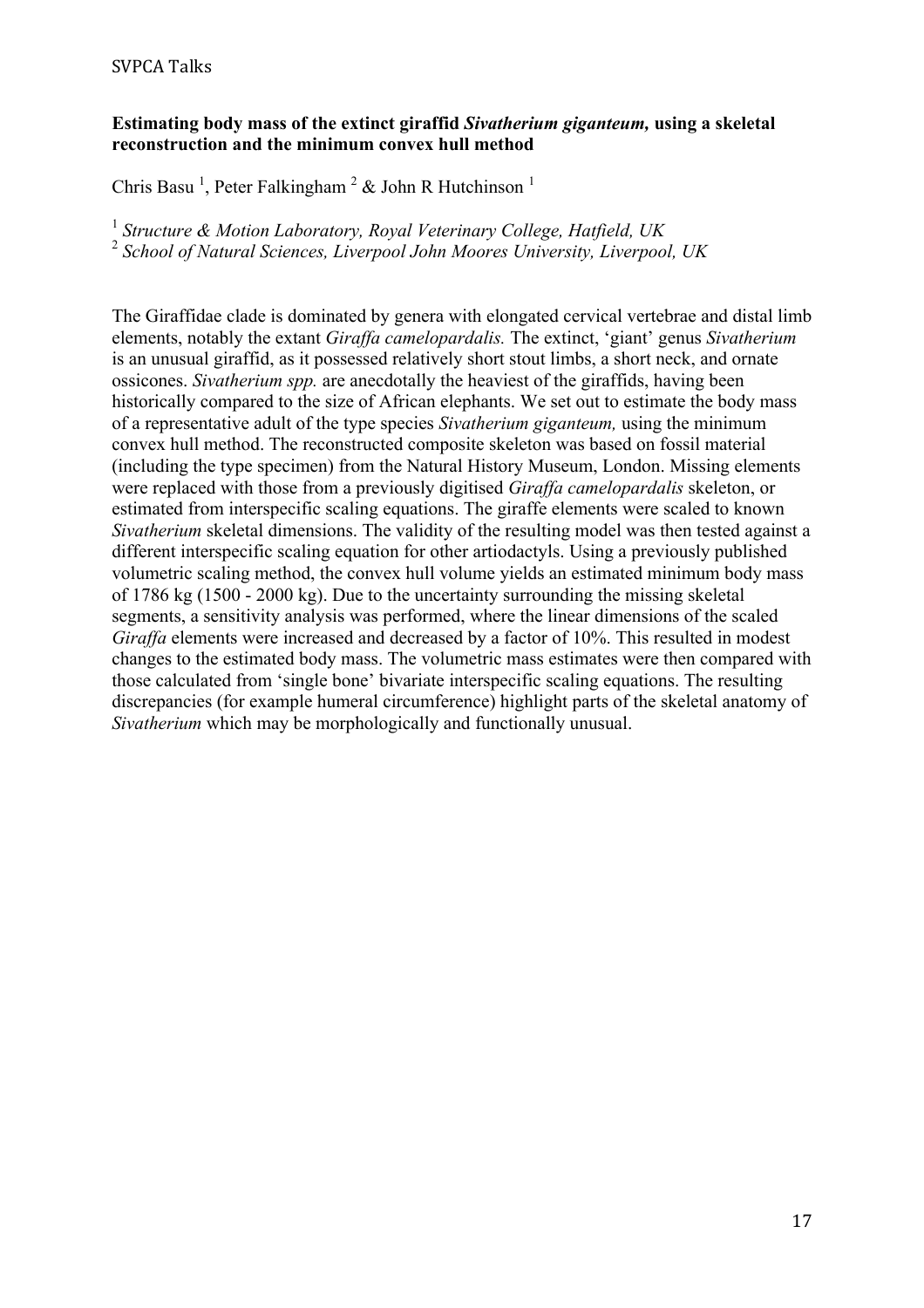## **Estimating body mass of the extinct giraffid** *Sivatherium giganteum,* **using a skeletal reconstruction and the minimum convex hull method**

Chris Basu<sup>1</sup>, Peter Falkingham<sup>2</sup> & John R Hutchinson<sup>1</sup>

<sup>1</sup> *Structure & Motion Laboratory, Royal Veterinary College, Hatfield, UK* <sup>2</sup> *School of Natural Sciences, Liverpool John Moores University, Liverpool, UK*

The Giraffidae clade is dominated by genera with elongated cervical vertebrae and distal limb elements, notably the extant *Giraffa camelopardalis.* The extinct, 'giant' genus *Sivatherium*  is an unusual giraffid, as it possessed relatively short stout limbs, a short neck, and ornate ossicones. *Sivatherium spp.* are anecdotally the heaviest of the giraffids, having been historically compared to the size of African elephants. We set out to estimate the body mass of a representative adult of the type species *Sivatherium giganteum,* using the minimum convex hull method. The reconstructed composite skeleton was based on fossil material (including the type specimen) from the Natural History Museum, London. Missing elements were replaced with those from a previously digitised *Giraffa camelopardalis* skeleton, or estimated from interspecific scaling equations. The giraffe elements were scaled to known *Sivatherium* skeletal dimensions. The validity of the resulting model was then tested against a different interspecific scaling equation for other artiodactyls. Using a previously published volumetric scaling method, the convex hull volume yields an estimated minimum body mass of 1786 kg (1500 - 2000 kg). Due to the uncertainty surrounding the missing skeletal segments, a sensitivity analysis was performed, where the linear dimensions of the scaled *Giraffa* elements were increased and decreased by a factor of 10%. This resulted in modest changes to the estimated body mass. The volumetric mass estimates were then compared with those calculated from 'single bone' bivariate interspecific scaling equations. The resulting discrepancies (for example humeral circumference) highlight parts of the skeletal anatomy of *Sivatherium* which may be morphologically and functionally unusual.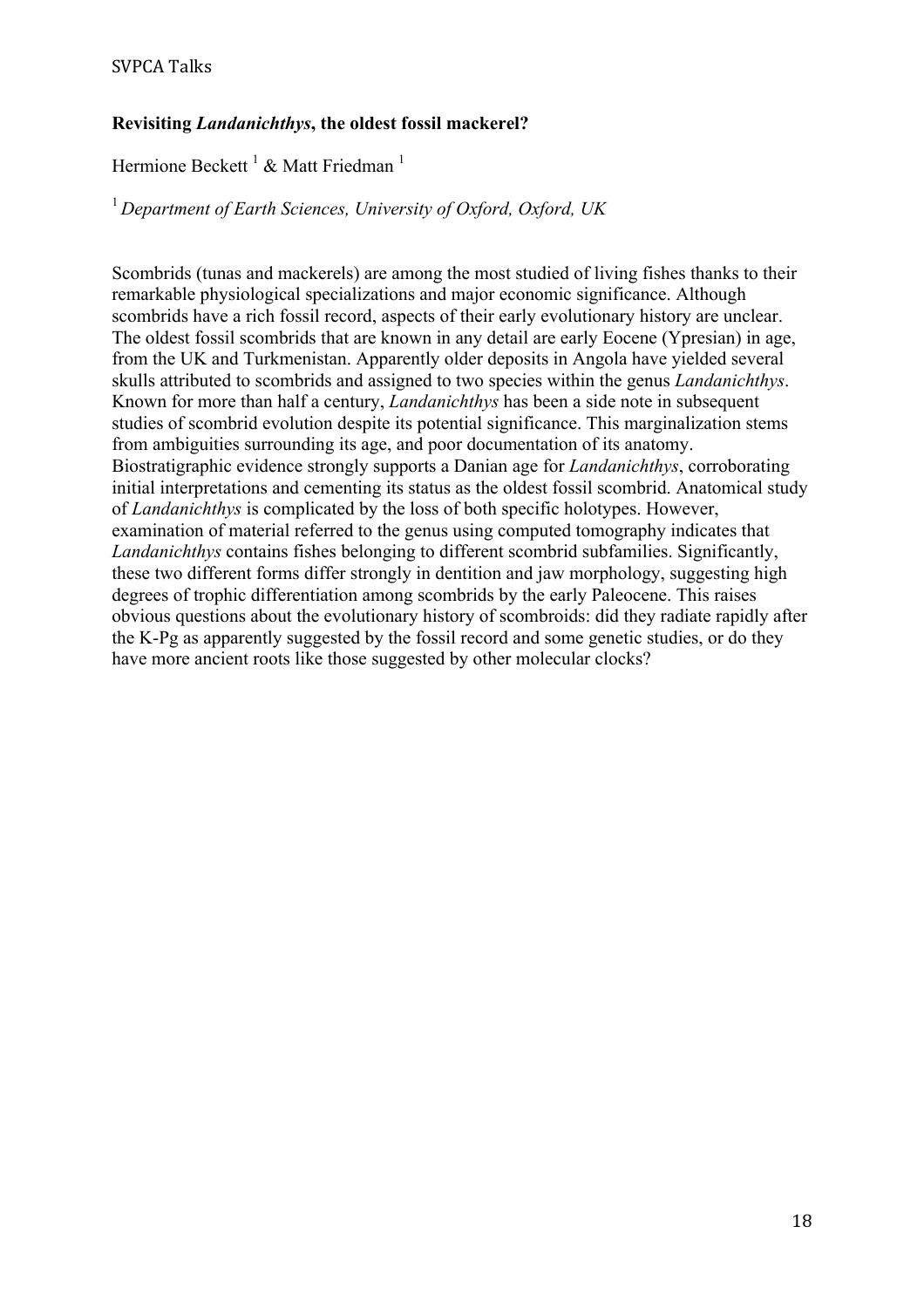# **Revisiting** *Landanichthys***, the oldest fossil mackerel?**

# Hermione Beckett<sup>1</sup> & Matt Friedman<sup>1</sup>

<sup>1</sup>*Department of Earth Sciences, University of Oxford, Oxford, UK*

Scombrids (tunas and mackerels) are among the most studied of living fishes thanks to their remarkable physiological specializations and major economic significance. Although scombrids have a rich fossil record, aspects of their early evolutionary history are unclear. The oldest fossil scombrids that are known in any detail are early Eocene (Ypresian) in age, from the UK and Turkmenistan. Apparently older deposits in Angola have yielded several skulls attributed to scombrids and assigned to two species within the genus *Landanichthys*. Known for more than half a century, *Landanichthys* has been a side note in subsequent studies of scombrid evolution despite its potential significance. This marginalization stems from ambiguities surrounding its age, and poor documentation of its anatomy. Biostratigraphic evidence strongly supports a Danian age for *Landanichthys*, corroborating initial interpretations and cementing its status as the oldest fossil scombrid. Anatomical study of *Landanichthys* is complicated by the loss of both specific holotypes. However, examination of material referred to the genus using computed tomography indicates that *Landanichthys* contains fishes belonging to different scombrid subfamilies. Significantly, these two different forms differ strongly in dentition and jaw morphology, suggesting high degrees of trophic differentiation among scombrids by the early Paleocene. This raises obvious questions about the evolutionary history of scombroids: did they radiate rapidly after the K-Pg as apparently suggested by the fossil record and some genetic studies, or do they have more ancient roots like those suggested by other molecular clocks?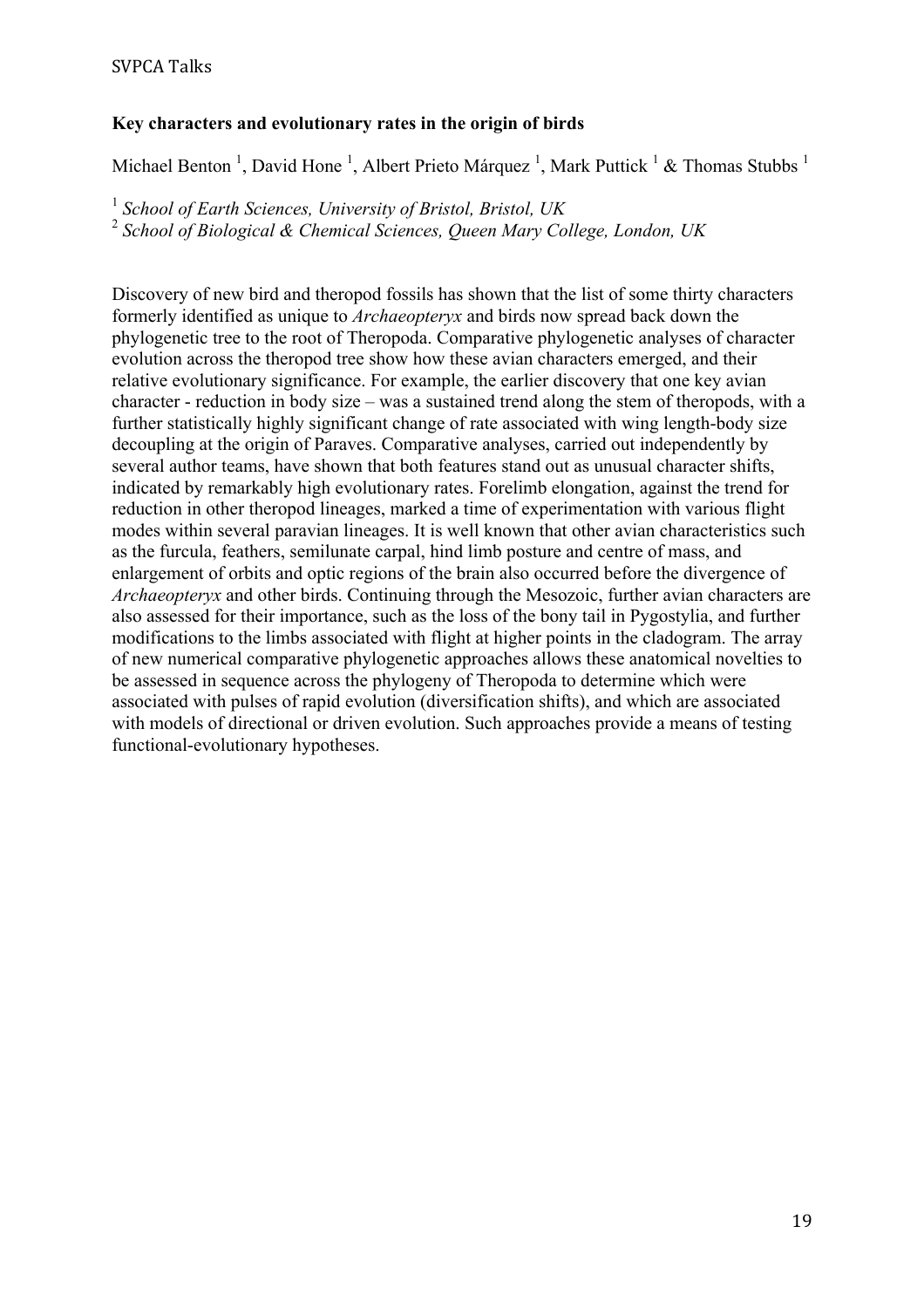# **Key characters and evolutionary rates in the origin of birds**

Michael Benton<sup>1</sup>, David Hone<sup>1</sup>, Albert Prieto Márquez<sup>1</sup>, Mark Puttick<sup>1</sup> & Thomas Stubbs<sup>1</sup>

<sup>1</sup> *School of Earth Sciences, University of Bristol, Bristol, UK* <sup>2</sup> *School of Biological & Chemical Sciences, Queen Mary College, London, UK*

Discovery of new bird and theropod fossils has shown that the list of some thirty characters formerly identified as unique to *Archaeopteryx* and birds now spread back down the phylogenetic tree to the root of Theropoda. Comparative phylogenetic analyses of character evolution across the theropod tree show how these avian characters emerged, and their relative evolutionary significance. For example, the earlier discovery that one key avian character - reduction in body size – was a sustained trend along the stem of theropods, with a further statistically highly significant change of rate associated with wing length-body size decoupling at the origin of Paraves. Comparative analyses, carried out independently by several author teams, have shown that both features stand out as unusual character shifts, indicated by remarkably high evolutionary rates. Forelimb elongation, against the trend for reduction in other theropod lineages, marked a time of experimentation with various flight modes within several paravian lineages. It is well known that other avian characteristics such as the furcula, feathers, semilunate carpal, hind limb posture and centre of mass, and enlargement of orbits and optic regions of the brain also occurred before the divergence of *Archaeopteryx* and other birds. Continuing through the Mesozoic, further avian characters are also assessed for their importance, such as the loss of the bony tail in Pygostylia, and further modifications to the limbs associated with flight at higher points in the cladogram. The array of new numerical comparative phylogenetic approaches allows these anatomical novelties to be assessed in sequence across the phylogeny of Theropoda to determine which were associated with pulses of rapid evolution (diversification shifts), and which are associated with models of directional or driven evolution. Such approaches provide a means of testing functional-evolutionary hypotheses.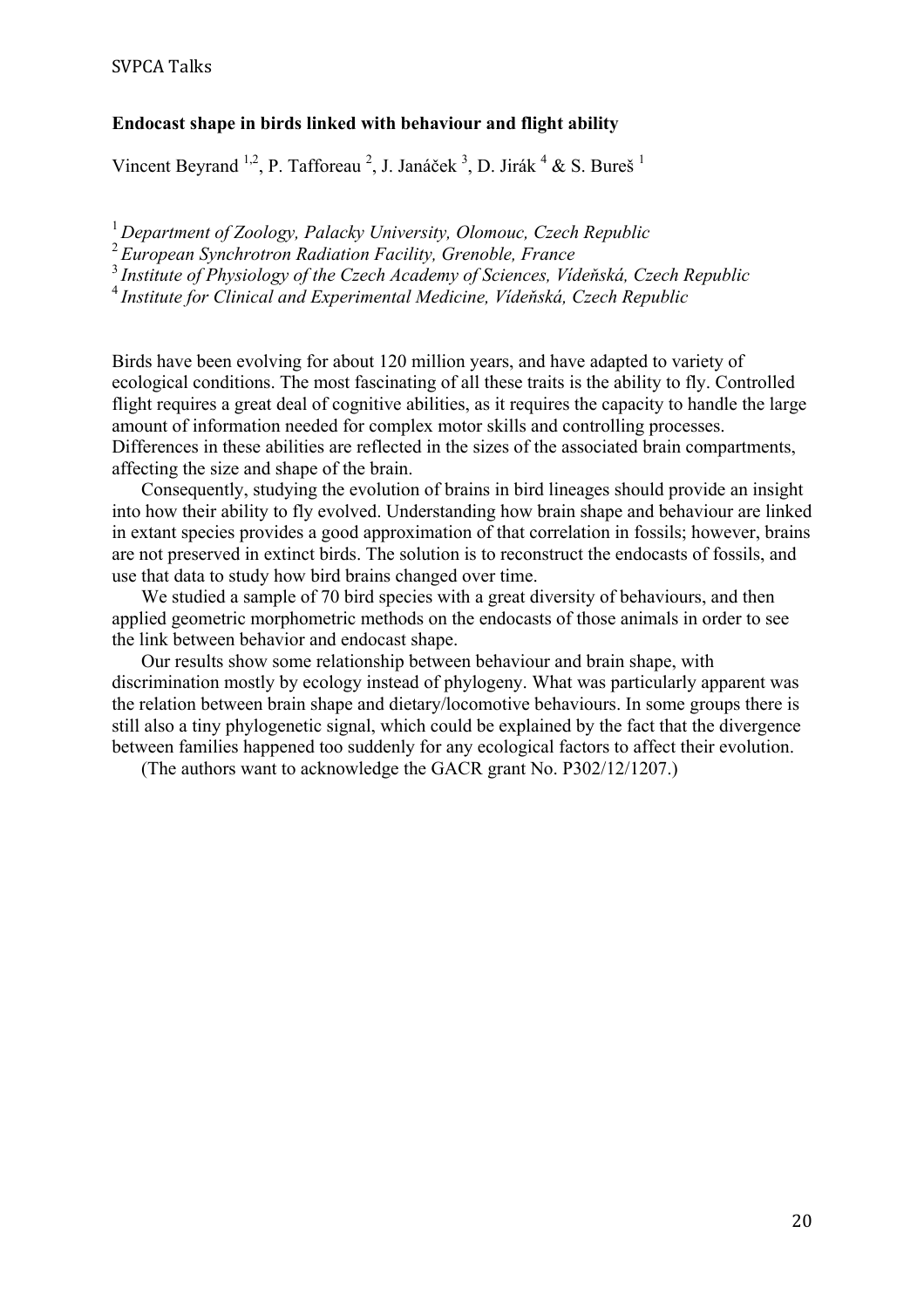### **Endocast shape in birds linked with behaviour and flight ability**

Vincent Beyrand <sup>1,2</sup>, P. Tafforeau <sup>2</sup>, J. Janáček <sup>3</sup>, D. Jirák <sup>4</sup> & S. Bureš <sup>1</sup>

<sup>1</sup>*Department of Zoology, Palacky University, Olomouc, Czech Republic*

<sup>2</sup>*European Synchrotron Radiation Facility, Grenoble, France*

<sup>3</sup>*Institute of Physiology of the Czech Academy of Sciences, Vídeňská, Czech Republic*

<sup>4</sup>*Institute for Clinical and Experimental Medicine, Vídeňská, Czech Republic*

Birds have been evolving for about 120 million years, and have adapted to variety of ecological conditions. The most fascinating of all these traits is the ability to fly. Controlled flight requires a great deal of cognitive abilities, as it requires the capacity to handle the large amount of information needed for complex motor skills and controlling processes. Differences in these abilities are reflected in the sizes of the associated brain compartments, affecting the size and shape of the brain.

Consequently, studying the evolution of brains in bird lineages should provide an insight into how their ability to fly evolved. Understanding how brain shape and behaviour are linked in extant species provides a good approximation of that correlation in fossils; however, brains are not preserved in extinct birds. The solution is to reconstruct the endocasts of fossils, and use that data to study how bird brains changed over time.

We studied a sample of 70 bird species with a great diversity of behaviours, and then applied geometric morphometric methods on the endocasts of those animals in order to see the link between behavior and endocast shape.

Our results show some relationship between behaviour and brain shape, with discrimination mostly by ecology instead of phylogeny. What was particularly apparent was the relation between brain shape and dietary/locomotive behaviours. In some groups there is still also a tiny phylogenetic signal, which could be explained by the fact that the divergence between families happened too suddenly for any ecological factors to affect their evolution.

(The authors want to acknowledge the GACR grant No. P302/12/1207.)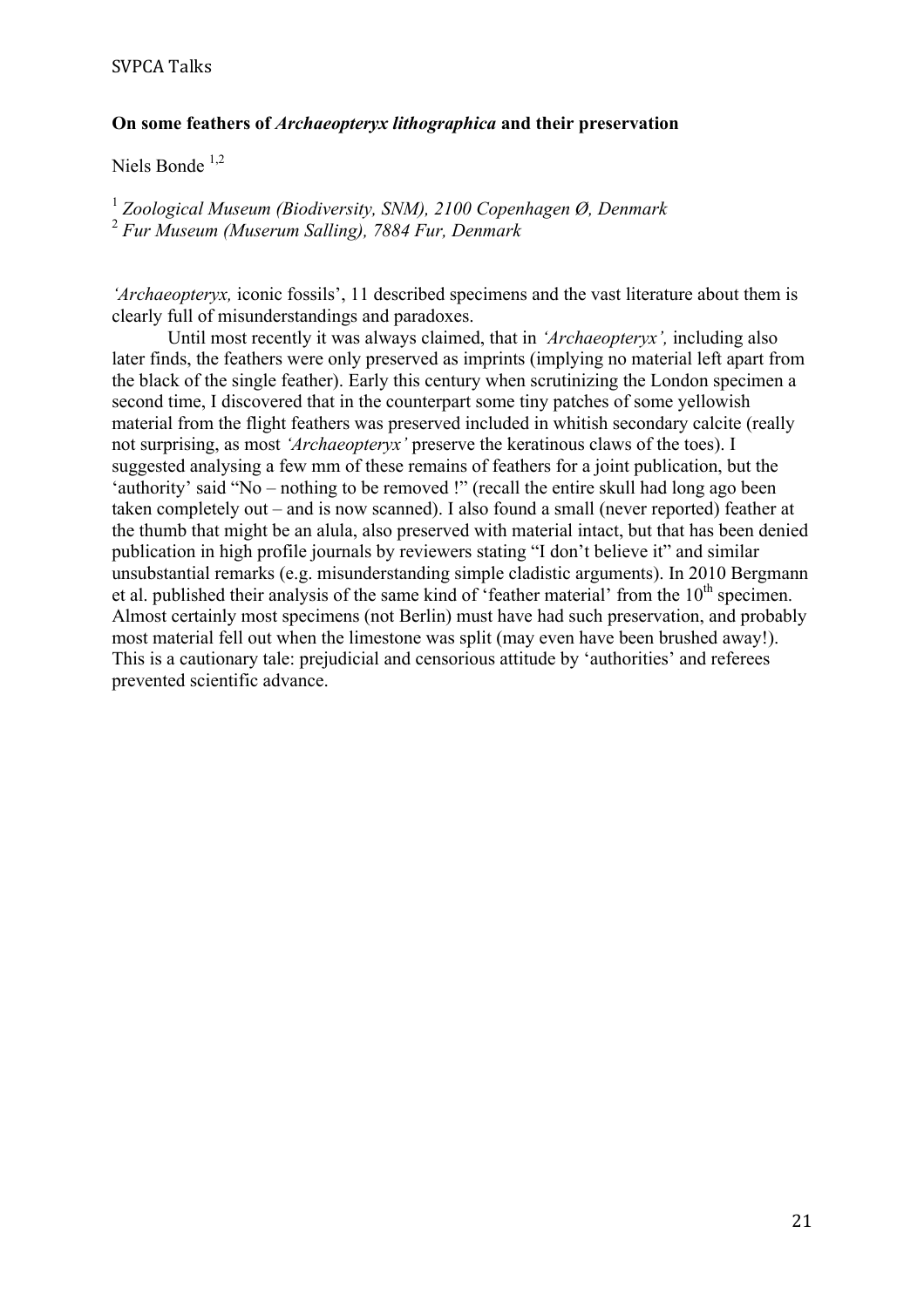### **On some feathers of** *Archaeopteryx lithographica* **and their preservation**

Niels Bonde<sup>1,2</sup>

<sup>1</sup> *Zoological Museum (Biodiversity, SNM), 2100 Copenhagen Ø, Denmark*<br><sup>2</sup> *Fur Museum (Muserum Salling), 7884 Fur, Denmark* 

*'Archaeopteryx,* iconic fossils', 11 described specimens and the vast literature about them is clearly full of misunderstandings and paradoxes.

Until most recently it was always claimed, that in *'Archaeopteryx',* including also later finds, the feathers were only preserved as imprints (implying no material left apart from the black of the single feather). Early this century when scrutinizing the London specimen a second time, I discovered that in the counterpart some tiny patches of some yellowish material from the flight feathers was preserved included in whitish secondary calcite (really not surprising, as most *'Archaeopteryx'* preserve the keratinous claws of the toes). I suggested analysing a few mm of these remains of feathers for a joint publication, but the 'authority' said "No – nothing to be removed !" (recall the entire skull had long ago been taken completely out – and is now scanned). I also found a small (never reported) feather at the thumb that might be an alula, also preserved with material intact, but that has been denied publication in high profile journals by reviewers stating "I don't believe it" and similar unsubstantial remarks (e.g. misunderstanding simple cladistic arguments). In 2010 Bergmann et al. published their analysis of the same kind of 'feather material' from the  $10<sup>th</sup>$  specimen. Almost certainly most specimens (not Berlin) must have had such preservation, and probably most material fell out when the limestone was split (may even have been brushed away!). This is a cautionary tale: prejudicial and censorious attitude by 'authorities' and referees prevented scientific advance.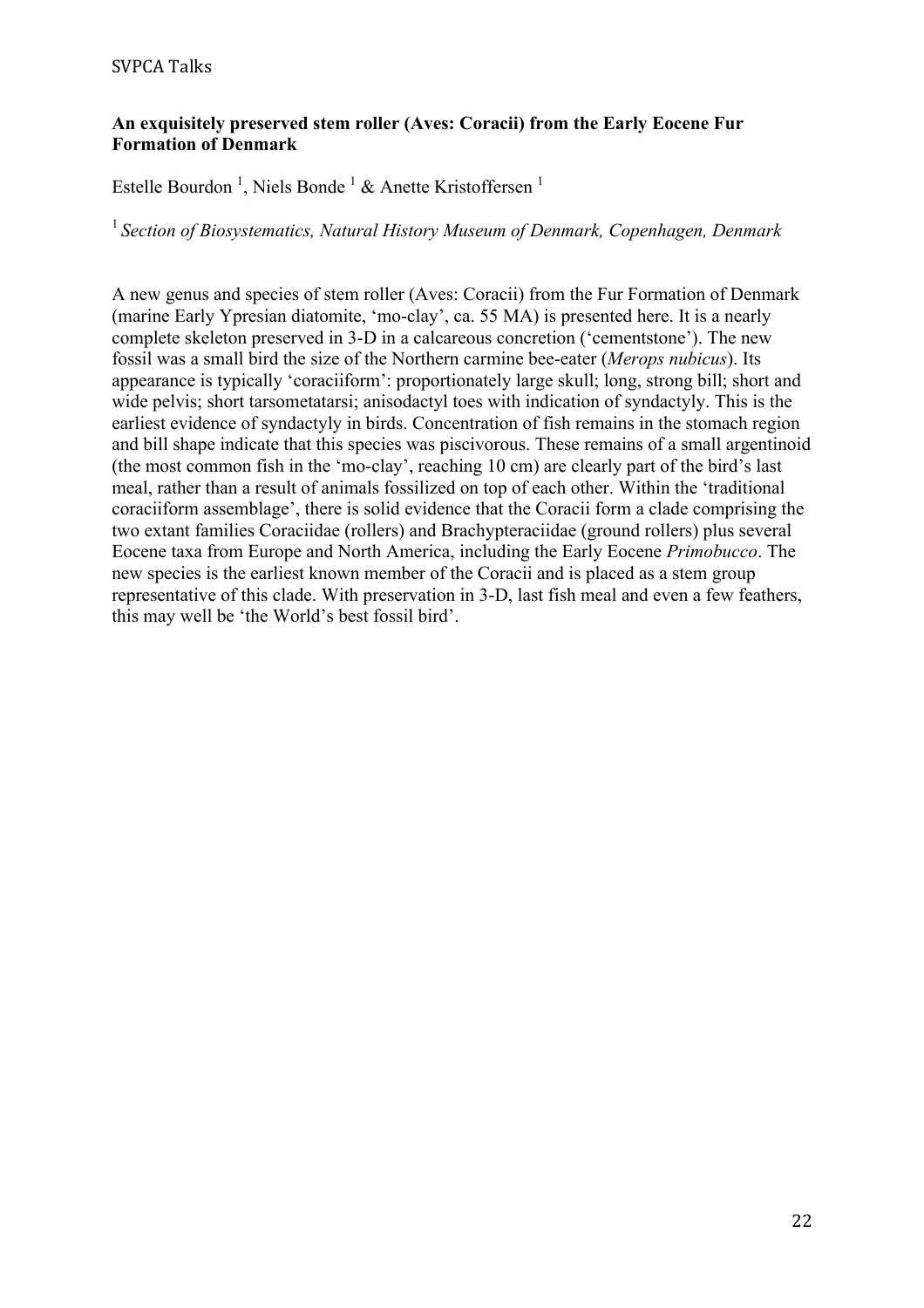## **An exquisitely preserved stem roller (Aves: Coracii) from the Early Eocene Fur Formation of Denmark**

Estelle Bourdon<sup>1</sup>, Niels Bonde<sup>1</sup> & Anette Kristoffersen<sup>1</sup>

<sup>1</sup> Section of Biosystematics, Natural History Museum of Denmark, Copenhagen, Denmark

A new genus and species of stem roller (Aves: Coracii) from the Fur Formation of Denmark (marine Early Ypresian diatomite, 'mo-clay', ca. 55 MA) is presented here. It is a nearly complete skeleton preserved in 3-D in a calcareous concretion ('cementstone'). The new fossil was a small bird the size of the Northern carmine bee-eater (*Merops nubicus*). Its appearance is typically 'coraciiform': proportionately large skull; long, strong bill; short and wide pelvis; short tarsometatarsi; anisodactyl toes with indication of syndactyly. This is the earliest evidence of syndactyly in birds. Concentration of fish remains in the stomach region and bill shape indicate that this species was piscivorous. These remains of a small argentinoid (the most common fish in the 'mo-clay', reaching 10 cm) are clearly part of the bird's last meal, rather than a result of animals fossilized on top of each other. Within the 'traditional coraciiform assemblage', there is solid evidence that the Coracii form a clade comprising the two extant families Coraciidae (rollers) and Brachypteraciidae (ground rollers) plus several Eocene taxa from Europe and North America, including the Early Eocene *Primobucco*. The new species is the earliest known member of the Coracii and is placed as a stem group representative of this clade. With preservation in 3-D, last fish meal and even a few feathers, this may well be 'the World's best fossil bird'.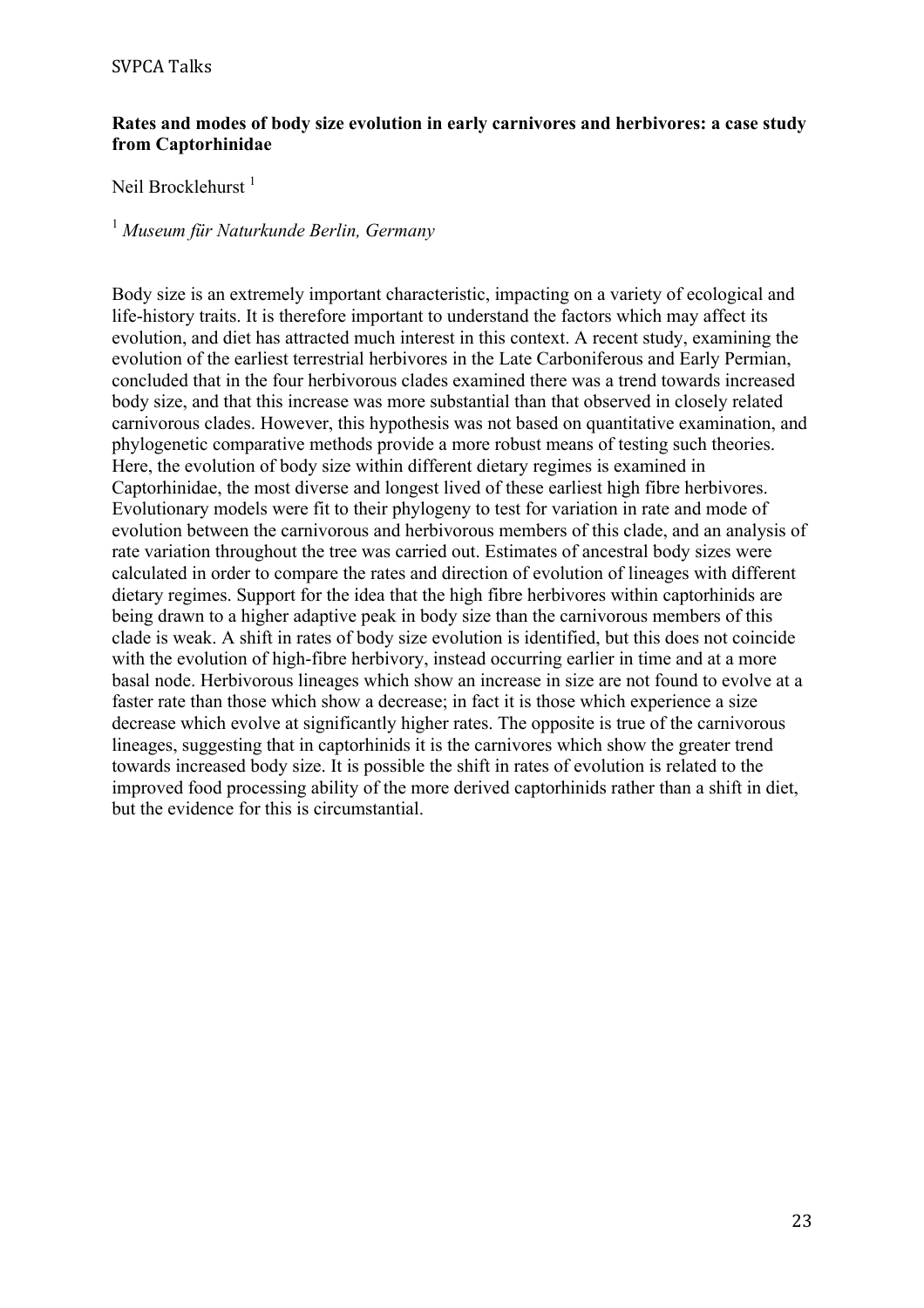### **Rates and modes of body size evolution in early carnivores and herbivores: a case study from Captorhinidae**

Neil Brocklehurst<sup>1</sup>

# <sup>1</sup> *Museum für Naturkunde Berlin, Germany*

Body size is an extremely important characteristic, impacting on a variety of ecological and life-history traits. It is therefore important to understand the factors which may affect its evolution, and diet has attracted much interest in this context. A recent study, examining the evolution of the earliest terrestrial herbivores in the Late Carboniferous and Early Permian, concluded that in the four herbivorous clades examined there was a trend towards increased body size, and that this increase was more substantial than that observed in closely related carnivorous clades. However, this hypothesis was not based on quantitative examination, and phylogenetic comparative methods provide a more robust means of testing such theories. Here, the evolution of body size within different dietary regimes is examined in Captorhinidae, the most diverse and longest lived of these earliest high fibre herbivores. Evolutionary models were fit to their phylogeny to test for variation in rate and mode of evolution between the carnivorous and herbivorous members of this clade, and an analysis of rate variation throughout the tree was carried out. Estimates of ancestral body sizes were calculated in order to compare the rates and direction of evolution of lineages with different dietary regimes. Support for the idea that the high fibre herbivores within captorhinids are being drawn to a higher adaptive peak in body size than the carnivorous members of this clade is weak. A shift in rates of body size evolution is identified, but this does not coincide with the evolution of high-fibre herbivory, instead occurring earlier in time and at a more basal node. Herbivorous lineages which show an increase in size are not found to evolve at a faster rate than those which show a decrease; in fact it is those which experience a size decrease which evolve at significantly higher rates. The opposite is true of the carnivorous lineages, suggesting that in captorhinids it is the carnivores which show the greater trend towards increased body size. It is possible the shift in rates of evolution is related to the improved food processing ability of the more derived captorhinids rather than a shift in diet, but the evidence for this is circumstantial.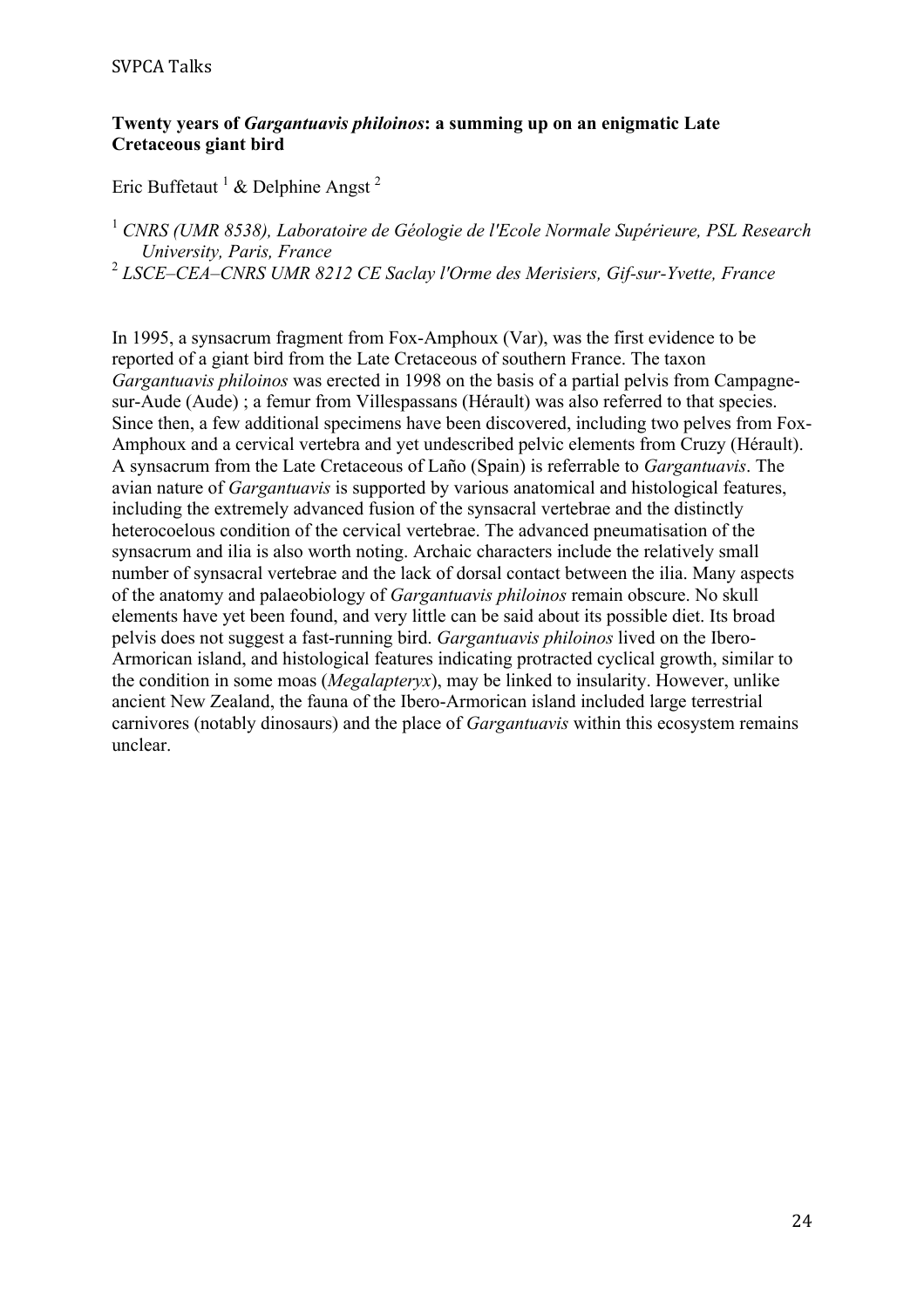# **Twenty years of** *Gargantuavis philoinos***: a summing up on an enigmatic Late Cretaceous giant bird**

Eric Buffetaut  $^1$  & Delphine Angst<sup>2</sup>

<sup>1</sup> *CNRS (UMR 8538), Laboratoire de Géologie de l'Ecole Normale Supérieure, PSL Research University, Paris, France*

<sup>2</sup> *LSCE–CEA–CNRS UMR 8212 CE Saclay l'Orme des Merisiers, Gif-sur-Yvette, France*

In 1995, a synsacrum fragment from Fox-Amphoux (Var), was the first evidence to be reported of a giant bird from the Late Cretaceous of southern France. The taxon *Gargantuavis philoinos* was erected in 1998 on the basis of a partial pelvis from Campagnesur-Aude (Aude) ; a femur from Villespassans (Hérault) was also referred to that species. Since then, a few additional specimens have been discovered, including two pelves from Fox-Amphoux and a cervical vertebra and yet undescribed pelvic elements from Cruzy (Hérault). A synsacrum from the Late Cretaceous of Laño (Spain) is referrable to *Gargantuavis*. The avian nature of *Gargantuavis* is supported by various anatomical and histological features, including the extremely advanced fusion of the synsacral vertebrae and the distinctly heterocoelous condition of the cervical vertebrae. The advanced pneumatisation of the synsacrum and ilia is also worth noting. Archaic characters include the relatively small number of synsacral vertebrae and the lack of dorsal contact between the ilia. Many aspects of the anatomy and palaeobiology of *Gargantuavis philoinos* remain obscure. No skull elements have yet been found, and very little can be said about its possible diet. Its broad pelvis does not suggest a fast-running bird. *Gargantuavis philoinos* lived on the Ibero-Armorican island, and histological features indicating protracted cyclical growth, similar to the condition in some moas (*Megalapteryx*), may be linked to insularity. However, unlike ancient New Zealand, the fauna of the Ibero-Armorican island included large terrestrial carnivores (notably dinosaurs) and the place of *Gargantuavis* within this ecosystem remains unclear.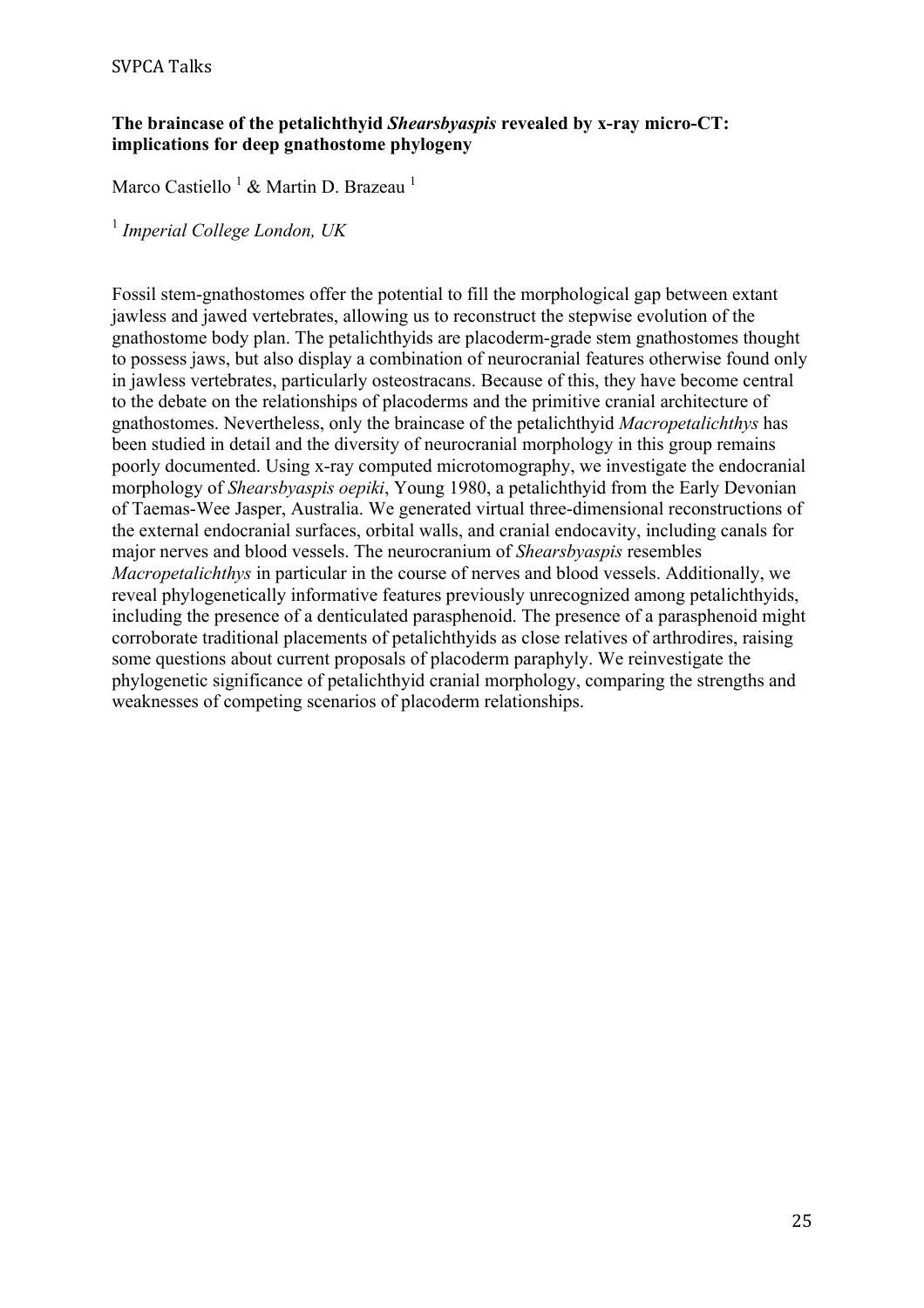# **The braincase of the petalichthyid** *Shearsbyaspis* **revealed by x-ray micro-CT: implications for deep gnathostome phylogeny**

Marco Castiello <sup>1</sup> & Martin D. Brazeau <sup>1</sup>

<sup>1</sup> *Imperial College London, UK*

Fossil stem-gnathostomes offer the potential to fill the morphological gap between extant jawless and jawed vertebrates, allowing us to reconstruct the stepwise evolution of the gnathostome body plan. The petalichthyids are placoderm-grade stem gnathostomes thought to possess jaws, but also display a combination of neurocranial features otherwise found only in jawless vertebrates, particularly osteostracans. Because of this, they have become central to the debate on the relationships of placoderms and the primitive cranial architecture of gnathostomes. Nevertheless, only the braincase of the petalichthyid *Macropetalichthys* has been studied in detail and the diversity of neurocranial morphology in this group remains poorly documented. Using x-ray computed microtomography, we investigate the endocranial morphology of *Shearsbyaspis oepiki*, Young 1980, a petalichthyid from the Early Devonian of Taemas-Wee Jasper, Australia. We generated virtual three-dimensional reconstructions of the external endocranial surfaces, orbital walls, and cranial endocavity, including canals for major nerves and blood vessels. The neurocranium of *Shearsbyaspis* resembles *Macropetalichthys* in particular in the course of nerves and blood vessels. Additionally, we reveal phylogenetically informative features previously unrecognized among petalichthyids, including the presence of a denticulated parasphenoid. The presence of a parasphenoid might corroborate traditional placements of petalichthyids as close relatives of arthrodires, raising some questions about current proposals of placoderm paraphyly. We reinvestigate the phylogenetic significance of petalichthyid cranial morphology, comparing the strengths and weaknesses of competing scenarios of placoderm relationships.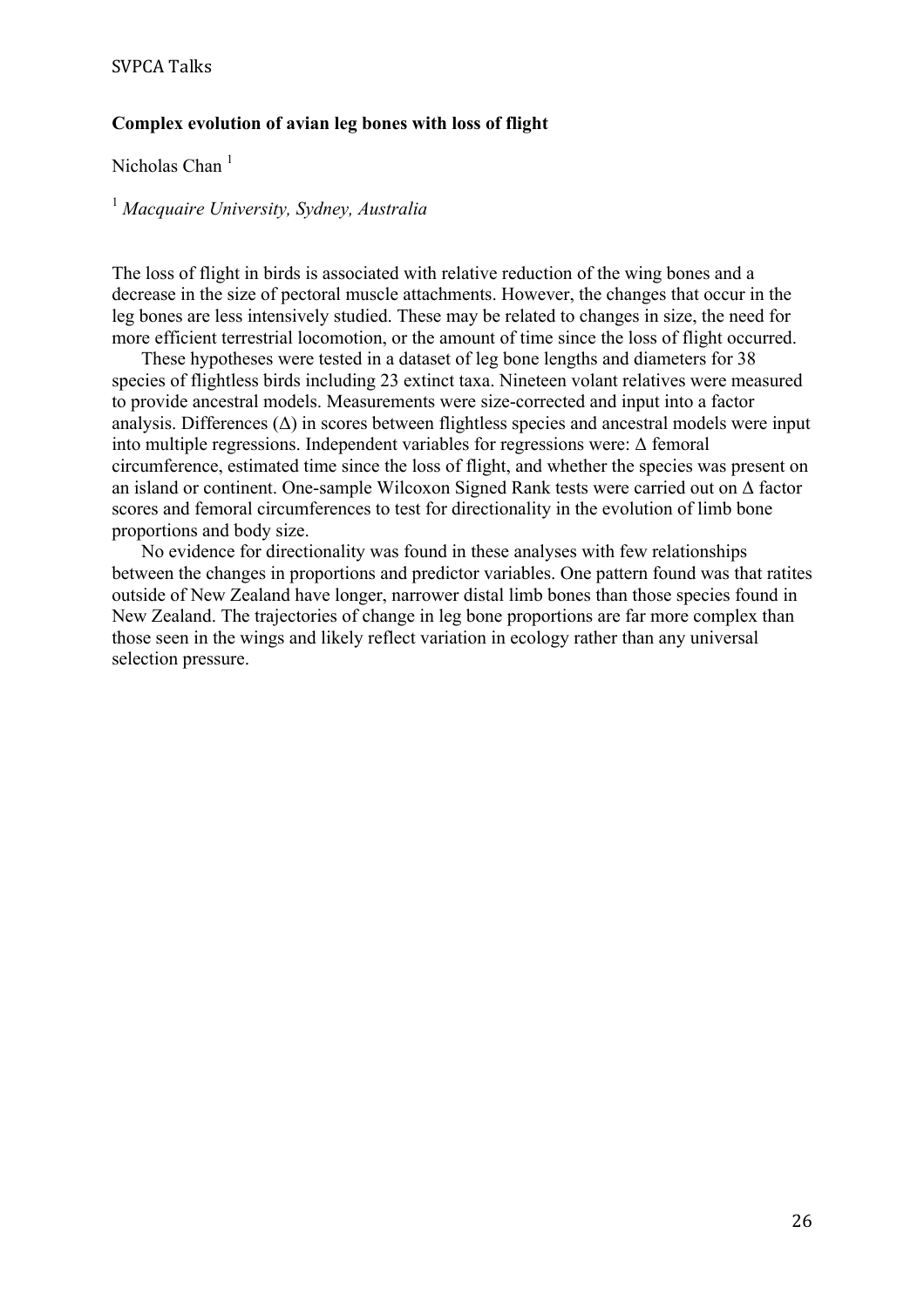#### **Complex evolution of avian leg bones with loss of flight**

Nicholas Chan $<sup>1</sup>$ </sup>

<sup>1</sup> *Macquaire University, Sydney, Australia*

The loss of flight in birds is associated with relative reduction of the wing bones and a decrease in the size of pectoral muscle attachments. However, the changes that occur in the leg bones are less intensively studied. These may be related to changes in size, the need for more efficient terrestrial locomotion, or the amount of time since the loss of flight occurred.

These hypotheses were tested in a dataset of leg bone lengths and diameters for 38 species of flightless birds including 23 extinct taxa. Nineteen volant relatives were measured to provide ancestral models. Measurements were size-corrected and input into a factor analysis. Differences  $(\Delta)$  in scores between flightless species and ancestral models were input into multiple regressions. Independent variables for regressions were:  $\Delta$  femoral circumference, estimated time since the loss of flight, and whether the species was present on an island or continent. One-sample Wilcoxon Signed Rank tests were carried out on Δ factor scores and femoral circumferences to test for directionality in the evolution of limb bone proportions and body size.

No evidence for directionality was found in these analyses with few relationships between the changes in proportions and predictor variables. One pattern found was that ratites outside of New Zealand have longer, narrower distal limb bones than those species found in New Zealand. The trajectories of change in leg bone proportions are far more complex than those seen in the wings and likely reflect variation in ecology rather than any universal selection pressure.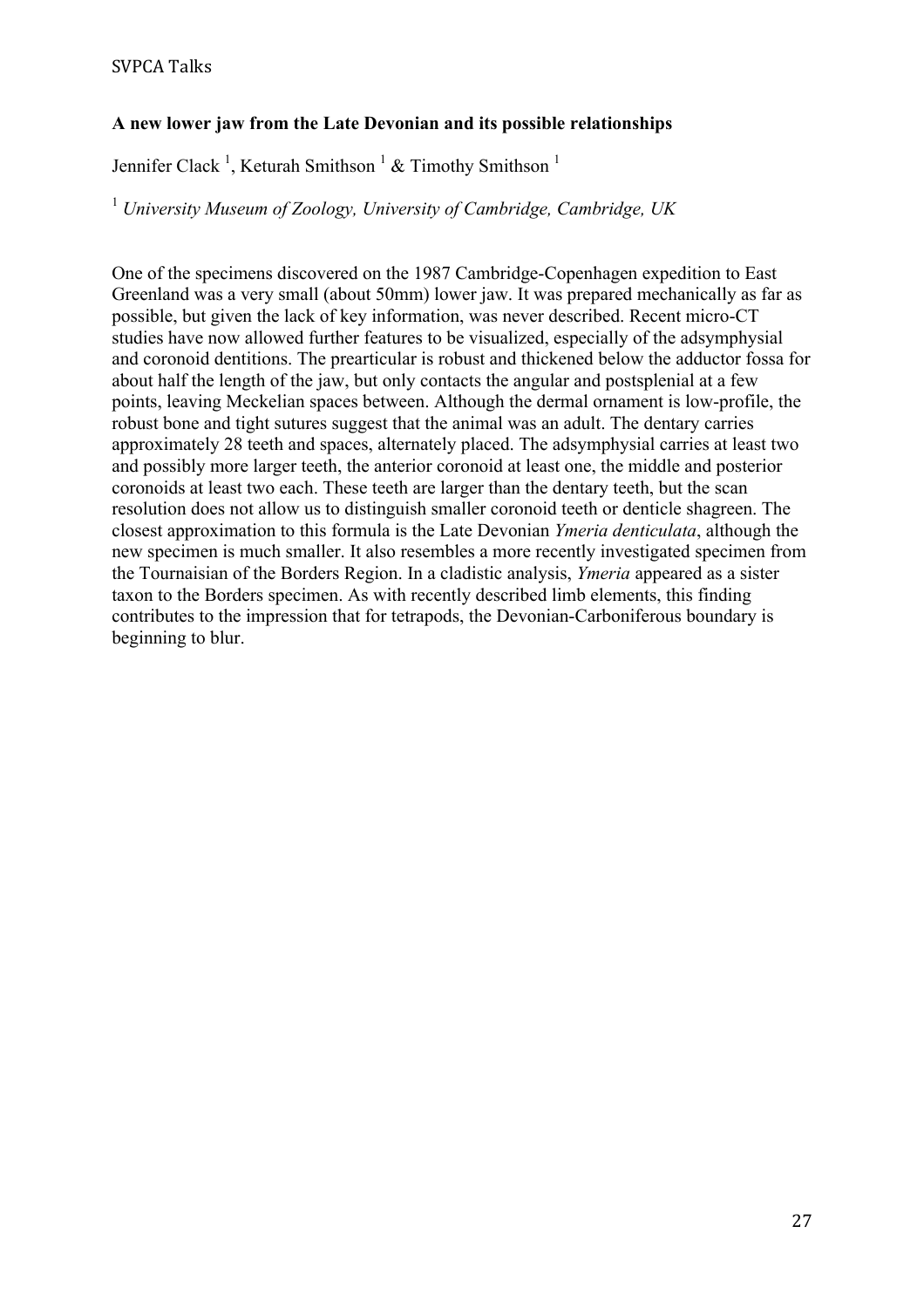# **A new lower jaw from the Late Devonian and its possible relationships**

Jennifer Clack<sup>1</sup>, Keturah Smithson<sup>1</sup> & Timothy Smithson<sup>1</sup>

<sup>1</sup> *University Museum of Zoology, University of Cambridge, Cambridge, UK*

One of the specimens discovered on the 1987 Cambridge-Copenhagen expedition to East Greenland was a very small (about 50mm) lower jaw. It was prepared mechanically as far as possible, but given the lack of key information, was never described. Recent micro-CT studies have now allowed further features to be visualized, especially of the adsymphysial and coronoid dentitions. The prearticular is robust and thickened below the adductor fossa for about half the length of the jaw, but only contacts the angular and postsplenial at a few points, leaving Meckelian spaces between. Although the dermal ornament is low-profile, the robust bone and tight sutures suggest that the animal was an adult. The dentary carries approximately 28 teeth and spaces, alternately placed. The adsymphysial carries at least two and possibly more larger teeth, the anterior coronoid at least one, the middle and posterior coronoids at least two each. These teeth are larger than the dentary teeth, but the scan resolution does not allow us to distinguish smaller coronoid teeth or denticle shagreen. The closest approximation to this formula is the Late Devonian *Ymeria denticulata*, although the new specimen is much smaller. It also resembles a more recently investigated specimen from the Tournaisian of the Borders Region. In a cladistic analysis, *Ymeria* appeared as a sister taxon to the Borders specimen. As with recently described limb elements, this finding contributes to the impression that for tetrapods, the Devonian-Carboniferous boundary is beginning to blur.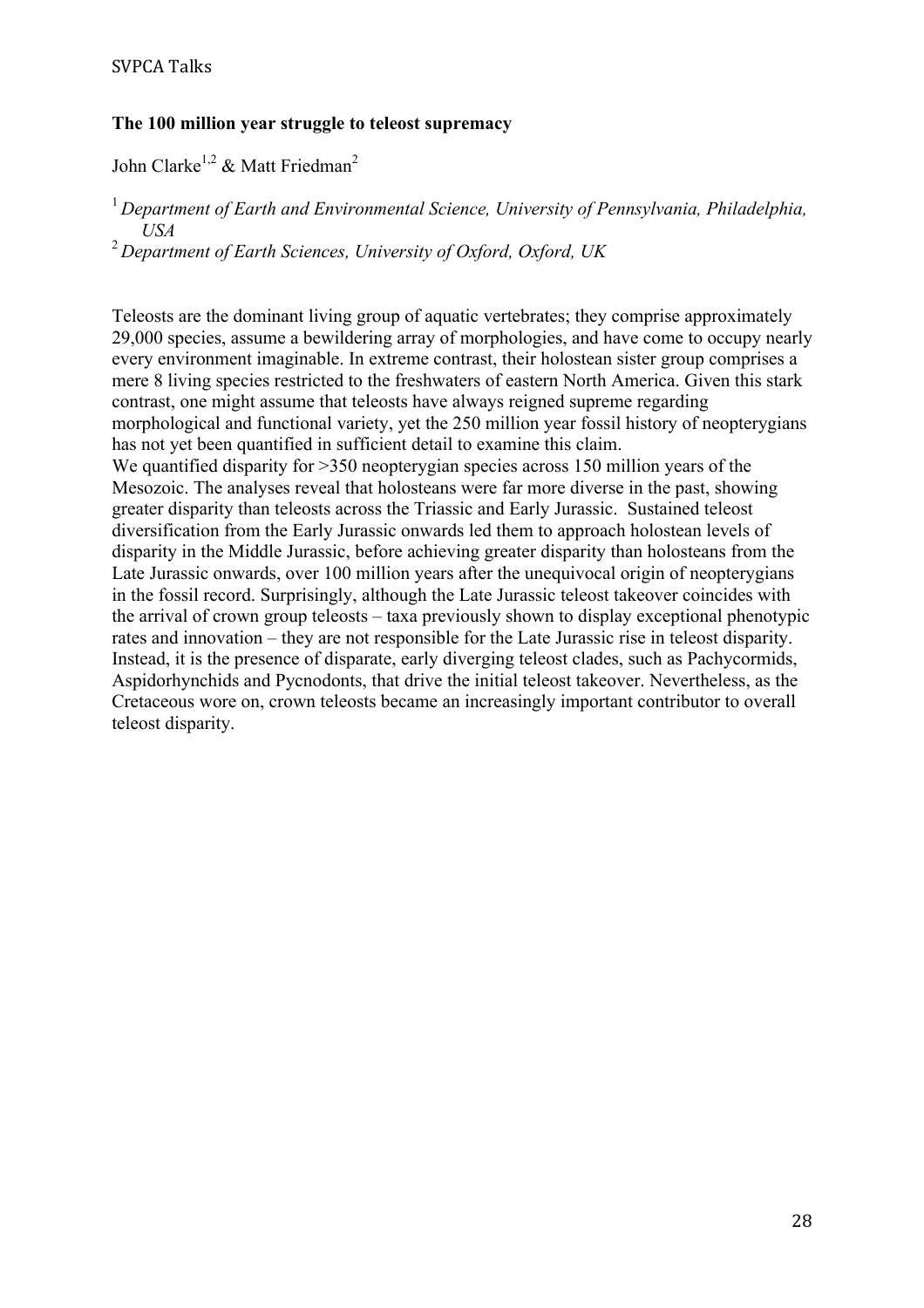### **The 100 million year struggle to teleost supremacy**

John Clarke<sup>1,2</sup> & Matt Friedman<sup>2</sup>

<sup>1</sup> Department of Earth and Environmental Science, University of Pennsylvania, Philadelphia, *USA*

<sup>2</sup>*Department of Earth Sciences, University of Oxford, Oxford, UK*

Teleosts are the dominant living group of aquatic vertebrates; they comprise approximately 29,000 species, assume a bewildering array of morphologies, and have come to occupy nearly every environment imaginable. In extreme contrast, their holostean sister group comprises a mere 8 living species restricted to the freshwaters of eastern North America. Given this stark contrast, one might assume that teleosts have always reigned supreme regarding morphological and functional variety, yet the 250 million year fossil history of neopterygians has not yet been quantified in sufficient detail to examine this claim.

We quantified disparity for  $>350$  neopterygian species across 150 million years of the Mesozoic. The analyses reveal that holosteans were far more diverse in the past, showing greater disparity than teleosts across the Triassic and Early Jurassic. Sustained teleost diversification from the Early Jurassic onwards led them to approach holostean levels of disparity in the Middle Jurassic, before achieving greater disparity than holosteans from the Late Jurassic onwards, over 100 million years after the unequivocal origin of neopterygians in the fossil record. Surprisingly, although the Late Jurassic teleost takeover coincides with the arrival of crown group teleosts – taxa previously shown to display exceptional phenotypic rates and innovation – they are not responsible for the Late Jurassic rise in teleost disparity. Instead, it is the presence of disparate, early diverging teleost clades, such as Pachycormids, Aspidorhynchids and Pycnodonts, that drive the initial teleost takeover. Nevertheless, as the Cretaceous wore on, crown teleosts became an increasingly important contributor to overall teleost disparity.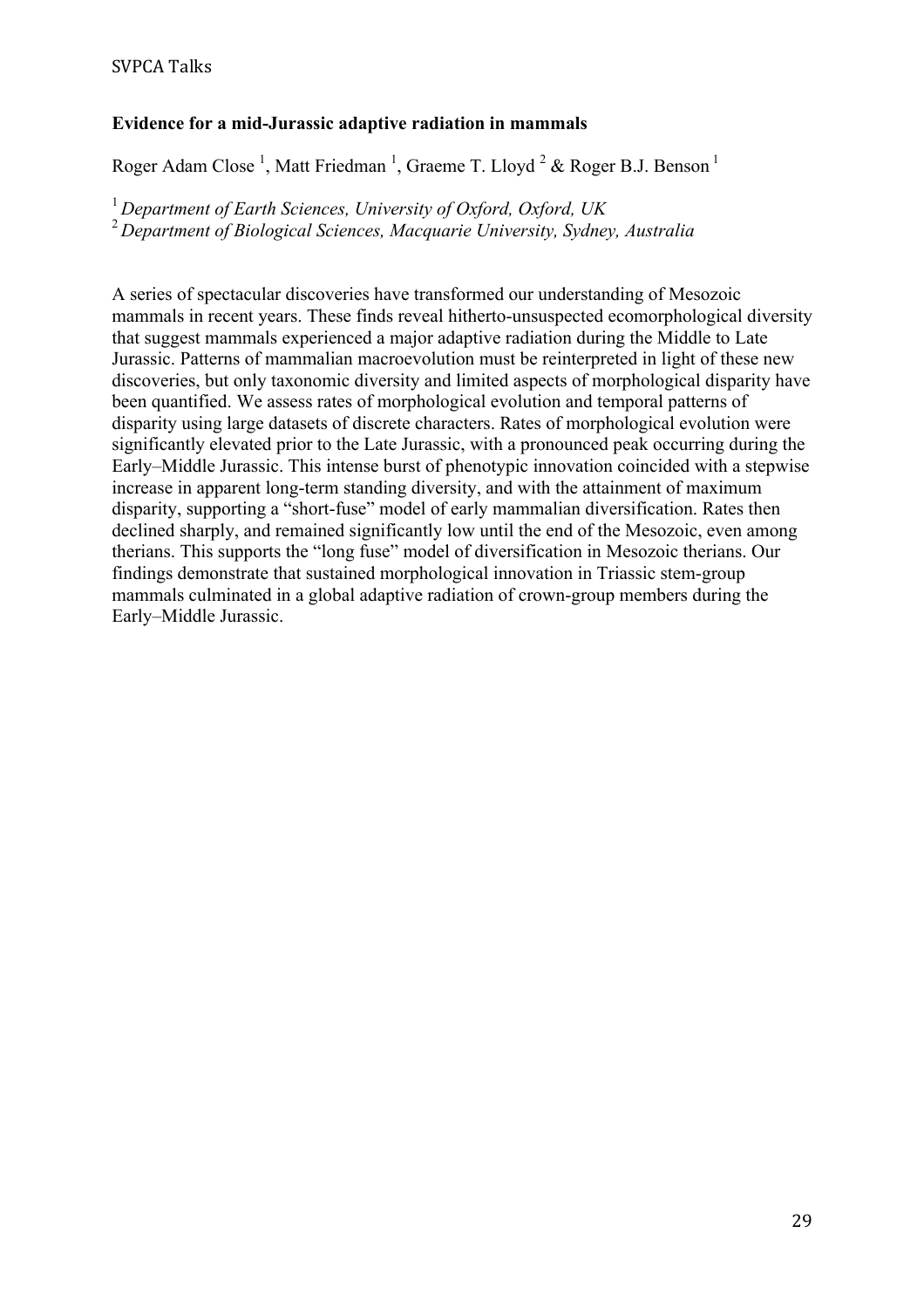# **Evidence for a mid-Jurassic adaptive radiation in mammals**

Roger Adam Close<sup>1</sup>, Matt Friedman<sup>1</sup>, Graeme T. Lloyd<sup>2</sup> & Roger B.J. Benson<sup>1</sup>

<sup>1</sup>*Department of Earth Sciences, University of Oxford, Oxford, UK* <sup>2</sup>*Department of Biological Sciences, Macquarie University, Sydney, Australia*

A series of spectacular discoveries have transformed our understanding of Mesozoic mammals in recent years. These finds reveal hitherto-unsuspected ecomorphological diversity that suggest mammals experienced a major adaptive radiation during the Middle to Late Jurassic. Patterns of mammalian macroevolution must be reinterpreted in light of these new discoveries, but only taxonomic diversity and limited aspects of morphological disparity have been quantified. We assess rates of morphological evolution and temporal patterns of disparity using large datasets of discrete characters. Rates of morphological evolution were significantly elevated prior to the Late Jurassic, with a pronounced peak occurring during the Early–Middle Jurassic. This intense burst of phenotypic innovation coincided with a stepwise increase in apparent long-term standing diversity, and with the attainment of maximum disparity, supporting a "short-fuse" model of early mammalian diversification. Rates then declined sharply, and remained significantly low until the end of the Mesozoic, even among therians. This supports the "long fuse" model of diversification in Mesozoic therians. Our findings demonstrate that sustained morphological innovation in Triassic stem-group mammals culminated in a global adaptive radiation of crown-group members during the Early–Middle Jurassic.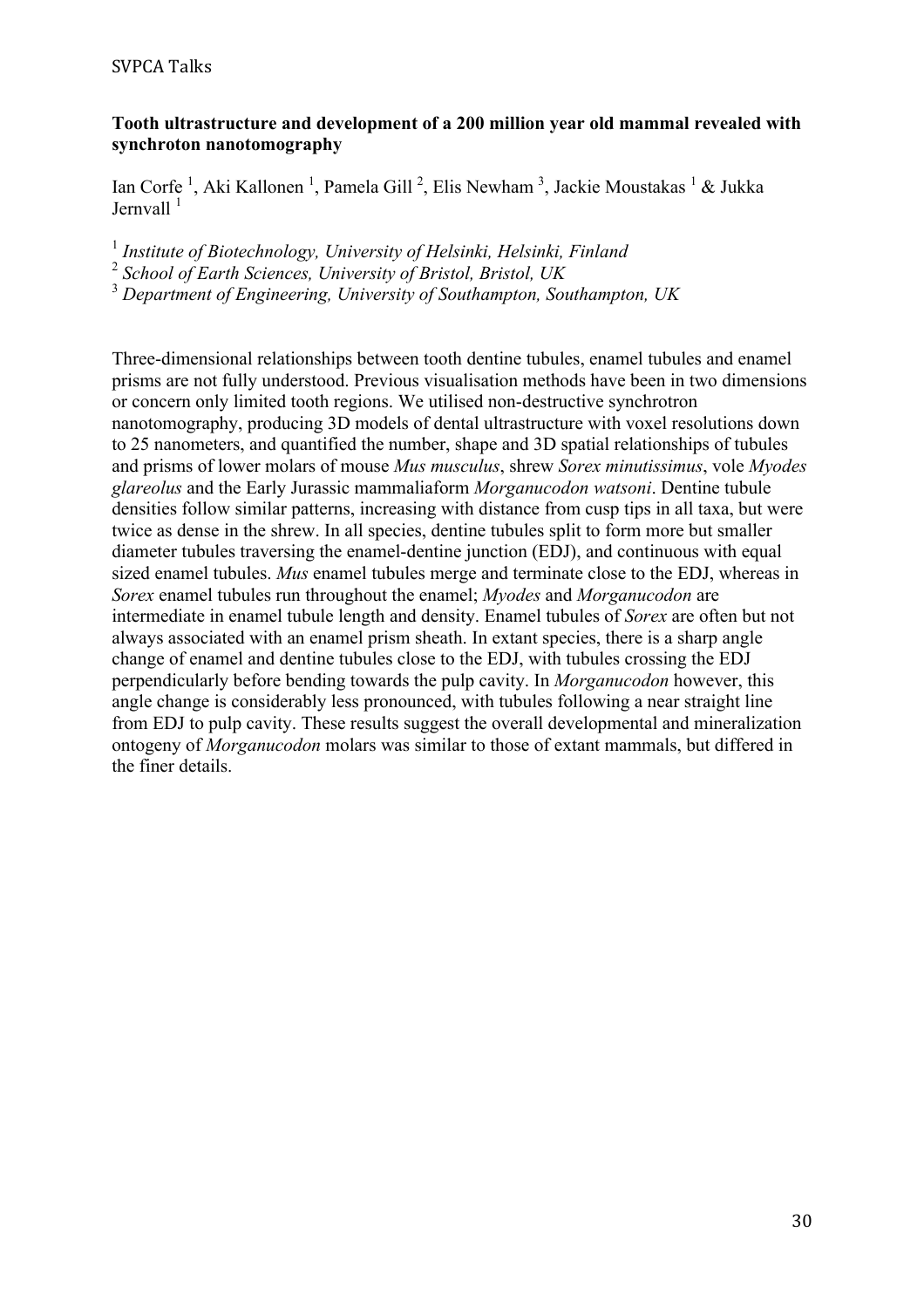# **Tooth ultrastructure and development of a 200 million year old mammal revealed with synchroton nanotomography**

Ian Corfe<sup>1</sup>, Aki Kallonen<sup>1</sup>, Pamela Gill<sup>2</sup>, Elis Newham<sup>3</sup>, Jackie Moustakas<sup>1</sup> & Jukka Jernvall<sup>1</sup>

<sup>1</sup> *Institute of Biotechnology, University of Helsinki, Helsinki, Finland* <sup>2</sup> *School of Earth Sciences, University of Bristol, Bristol, UK* <sup>3</sup> *Department of Engineering, University of Southampton, Southampton, UK*

Three-dimensional relationships between tooth dentine tubules, enamel tubules and enamel prisms are not fully understood. Previous visualisation methods have been in two dimensions or concern only limited tooth regions. We utilised non-destructive synchrotron nanotomography, producing 3D models of dental ultrastructure with voxel resolutions down to 25 nanometers, and quantified the number, shape and 3D spatial relationships of tubules and prisms of lower molars of mouse *Mus musculus*, shrew *Sorex minutissimus*, vole *Myodes glareolus* and the Early Jurassic mammaliaform *Morganucodon watsoni*. Dentine tubule densities follow similar patterns, increasing with distance from cusp tips in all taxa, but were twice as dense in the shrew. In all species, dentine tubules split to form more but smaller diameter tubules traversing the enamel-dentine junction (EDJ), and continuous with equal sized enamel tubules. *Mus* enamel tubules merge and terminate close to the EDJ, whereas in *Sorex* enamel tubules run throughout the enamel; *Myodes* and *Morganucodon* are intermediate in enamel tubule length and density. Enamel tubules of *Sorex* are often but not always associated with an enamel prism sheath. In extant species, there is a sharp angle change of enamel and dentine tubules close to the EDJ, with tubules crossing the EDJ perpendicularly before bending towards the pulp cavity. In *Morganucodon* however, this angle change is considerably less pronounced, with tubules following a near straight line from EDJ to pulp cavity. These results suggest the overall developmental and mineralization ontogeny of *Morganucodon* molars was similar to those of extant mammals, but differed in the finer details.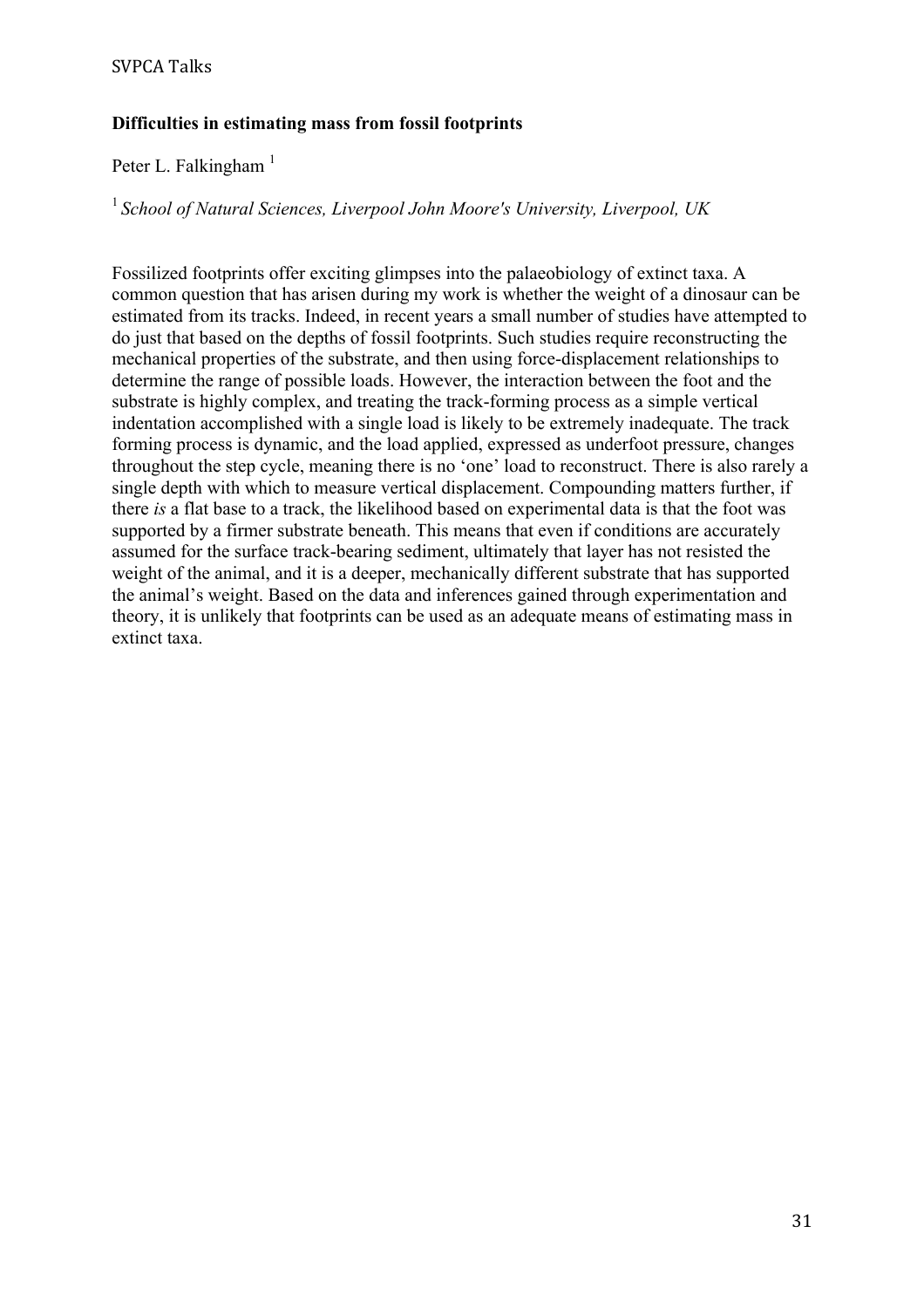## **Difficulties in estimating mass from fossil footprints**

# Peter L. Falkingham<sup>1</sup>

### <sup>1</sup>*School of Natural Sciences, Liverpool John Moore's University, Liverpool, UK*

Fossilized footprints offer exciting glimpses into the palaeobiology of extinct taxa. A common question that has arisen during my work is whether the weight of a dinosaur can be estimated from its tracks. Indeed, in recent years a small number of studies have attempted to do just that based on the depths of fossil footprints. Such studies require reconstructing the mechanical properties of the substrate, and then using force-displacement relationships to determine the range of possible loads. However, the interaction between the foot and the substrate is highly complex, and treating the track-forming process as a simple vertical indentation accomplished with a single load is likely to be extremely inadequate. The track forming process is dynamic, and the load applied, expressed as underfoot pressure, changes throughout the step cycle, meaning there is no 'one' load to reconstruct. There is also rarely a single depth with which to measure vertical displacement. Compounding matters further, if there *is* a flat base to a track, the likelihood based on experimental data is that the foot was supported by a firmer substrate beneath. This means that even if conditions are accurately assumed for the surface track-bearing sediment, ultimately that layer has not resisted the weight of the animal, and it is a deeper, mechanically different substrate that has supported the animal's weight. Based on the data and inferences gained through experimentation and theory, it is unlikely that footprints can be used as an adequate means of estimating mass in extinct taxa.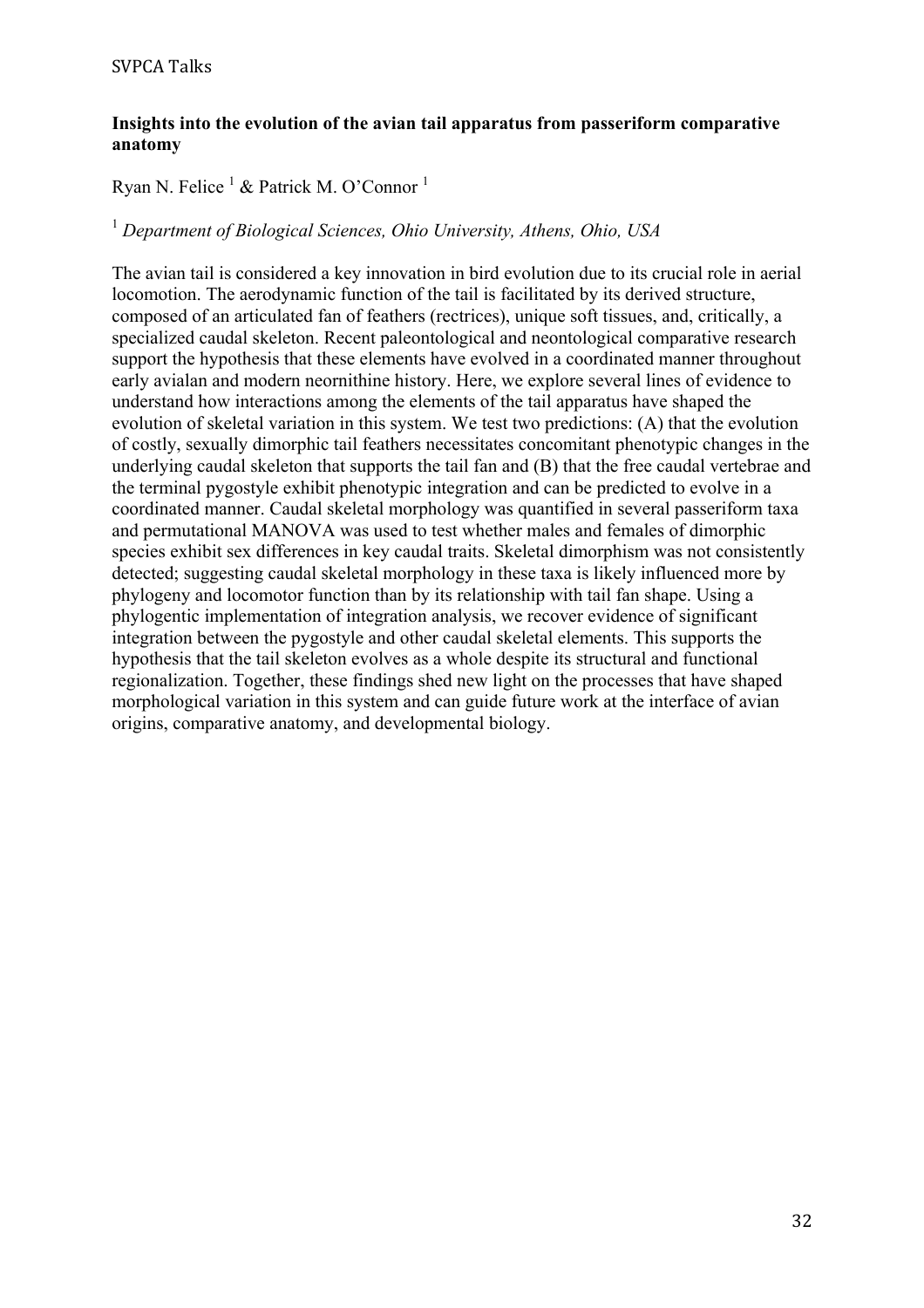## **Insights into the evolution of the avian tail apparatus from passeriform comparative anatomy**

# Ryan N. Felice <sup>1</sup> & Patrick M. O'Connor <sup>1</sup>

# <sup>1</sup> *Department of Biological Sciences, Ohio University, Athens, Ohio, USA*

The avian tail is considered a key innovation in bird evolution due to its crucial role in aerial locomotion. The aerodynamic function of the tail is facilitated by its derived structure, composed of an articulated fan of feathers (rectrices), unique soft tissues, and, critically, a specialized caudal skeleton. Recent paleontological and neontological comparative research support the hypothesis that these elements have evolved in a coordinated manner throughout early avialan and modern neornithine history. Here, we explore several lines of evidence to understand how interactions among the elements of the tail apparatus have shaped the evolution of skeletal variation in this system. We test two predictions: (A) that the evolution of costly, sexually dimorphic tail feathers necessitates concomitant phenotypic changes in the underlying caudal skeleton that supports the tail fan and (B) that the free caudal vertebrae and the terminal pygostyle exhibit phenotypic integration and can be predicted to evolve in a coordinated manner. Caudal skeletal morphology was quantified in several passeriform taxa and permutational MANOVA was used to test whether males and females of dimorphic species exhibit sex differences in key caudal traits. Skeletal dimorphism was not consistently detected; suggesting caudal skeletal morphology in these taxa is likely influenced more by phylogeny and locomotor function than by its relationship with tail fan shape. Using a phylogentic implementation of integration analysis, we recover evidence of significant integration between the pygostyle and other caudal skeletal elements. This supports the hypothesis that the tail skeleton evolves as a whole despite its structural and functional regionalization. Together, these findings shed new light on the processes that have shaped morphological variation in this system and can guide future work at the interface of avian origins, comparative anatomy, and developmental biology.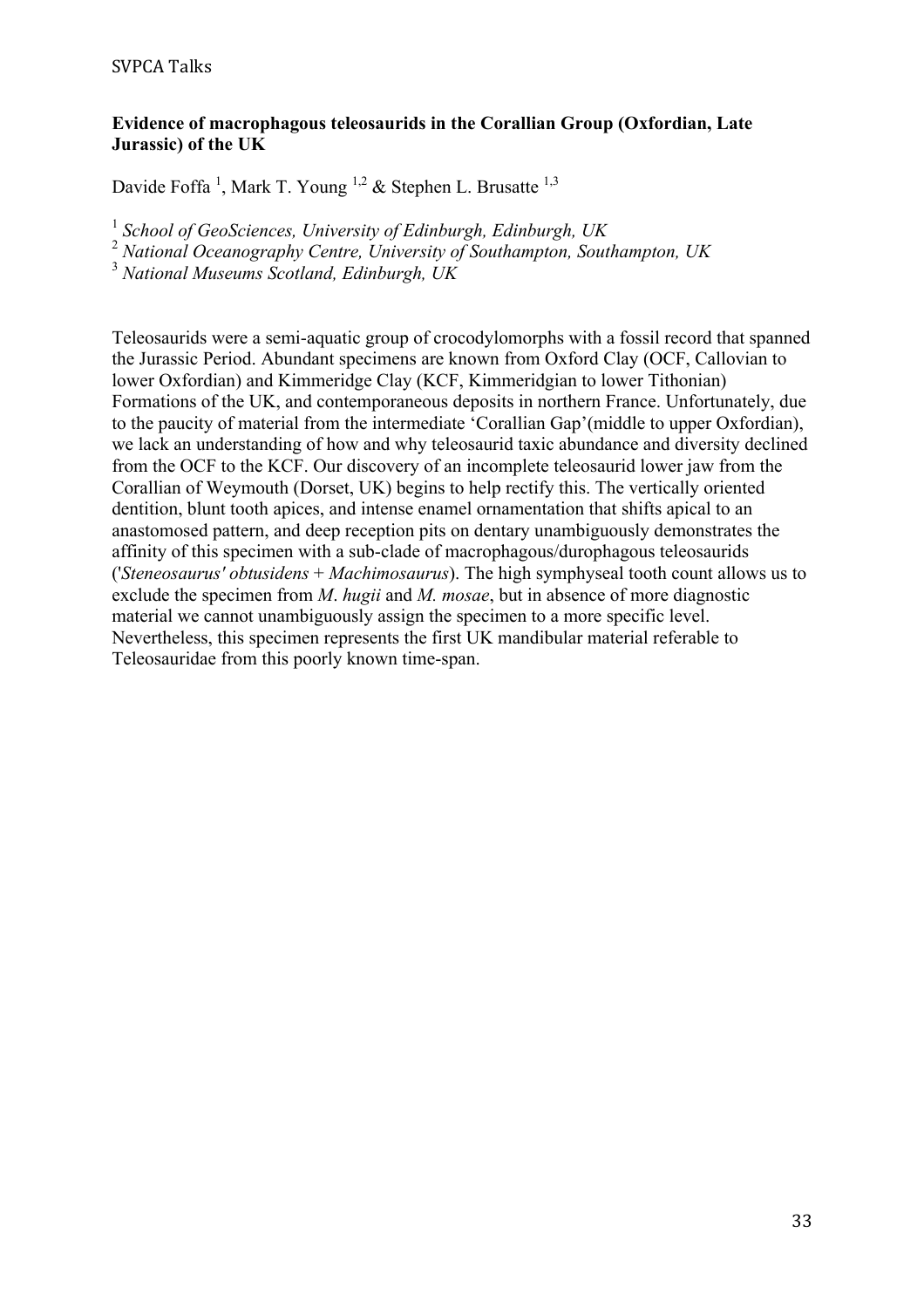### **Evidence of macrophagous teleosaurids in the Corallian Group (Oxfordian, Late Jurassic) of the UK**

Davide Foffa<sup>1</sup>, Mark T. Young<sup>1,2</sup> & Stephen L. Brusatte<sup>1,3</sup>

<sup>1</sup> *School of GeoSciences, University of Edinburgh, Edinburgh, UK*

<sup>2</sup> *National Oceanography Centre, University of Southampton, Southampton, UK*

<sup>3</sup> *National Museums Scotland, Edinburgh, UK*

Teleosaurids were a semi-aquatic group of crocodylomorphs with a fossil record that spanned the Jurassic Period. Abundant specimens are known from Oxford Clay (OCF, Callovian to lower Oxfordian) and Kimmeridge Clay (KCF, Kimmeridgian to lower Tithonian) Formations of the UK, and contemporaneous deposits in northern France. Unfortunately, due to the paucity of material from the intermediate 'Corallian Gap'(middle to upper Oxfordian), we lack an understanding of how and why teleosaurid taxic abundance and diversity declined from the OCF to the KCF. Our discovery of an incomplete teleosaurid lower jaw from the Corallian of Weymouth (Dorset, UK) begins to help rectify this. The vertically oriented dentition, blunt tooth apices, and intense enamel ornamentation that shifts apical to an anastomosed pattern, and deep reception pits on dentary unambiguously demonstrates the affinity of this specimen with a sub-clade of macrophagous/durophagous teleosaurids ('*Steneosaurus' obtusidens* + *Machimosaurus*). The high symphyseal tooth count allows us to exclude the specimen from *M*. *hugii* and *M. mosae*, but in absence of more diagnostic material we cannot unambiguously assign the specimen to a more specific level. Nevertheless, this specimen represents the first UK mandibular material referable to Teleosauridae from this poorly known time-span.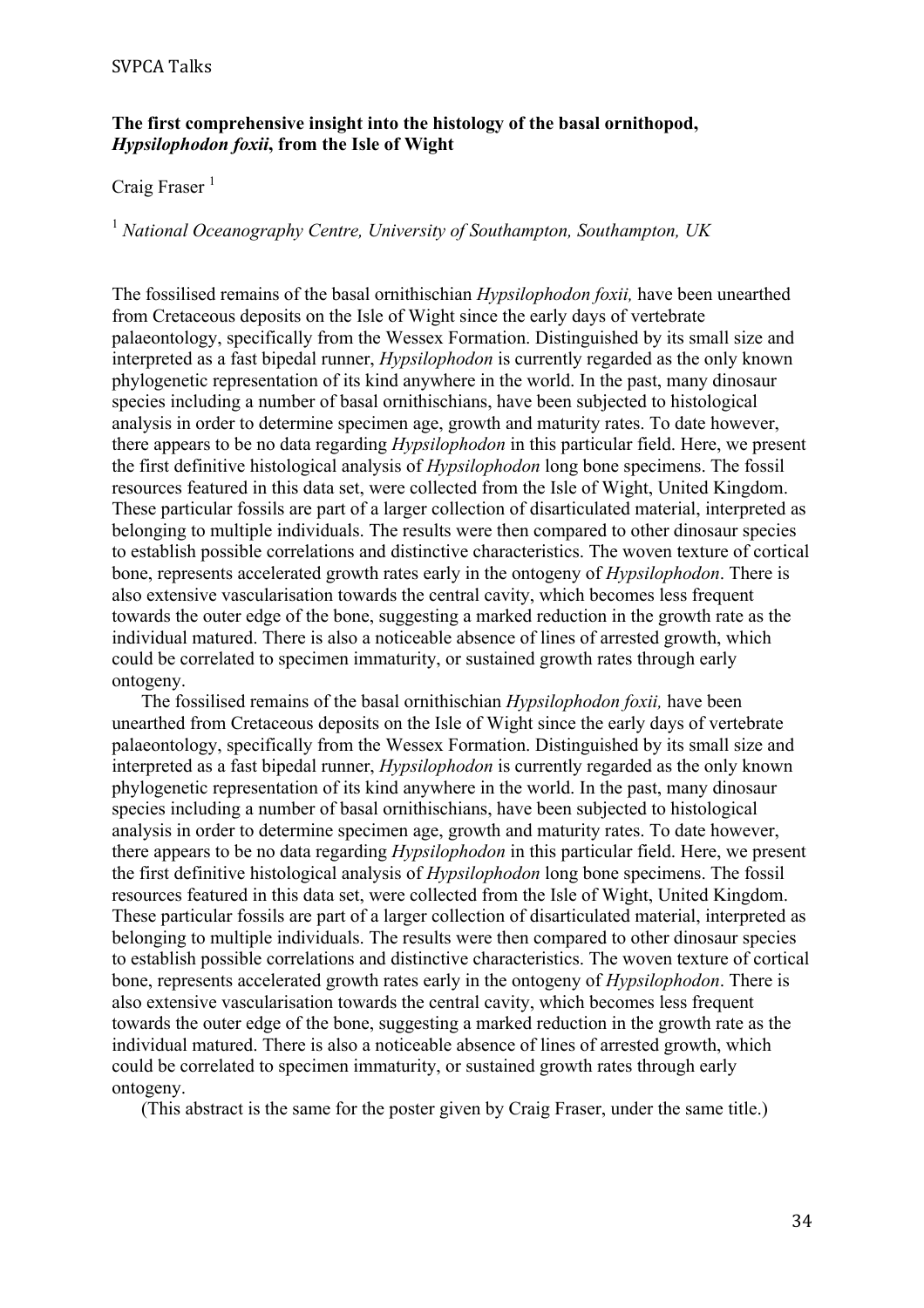### **The first comprehensive insight into the histology of the basal ornithopod,**  *Hypsilophodon foxii***, from the Isle of Wight**

# Craig Fraser $<sup>1</sup>$ </sup>

<sup>1</sup> *National Oceanography Centre, University of Southampton, Southampton, UK*

The fossilised remains of the basal ornithischian *Hypsilophodon foxii,* have been unearthed from Cretaceous deposits on the Isle of Wight since the early days of vertebrate palaeontology, specifically from the Wessex Formation. Distinguished by its small size and interpreted as a fast bipedal runner, *Hypsilophodon* is currently regarded as the only known phylogenetic representation of its kind anywhere in the world. In the past, many dinosaur species including a number of basal ornithischians, have been subjected to histological analysis in order to determine specimen age, growth and maturity rates. To date however, there appears to be no data regarding *Hypsilophodon* in this particular field. Here, we present the first definitive histological analysis of *Hypsilophodon* long bone specimens. The fossil resources featured in this data set, were collected from the Isle of Wight, United Kingdom. These particular fossils are part of a larger collection of disarticulated material, interpreted as belonging to multiple individuals. The results were then compared to other dinosaur species to establish possible correlations and distinctive characteristics. The woven texture of cortical bone, represents accelerated growth rates early in the ontogeny of *Hypsilophodon*. There is also extensive vascularisation towards the central cavity, which becomes less frequent towards the outer edge of the bone, suggesting a marked reduction in the growth rate as the individual matured. There is also a noticeable absence of lines of arrested growth, which could be correlated to specimen immaturity, or sustained growth rates through early ontogeny.

The fossilised remains of the basal ornithischian *Hypsilophodon foxii,* have been unearthed from Cretaceous deposits on the Isle of Wight since the early days of vertebrate palaeontology, specifically from the Wessex Formation. Distinguished by its small size and interpreted as a fast bipedal runner, *Hypsilophodon* is currently regarded as the only known phylogenetic representation of its kind anywhere in the world. In the past, many dinosaur species including a number of basal ornithischians, have been subjected to histological analysis in order to determine specimen age, growth and maturity rates. To date however, there appears to be no data regarding *Hypsilophodon* in this particular field. Here, we present the first definitive histological analysis of *Hypsilophodon* long bone specimens. The fossil resources featured in this data set, were collected from the Isle of Wight, United Kingdom. These particular fossils are part of a larger collection of disarticulated material, interpreted as belonging to multiple individuals. The results were then compared to other dinosaur species to establish possible correlations and distinctive characteristics. The woven texture of cortical bone, represents accelerated growth rates early in the ontogeny of *Hypsilophodon*. There is also extensive vascularisation towards the central cavity, which becomes less frequent towards the outer edge of the bone, suggesting a marked reduction in the growth rate as the individual matured. There is also a noticeable absence of lines of arrested growth, which could be correlated to specimen immaturity, or sustained growth rates through early ontogeny.

(This abstract is the same for the poster given by Craig Fraser, under the same title.)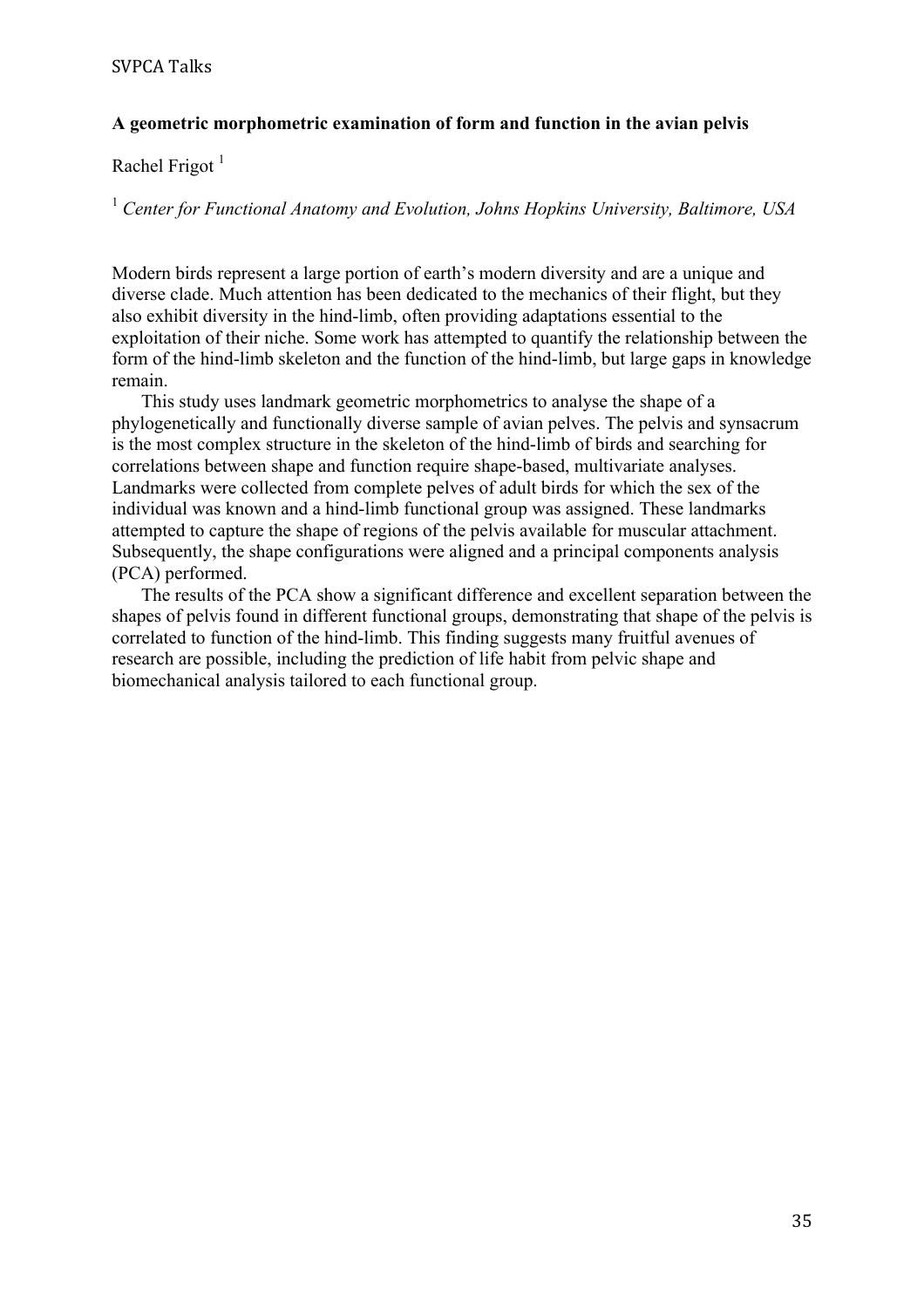### **A geometric morphometric examination of form and function in the avian pelvis**

Rachel Frigot<sup>1</sup>

<sup>1</sup> *Center for Functional Anatomy and Evolution, Johns Hopkins University, Baltimore, USA*

Modern birds represent a large portion of earth's modern diversity and are a unique and diverse clade. Much attention has been dedicated to the mechanics of their flight, but they also exhibit diversity in the hind-limb, often providing adaptations essential to the exploitation of their niche. Some work has attempted to quantify the relationship between the form of the hind-limb skeleton and the function of the hind-limb, but large gaps in knowledge remain.

This study uses landmark geometric morphometrics to analyse the shape of a phylogenetically and functionally diverse sample of avian pelves. The pelvis and synsacrum is the most complex structure in the skeleton of the hind-limb of birds and searching for correlations between shape and function require shape-based, multivariate analyses. Landmarks were collected from complete pelves of adult birds for which the sex of the individual was known and a hind-limb functional group was assigned. These landmarks attempted to capture the shape of regions of the pelvis available for muscular attachment. Subsequently, the shape configurations were aligned and a principal components analysis (PCA) performed.

The results of the PCA show a significant difference and excellent separation between the shapes of pelvis found in different functional groups, demonstrating that shape of the pelvis is correlated to function of the hind-limb. This finding suggests many fruitful avenues of research are possible, including the prediction of life habit from pelvic shape and biomechanical analysis tailored to each functional group.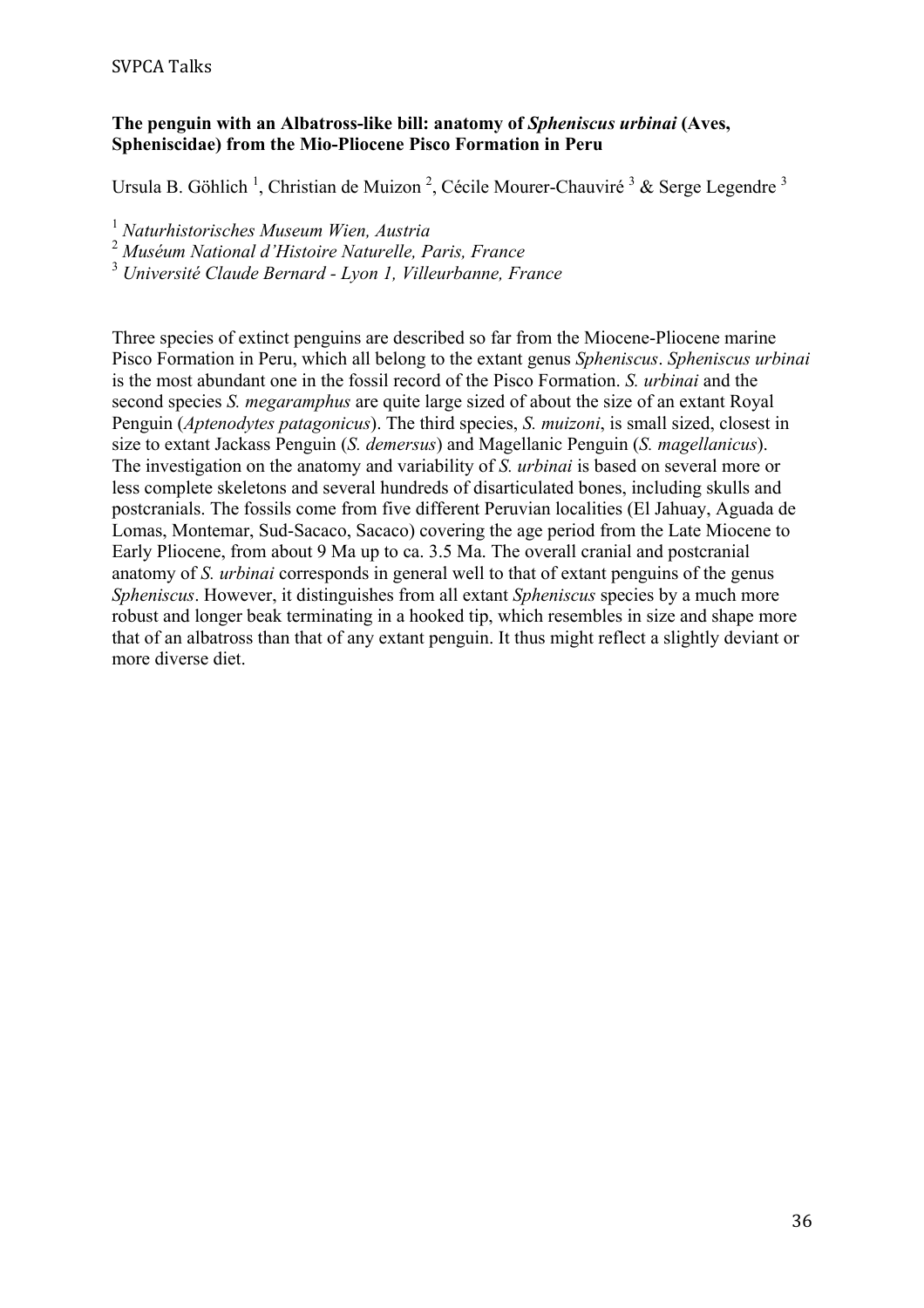# **The penguin with an Albatross-like bill: anatomy of** *Spheniscus urbinai* **(Aves, Spheniscidae) from the Mio-Pliocene Pisco Formation in Peru**

Ursula B. Göhlich<sup>1</sup>, Christian de Muizon<sup>2</sup>, Cécile Mourer-Chauviré<sup>3</sup> & Serge Legendre<sup>3</sup>

<sup>1</sup> *Naturhistorisches Museum Wien, Austria*

<sup>2</sup> *Muséum National d'Histoire Naturelle, Paris, France*

<sup>3</sup> *Université Claude Bernard - Lyon 1, Villeurbanne, France*

Three species of extinct penguins are described so far from the Miocene-Pliocene marine Pisco Formation in Peru, which all belong to the extant genus *Spheniscus*. *Spheniscus urbinai* is the most abundant one in the fossil record of the Pisco Formation. *S. urbinai* and the second species *S. megaramphus* are quite large sized of about the size of an extant Royal Penguin (*Aptenodytes patagonicus*). The third species, *S. muizoni*, is small sized, closest in size to extant Jackass Penguin (*S. demersus*) and Magellanic Penguin (*S. magellanicus*). The investigation on the anatomy and variability of *S. urbinai* is based on several more or less complete skeletons and several hundreds of disarticulated bones, including skulls and postcranials. The fossils come from five different Peruvian localities (El Jahuay, Aguada de Lomas, Montemar, Sud-Sacaco, Sacaco) covering the age period from the Late Miocene to Early Pliocene, from about 9 Ma up to ca. 3.5 Ma. The overall cranial and postcranial anatomy of *S. urbinai* corresponds in general well to that of extant penguins of the genus *Spheniscus*. However, it distinguishes from all extant *Spheniscus* species by a much more robust and longer beak terminating in a hooked tip, which resembles in size and shape more that of an albatross than that of any extant penguin. It thus might reflect a slightly deviant or more diverse diet.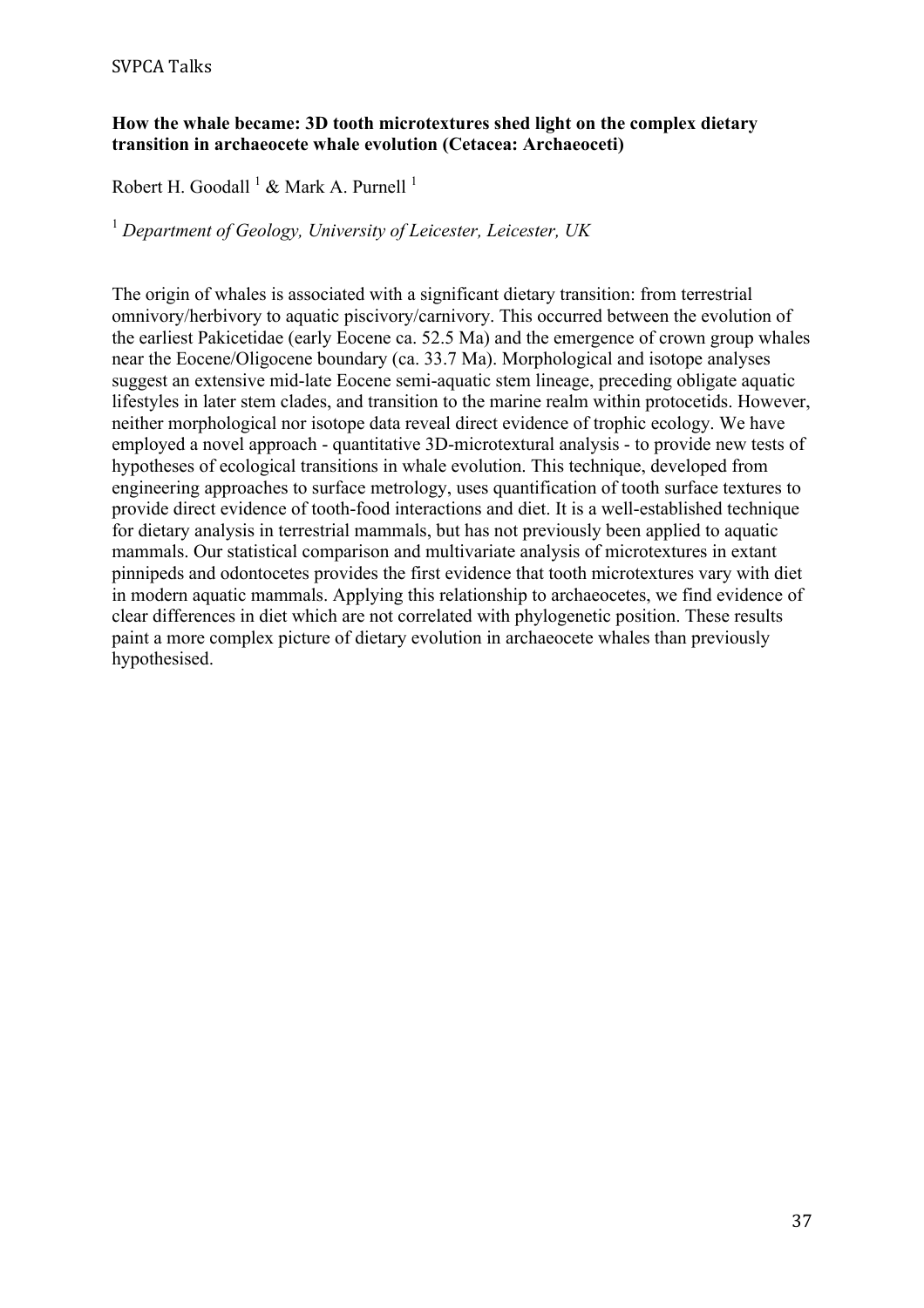# **How the whale became: 3D tooth microtextures shed light on the complex dietary transition in archaeocete whale evolution (Cetacea: Archaeoceti)**

Robert H. Goodall  $^1$  & Mark A. Purnell  $^1$ 

<sup>1</sup> *Department of Geology, University of Leicester, Leicester, UK*

The origin of whales is associated with a significant dietary transition: from terrestrial omnivory/herbivory to aquatic piscivory/carnivory. This occurred between the evolution of the earliest Pakicetidae (early Eocene ca. 52.5 Ma) and the emergence of crown group whales near the Eocene/Oligocene boundary (ca. 33.7 Ma). Morphological and isotope analyses suggest an extensive mid-late Eocene semi-aquatic stem lineage, preceding obligate aquatic lifestyles in later stem clades, and transition to the marine realm within protocetids. However, neither morphological nor isotope data reveal direct evidence of trophic ecology. We have employed a novel approach - quantitative 3D-microtextural analysis - to provide new tests of hypotheses of ecological transitions in whale evolution. This technique, developed from engineering approaches to surface metrology, uses quantification of tooth surface textures to provide direct evidence of tooth-food interactions and diet. It is a well-established technique for dietary analysis in terrestrial mammals, but has not previously been applied to aquatic mammals. Our statistical comparison and multivariate analysis of microtextures in extant pinnipeds and odontocetes provides the first evidence that tooth microtextures vary with diet in modern aquatic mammals. Applying this relationship to archaeocetes, we find evidence of clear differences in diet which are not correlated with phylogenetic position. These results paint a more complex picture of dietary evolution in archaeocete whales than previously hypothesised.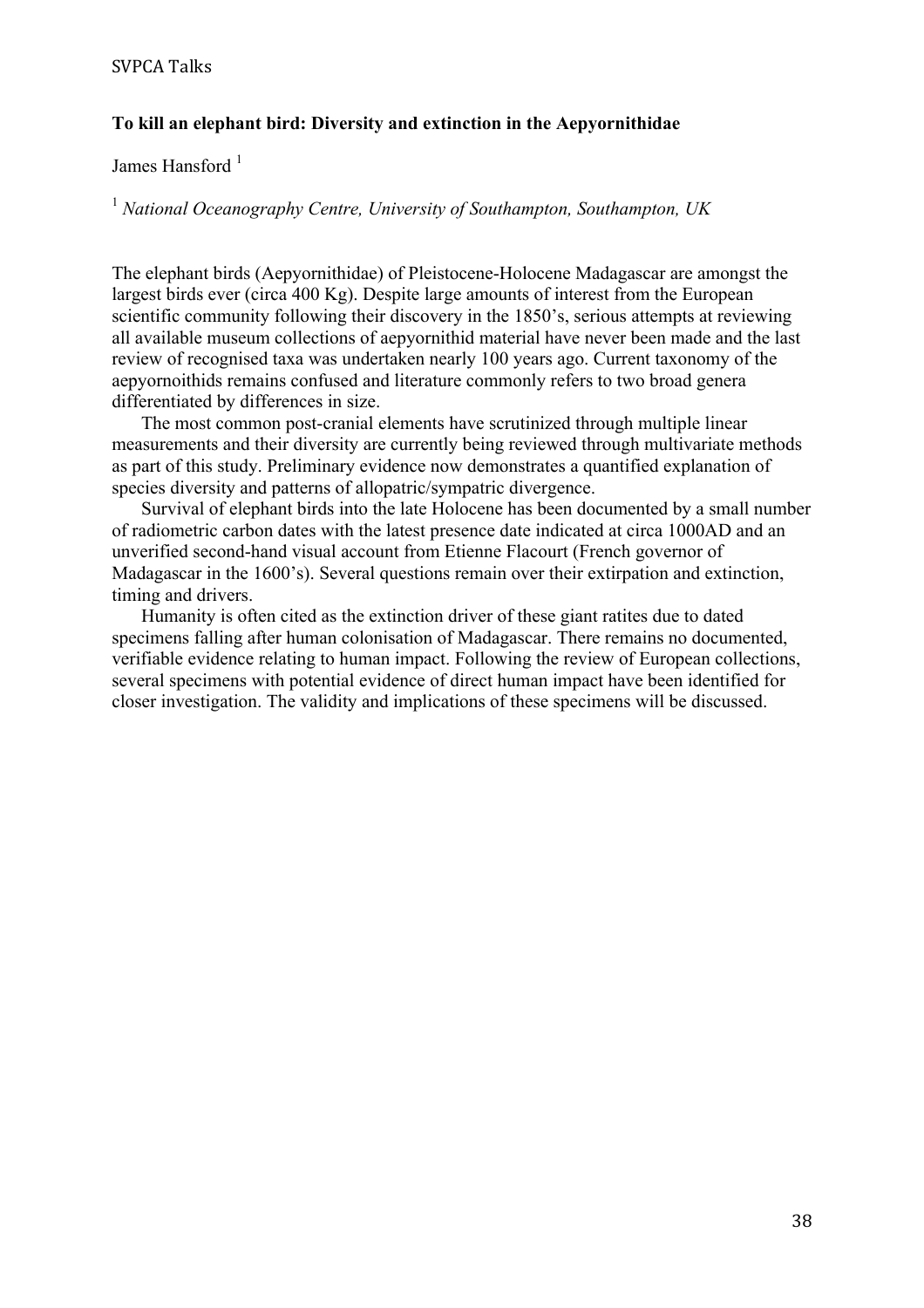# **To kill an elephant bird: Diversity and extinction in the Aepyornithidae**

James Hansford<sup>1</sup>

<sup>1</sup> *National Oceanography Centre, University of Southampton, Southampton, UK*

The elephant birds (Aepyornithidae) of Pleistocene-Holocene Madagascar are amongst the largest birds ever (circa 400 Kg). Despite large amounts of interest from the European scientific community following their discovery in the 1850's, serious attempts at reviewing all available museum collections of aepyornithid material have never been made and the last review of recognised taxa was undertaken nearly 100 years ago. Current taxonomy of the aepyornoithids remains confused and literature commonly refers to two broad genera differentiated by differences in size.

The most common post-cranial elements have scrutinized through multiple linear measurements and their diversity are currently being reviewed through multivariate methods as part of this study. Preliminary evidence now demonstrates a quantified explanation of species diversity and patterns of allopatric/sympatric divergence.

Survival of elephant birds into the late Holocene has been documented by a small number of radiometric carbon dates with the latest presence date indicated at circa 1000AD and an unverified second-hand visual account from Etienne Flacourt (French governor of Madagascar in the 1600's). Several questions remain over their extirpation and extinction, timing and drivers.

Humanity is often cited as the extinction driver of these giant ratites due to dated specimens falling after human colonisation of Madagascar. There remains no documented, verifiable evidence relating to human impact. Following the review of European collections, several specimens with potential evidence of direct human impact have been identified for closer investigation. The validity and implications of these specimens will be discussed.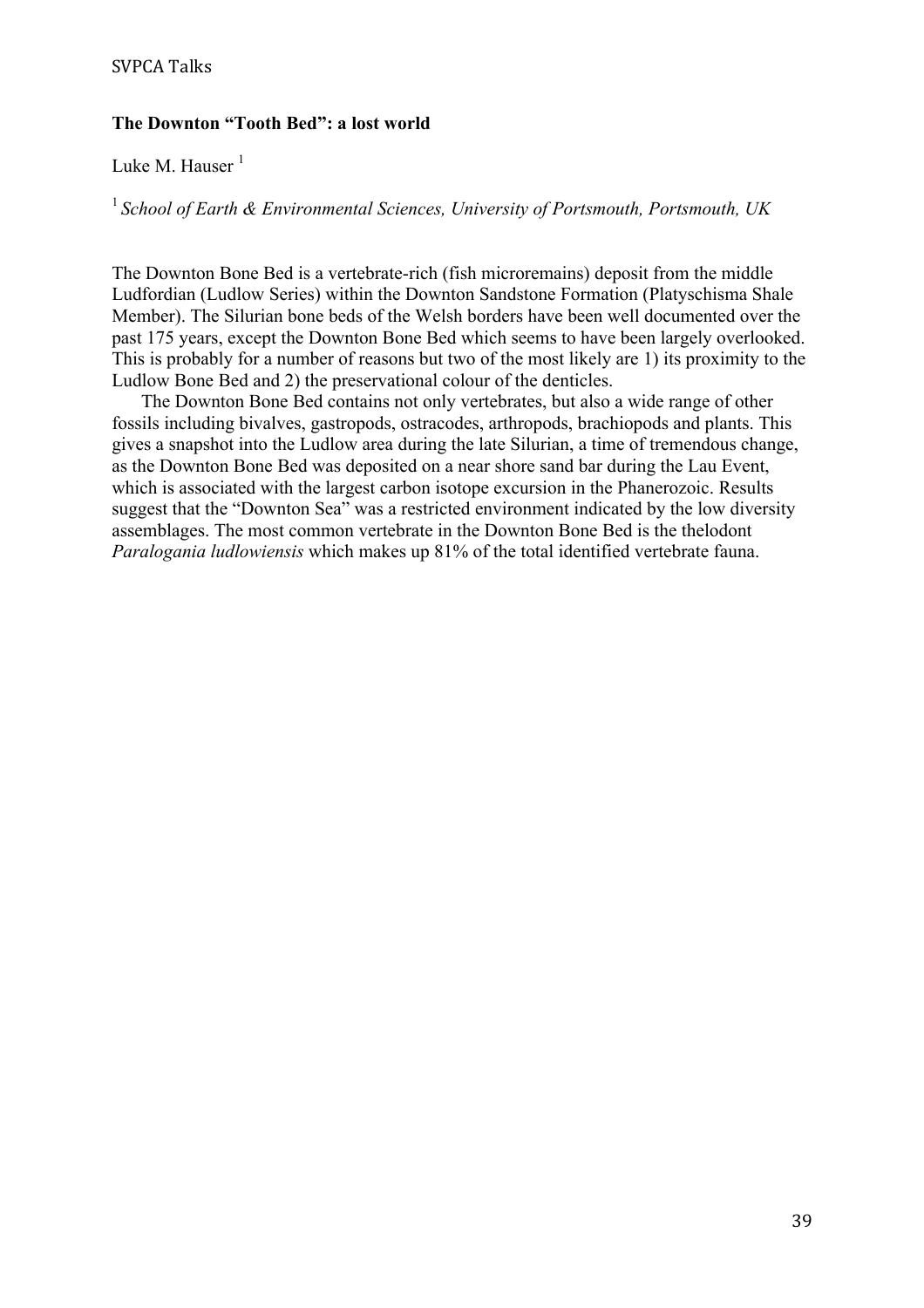# **The Downton "Tooth Bed": a lost world**

# Luke M. Hauser $<sup>1</sup>$ </sup>

<sup>1</sup>*School of Earth & Environmental Sciences, University of Portsmouth, Portsmouth, UK*

The Downton Bone Bed is a vertebrate-rich (fish microremains) deposit from the middle Ludfordian (Ludlow Series) within the Downton Sandstone Formation (Platyschisma Shale Member). The Silurian bone beds of the Welsh borders have been well documented over the past 175 years, except the Downton Bone Bed which seems to have been largely overlooked. This is probably for a number of reasons but two of the most likely are 1) its proximity to the Ludlow Bone Bed and 2) the preservational colour of the denticles.

The Downton Bone Bed contains not only vertebrates, but also a wide range of other fossils including bivalves, gastropods, ostracodes, arthropods, brachiopods and plants. This gives a snapshot into the Ludlow area during the late Silurian, a time of tremendous change, as the Downton Bone Bed was deposited on a near shore sand bar during the Lau Event, which is associated with the largest carbon isotope excursion in the Phanerozoic. Results suggest that the "Downton Sea" was a restricted environment indicated by the low diversity assemblages. The most common vertebrate in the Downton Bone Bed is the thelodont *Paralogania ludlowiensis* which makes up 81% of the total identified vertebrate fauna.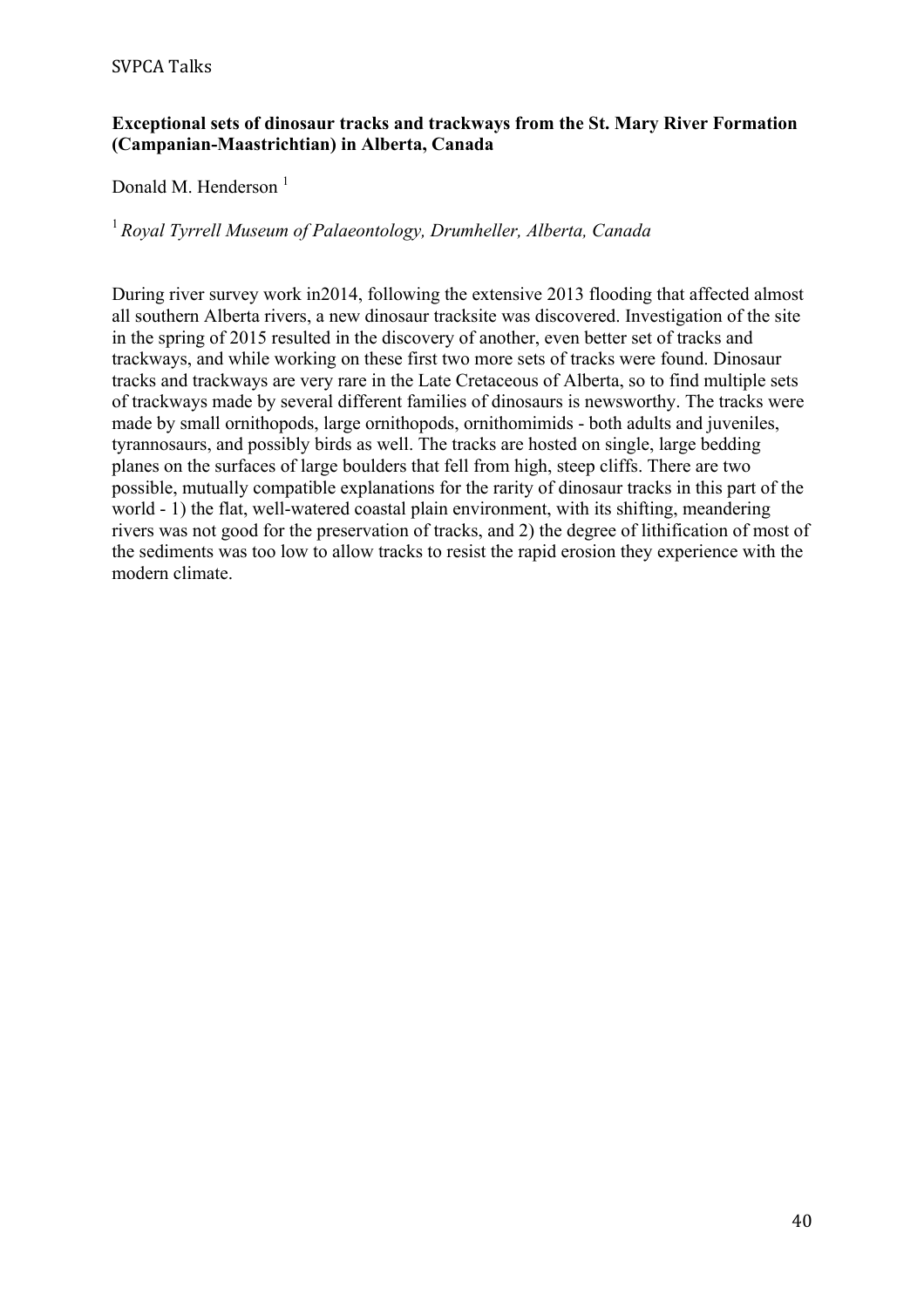# **Exceptional sets of dinosaur tracks and trackways from the St. Mary River Formation (Campanian-Maastrichtian) in Alberta, Canada**

Donald M. Henderson $<sup>1</sup>$ </sup>

# <sup>1</sup> *Royal Tyrrell Museum of Palaeontology, Drumheller, Alberta, Canada*

During river survey work in2014, following the extensive 2013 flooding that affected almost all southern Alberta rivers, a new dinosaur tracksite was discovered. Investigation of the site in the spring of 2015 resulted in the discovery of another, even better set of tracks and trackways, and while working on these first two more sets of tracks were found. Dinosaur tracks and trackways are very rare in the Late Cretaceous of Alberta, so to find multiple sets of trackways made by several different families of dinosaurs is newsworthy. The tracks were made by small ornithopods, large ornithopods, ornithomimids - both adults and juveniles, tyrannosaurs, and possibly birds as well. The tracks are hosted on single, large bedding planes on the surfaces of large boulders that fell from high, steep cliffs. There are two possible, mutually compatible explanations for the rarity of dinosaur tracks in this part of the world - 1) the flat, well-watered coastal plain environment, with its shifting, meandering rivers was not good for the preservation of tracks, and 2) the degree of lithification of most of the sediments was too low to allow tracks to resist the rapid erosion they experience with the modern climate.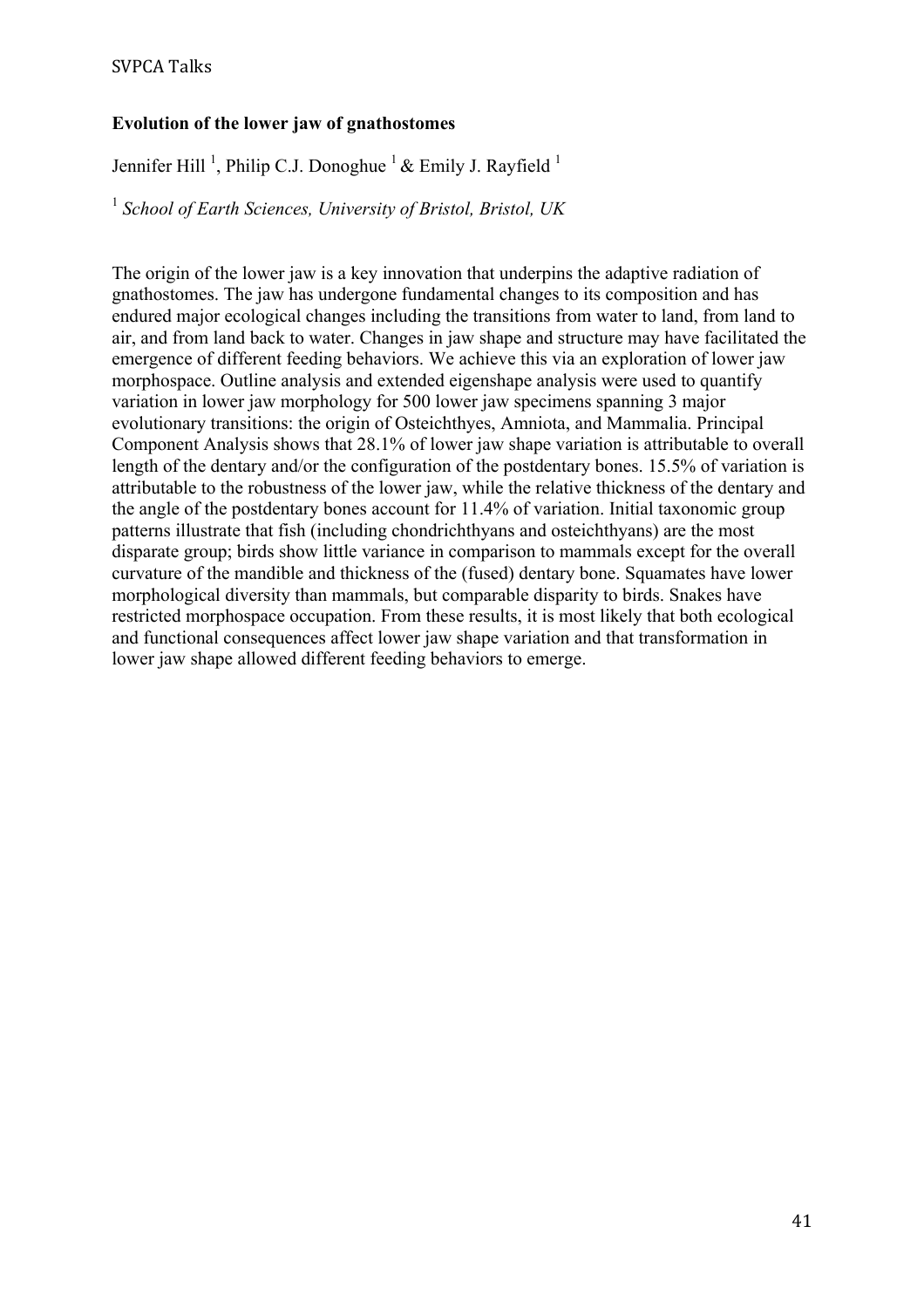# **Evolution of the lower jaw of gnathostomes**

Jennifer Hill<sup>1</sup>, Philip C.J. Donoghue<sup>1</sup> & Emily J. Rayfield<sup>1</sup>

<sup>1</sup> *School of Earth Sciences, University of Bristol, Bristol, UK*

The origin of the lower jaw is a key innovation that underpins the adaptive radiation of gnathostomes. The jaw has undergone fundamental changes to its composition and has endured major ecological changes including the transitions from water to land, from land to air, and from land back to water. Changes in jaw shape and structure may have facilitated the emergence of different feeding behaviors. We achieve this via an exploration of lower jaw morphospace. Outline analysis and extended eigenshape analysis were used to quantify variation in lower jaw morphology for 500 lower jaw specimens spanning 3 major evolutionary transitions: the origin of Osteichthyes, Amniota, and Mammalia. Principal Component Analysis shows that 28.1% of lower jaw shape variation is attributable to overall length of the dentary and/or the configuration of the postdentary bones. 15.5% of variation is attributable to the robustness of the lower jaw, while the relative thickness of the dentary and the angle of the postdentary bones account for 11.4% of variation. Initial taxonomic group patterns illustrate that fish (including chondrichthyans and osteichthyans) are the most disparate group; birds show little variance in comparison to mammals except for the overall curvature of the mandible and thickness of the (fused) dentary bone. Squamates have lower morphological diversity than mammals, but comparable disparity to birds. Snakes have restricted morphospace occupation. From these results, it is most likely that both ecological and functional consequences affect lower jaw shape variation and that transformation in lower jaw shape allowed different feeding behaviors to emerge.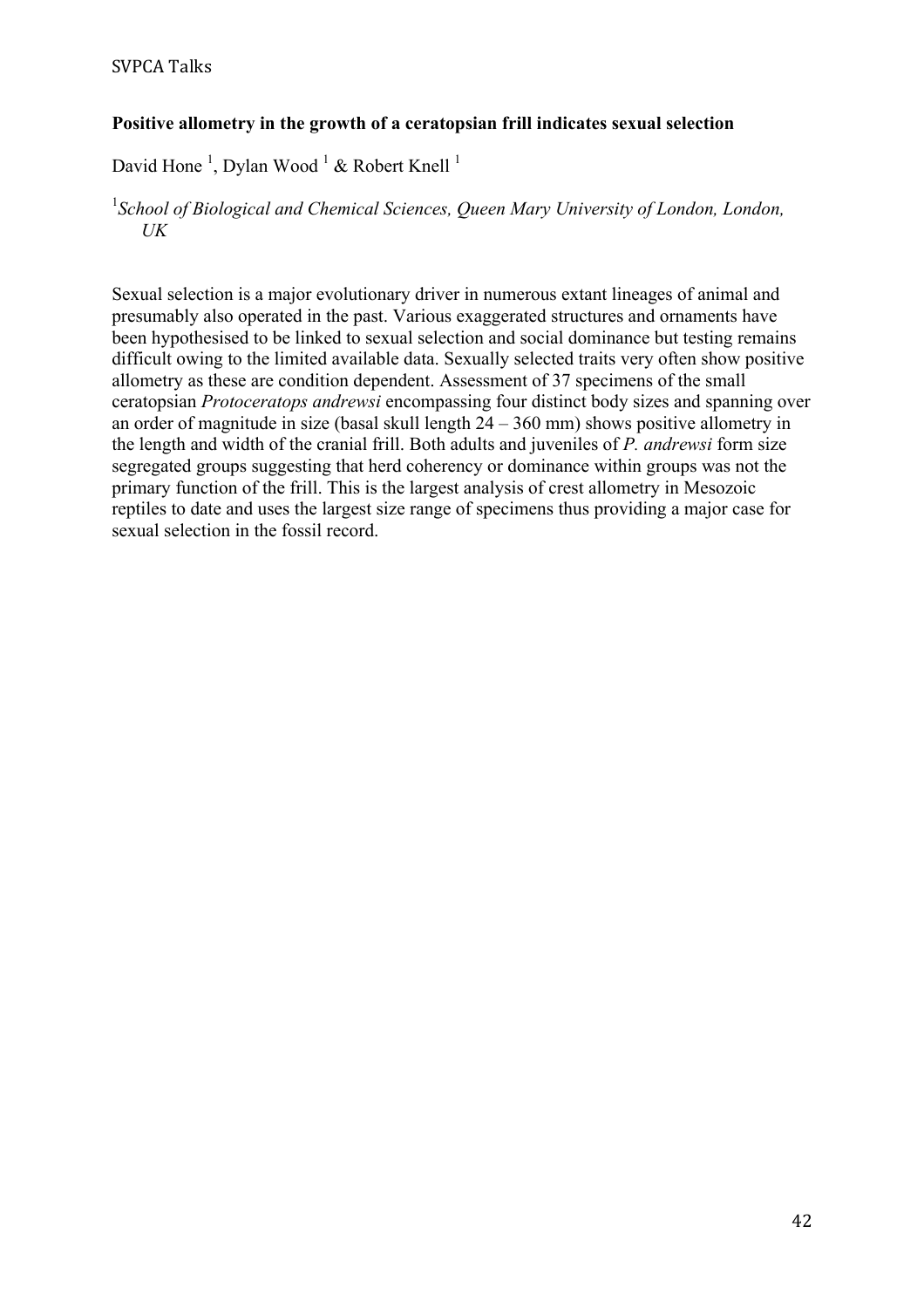# **Positive allometry in the growth of a ceratopsian frill indicates sexual selection**

David Hone<sup>1</sup>, Dylan Wood<sup>1</sup> & Robert Knell<sup>1</sup>

# <sup>1</sup> School of Biological and Chemical Sciences, Queen Mary University of London, London, *UK*

Sexual selection is a major evolutionary driver in numerous extant lineages of animal and presumably also operated in the past. Various exaggerated structures and ornaments have been hypothesised to be linked to sexual selection and social dominance but testing remains difficult owing to the limited available data. Sexually selected traits very often show positive allometry as these are condition dependent. Assessment of 37 specimens of the small ceratopsian *Protoceratops andrewsi* encompassing four distinct body sizes and spanning over an order of magnitude in size (basal skull length 24 – 360 mm) shows positive allometry in the length and width of the cranial frill. Both adults and juveniles of *P. andrewsi* form size segregated groups suggesting that herd coherency or dominance within groups was not the primary function of the frill. This is the largest analysis of crest allometry in Mesozoic reptiles to date and uses the largest size range of specimens thus providing a major case for sexual selection in the fossil record.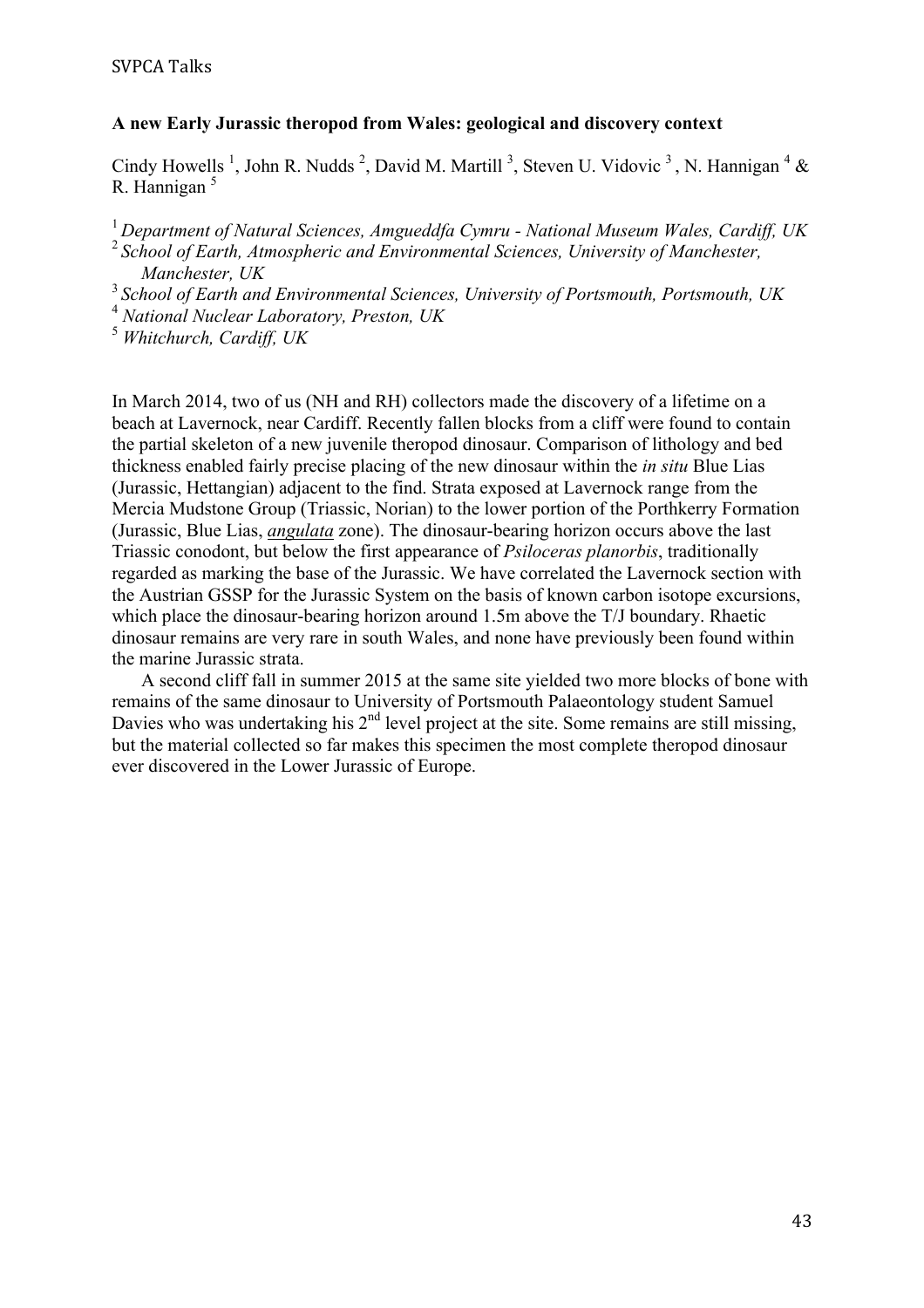#### **A new Early Jurassic theropod from Wales: geological and discovery context**

Cindy Howells<sup>1</sup>, John R. Nudds<sup>2</sup>, David M. Martill<sup>3</sup>, Steven U. Vidovic<sup>3</sup>, N. Hannigan<sup>4</sup> & R. Hannigan<sup>5</sup>

<sup>1</sup>*Department of Natural Sciences, Amgueddfa Cymru - National Museum Wales, Cardiff, UK*

<sup>2</sup>*School of Earth, Atmospheric and Environmental Sciences, University of Manchester, Manchester, UK*

<sup>3</sup>*School of Earth and Environmental Sciences, University of Portsmouth, Portsmouth, UK*

<sup>4</sup> *National Nuclear Laboratory, Preston, UK*

<sup>5</sup> *Whitchurch, Cardiff, UK*

In March 2014, two of us (NH and RH) collectors made the discovery of a lifetime on a beach at Lavernock, near Cardiff. Recently fallen blocks from a cliff were found to contain the partial skeleton of a new juvenile theropod dinosaur. Comparison of lithology and bed thickness enabled fairly precise placing of the new dinosaur within the *in situ* Blue Lias (Jurassic, Hettangian) adjacent to the find. Strata exposed at Lavernock range from the Mercia Mudstone Group (Triassic, Norian) to the lower portion of the Porthkerry Formation (Jurassic, Blue Lias, *angulata* zone). The dinosaur-bearing horizon occurs above the last Triassic conodont, but below the first appearance of *Psiloceras planorbis*, traditionally regarded as marking the base of the Jurassic. We have correlated the Lavernock section with the Austrian GSSP for the Jurassic System on the basis of known carbon isotope excursions, which place the dinosaur-bearing horizon around 1.5m above the T/J boundary. Rhaetic dinosaur remains are very rare in south Wales, and none have previously been found within the marine Jurassic strata.

A second cliff fall in summer 2015 at the same site yielded two more blocks of bone with remains of the same dinosaur to University of Portsmouth Palaeontology student Samuel Davies who was undertaking his 2<sup>nd</sup> level project at the site. Some remains are still missing, but the material collected so far makes this specimen the most complete theropod dinosaur ever discovered in the Lower Jurassic of Europe.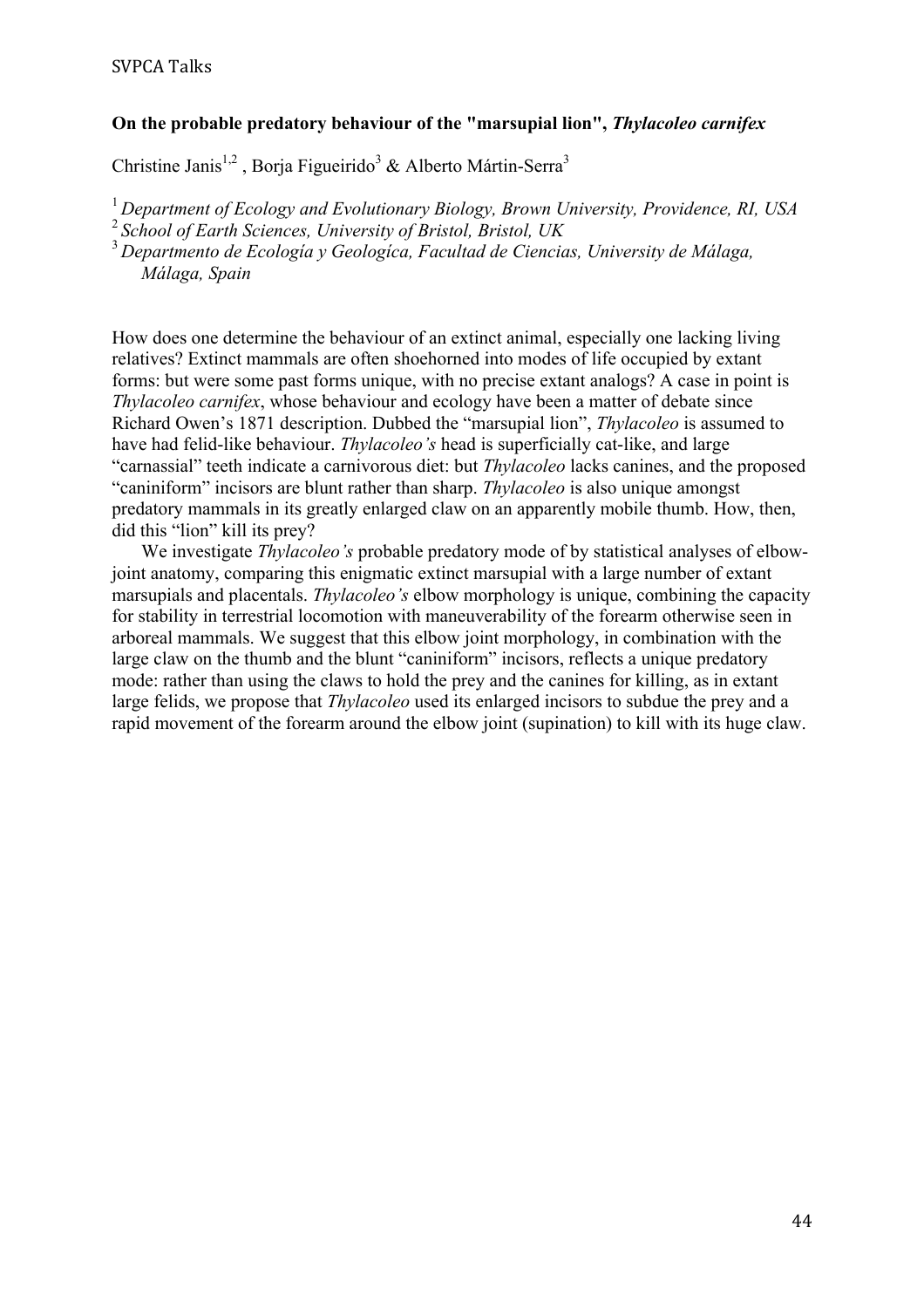### **On the probable predatory behaviour of the "marsupial lion",** *Thylacoleo carnifex*

Christine Janis<sup>1,2</sup>, Borja Figueirido<sup>3</sup> & Alberto Mártin-Serra<sup>3</sup>

<sup>1</sup>*Department of Ecology and Evolutionary Biology, Brown University, Providence, RI, USA*

<sup>2</sup>*School of Earth Sciences, University of Bristol, Bristol, UK*

<sup>3</sup>*Departmento de Ecología y Geologíca, Facultad de Ciencias, University de Málaga, Málaga, Spain*

How does one determine the behaviour of an extinct animal, especially one lacking living relatives? Extinct mammals are often shoehorned into modes of life occupied by extant forms: but were some past forms unique, with no precise extant analogs? A case in point is *Thylacoleo carnifex*, whose behaviour and ecology have been a matter of debate since Richard Owen's 1871 description. Dubbed the "marsupial lion", *Thylacoleo* is assumed to have had felid-like behaviour. *Thylacoleo's* head is superficially cat-like, and large "carnassial" teeth indicate a carnivorous diet: but *Thylacoleo* lacks canines, and the proposed "caniniform" incisors are blunt rather than sharp. *Thylacoleo* is also unique amongst predatory mammals in its greatly enlarged claw on an apparently mobile thumb. How, then, did this "lion" kill its prey?

We investigate *Thylacoleo's* probable predatory mode of by statistical analyses of elbowjoint anatomy, comparing this enigmatic extinct marsupial with a large number of extant marsupials and placentals. *Thylacoleo's* elbow morphology is unique, combining the capacity for stability in terrestrial locomotion with maneuverability of the forearm otherwise seen in arboreal mammals. We suggest that this elbow joint morphology, in combination with the large claw on the thumb and the blunt "caniniform" incisors, reflects a unique predatory mode: rather than using the claws to hold the prey and the canines for killing, as in extant large felids, we propose that *Thylacoleo* used its enlarged incisors to subdue the prey and a rapid movement of the forearm around the elbow joint (supination) to kill with its huge claw.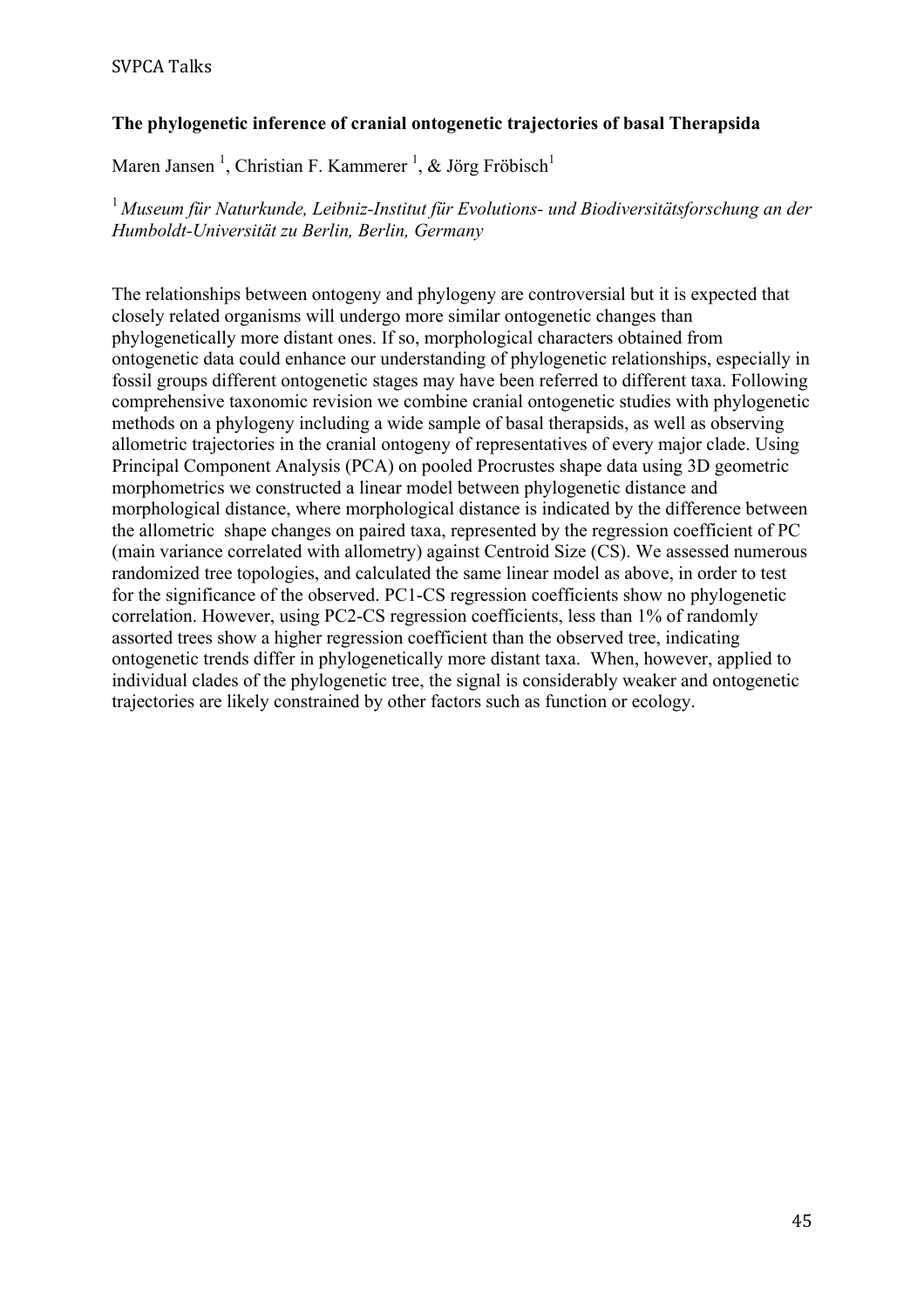# SVPCA Talks

# **The phylogenetic inference of cranial ontogenetic trajectories of basal Therapsida**

Maren Jansen<sup>1</sup>, Christian F. Kammerer<sup>1</sup>, & Jörg Fröbisch<sup>1</sup>

<sup>1</sup>*Museum für Naturkunde, Leibniz-Institut für Evolutions- und Biodiversitätsforschung an der Humboldt-Universität zu Berlin, Berlin, Germany*

The relationships between ontogeny and phylogeny are controversial but it is expected that closely related organisms will undergo more similar ontogenetic changes than phylogenetically more distant ones. If so, morphological characters obtained from ontogenetic data could enhance our understanding of phylogenetic relationships, especially in fossil groups different ontogenetic stages may have been referred to different taxa. Following comprehensive taxonomic revision we combine cranial ontogenetic studies with phylogenetic methods on a phylogeny including a wide sample of basal therapsids, as well as observing allometric trajectories in the cranial ontogeny of representatives of every major clade. Using Principal Component Analysis (PCA) on pooled Procrustes shape data using 3D geometric morphometrics we constructed a linear model between phylogenetic distance and morphological distance, where morphological distance is indicated by the difference between the allometric shape changes on paired taxa, represented by the regression coefficient of PC (main variance correlated with allometry) against Centroid Size (CS). We assessed numerous randomized tree topologies, and calculated the same linear model as above, in order to test for the significance of the observed. PC1-CS regression coefficients show no phylogenetic correlation. However, using PC2-CS regression coefficients, less than 1% of randomly assorted trees show a higher regression coefficient than the observed tree, indicating ontogenetic trends differ in phylogenetically more distant taxa. When, however, applied to individual clades of the phylogenetic tree, the signal is considerably weaker and ontogenetic trajectories are likely constrained by other factors such as function or ecology.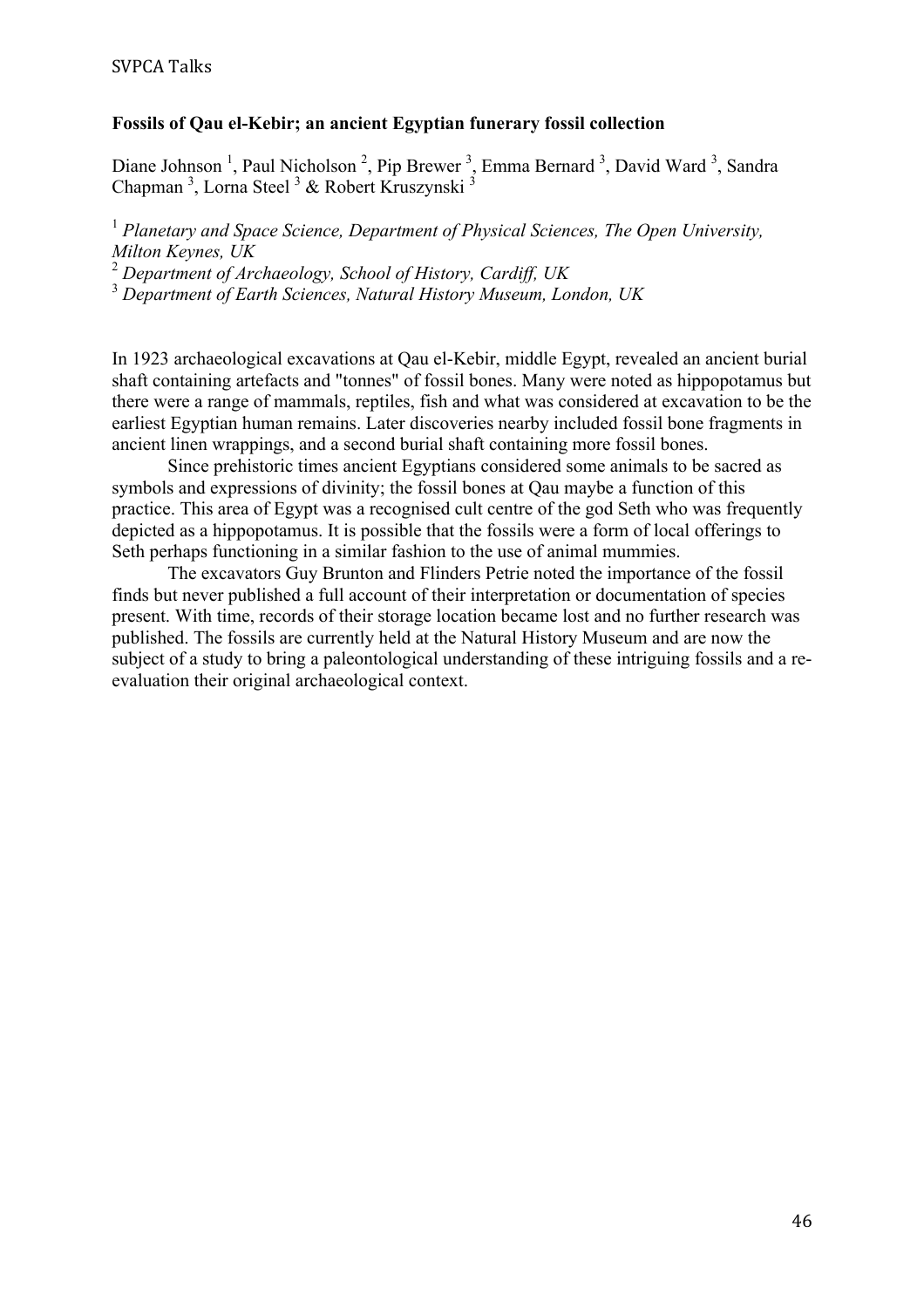### **Fossils of Qau el-Kebir; an ancient Egyptian funerary fossil collection**

Diane Johnson<sup>1</sup>, Paul Nicholson<sup>2</sup>, Pip Brewer<sup>3</sup>, Emma Bernard<sup>3</sup>, David Ward<sup>3</sup>, Sandra Chapman<sup>3</sup>, Lorna Steel<sup>3</sup> & Robert Kruszynski<sup>3</sup>

<sup>1</sup> Planetary and Space Science, Department of Physical Sciences, The Open University, *Milton Keynes, UK*

<sup>2</sup> *Department of Archaeology, School of History, Cardiff, UK*

<sup>3</sup> *Department of Earth Sciences, Natural History Museum, London, UK*

In 1923 archaeological excavations at Qau el-Kebir, middle Egypt, revealed an ancient burial shaft containing artefacts and "tonnes" of fossil bones. Many were noted as hippopotamus but there were a range of mammals, reptiles, fish and what was considered at excavation to be the earliest Egyptian human remains. Later discoveries nearby included fossil bone fragments in ancient linen wrappings, and a second burial shaft containing more fossil bones.

Since prehistoric times ancient Egyptians considered some animals to be sacred as symbols and expressions of divinity; the fossil bones at Qau maybe a function of this practice. This area of Egypt was a recognised cult centre of the god Seth who was frequently depicted as a hippopotamus. It is possible that the fossils were a form of local offerings to Seth perhaps functioning in a similar fashion to the use of animal mummies.

The excavators Guy Brunton and Flinders Petrie noted the importance of the fossil finds but never published a full account of their interpretation or documentation of species present. With time, records of their storage location became lost and no further research was published. The fossils are currently held at the Natural History Museum and are now the subject of a study to bring a paleontological understanding of these intriguing fossils and a reevaluation their original archaeological context.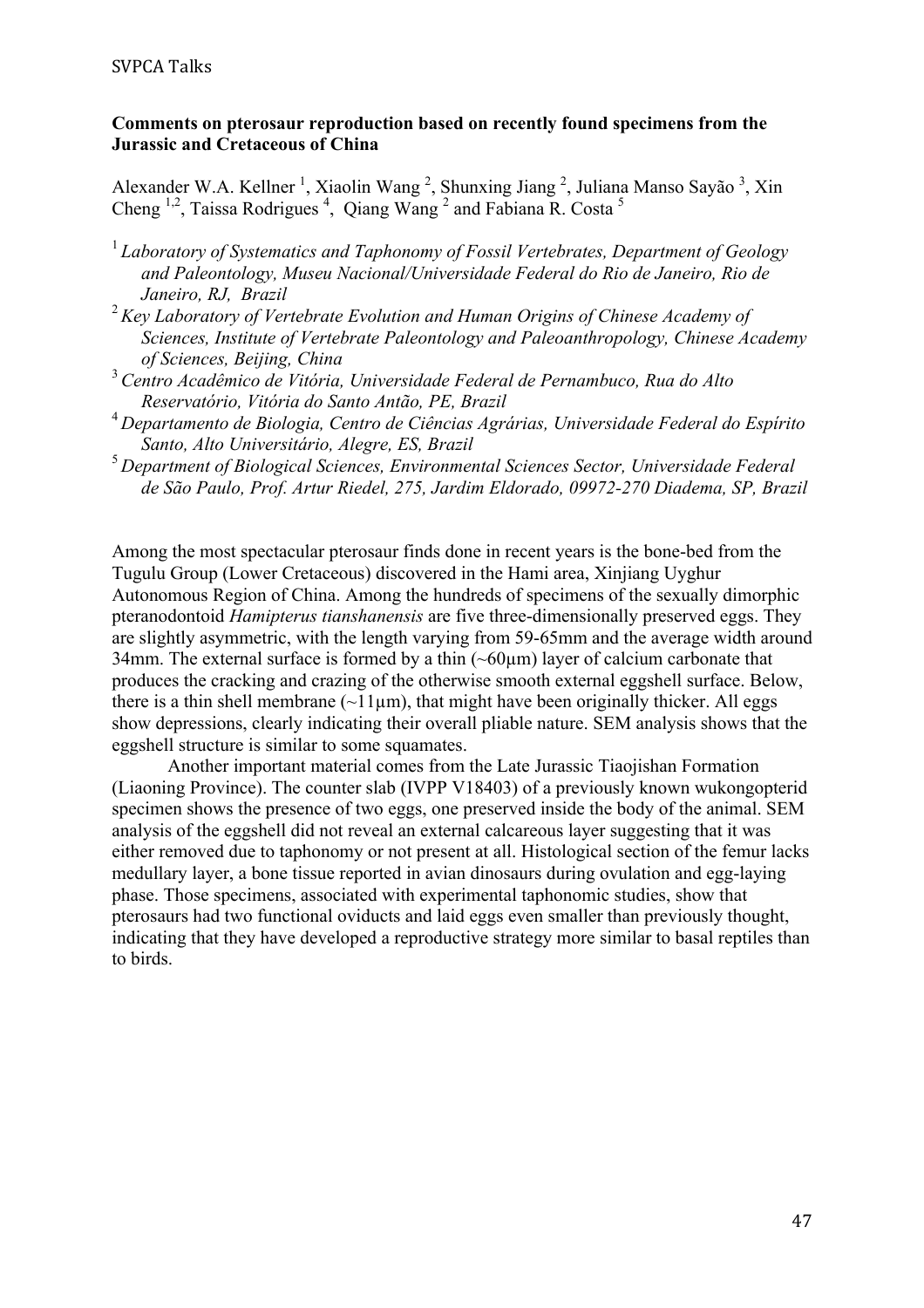## **Comments on pterosaur reproduction based on recently found specimens from the Jurassic and Cretaceous of China**

Alexander W.A. Kellner<sup>1</sup>, Xiaolin Wang<sup>2</sup>, Shunxing Jiang<sup>2</sup>, Juliana Manso Sayão<sup>3</sup>, Xin Cheng  $^{1,2}$ , Taissa Rodrigues<sup>4</sup>, Qiang Wang<sup>2</sup> and Fabiana R. Costa<sup>5</sup>

- <sup>1</sup>*Laboratory of Systematics and Taphonomy of Fossil Vertebrates, Department of Geology and Paleontology, Museu Nacional/Universidade Federal do Rio de Janeiro, Rio de Janeiro, RJ, Brazil*
- <sup>2</sup>*Key Laboratory of Vertebrate Evolution and Human Origins of Chinese Academy of Sciences, Institute of Vertebrate Paleontology and Paleoanthropology, Chinese Academy of Sciences, Beijing, China*
- <sup>3</sup>*Centro Acadêmico de Vitória, Universidade Federal de Pernambuco, Rua do Alto Reservatório, Vitória do Santo Antão, PE, Brazil*
- <sup>4</sup>*Departamento de Biologia, Centro de Ciências Agrárias, Universidade Federal do Espírito Santo, Alto Universitário, Alegre, ES, Brazil*
- <sup>5</sup>*Department of Biological Sciences, Environmental Sciences Sector, Universidade Federal de São Paulo, Prof. Artur Riedel, 275, Jardim Eldorado, 09972-270 Diadema, SP, Brazil*

Among the most spectacular pterosaur finds done in recent years is the bone-bed from the Tugulu Group (Lower Cretaceous) discovered in the Hami area, Xinjiang Uyghur Autonomous Region of China. Among the hundreds of specimens of the sexually dimorphic pteranodontoid *Hamipterus tianshanensis* are five three-dimensionally preserved eggs. They are slightly asymmetric, with the length varying from 59-65mm and the average width around 34mm. The external surface is formed by a thin  $(\sim 60 \,\mu m)$  layer of calcium carbonate that produces the cracking and crazing of the otherwise smooth external eggshell surface. Below, there is a thin shell membrane  $(\sim 11 \mu m)$ , that might have been originally thicker. All eggs show depressions, clearly indicating their overall pliable nature. SEM analysis shows that the eggshell structure is similar to some squamates.

Another important material comes from the Late Jurassic Tiaojishan Formation (Liaoning Province). The counter slab (IVPP V18403) of a previously known wukongopterid specimen shows the presence of two eggs, one preserved inside the body of the animal. SEM analysis of the eggshell did not reveal an external calcareous layer suggesting that it was either removed due to taphonomy or not present at all. Histological section of the femur lacks medullary layer, a bone tissue reported in avian dinosaurs during ovulation and egg-laying phase. Those specimens, associated with experimental taphonomic studies, show that pterosaurs had two functional oviducts and laid eggs even smaller than previously thought, indicating that they have developed a reproductive strategy more similar to basal reptiles than to birds.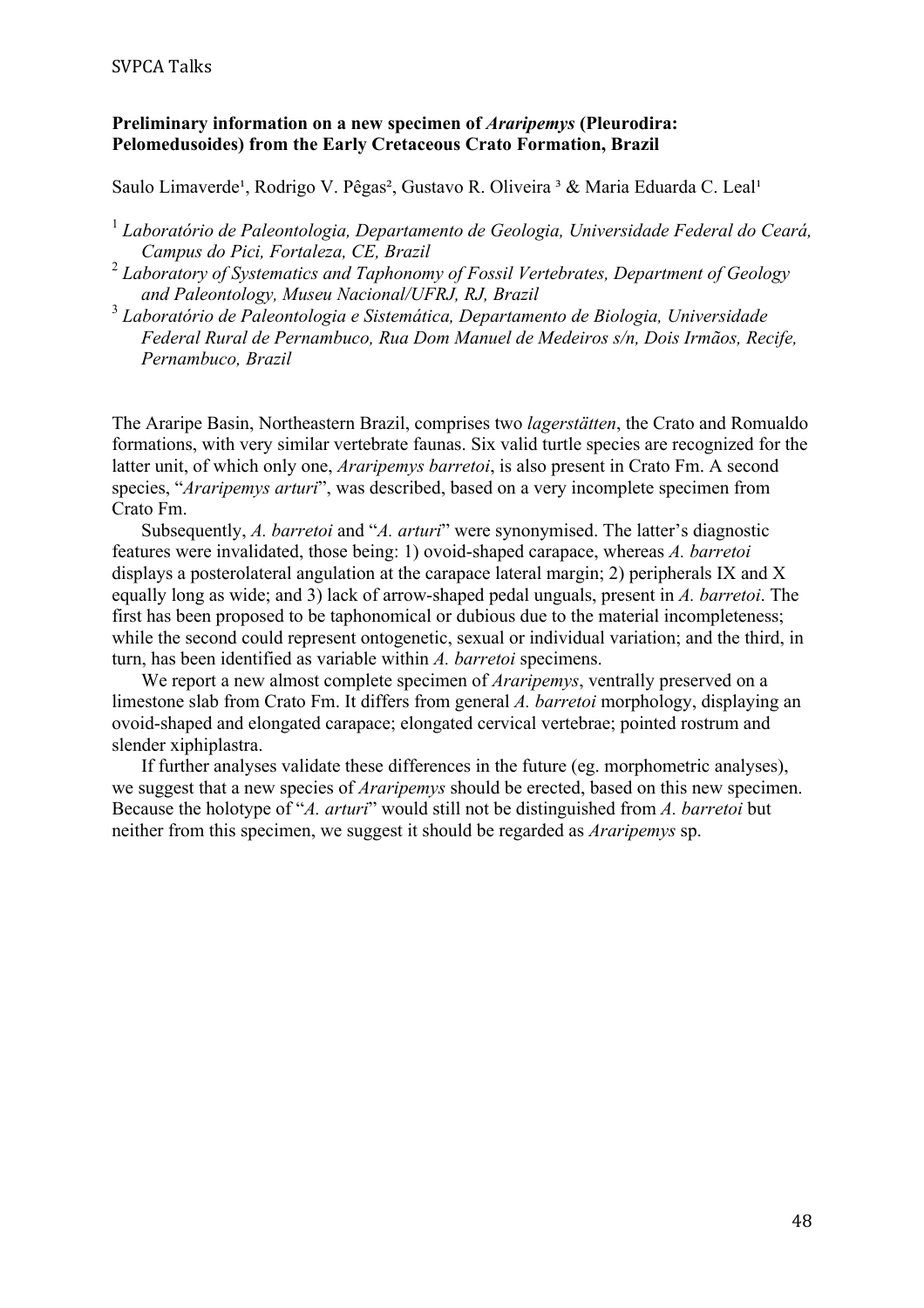#### SVPCA Talks

#### **Preliminary information on a new specimen of** *Araripemys* **(Pleurodira: Pelomedusoides) from the Early Cretaceous Crato Formation, Brazil**

Saulo Limaverde<sup>1</sup>, Rodrigo V. Pêgas<sup>2</sup>, Gustavo R. Oliveira <sup>3</sup> & Maria Eduarda C. Leal<sup>1</sup>

- <sup>1</sup> *Laboratório de Paleontologia, Departamento de Geologia, Universidade Federal do Ceará, Campus do Pici, Fortaleza, CE, Brazil*
- <sup>2</sup> *Laboratory of Systematics and Taphonomy of Fossil Vertebrates, Department of Geology and Paleontology, Museu Nacional/UFRJ, RJ, Brazil*
- <sup>3</sup> *Laboratório de Paleontologia e Sistemática, Departamento de Biologia, Universidade Federal Rural de Pernambuco, Rua Dom Manuel de Medeiros s/n, Dois Irmãos, Recife, Pernambuco, Brazil*

The Araripe Basin, Northeastern Brazil, comprises two *lagerstätten*, the Crato and Romualdo formations, with very similar vertebrate faunas. Six valid turtle species are recognized for the latter unit, of which only one, *Araripemys barretoi*, is also present in Crato Fm. A second species, "*Araripemys arturi*", was described, based on a very incomplete specimen from Crato Fm.

Subsequently, *A. barretoi* and "*A. arturi*" were synonymised. The latter's diagnostic features were invalidated, those being: 1) ovoid-shaped carapace, whereas *A. barretoi*  displays a posterolateral angulation at the carapace lateral margin; 2) peripherals IX and X equally long as wide; and 3) lack of arrow-shaped pedal unguals, present in *A. barretoi*. The first has been proposed to be taphonomical or dubious due to the material incompleteness; while the second could represent ontogenetic, sexual or individual variation; and the third, in turn, has been identified as variable within *A. barretoi* specimens.

We report a new almost complete specimen of *Araripemys*, ventrally preserved on a limestone slab from Crato Fm. It differs from general *A. barretoi* morphology, displaying an ovoid-shaped and elongated carapace; elongated cervical vertebrae; pointed rostrum and slender xiphiplastra.

If further analyses validate these differences in the future (eg. morphometric analyses), we suggest that a new species of *Araripemys* should be erected, based on this new specimen. Because the holotype of "*A. arturi*" would still not be distinguished from *A. barretoi* but neither from this specimen, we suggest it should be regarded as *Araripemys* sp.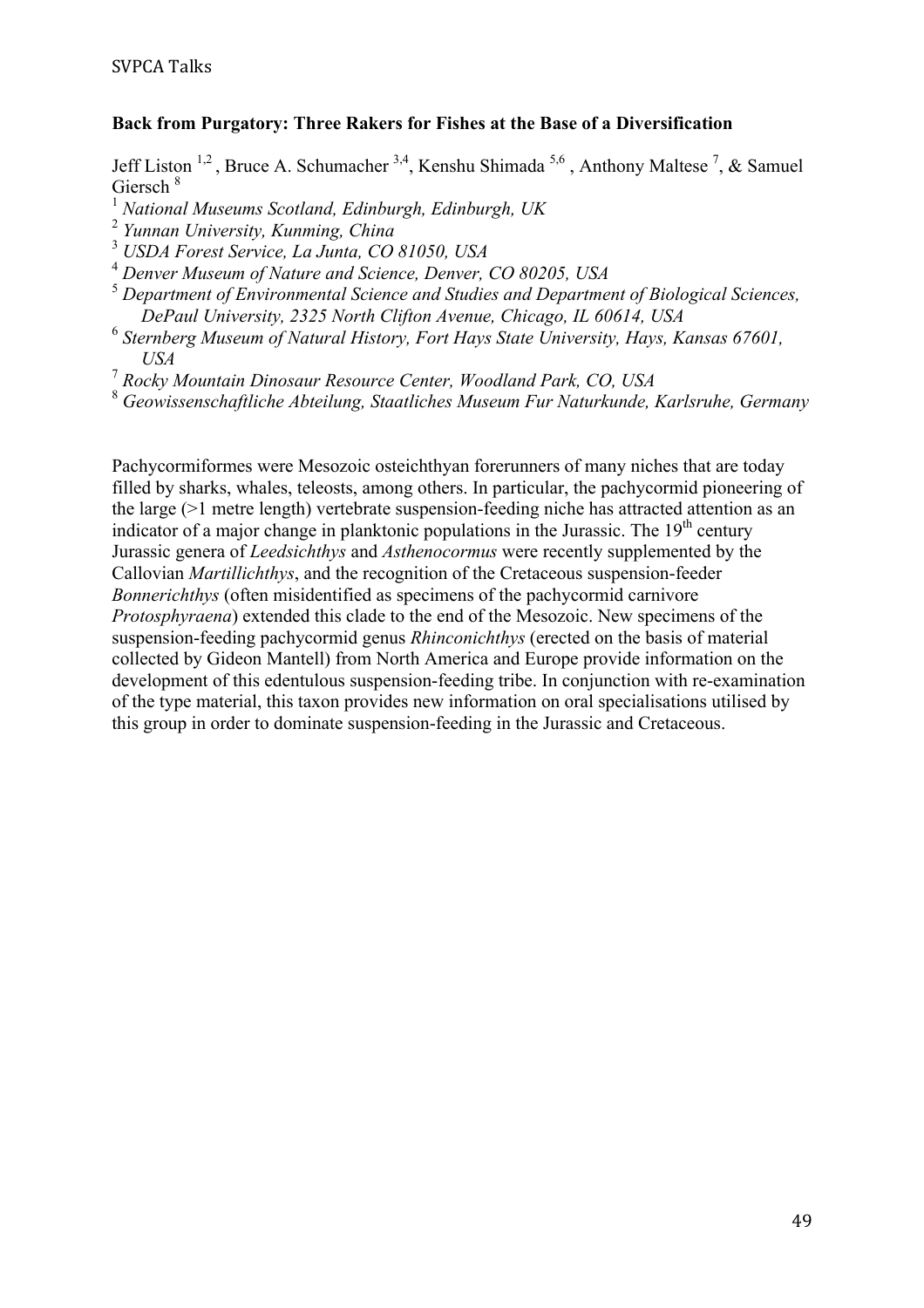#### **Back from Purgatory: Three Rakers for Fishes at the Base of a Diversification**

Jeff Liston <sup>1,2</sup>, Bruce A. Schumacher <sup>3,4</sup>, Kenshu Shimada <sup>5,6</sup>, Anthony Maltese <sup>7</sup>, & Samuel Giersch <sup>8</sup>

<sup>1</sup> *National Museums Scotland, Edinburgh, Edinburgh, UK*

<sup>3</sup> *USDA Forest Service, La Junta, CO 81050, USA*

- <sup>4</sup> *Denver Museum of Nature and Science, Denver, CO 80205, USA*
- <sup>5</sup> *Department of Environmental Science and Studies and Department of Biological Sciences, DePaul University, 2325 North Clifton Avenue, Chicago, IL 60614, USA*
- <sup>6</sup> *Sternberg Museum of Natural History, Fort Hays State University, Hays, Kansas 67601, USA*
- <sup>7</sup> *Rocky Mountain Dinosaur Resource Center, Woodland Park, CO, USA*

<sup>8</sup> *Geowissenschaftliche Abteilung, Staatliches Museum Fur Naturkunde, Karlsruhe, Germany*

Pachycormiformes were Mesozoic osteichthyan forerunners of many niches that are today filled by sharks, whales, teleosts, among others. In particular, the pachycormid pioneering of the large (>1 metre length) vertebrate suspension-feeding niche has attracted attention as an indicator of a major change in planktonic populations in the Jurassic. The  $19<sup>th</sup>$  century Jurassic genera of *Leedsichthys* and *Asthenocormus* were recently supplemented by the Callovian *Martillichthys*, and the recognition of the Cretaceous suspension-feeder *Bonnerichthys* (often misidentified as specimens of the pachycormid carnivore *Protosphyraena*) extended this clade to the end of the Mesozoic. New specimens of the suspension-feeding pachycormid genus *Rhinconichthys* (erected on the basis of material collected by Gideon Mantell) from North America and Europe provide information on the development of this edentulous suspension-feeding tribe. In conjunction with re-examination of the type material, this taxon provides new information on oral specialisations utilised by this group in order to dominate suspension-feeding in the Jurassic and Cretaceous.

<sup>2</sup> *Yunnan University, Kunming, China*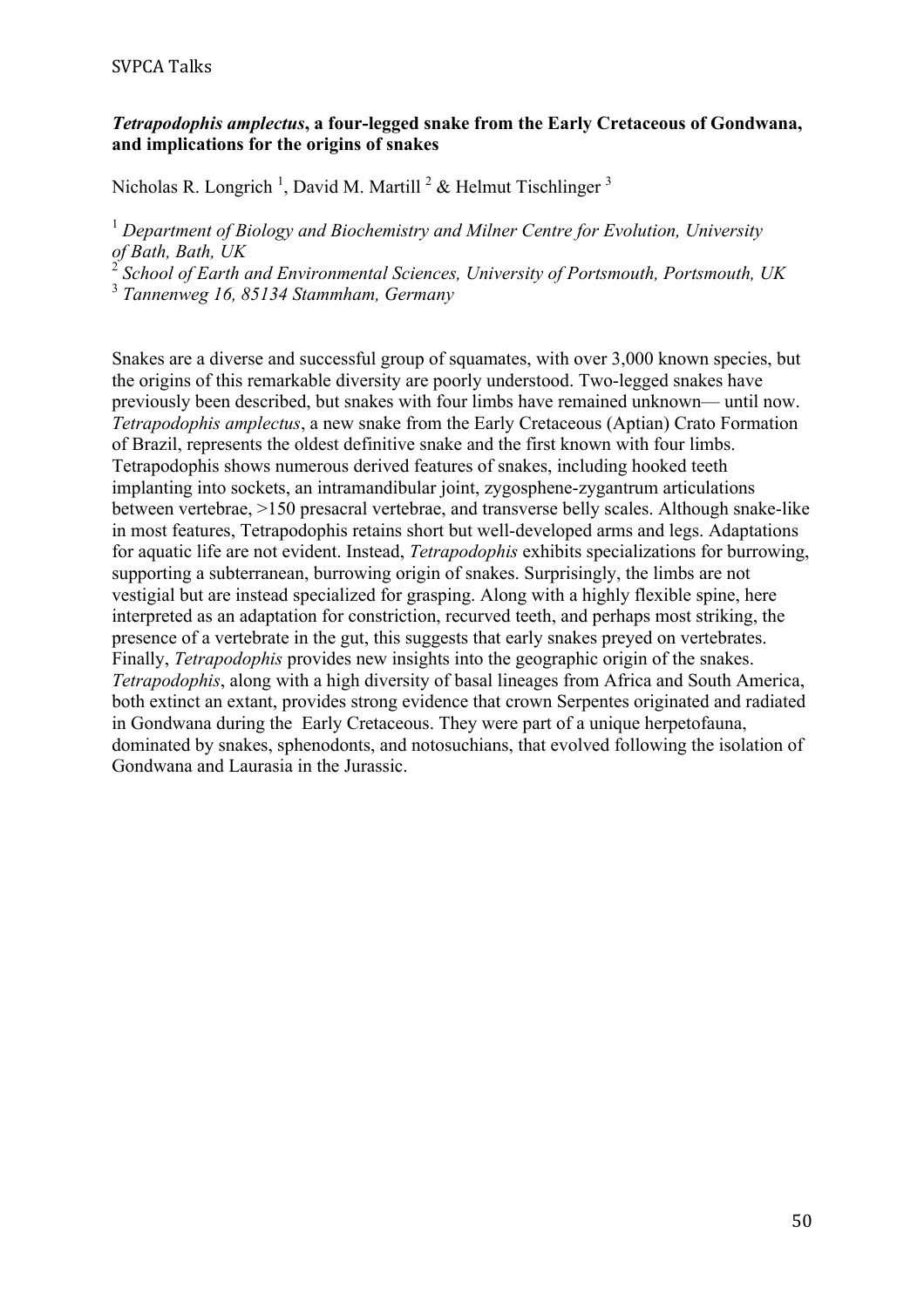# *Tetrapodophis amplectus***, a four-legged snake from the Early Cretaceous of Gondwana, and implications for the origins of snakes**

Nicholas R. Longrich<sup>1</sup>, David M. Martill<sup>2</sup> & Helmut Tischlinger<sup>3</sup>

<sup>1</sup> *Department of Biology and Biochemistry and Milner Centre for Evolution, University of Bath, Bath, UK*

<sup>2</sup> *School of Earth and Environmental Sciences, University of Portsmouth, Portsmouth, UK*

<sup>3</sup> *Tannenweg 16, 85134 Stammham, Germany*

Snakes are a diverse and successful group of squamates, with over 3,000 known species, but the origins of this remarkable diversity are poorly understood. Two-legged snakes have previously been described, but snakes with four limbs have remained unknown— until now. *Tetrapodophis amplectus*, a new snake from the Early Cretaceous (Aptian) Crato Formation of Brazil, represents the oldest definitive snake and the first known with four limbs. Tetrapodophis shows numerous derived features of snakes, including hooked teeth implanting into sockets, an intramandibular joint, zygosphene-zygantrum articulations between vertebrae, >150 presacral vertebrae, and transverse belly scales. Although snake-like in most features, Tetrapodophis retains short but well-developed arms and legs. Adaptations for aquatic life are not evident. Instead, *Tetrapodophis* exhibits specializations for burrowing, supporting a subterranean, burrowing origin of snakes. Surprisingly, the limbs are not vestigial but are instead specialized for grasping. Along with a highly flexible spine, here interpreted as an adaptation for constriction, recurved teeth, and perhaps most striking, the presence of a vertebrate in the gut, this suggests that early snakes preyed on vertebrates. Finally, *Tetrapodophis* provides new insights into the geographic origin of the snakes. *Tetrapodophis*, along with a high diversity of basal lineages from Africa and South America, both extinct an extant, provides strong evidence that crown Serpentes originated and radiated in Gondwana during the Early Cretaceous. They were part of a unique herpetofauna, dominated by snakes, sphenodonts, and notosuchians, that evolved following the isolation of Gondwana and Laurasia in the Jurassic.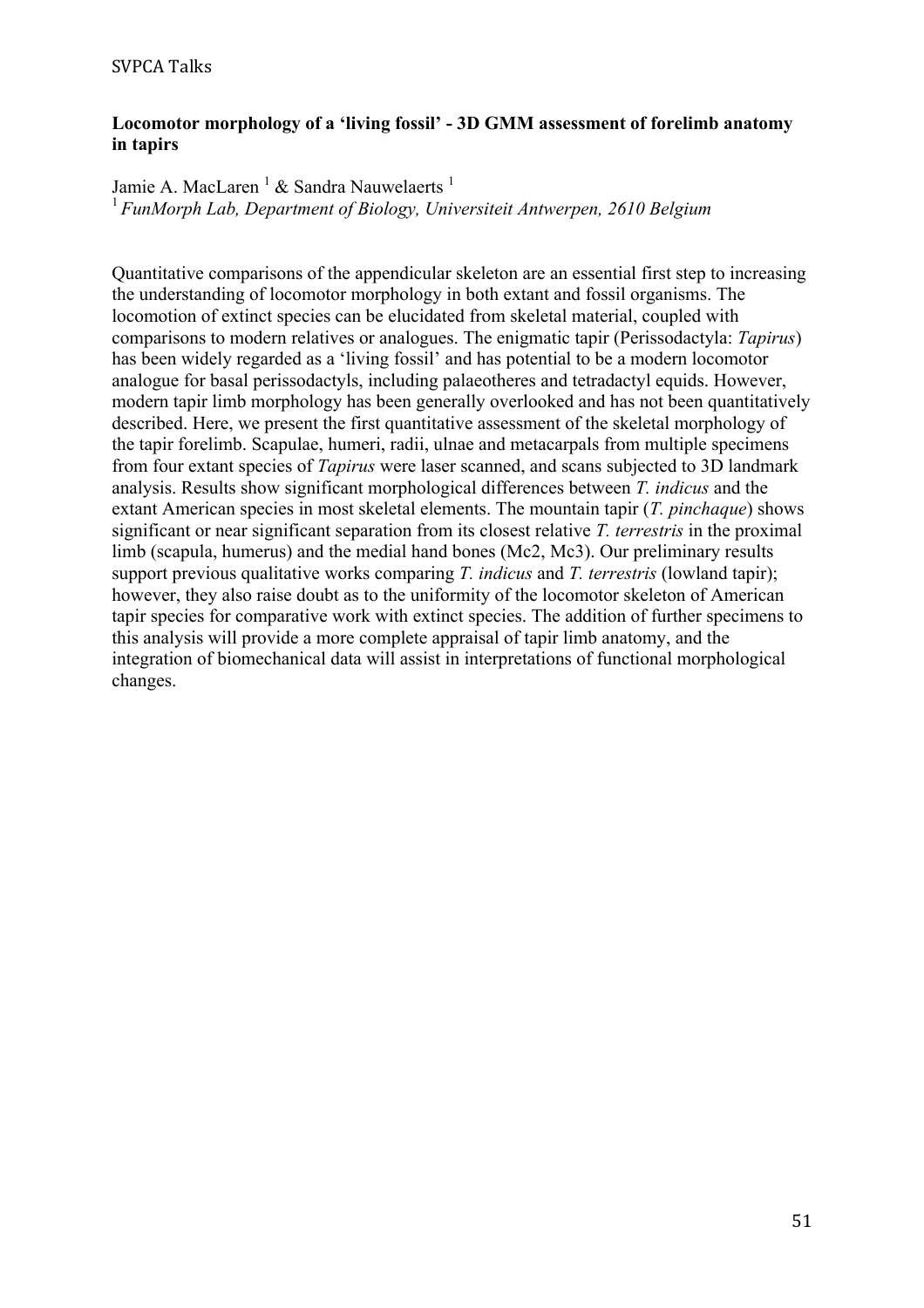# **Locomotor morphology of a 'living fossil' - 3D GMM assessment of forelimb anatomy in tapirs**

Jamie A. MacLaren <sup>1</sup> & Sandra Nauwelaerts <sup>1</sup> <sup>1</sup>*FunMorph Lab, Department of Biology, Universiteit Antwerpen, 2610 Belgium*

Quantitative comparisons of the appendicular skeleton are an essential first step to increasing the understanding of locomotor morphology in both extant and fossil organisms. The locomotion of extinct species can be elucidated from skeletal material, coupled with comparisons to modern relatives or analogues. The enigmatic tapir (Perissodactyla: *Tapirus*) has been widely regarded as a 'living fossil' and has potential to be a modern locomotor analogue for basal perissodactyls, including palaeotheres and tetradactyl equids. However, modern tapir limb morphology has been generally overlooked and has not been quantitatively described. Here, we present the first quantitative assessment of the skeletal morphology of the tapir forelimb. Scapulae, humeri, radii, ulnae and metacarpals from multiple specimens from four extant species of *Tapirus* were laser scanned, and scans subjected to 3D landmark analysis. Results show significant morphological differences between *T. indicus* and the extant American species in most skeletal elements. The mountain tapir (*T. pinchaque*) shows significant or near significant separation from its closest relative *T. terrestris* in the proximal limb (scapula, humerus) and the medial hand bones (Mc2, Mc3). Our preliminary results support previous qualitative works comparing *T. indicus* and *T. terrestris* (lowland tapir); however, they also raise doubt as to the uniformity of the locomotor skeleton of American tapir species for comparative work with extinct species. The addition of further specimens to this analysis will provide a more complete appraisal of tapir limb anatomy, and the integration of biomechanical data will assist in interpretations of functional morphological changes.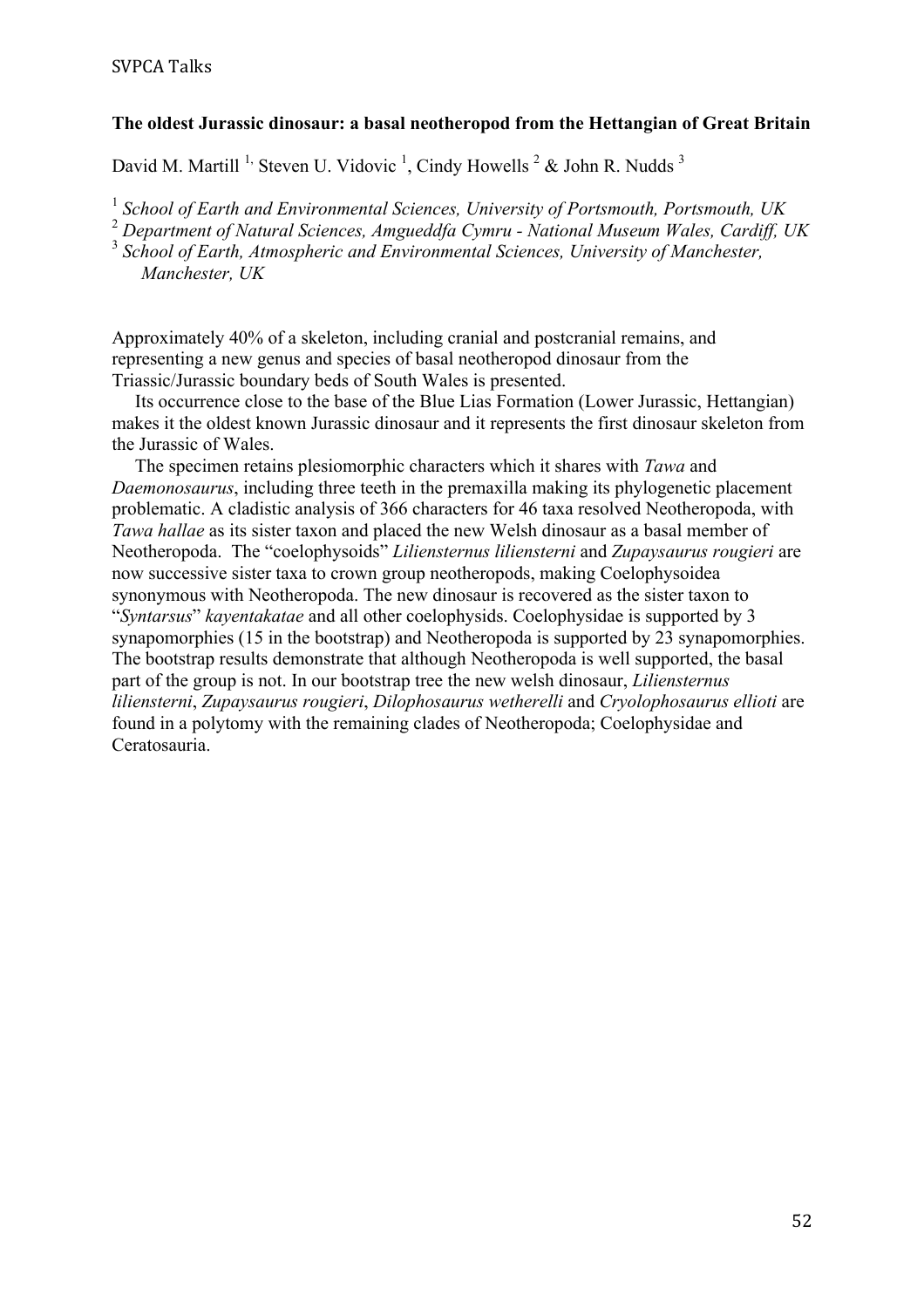#### **The oldest Jurassic dinosaur: a basal neotheropod from the Hettangian of Great Britain**

David M. Martill <sup>1,</sup> Steven U. Vidovic <sup>1</sup>, Cindy Howells  $2^2$  & John R. Nudds  $3$ 

<sup>1</sup> *School of Earth and Environmental Sciences, University of Portsmouth, Portsmouth, UK*

<sup>2</sup> *Department of Natural Sciences, Amgueddfa Cymru - National Museum Wales, Cardiff, UK*

<sup>3</sup> *School of Earth, Atmospheric and Environmental Sciences, University of Manchester, Manchester, UK*

Approximately 40% of a skeleton, including cranial and postcranial remains, and representing a new genus and species of basal neotheropod dinosaur from the Triassic/Jurassic boundary beds of South Wales is presented.

 Its occurrence close to the base of the Blue Lias Formation (Lower Jurassic, Hettangian) makes it the oldest known Jurassic dinosaur and it represents the first dinosaur skeleton from the Jurassic of Wales.

 The specimen retains plesiomorphic characters which it shares with *Tawa* and *Daemonosaurus*, including three teeth in the premaxilla making its phylogenetic placement problematic. A cladistic analysis of 366 characters for 46 taxa resolved Neotheropoda, with *Tawa hallae* as its sister taxon and placed the new Welsh dinosaur as a basal member of Neotheropoda. The "coelophysoids" *Liliensternus liliensterni* and *Zupaysaurus rougieri* are now successive sister taxa to crown group neotheropods, making Coelophysoidea synonymous with Neotheropoda. The new dinosaur is recovered as the sister taxon to "*Syntarsus*" *kayentakatae* and all other coelophysids. Coelophysidae is supported by 3 synapomorphies (15 in the bootstrap) and Neotheropoda is supported by 23 synapomorphies. The bootstrap results demonstrate that although Neotheropoda is well supported, the basal part of the group is not. In our bootstrap tree the new welsh dinosaur, *Liliensternus liliensterni*, *Zupaysaurus rougieri*, *Dilophosaurus wetherelli* and *Cryolophosaurus ellioti* are found in a polytomy with the remaining clades of Neotheropoda; Coelophysidae and Ceratosauria.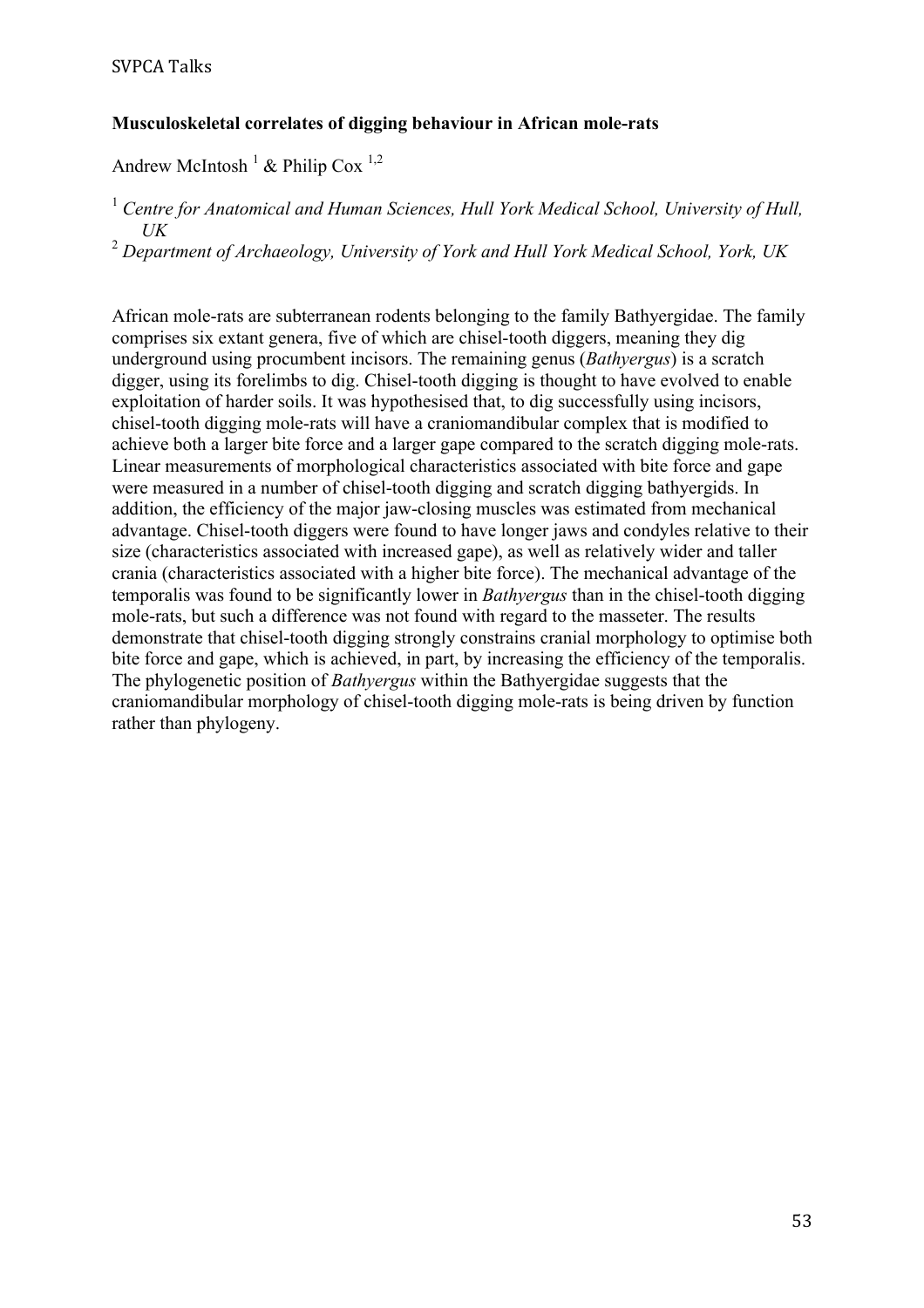# **Musculoskeletal correlates of digging behaviour in African mole-rats**

Andrew McIntosh<sup>1</sup> & Philip Cox<sup>1,2</sup>

<sup>1</sup> Centre for Anatomical and Human Sciences, Hull York Medical School, University of Hull, *UK*

<sup>2</sup> *Department of Archaeology, University of York and Hull York Medical School, York, UK*

African mole-rats are subterranean rodents belonging to the family Bathyergidae. The family comprises six extant genera, five of which are chisel-tooth diggers, meaning they dig underground using procumbent incisors. The remaining genus (*Bathyergus*) is a scratch digger, using its forelimbs to dig. Chisel-tooth digging is thought to have evolved to enable exploitation of harder soils. It was hypothesised that, to dig successfully using incisors, chisel-tooth digging mole-rats will have a craniomandibular complex that is modified to achieve both a larger bite force and a larger gape compared to the scratch digging mole-rats. Linear measurements of morphological characteristics associated with bite force and gape were measured in a number of chisel-tooth digging and scratch digging bathyergids. In addition, the efficiency of the major jaw-closing muscles was estimated from mechanical advantage. Chisel-tooth diggers were found to have longer jaws and condyles relative to their size (characteristics associated with increased gape), as well as relatively wider and taller crania (characteristics associated with a higher bite force). The mechanical advantage of the temporalis was found to be significantly lower in *Bathyergus* than in the chisel-tooth digging mole-rats, but such a difference was not found with regard to the masseter. The results demonstrate that chisel-tooth digging strongly constrains cranial morphology to optimise both bite force and gape, which is achieved, in part, by increasing the efficiency of the temporalis. The phylogenetic position of *Bathyergus* within the Bathyergidae suggests that the craniomandibular morphology of chisel-tooth digging mole-rats is being driven by function rather than phylogeny.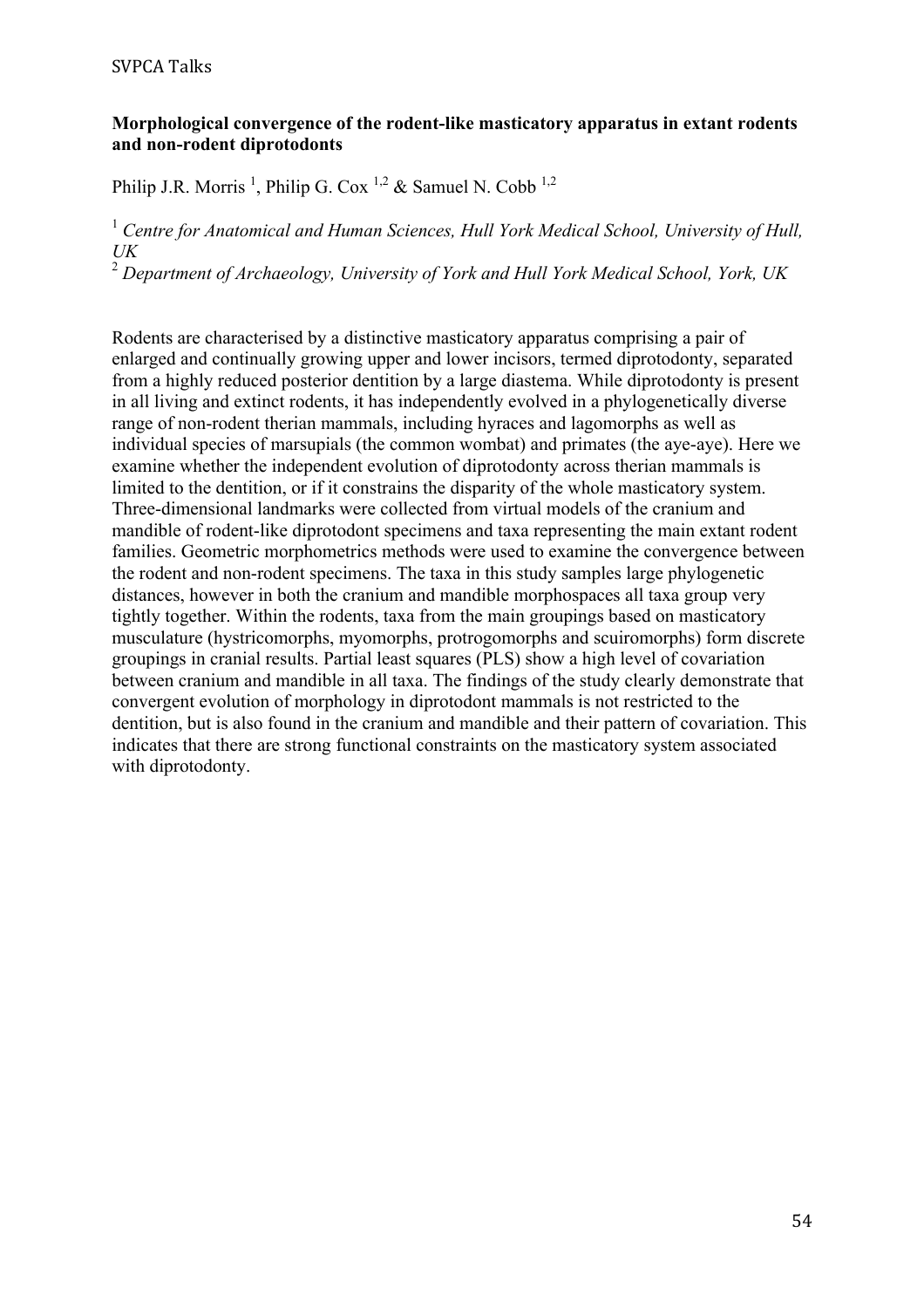#### SVPCA Talks

#### **Morphological convergence of the rodent-like masticatory apparatus in extant rodents and non-rodent diprotodonts**

Philip J.R. Morris<sup>1</sup>, Philip G. Cox<sup>1,2</sup> & Samuel N. Cobb<sup>1,2</sup>

<sup>1</sup> Centre for Anatomical and Human Sciences, Hull York Medical School, University of Hull, *UK*

<sup>2</sup> *Department of Archaeology, University of York and Hull York Medical School, York, UK*

Rodents are characterised by a distinctive masticatory apparatus comprising a pair of enlarged and continually growing upper and lower incisors, termed diprotodonty, separated from a highly reduced posterior dentition by a large diastema. While diprotodonty is present in all living and extinct rodents, it has independently evolved in a phylogenetically diverse range of non-rodent therian mammals, including hyraces and lagomorphs as well as individual species of marsupials (the common wombat) and primates (the aye-aye). Here we examine whether the independent evolution of diprotodonty across therian mammals is limited to the dentition, or if it constrains the disparity of the whole masticatory system. Three-dimensional landmarks were collected from virtual models of the cranium and mandible of rodent-like diprotodont specimens and taxa representing the main extant rodent families. Geometric morphometrics methods were used to examine the convergence between the rodent and non-rodent specimens. The taxa in this study samples large phylogenetic distances, however in both the cranium and mandible morphospaces all taxa group very tightly together. Within the rodents, taxa from the main groupings based on masticatory musculature (hystricomorphs, myomorphs, protrogomorphs and scuiromorphs) form discrete groupings in cranial results. Partial least squares (PLS) show a high level of covariation between cranium and mandible in all taxa. The findings of the study clearly demonstrate that convergent evolution of morphology in diprotodont mammals is not restricted to the dentition, but is also found in the cranium and mandible and their pattern of covariation. This indicates that there are strong functional constraints on the masticatory system associated with diprotodonty.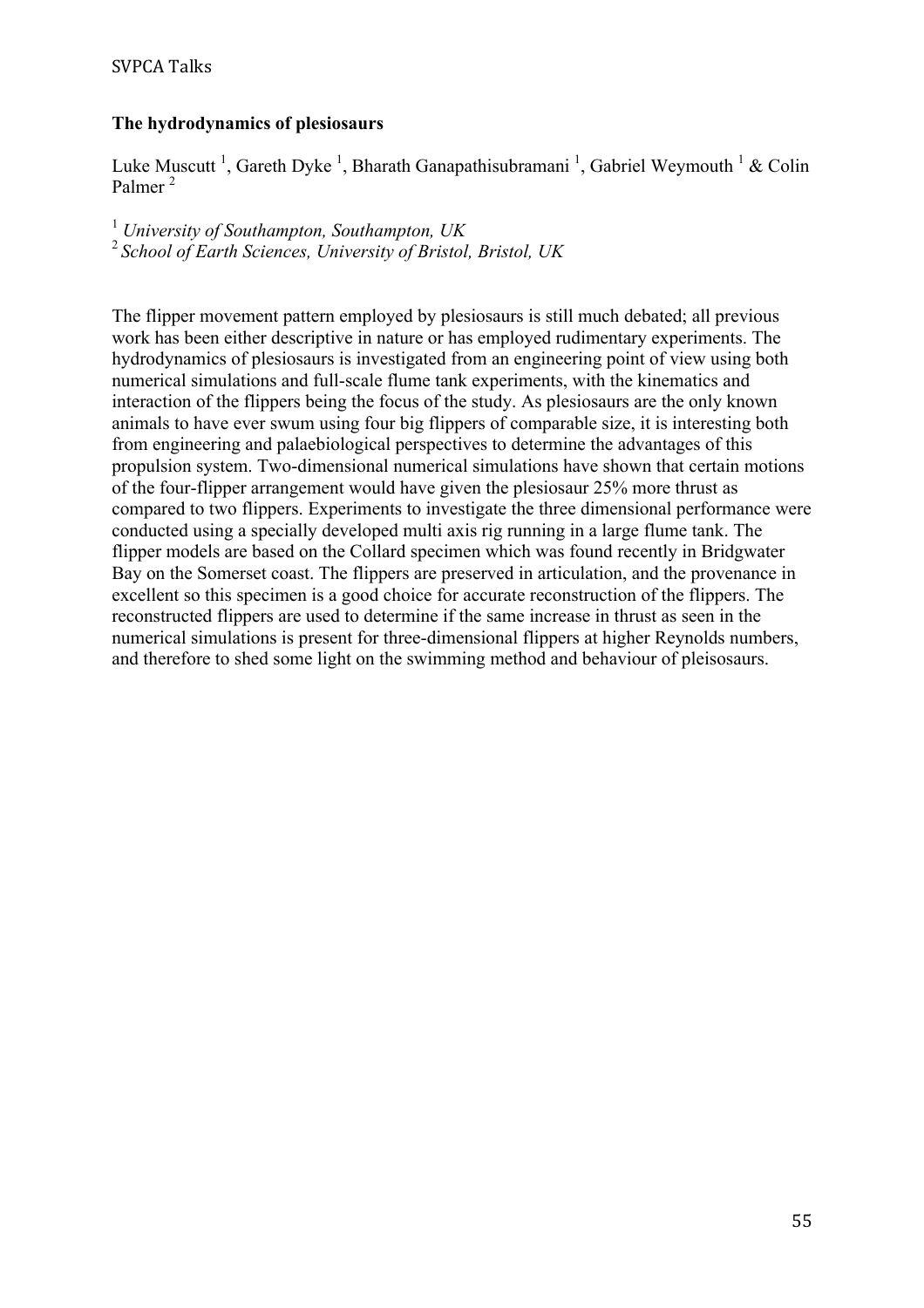# **The hydrodynamics of plesiosaurs**

Luke Muscutt<sup>1</sup>, Gareth Dyke<sup>1</sup>, Bharath Ganapathisubramani<sup>1</sup>, Gabriel Weymouth<sup>1</sup> & Colin Palmer<sup>2</sup>

<sup>1</sup> *University of Southampton, Southampton, UK* <sup>2</sup>*School of Earth Sciences, University of Bristol, Bristol, UK*

The flipper movement pattern employed by plesiosaurs is still much debated; all previous work has been either descriptive in nature or has employed rudimentary experiments. The hydrodynamics of plesiosaurs is investigated from an engineering point of view using both numerical simulations and full-scale flume tank experiments, with the kinematics and interaction of the flippers being the focus of the study. As plesiosaurs are the only known animals to have ever swum using four big flippers of comparable size, it is interesting both from engineering and palaebiological perspectives to determine the advantages of this propulsion system. Two-dimensional numerical simulations have shown that certain motions of the four-flipper arrangement would have given the plesiosaur 25% more thrust as compared to two flippers. Experiments to investigate the three dimensional performance were conducted using a specially developed multi axis rig running in a large flume tank. The flipper models are based on the Collard specimen which was found recently in Bridgwater Bay on the Somerset coast. The flippers are preserved in articulation, and the provenance in excellent so this specimen is a good choice for accurate reconstruction of the flippers. The reconstructed flippers are used to determine if the same increase in thrust as seen in the numerical simulations is present for three-dimensional flippers at higher Reynolds numbers, and therefore to shed some light on the swimming method and behaviour of pleisosaurs.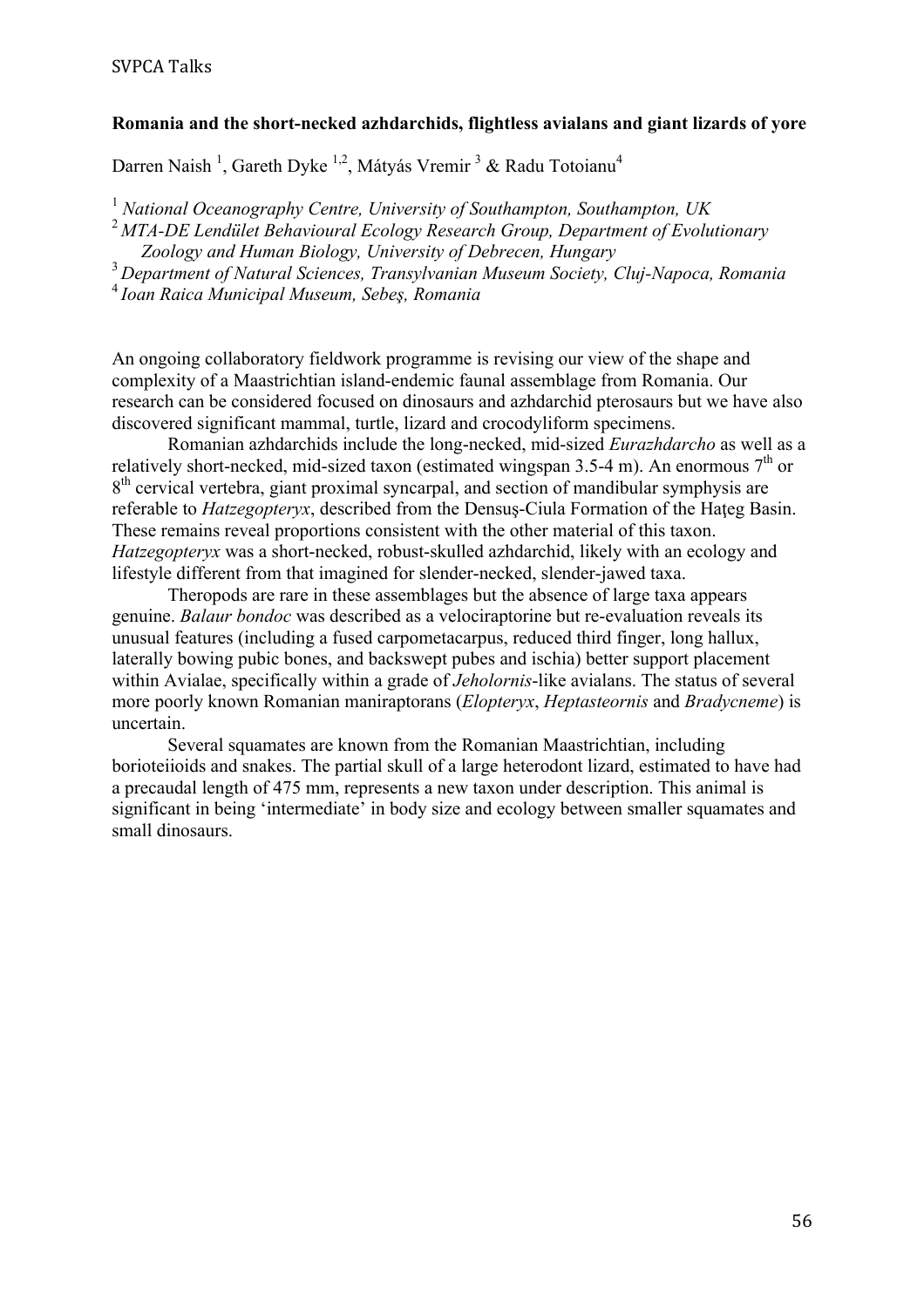# **Romania and the short-necked azhdarchids, flightless avialans and giant lizards of yore**

Darren Naish<sup>1</sup>, Gareth Dyke<sup>1,2</sup>, Mátyás Vremir<sup>3</sup> & Radu Totoianu<sup>4</sup>

<sup>1</sup> *National Oceanography Centre, University of Southampton, Southampton, UK* <sup>2</sup>*MTA-DE Lendület Behavioural Ecology Research Group, Department of Evolutionary Zoology and Human Biology, University of Debrecen, Hungary*

<sup>3</sup>*Department of Natural Sciences, Transylvanian Museum Society, Cluj-Napoca, Romania*

<sup>4</sup>*Ioan Raica Municipal Museum, Sebeş, Romania*

An ongoing collaboratory fieldwork programme is revising our view of the shape and complexity of a Maastrichtian island-endemic faunal assemblage from Romania. Our research can be considered focused on dinosaurs and azhdarchid pterosaurs but we have also discovered significant mammal, turtle, lizard and crocodyliform specimens.

Romanian azhdarchids include the long-necked, mid-sized *Eurazhdarcho* as well as a relatively short-necked, mid-sized taxon (estimated wingspan 3.5-4 m). An enormous  $7<sup>th</sup>$  or  $8<sup>th</sup>$  cervical vertebra, giant proximal syncarpal, and section of mandibular symphysis are referable to *Hatzegopteryx*, described from the Densus-Ciula Formation of the Hateg Basin. These remains reveal proportions consistent with the other material of this taxon. *Hatzegopteryx* was a short-necked, robust-skulled azhdarchid, likely with an ecology and lifestyle different from that imagined for slender-necked, slender-jawed taxa.

Theropods are rare in these assemblages but the absence of large taxa appears genuine. *Balaur bondoc* was described as a velociraptorine but re-evaluation reveals its unusual features (including a fused carpometacarpus, reduced third finger, long hallux, laterally bowing pubic bones, and backswept pubes and ischia) better support placement within Avialae, specifically within a grade of *Jeholornis*-like avialans. The status of several more poorly known Romanian maniraptorans (*Elopteryx*, *Heptasteornis* and *Bradycneme*) is uncertain.

Several squamates are known from the Romanian Maastrichtian, including borioteiioids and snakes. The partial skull of a large heterodont lizard, estimated to have had a precaudal length of 475 mm, represents a new taxon under description. This animal is significant in being 'intermediate' in body size and ecology between smaller squamates and small dinosaurs.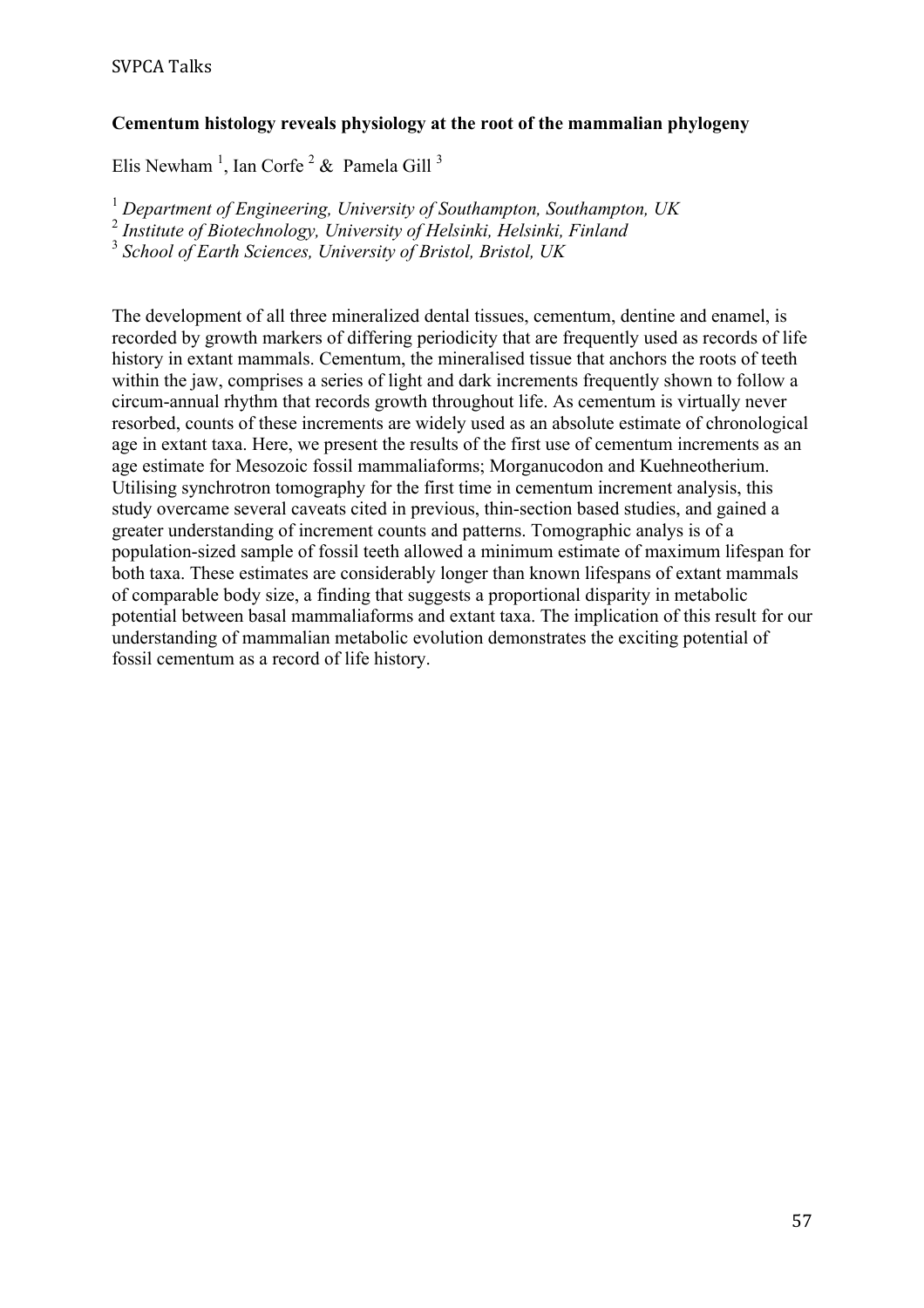# **Cementum histology reveals physiology at the root of the mammalian phylogeny**

Elis Newham<sup>1</sup>, Ian Corfe<sup>2</sup> & Pamela Gill<sup>3</sup>

<sup>1</sup> *Department of Engineering, University of Southampton, Southampton, UK*

<sup>2</sup> *Institute of Biotechnology, University of Helsinki, Helsinki, Finland*

<sup>3</sup> *School of Earth Sciences, University of Bristol, Bristol, UK*

The development of all three mineralized dental tissues, cementum, dentine and enamel, is recorded by growth markers of differing periodicity that are frequently used as records of life history in extant mammals. Cementum, the mineralised tissue that anchors the roots of teeth within the jaw, comprises a series of light and dark increments frequently shown to follow a circum-annual rhythm that records growth throughout life. As cementum is virtually never resorbed, counts of these increments are widely used as an absolute estimate of chronological age in extant taxa. Here, we present the results of the first use of cementum increments as an age estimate for Mesozoic fossil mammaliaforms; Morganucodon and Kuehneotherium. Utilising synchrotron tomography for the first time in cementum increment analysis, this study overcame several caveats cited in previous, thin-section based studies, and gained a greater understanding of increment counts and patterns. Tomographic analys is of a population-sized sample of fossil teeth allowed a minimum estimate of maximum lifespan for both taxa. These estimates are considerably longer than known lifespans of extant mammals of comparable body size, a finding that suggests a proportional disparity in metabolic potential between basal mammaliaforms and extant taxa. The implication of this result for our understanding of mammalian metabolic evolution demonstrates the exciting potential of fossil cementum as a record of life history.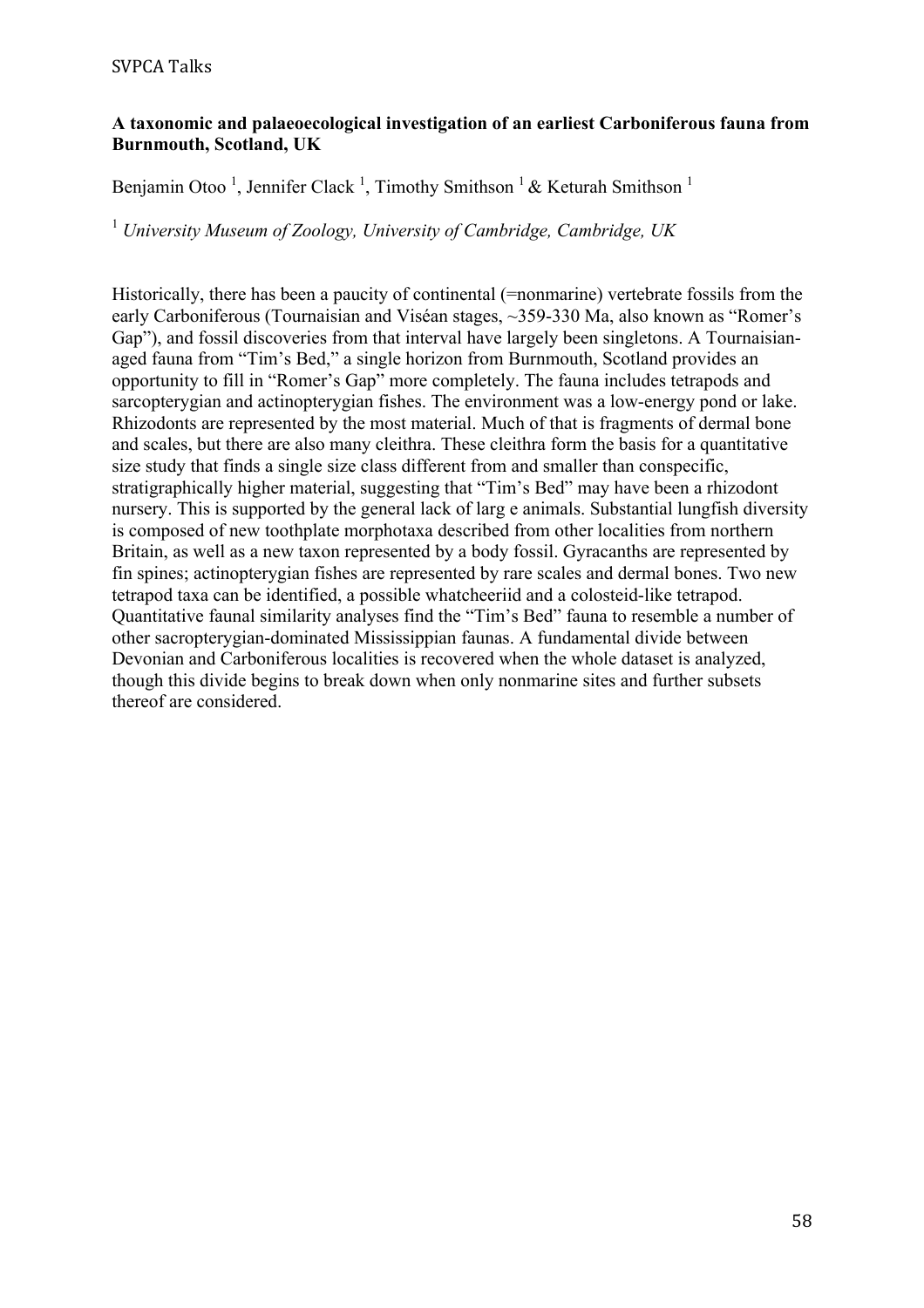## **A taxonomic and palaeoecological investigation of an earliest Carboniferous fauna from Burnmouth, Scotland, UK**

Benjamin Otoo<sup>1</sup>, Jennifer Clack<sup>1</sup>, Timothy Smithson<sup>1</sup> & Keturah Smithson<sup>1</sup>

<sup>1</sup> *University Museum of Zoology, University of Cambridge, Cambridge, UK*

Historically, there has been a paucity of continental (=nonmarine) vertebrate fossils from the early Carboniferous (Tournaisian and Viséan stages, ~359-330 Ma, also known as "Romer's Gap"), and fossil discoveries from that interval have largely been singletons. A Tournaisianaged fauna from "Tim's Bed," a single horizon from Burnmouth, Scotland provides an opportunity to fill in "Romer's Gap" more completely. The fauna includes tetrapods and sarcopterygian and actinopterygian fishes. The environment was a low-energy pond or lake. Rhizodonts are represented by the most material. Much of that is fragments of dermal bone and scales, but there are also many cleithra. These cleithra form the basis for a quantitative size study that finds a single size class different from and smaller than conspecific, stratigraphically higher material, suggesting that "Tim's Bed" may have been a rhizodont nursery. This is supported by the general lack of larg e animals. Substantial lungfish diversity is composed of new toothplate morphotaxa described from other localities from northern Britain, as well as a new taxon represented by a body fossil. Gyracanths are represented by fin spines; actinopterygian fishes are represented by rare scales and dermal bones. Two new tetrapod taxa can be identified, a possible whatcheeriid and a colosteid-like tetrapod. Quantitative faunal similarity analyses find the "Tim's Bed" fauna to resemble a number of other sacropterygian-dominated Mississippian faunas. A fundamental divide between Devonian and Carboniferous localities is recovered when the whole dataset is analyzed, though this divide begins to break down when only nonmarine sites and further subsets thereof are considered.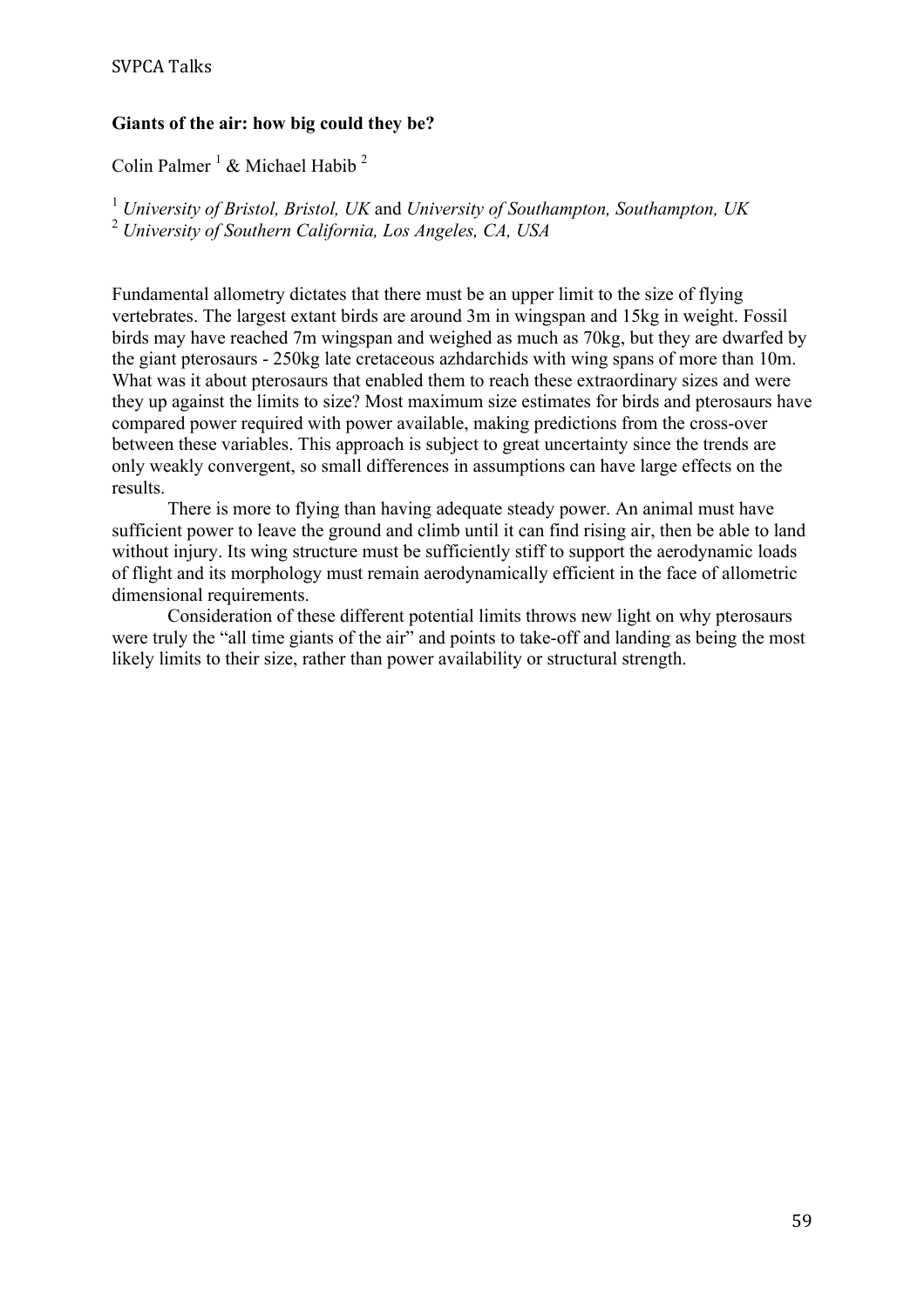# SVPCA Talks

#### **Giants of the air: how big could they be?**

Colin Palmer<sup>1</sup> & Michael Habib<sup>2</sup>

<sup>1</sup> *University of Bristol, Bristol, UK* and *University of Southampton, Southampton, UK* <sup>2</sup> *University of Southern California, Los Angeles, CA, USA*

Fundamental allometry dictates that there must be an upper limit to the size of flying vertebrates. The largest extant birds are around 3m in wingspan and 15kg in weight. Fossil birds may have reached 7m wingspan and weighed as much as 70kg, but they are dwarfed by the giant pterosaurs - 250kg late cretaceous azhdarchids with wing spans of more than 10m. What was it about pterosaurs that enabled them to reach these extraordinary sizes and were they up against the limits to size? Most maximum size estimates for birds and pterosaurs have compared power required with power available, making predictions from the cross-over between these variables. This approach is subject to great uncertainty since the trends are only weakly convergent, so small differences in assumptions can have large effects on the results.

There is more to flying than having adequate steady power. An animal must have sufficient power to leave the ground and climb until it can find rising air, then be able to land without injury. Its wing structure must be sufficiently stiff to support the aerodynamic loads of flight and its morphology must remain aerodynamically efficient in the face of allometric dimensional requirements.

Consideration of these different potential limits throws new light on why pterosaurs were truly the "all time giants of the air" and points to take-off and landing as being the most likely limits to their size, rather than power availability or structural strength.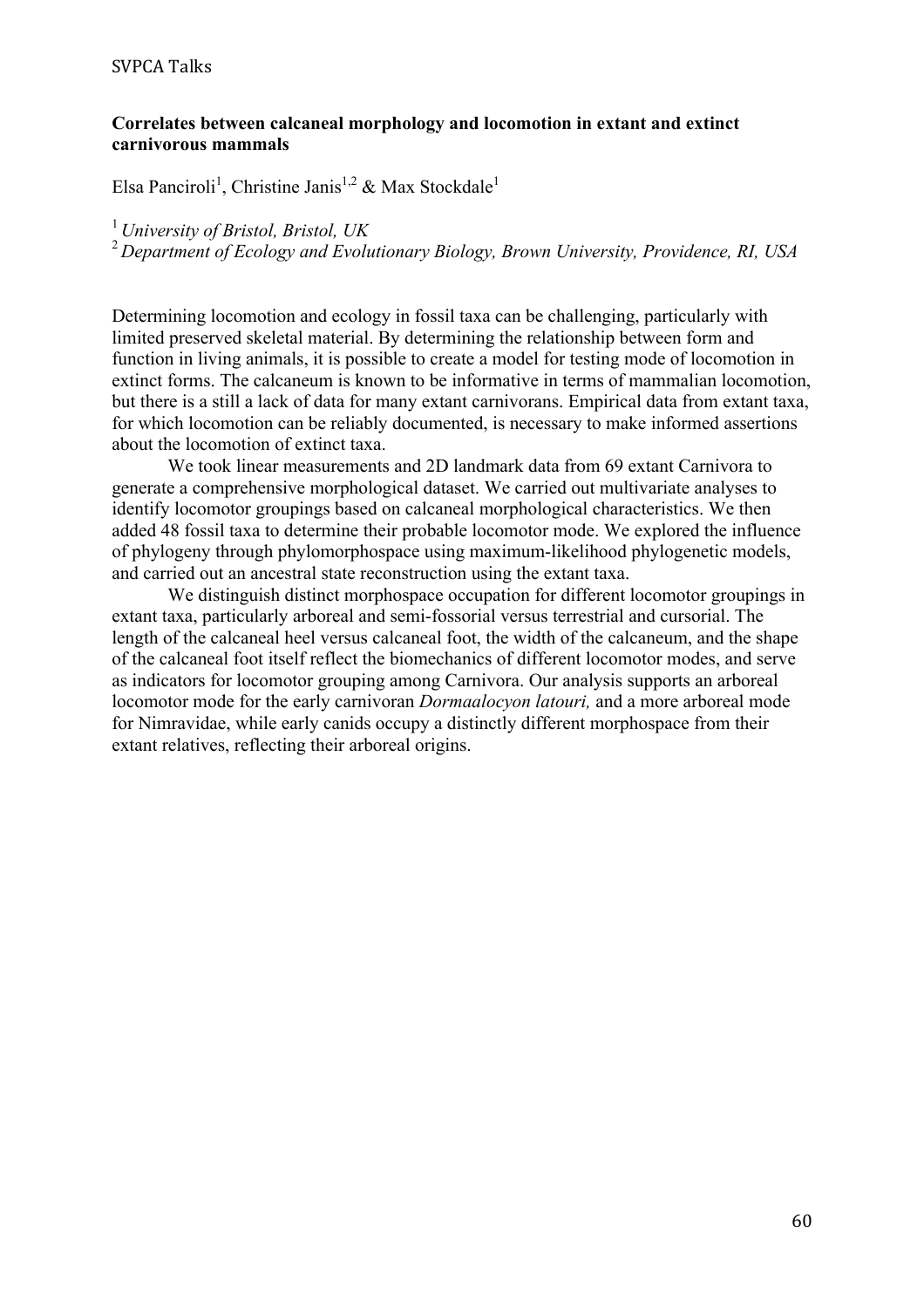#### SVPCA Talks

#### **Correlates between calcaneal morphology and locomotion in extant and extinct carnivorous mammals**

Elsa Panciroli<sup>1</sup>, Christine Janis<sup>1,2</sup> & Max Stockdale<sup>1</sup>

<sup>1</sup>*University of Bristol, Bristol, UK*

<sup>2</sup>*Department of Ecology and Evolutionary Biology, Brown University, Providence, RI, USA*

Determining locomotion and ecology in fossil taxa can be challenging, particularly with limited preserved skeletal material. By determining the relationship between form and function in living animals, it is possible to create a model for testing mode of locomotion in extinct forms. The calcaneum is known to be informative in terms of mammalian locomotion, but there is a still a lack of data for many extant carnivorans. Empirical data from extant taxa, for which locomotion can be reliably documented, is necessary to make informed assertions about the locomotion of extinct taxa.

We took linear measurements and 2D landmark data from 69 extant Carnivora to generate a comprehensive morphological dataset. We carried out multivariate analyses to identify locomotor groupings based on calcaneal morphological characteristics. We then added 48 fossil taxa to determine their probable locomotor mode. We explored the influence of phylogeny through phylomorphospace using maximum-likelihood phylogenetic models, and carried out an ancestral state reconstruction using the extant taxa.

We distinguish distinct morphospace occupation for different locomotor groupings in extant taxa, particularly arboreal and semi-fossorial versus terrestrial and cursorial. The length of the calcaneal heel versus calcaneal foot, the width of the calcaneum, and the shape of the calcaneal foot itself reflect the biomechanics of different locomotor modes, and serve as indicators for locomotor grouping among Carnivora. Our analysis supports an arboreal locomotor mode for the early carnivoran *Dormaalocyon latouri,* and a more arboreal mode for Nimravidae, while early canids occupy a distinctly different morphospace from their extant relatives, reflecting their arboreal origins.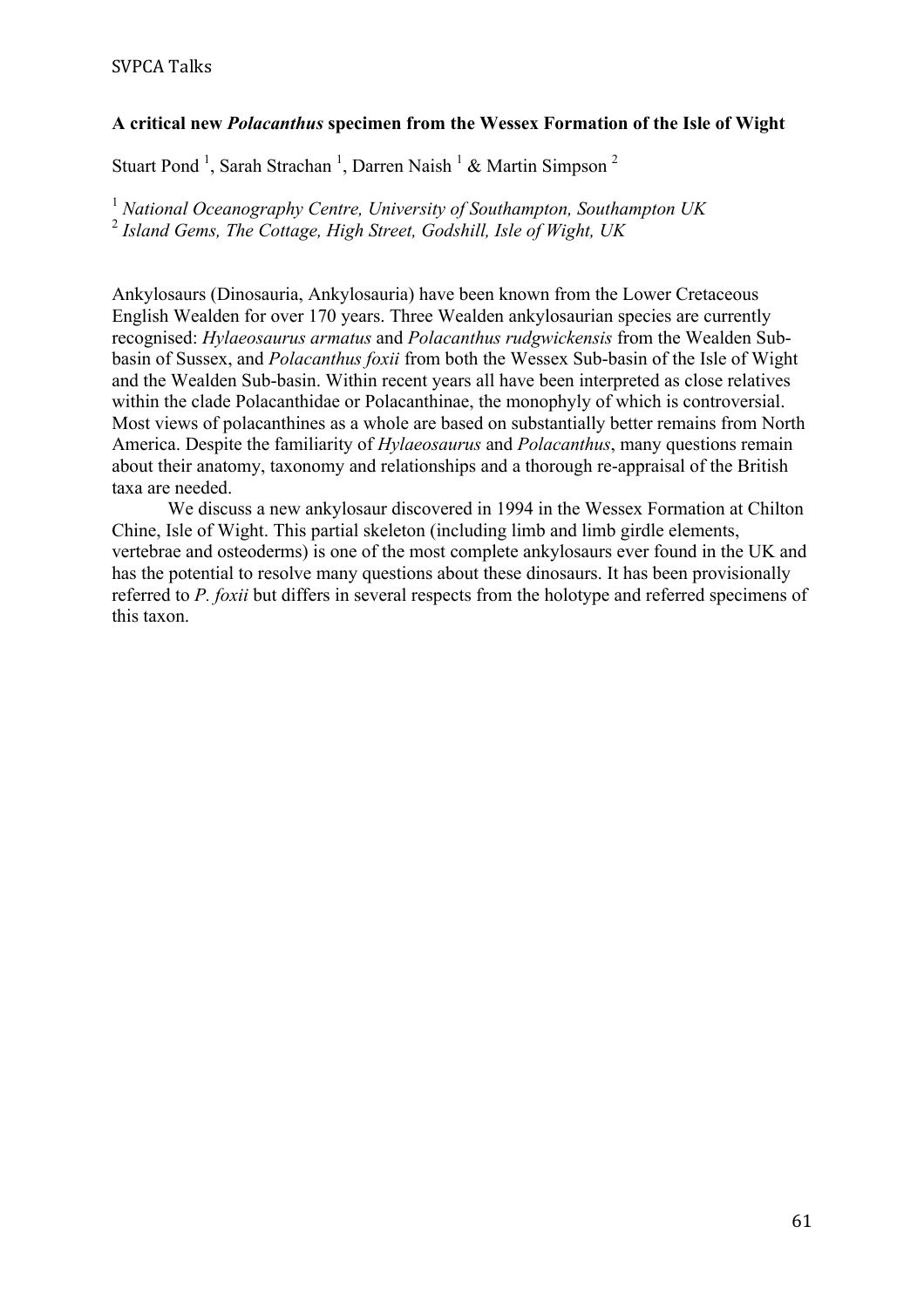# **A critical new** *Polacanthus* **specimen from the Wessex Formation of the Isle of Wight**

Stuart Pond<sup>1</sup>, Sarah Strachan<sup>1</sup>, Darren Naish<sup>1</sup> & Martin Simpson<sup>2</sup>

<sup>1</sup> *National Oceanography Centre, University of Southampton, Southampton UK* <sup>2</sup> *Island Gems, The Cottage, High Street, Godshill, Isle of Wight, UK*

Ankylosaurs (Dinosauria, Ankylosauria) have been known from the Lower Cretaceous English Wealden for over 170 years. Three Wealden ankylosaurian species are currently recognised: *Hylaeosaurus armatus* and *Polacanthus rudgwickensis* from the Wealden Subbasin of Sussex, and *Polacanthus foxii* from both the Wessex Sub-basin of the Isle of Wight and the Wealden Sub-basin. Within recent years all have been interpreted as close relatives within the clade Polacanthidae or Polacanthinae, the monophyly of which is controversial. Most views of polacanthines as a whole are based on substantially better remains from North America. Despite the familiarity of *Hylaeosaurus* and *Polacanthus*, many questions remain about their anatomy, taxonomy and relationships and a thorough re-appraisal of the British taxa are needed.

We discuss a new ankylosaur discovered in 1994 in the Wessex Formation at Chilton Chine, Isle of Wight. This partial skeleton (including limb and limb girdle elements, vertebrae and osteoderms) is one of the most complete ankylosaurs ever found in the UK and has the potential to resolve many questions about these dinosaurs. It has been provisionally referred to *P. foxii* but differs in several respects from the holotype and referred specimens of this taxon.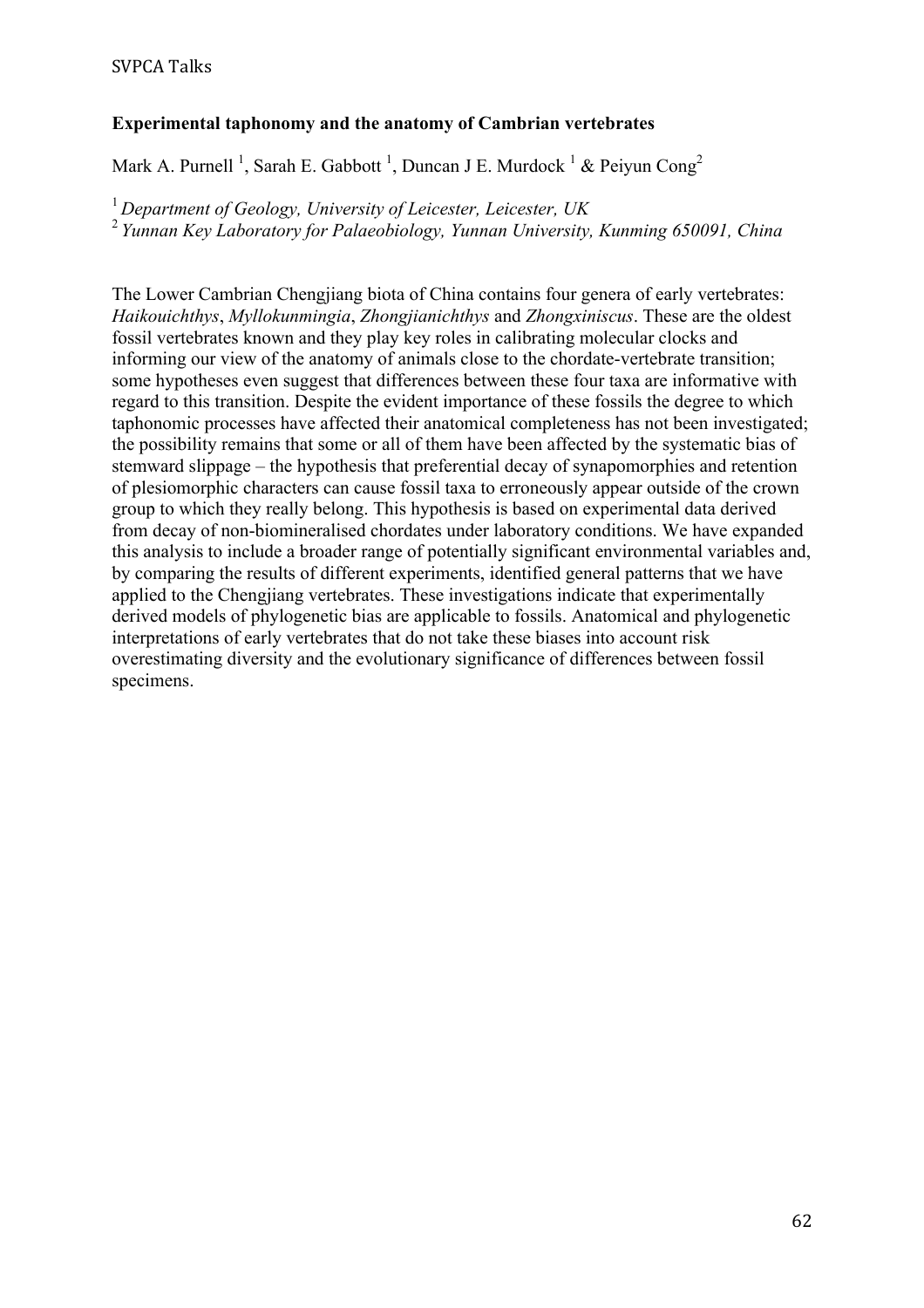# **Experimental taphonomy and the anatomy of Cambrian vertebrates**

Mark A. Purnell<sup>1</sup>, Sarah E. Gabbott<sup>1</sup>, Duncan J E. Murdock<sup>1</sup> & Peiyun Cong<sup>2</sup>

<sup>1</sup> *Department of Geology, University of Leicester, Leicester, UK* <sup>2</sup>*Yunnan Key Laboratory for Palaeobiology, Yunnan University, Kunming 650091, China*

The Lower Cambrian Chengjiang biota of China contains four genera of early vertebrates: *Haikouichthys*, *Myllokunmingia*, *Zhongjianichthys* and *Zhongxiniscus*. These are the oldest fossil vertebrates known and they play key roles in calibrating molecular clocks and informing our view of the anatomy of animals close to the chordate-vertebrate transition; some hypotheses even suggest that differences between these four taxa are informative with regard to this transition. Despite the evident importance of these fossils the degree to which taphonomic processes have affected their anatomical completeness has not been investigated; the possibility remains that some or all of them have been affected by the systematic bias of stemward slippage – the hypothesis that preferential decay of synapomorphies and retention of plesiomorphic characters can cause fossil taxa to erroneously appear outside of the crown group to which they really belong. This hypothesis is based on experimental data derived from decay of non-biomineralised chordates under laboratory conditions. We have expanded this analysis to include a broader range of potentially significant environmental variables and, by comparing the results of different experiments, identified general patterns that we have applied to the Chengjiang vertebrates. These investigations indicate that experimentally derived models of phylogenetic bias are applicable to fossils. Anatomical and phylogenetic interpretations of early vertebrates that do not take these biases into account risk overestimating diversity and the evolutionary significance of differences between fossil specimens.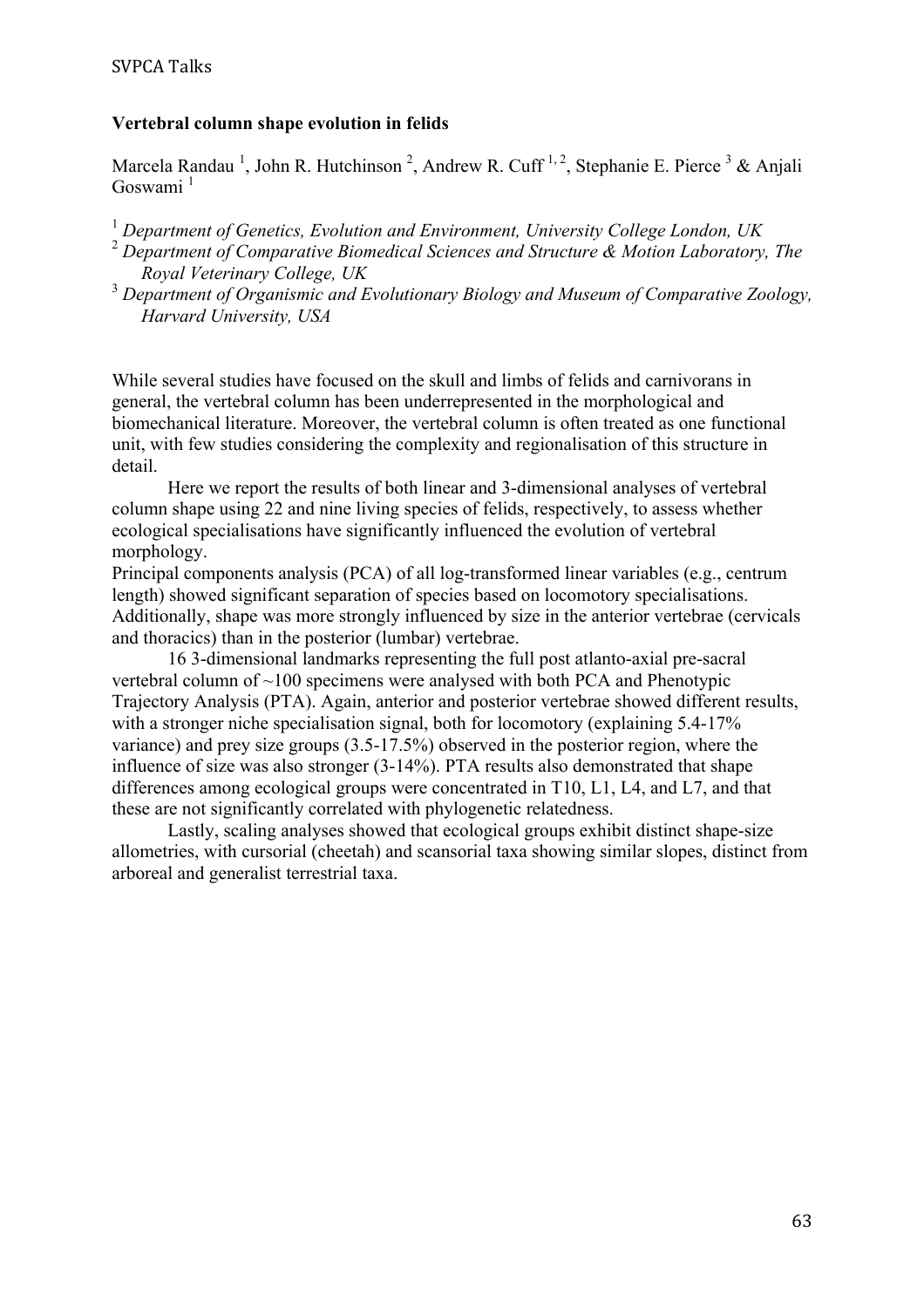#### **Vertebral column shape evolution in felids**

Marcela Randau<sup>1</sup>, John R. Hutchinson<sup>2</sup>, Andrew R. Cuff<sup>1,2</sup>, Stephanie E. Pierce<sup>3</sup> & Anjali Goswami<sup>1</sup>

- <sup>1</sup> *Department of Genetics, Evolution and Environment, University College London, UK*
- <sup>2</sup> *Department of Comparative Biomedical Sciences and Structure & Motion Laboratory, The Royal Veterinary College, UK*
- <sup>3</sup> *Department of Organismic and Evolutionary Biology and Museum of Comparative Zoology, Harvard University, USA*

While several studies have focused on the skull and limbs of felids and carnivorans in general, the vertebral column has been underrepresented in the morphological and biomechanical literature. Moreover, the vertebral column is often treated as one functional unit, with few studies considering the complexity and regionalisation of this structure in detail.

Here we report the results of both linear and 3-dimensional analyses of vertebral column shape using 22 and nine living species of felids, respectively, to assess whether ecological specialisations have significantly influenced the evolution of vertebral morphology.

Principal components analysis (PCA) of all log-transformed linear variables (e.g., centrum length) showed significant separation of species based on locomotory specialisations. Additionally, shape was more strongly influenced by size in the anterior vertebrae (cervicals and thoracics) than in the posterior (lumbar) vertebrae.

16 3-dimensional landmarks representing the full post atlanto-axial pre-sacral vertebral column of ~100 specimens were analysed with both PCA and Phenotypic Trajectory Analysis (PTA). Again, anterior and posterior vertebrae showed different results, with a stronger niche specialisation signal, both for locomotory (explaining 5.4-17%) variance) and prey size groups (3.5-17.5%) observed in the posterior region, where the influence of size was also stronger (3-14%). PTA results also demonstrated that shape differences among ecological groups were concentrated in T10, L1, L4, and L7, and that these are not significantly correlated with phylogenetic relatedness.

Lastly, scaling analyses showed that ecological groups exhibit distinct shape-size allometries, with cursorial (cheetah) and scansorial taxa showing similar slopes, distinct from arboreal and generalist terrestrial taxa.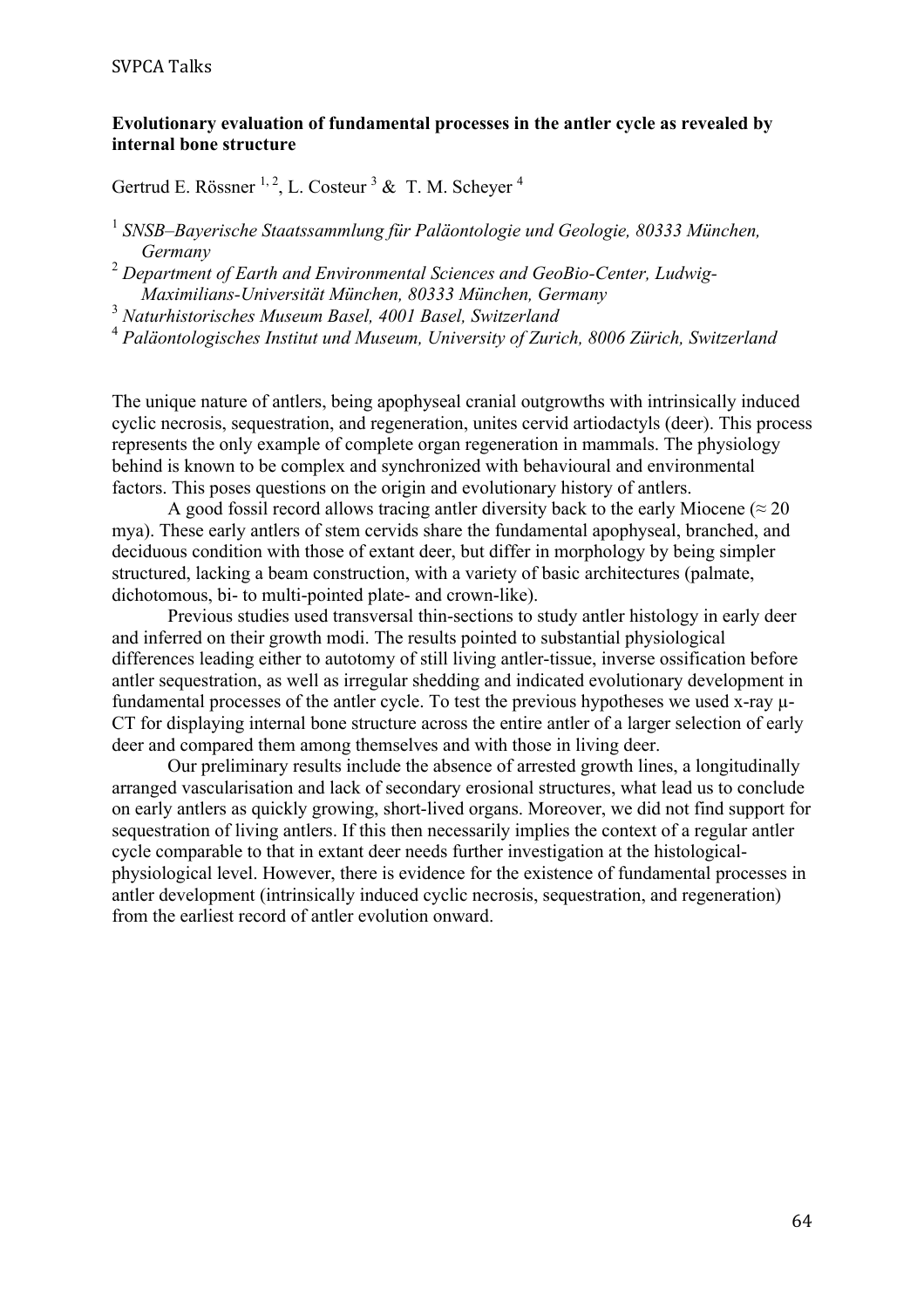#### **Evolutionary evaluation of fundamental processes in the antler cycle as revealed by internal bone structure**

# Gertrud E. Rössner  $^{1, 2}$ , L. Costeur  $^3$  & T. M. Scheyer  $^4$

<sup>1</sup> *SNSB–Bayerische Staatssammlung für Paläontologie und Geologie, 80333 München, Germany*

<sup>2</sup> *Department of Earth and Environmental Sciences and GeoBio-Center, Ludwig-Maximilians-Universität München, 80333 München, Germany*

<sup>3</sup> *Naturhistorisches Museum Basel, 4001 Basel, Switzerland*

<sup>4</sup> *Paläontologisches Institut und Museum, University of Zurich, 8006 Zürich, Switzerland*

The unique nature of antlers, being apophyseal cranial outgrowths with intrinsically induced cyclic necrosis, sequestration, and regeneration, unites cervid artiodactyls (deer). This process represents the only example of complete organ regeneration in mammals. The physiology behind is known to be complex and synchronized with behavioural and environmental factors. This poses questions on the origin and evolutionary history of antlers.

A good fossil record allows tracing antler diversity back to the early Miocene ( $\approx 20$ ) mya). These early antlers of stem cervids share the fundamental apophyseal, branched, and deciduous condition with those of extant deer, but differ in morphology by being simpler structured, lacking a beam construction, with a variety of basic architectures (palmate, dichotomous, bi- to multi-pointed plate- and crown-like).

Previous studies used transversal thin-sections to study antler histology in early deer and inferred on their growth modi. The results pointed to substantial physiological differences leading either to autotomy of still living antler-tissue, inverse ossification before antler sequestration, as well as irregular shedding and indicated evolutionary development in fundamental processes of the antler cycle. To test the previous hypotheses we used x-ray µ-CT for displaying internal bone structure across the entire antler of a larger selection of early deer and compared them among themselves and with those in living deer.

Our preliminary results include the absence of arrested growth lines, a longitudinally arranged vascularisation and lack of secondary erosional structures, what lead us to conclude on early antlers as quickly growing, short-lived organs. Moreover, we did not find support for sequestration of living antlers. If this then necessarily implies the context of a regular antler cycle comparable to that in extant deer needs further investigation at the histologicalphysiological level. However, there is evidence for the existence of fundamental processes in antler development (intrinsically induced cyclic necrosis, sequestration, and regeneration) from the earliest record of antler evolution onward.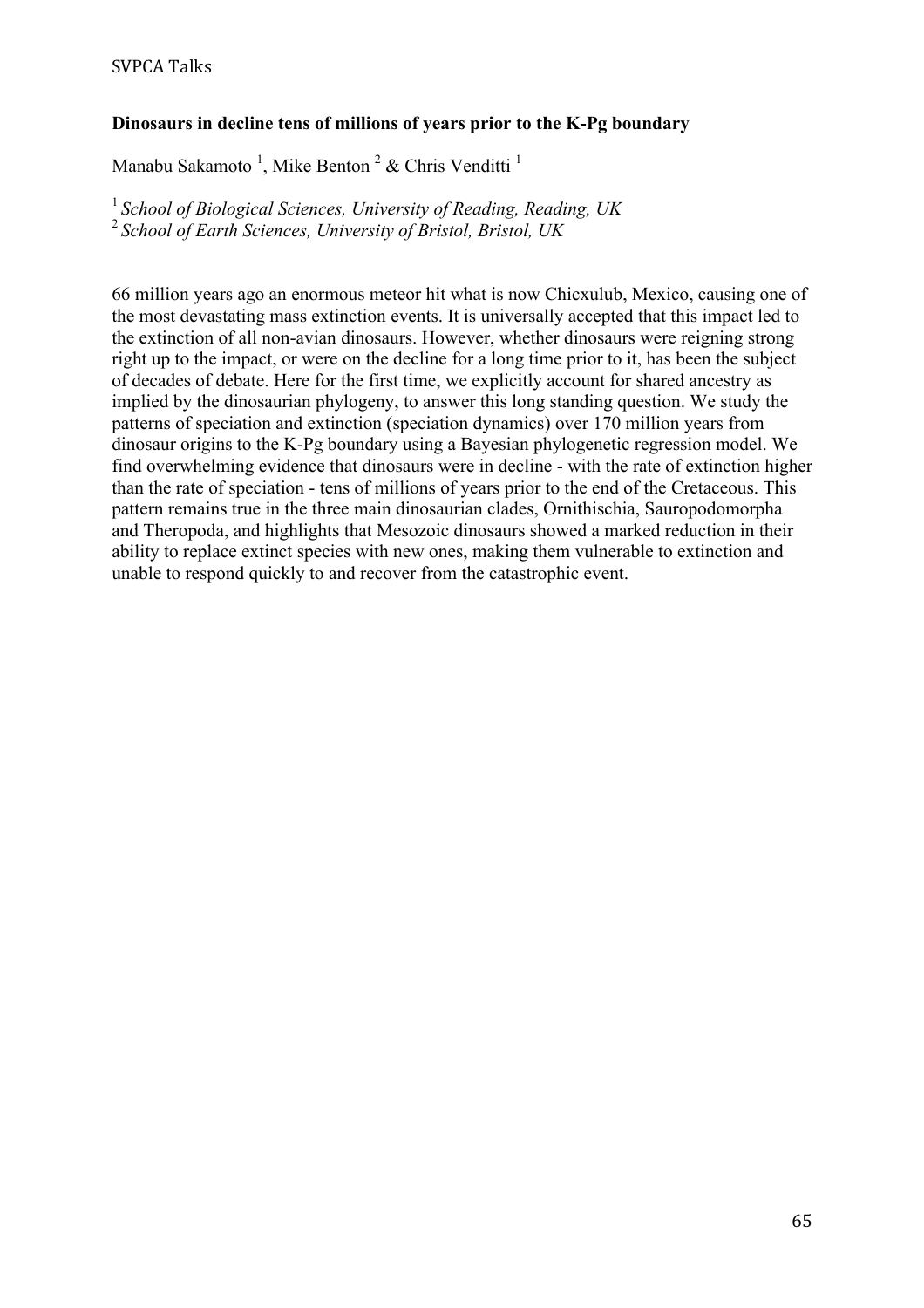# **Dinosaurs in decline tens of millions of years prior to the K-Pg boundary**

Manabu Sakamoto<sup>1</sup>, Mike Benton<sup>2</sup> & Chris Venditti<sup>1</sup>

<sup>1</sup>*School of Biological Sciences, University of Reading, Reading, UK* <sup>2</sup>*School of Earth Sciences, University of Bristol, Bristol, UK*

66 million years ago an enormous meteor hit what is now Chicxulub, Mexico, causing one of the most devastating mass extinction events. It is universally accepted that this impact led to the extinction of all non-avian dinosaurs. However, whether dinosaurs were reigning strong right up to the impact, or were on the decline for a long time prior to it, has been the subject of decades of debate. Here for the first time, we explicitly account for shared ancestry as implied by the dinosaurian phylogeny, to answer this long standing question. We study the patterns of speciation and extinction (speciation dynamics) over 170 million years from dinosaur origins to the K-Pg boundary using a Bayesian phylogenetic regression model. We find overwhelming evidence that dinosaurs were in decline - with the rate of extinction higher than the rate of speciation - tens of millions of years prior to the end of the Cretaceous. This pattern remains true in the three main dinosaurian clades, Ornithischia, Sauropodomorpha and Theropoda, and highlights that Mesozoic dinosaurs showed a marked reduction in their ability to replace extinct species with new ones, making them vulnerable to extinction and unable to respond quickly to and recover from the catastrophic event.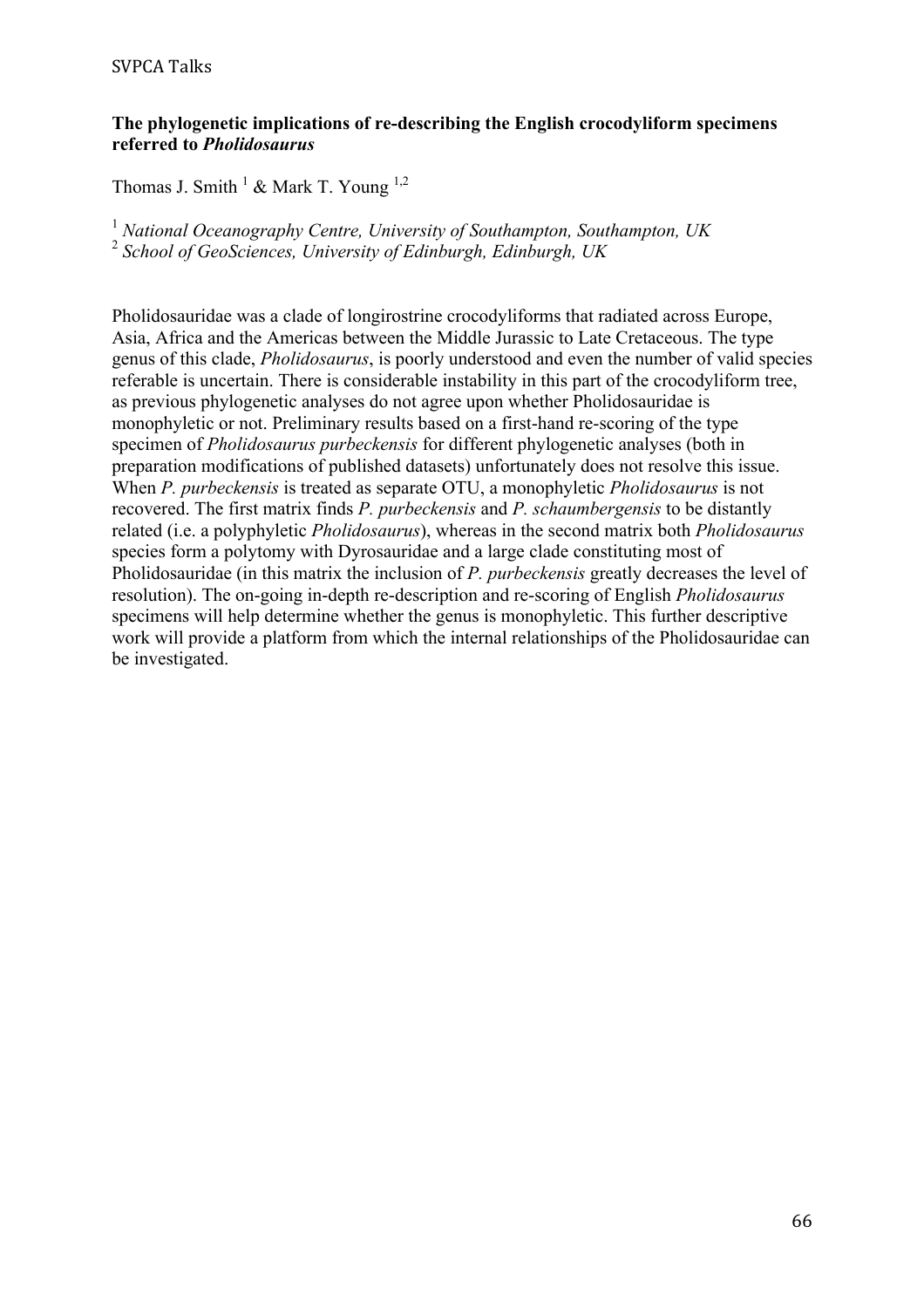#### **SVPCA Talks**

#### **The phylogenetic implications of re-describing the English crocodyliform specimens referred to** *Pholidosaurus*

Thomas J. Smith  $^1$  & Mark T. Young  $^{1,2}$ 

<sup>1</sup> *National Oceanography Centre, University of Southampton, Southampton, UK* <sup>2</sup> *School of GeoSciences, University of Edinburgh, Edinburgh, UK*

Pholidosauridae was a clade of longirostrine crocodyliforms that radiated across Europe, Asia, Africa and the Americas between the Middle Jurassic to Late Cretaceous. The type genus of this clade, *Pholidosaurus*, is poorly understood and even the number of valid species referable is uncertain. There is considerable instability in this part of the crocodyliform tree, as previous phylogenetic analyses do not agree upon whether Pholidosauridae is monophyletic or not. Preliminary results based on a first-hand re-scoring of the type specimen of *Pholidosaurus purbeckensis* for different phylogenetic analyses (both in preparation modifications of published datasets) unfortunately does not resolve this issue. When *P. purbeckensis* is treated as separate OTU, a monophyletic *Pholidosaurus* is not recovered. The first matrix finds *P. purbeckensis* and *P. schaumbergensis* to be distantly related (i.e. a polyphyletic *Pholidosaurus*), whereas in the second matrix both *Pholidosaurus* species form a polytomy with Dyrosauridae and a large clade constituting most of Pholidosauridae (in this matrix the inclusion of *P. purbeckensis* greatly decreases the level of resolution). The on-going in-depth re-description and re-scoring of English *Pholidosaurus* specimens will help determine whether the genus is monophyletic. This further descriptive work will provide a platform from which the internal relationships of the Pholidosauridae can be investigated.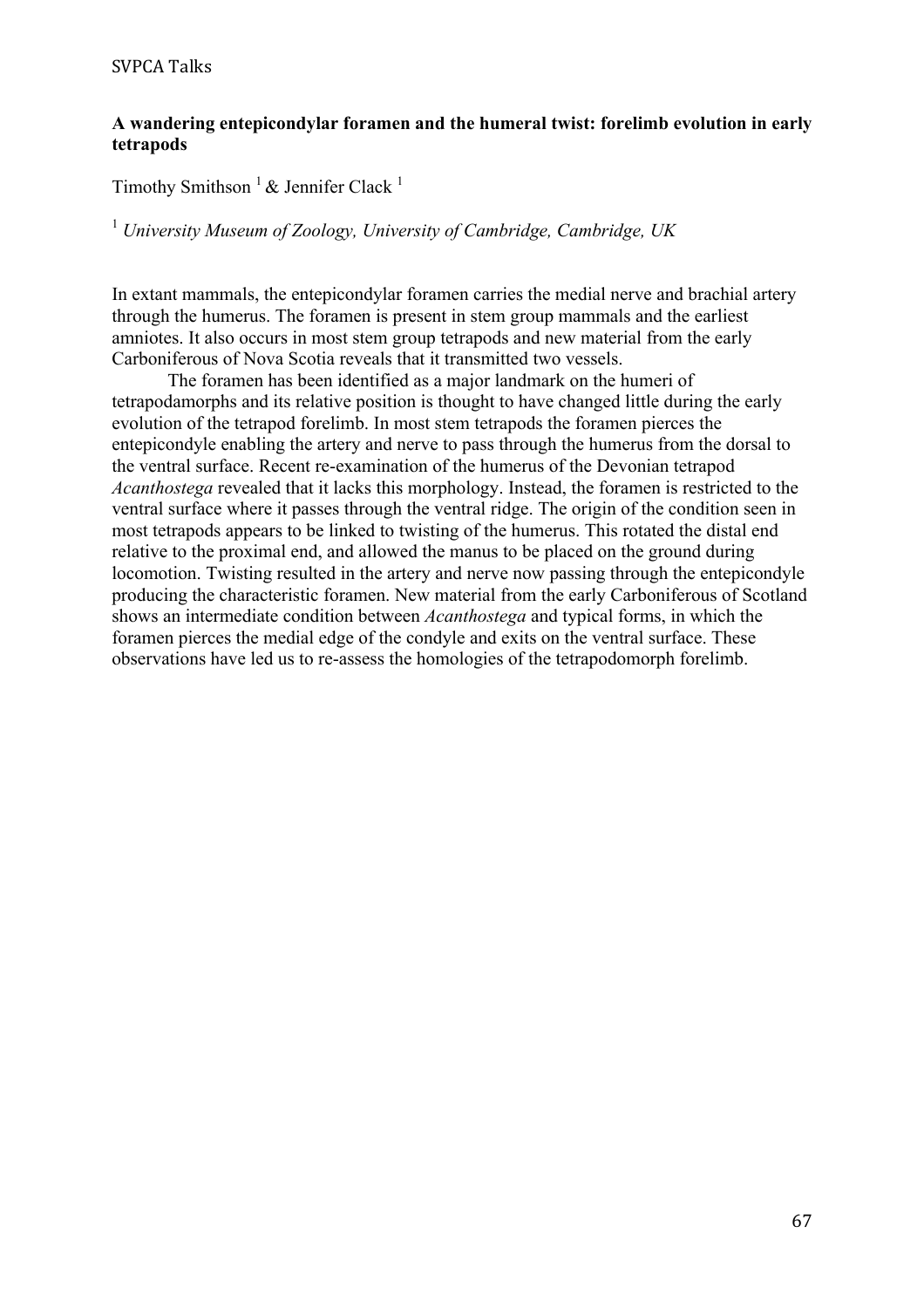# **A wandering entepicondylar foramen and the humeral twist: forelimb evolution in early tetrapods**

Timothy Smithson<sup>1</sup> & Jennifer Clack<sup>1</sup>

<sup>1</sup> *University Museum of Zoology, University of Cambridge, Cambridge, UK*

In extant mammals, the entepicondylar foramen carries the medial nerve and brachial artery through the humerus. The foramen is present in stem group mammals and the earliest amniotes. It also occurs in most stem group tetrapods and new material from the early Carboniferous of Nova Scotia reveals that it transmitted two vessels.

The foramen has been identified as a major landmark on the humeri of tetrapodamorphs and its relative position is thought to have changed little during the early evolution of the tetrapod forelimb. In most stem tetrapods the foramen pierces the entepicondyle enabling the artery and nerve to pass through the humerus from the dorsal to the ventral surface. Recent re-examination of the humerus of the Devonian tetrapod *Acanthostega* revealed that it lacks this morphology. Instead, the foramen is restricted to the ventral surface where it passes through the ventral ridge. The origin of the condition seen in most tetrapods appears to be linked to twisting of the humerus. This rotated the distal end relative to the proximal end, and allowed the manus to be placed on the ground during locomotion. Twisting resulted in the artery and nerve now passing through the entepicondyle producing the characteristic foramen. New material from the early Carboniferous of Scotland shows an intermediate condition between *Acanthostega* and typical forms, in which the foramen pierces the medial edge of the condyle and exits on the ventral surface. These observations have led us to re-assess the homologies of the tetrapodomorph forelimb.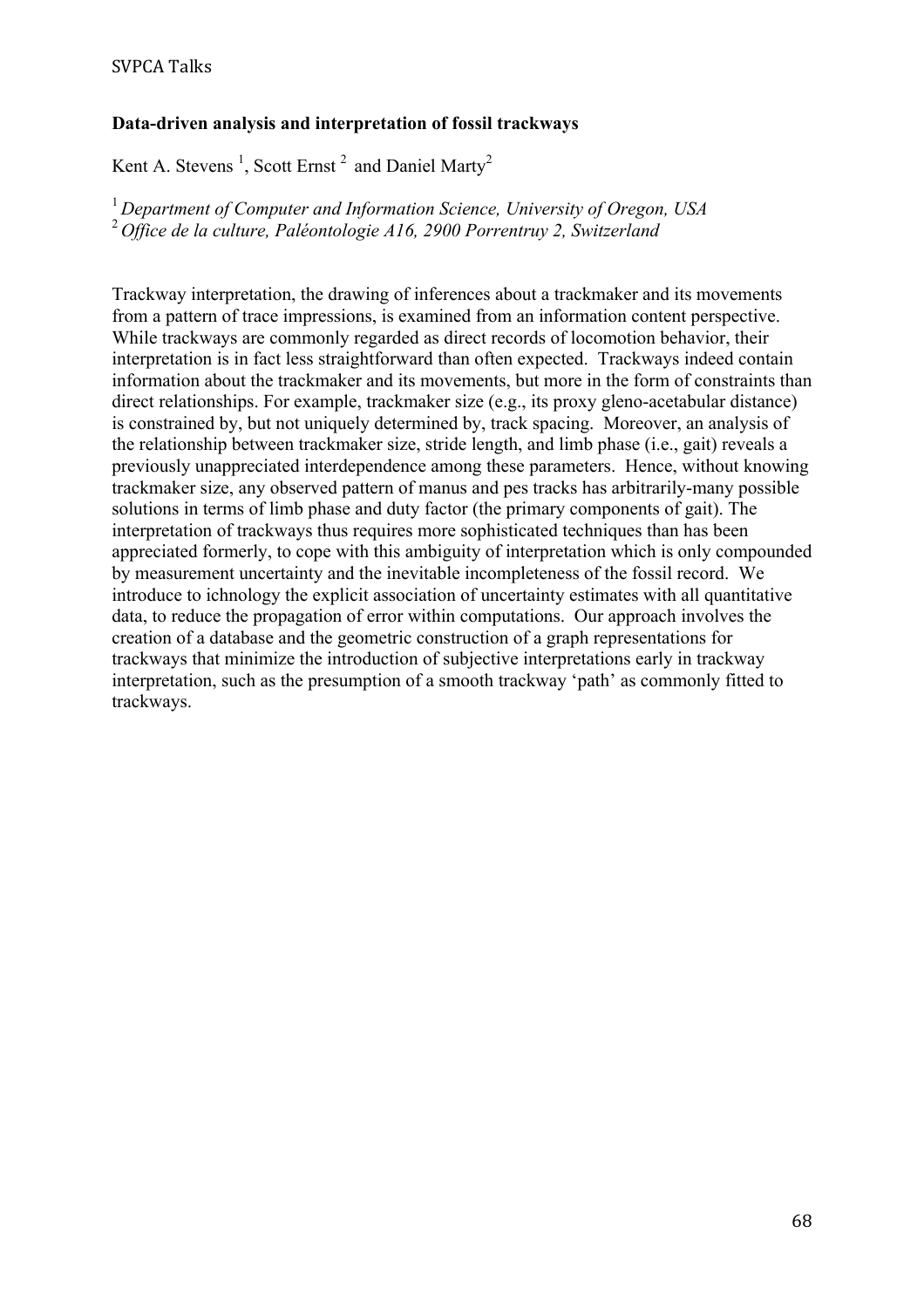# **Data-driven analysis and interpretation of fossil trackways**

Kent A. Stevens<sup>1</sup>, Scott Ernst<sup>2</sup> and Daniel Marty<sup>2</sup>

<sup>1</sup>*Department of Computer and Information Science, University of Oregon, USA* <sup>2</sup>*Office de la culture, Paléontologie A16, 2900 Porrentruy 2, Switzerland*

Trackway interpretation, the drawing of inferences about a trackmaker and its movements from a pattern of trace impressions, is examined from an information content perspective. While trackways are commonly regarded as direct records of locomotion behavior, their interpretation is in fact less straightforward than often expected. Trackways indeed contain information about the trackmaker and its movements, but more in the form of constraints than direct relationships. For example, trackmaker size (e.g., its proxy gleno-acetabular distance) is constrained by, but not uniquely determined by, track spacing. Moreover, an analysis of the relationship between trackmaker size, stride length, and limb phase (i.e., gait) reveals a previously unappreciated interdependence among these parameters. Hence, without knowing trackmaker size, any observed pattern of manus and pes tracks has arbitrarily-many possible solutions in terms of limb phase and duty factor (the primary components of gait). The interpretation of trackways thus requires more sophisticated techniques than has been appreciated formerly, to cope with this ambiguity of interpretation which is only compounded by measurement uncertainty and the inevitable incompleteness of the fossil record. We introduce to ichnology the explicit association of uncertainty estimates with all quantitative data, to reduce the propagation of error within computations. Our approach involves the creation of a database and the geometric construction of a graph representations for trackways that minimize the introduction of subjective interpretations early in trackway interpretation, such as the presumption of a smooth trackway 'path' as commonly fitted to trackways.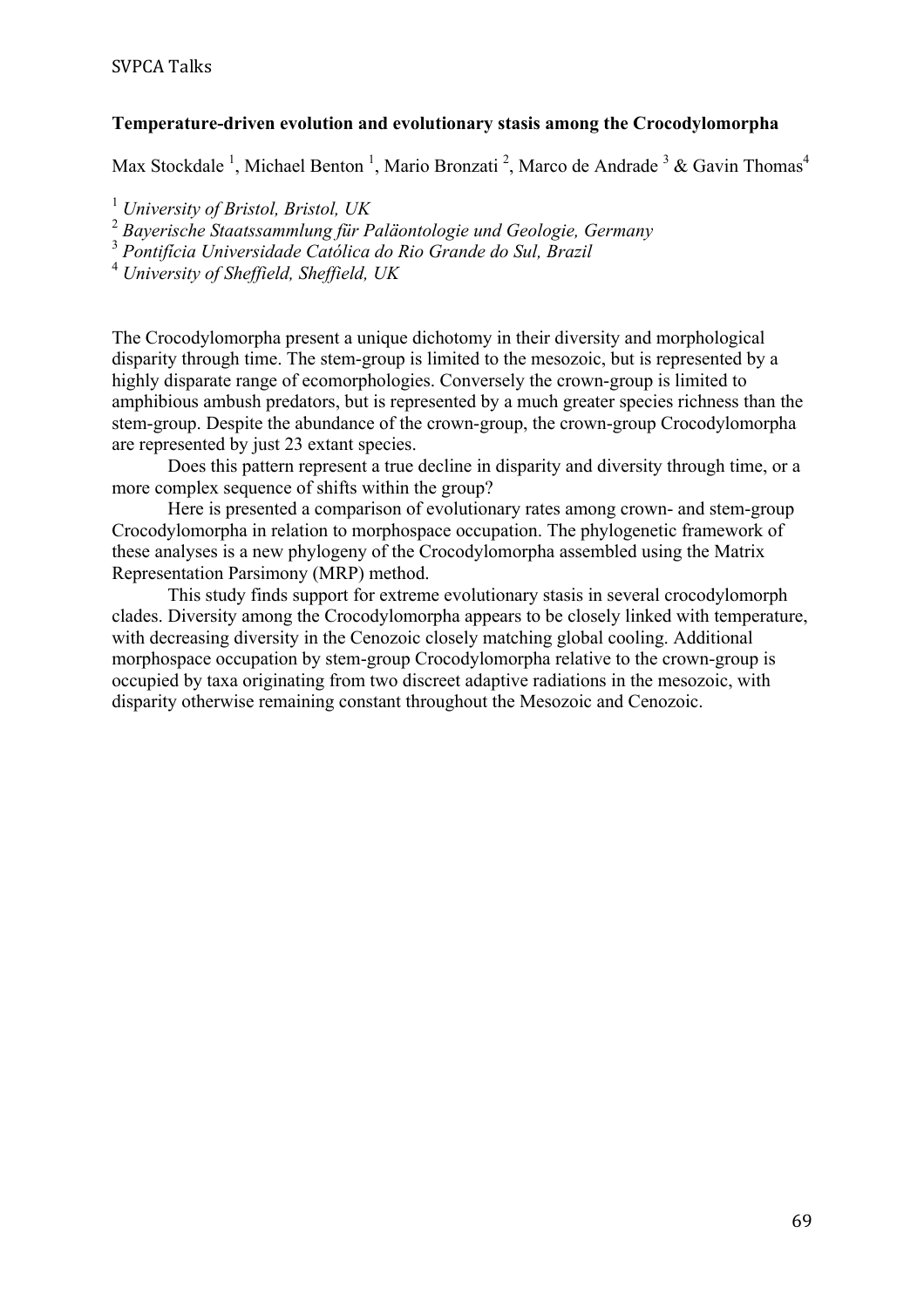#### **Temperature-driven evolution and evolutionary stasis among the Crocodylomorpha**

Max Stockdale<sup>1</sup>, Michael Benton<sup>1</sup>, Mario Bronzati<sup>2</sup>, Marco de Andrade<sup>3</sup> & Gavin Thomas<sup>4</sup>

<sup>1</sup> *University of Bristol, Bristol, UK*

<sup>2</sup> *Bayerische Staatssammlung für Paläontologie und Geologie, Germany*

<sup>3</sup> *Pontifícia Universidade Católica do Rio Grande do Sul, Brazil*

<sup>4</sup> *University of Sheffield, Sheffield, UK*

The Crocodylomorpha present a unique dichotomy in their diversity and morphological disparity through time. The stem-group is limited to the mesozoic, but is represented by a highly disparate range of ecomorphologies. Conversely the crown-group is limited to amphibious ambush predators, but is represented by a much greater species richness than the stem-group. Despite the abundance of the crown-group, the crown-group Crocodylomorpha are represented by just 23 extant species.

Does this pattern represent a true decline in disparity and diversity through time, or a more complex sequence of shifts within the group?

Here is presented a comparison of evolutionary rates among crown- and stem-group Crocodylomorpha in relation to morphospace occupation. The phylogenetic framework of these analyses is a new phylogeny of the Crocodylomorpha assembled using the Matrix Representation Parsimony (MRP) method.

This study finds support for extreme evolutionary stasis in several crocodylomorph clades. Diversity among the Crocodylomorpha appears to be closely linked with temperature, with decreasing diversity in the Cenozoic closely matching global cooling. Additional morphospace occupation by stem-group Crocodylomorpha relative to the crown-group is occupied by taxa originating from two discreet adaptive radiations in the mesozoic, with disparity otherwise remaining constant throughout the Mesozoic and Cenozoic.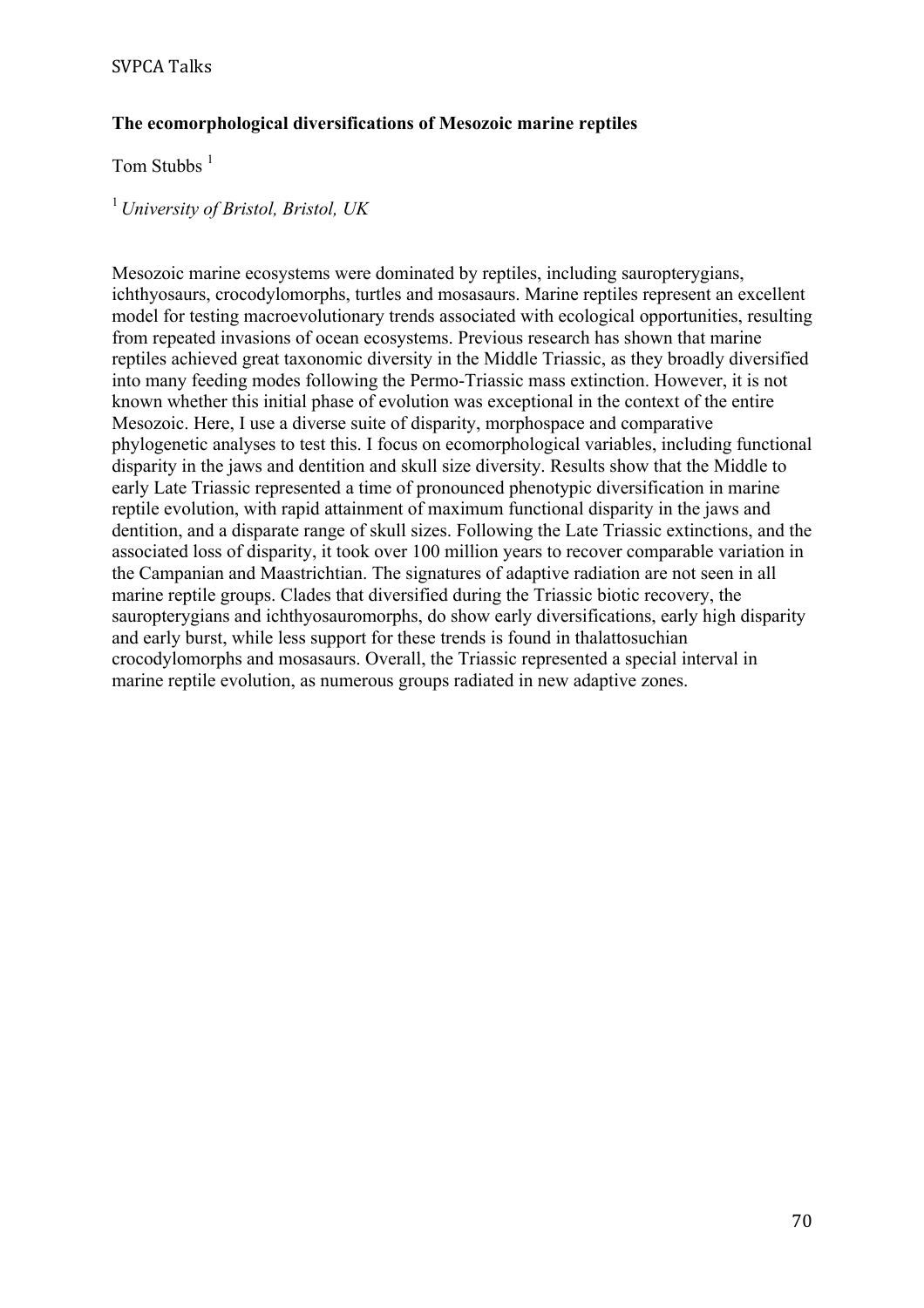# **The ecomorphological diversifications of Mesozoic marine reptiles**

Tom Stubbs <sup>1</sup>

<sup>1</sup>*University of Bristol, Bristol, UK*

Mesozoic marine ecosystems were dominated by reptiles, including sauropterygians, ichthyosaurs, crocodylomorphs, turtles and mosasaurs. Marine reptiles represent an excellent model for testing macroevolutionary trends associated with ecological opportunities, resulting from repeated invasions of ocean ecosystems. Previous research has shown that marine reptiles achieved great taxonomic diversity in the Middle Triassic, as they broadly diversified into many feeding modes following the Permo-Triassic mass extinction. However, it is not known whether this initial phase of evolution was exceptional in the context of the entire Mesozoic. Here, I use a diverse suite of disparity, morphospace and comparative phylogenetic analyses to test this. I focus on ecomorphological variables, including functional disparity in the jaws and dentition and skull size diversity. Results show that the Middle to early Late Triassic represented a time of pronounced phenotypic diversification in marine reptile evolution, with rapid attainment of maximum functional disparity in the jaws and dentition, and a disparate range of skull sizes. Following the Late Triassic extinctions, and the associated loss of disparity, it took over 100 million years to recover comparable variation in the Campanian and Maastrichtian. The signatures of adaptive radiation are not seen in all marine reptile groups. Clades that diversified during the Triassic biotic recovery, the sauropterygians and ichthyosauromorphs, do show early diversifications, early high disparity and early burst, while less support for these trends is found in thalattosuchian crocodylomorphs and mosasaurs. Overall, the Triassic represented a special interval in marine reptile evolution, as numerous groups radiated in new adaptive zones.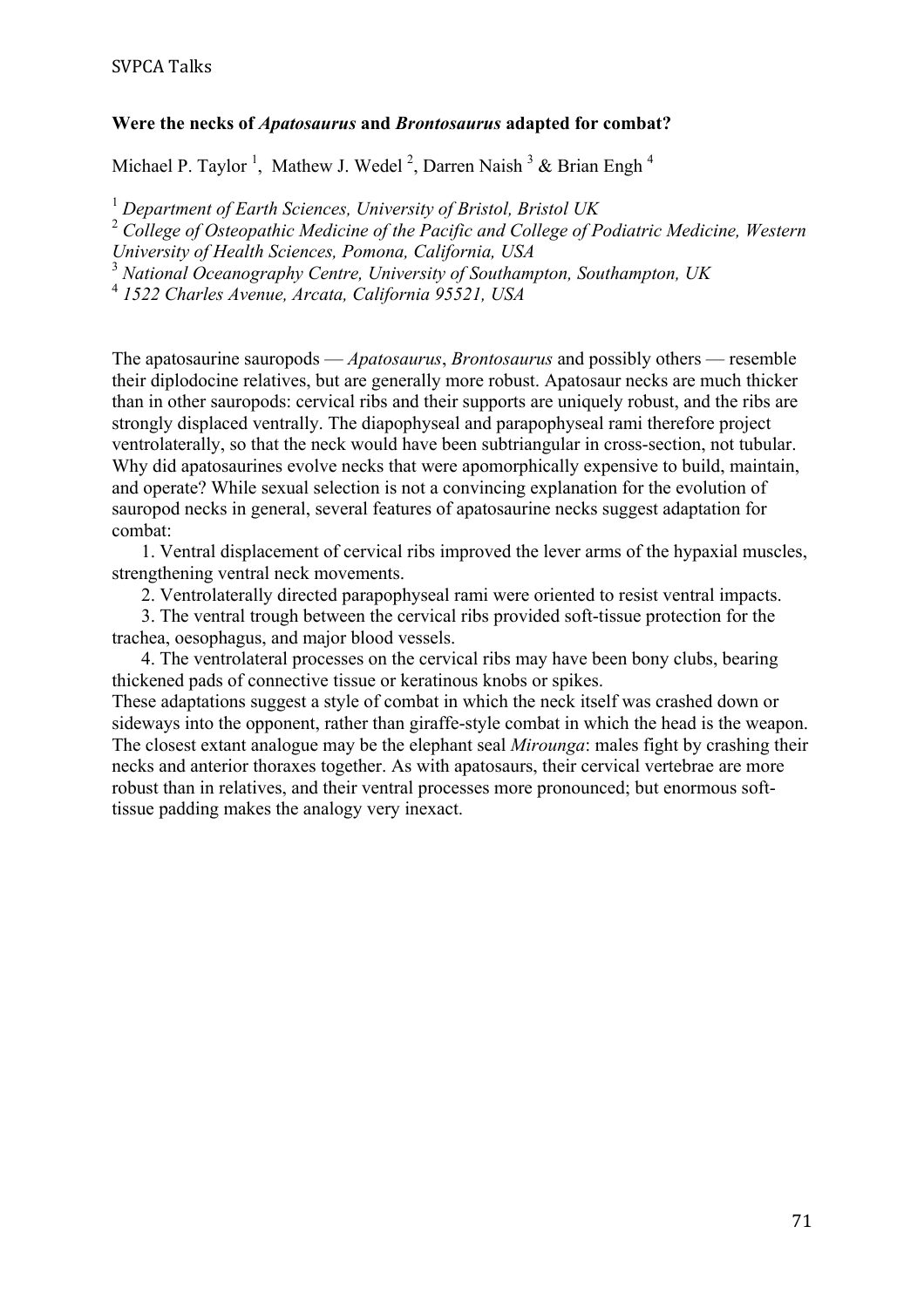#### **Were the necks of** *Apatosaurus* **and** *Brontosaurus* **adapted for combat?**

Michael P. Taylor<sup>1</sup>, Mathew J. Wedel<sup>2</sup>, Darren Naish<sup>3</sup> & Brian Engh<sup>4</sup>

<sup>1</sup> *Department of Earth Sciences, University of Bristol, Bristol UK*

<sup>2</sup> *College of Osteopathic Medicine of the Pacific and College of Podiatric Medicine, Western* 

*University of Health Sciences, Pomona, California, USA*

<sup>3</sup> *National Oceanography Centre, University of Southampton, Southampton, UK*

<sup>4</sup> *1522 Charles Avenue, Arcata, California 95521, USA*

The apatosaurine sauropods — *Apatosaurus*, *Brontosaurus* and possibly others — resemble their diplodocine relatives, but are generally more robust. Apatosaur necks are much thicker than in other sauropods: cervical ribs and their supports are uniquely robust, and the ribs are strongly displaced ventrally. The diapophyseal and parapophyseal rami therefore project ventrolaterally, so that the neck would have been subtriangular in cross-section, not tubular. Why did apatosaurines evolve necks that were apomorphically expensive to build, maintain, and operate? While sexual selection is not a convincing explanation for the evolution of sauropod necks in general, several features of apatosaurine necks suggest adaptation for combat:

1. Ventral displacement of cervical ribs improved the lever arms of the hypaxial muscles, strengthening ventral neck movements.

2. Ventrolaterally directed parapophyseal rami were oriented to resist ventral impacts.

3. The ventral trough between the cervical ribs provided soft-tissue protection for the trachea, oesophagus, and major blood vessels.

4. The ventrolateral processes on the cervical ribs may have been bony clubs, bearing thickened pads of connective tissue or keratinous knobs or spikes.

These adaptations suggest a style of combat in which the neck itself was crashed down or sideways into the opponent, rather than giraffe-style combat in which the head is the weapon. The closest extant analogue may be the elephant seal *Mirounga*: males fight by crashing their necks and anterior thoraxes together. As with apatosaurs, their cervical vertebrae are more robust than in relatives, and their ventral processes more pronounced; but enormous softtissue padding makes the analogy very inexact.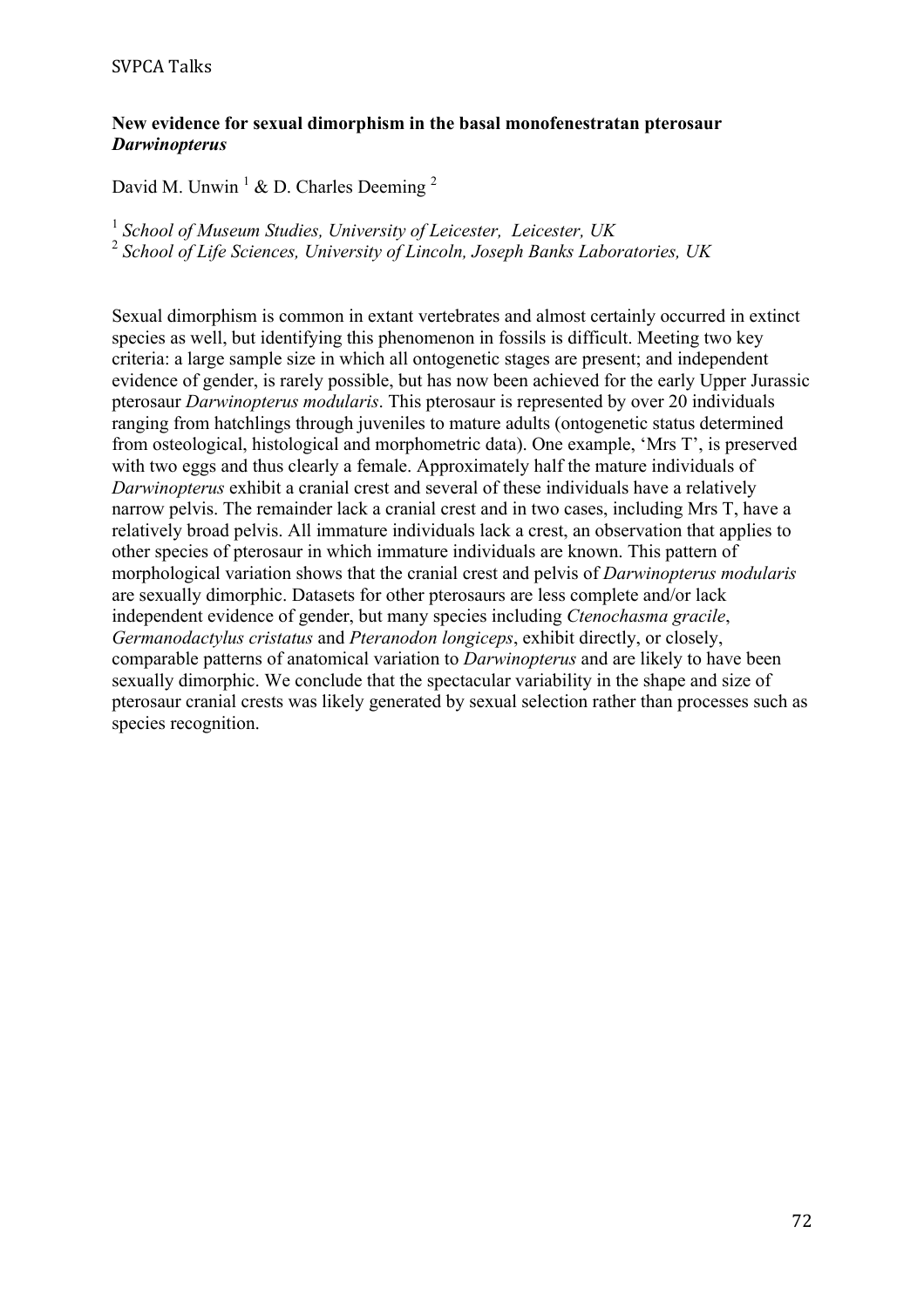#### **New evidence for sexual dimorphism in the basal monofenestratan pterosaur**  *Darwinopterus*

David M. Unwin<sup>1</sup> & D. Charles Deeming<sup>2</sup>

<sup>1</sup> *School of Museum Studies, University of Leicester, Leicester, UK* <sup>2</sup> *School of Life Sciences, University of Lincoln, Joseph Banks Laboratories, UK*

Sexual dimorphism is common in extant vertebrates and almost certainly occurred in extinct species as well, but identifying this phenomenon in fossils is difficult. Meeting two key criteria: a large sample size in which all ontogenetic stages are present; and independent evidence of gender, is rarely possible, but has now been achieved for the early Upper Jurassic pterosaur *Darwinopterus modularis*. This pterosaur is represented by over 20 individuals ranging from hatchlings through juveniles to mature adults (ontogenetic status determined from osteological, histological and morphometric data). One example, 'Mrs T', is preserved with two eggs and thus clearly a female. Approximately half the mature individuals of *Darwinopterus* exhibit a cranial crest and several of these individuals have a relatively narrow pelvis. The remainder lack a cranial crest and in two cases, including Mrs T, have a relatively broad pelvis. All immature individuals lack a crest, an observation that applies to other species of pterosaur in which immature individuals are known. This pattern of morphological variation shows that the cranial crest and pelvis of *Darwinopterus modularis* are sexually dimorphic. Datasets for other pterosaurs are less complete and/or lack independent evidence of gender, but many species including *Ctenochasma gracile*, *Germanodactylus cristatus* and *Pteranodon longiceps*, exhibit directly, or closely, comparable patterns of anatomical variation to *Darwinopterus* and are likely to have been sexually dimorphic. We conclude that the spectacular variability in the shape and size of pterosaur cranial crests was likely generated by sexual selection rather than processes such as species recognition.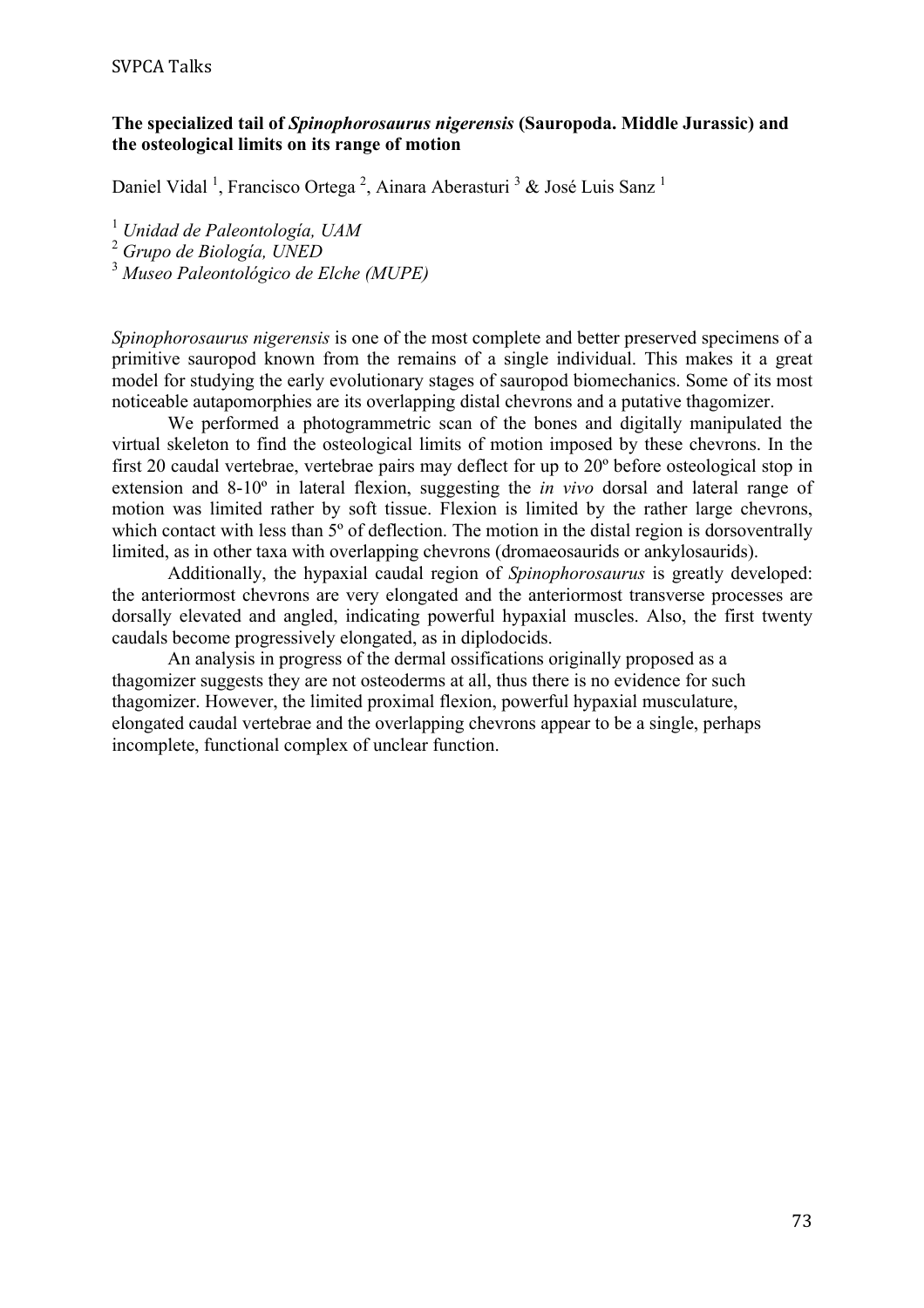**SVPCA Talks** 

#### **The specialized tail of** *Spinophorosaurus nigerensis* **(Sauropoda. Middle Jurassic) and the osteological limits on its range of motion**

Daniel Vidal<sup>1</sup>, Francisco Ortega<sup>2</sup>, Ainara Aberasturi<sup>3</sup> & José Luis Sanz<sup>1</sup>

<sup>1</sup> *Unidad de Paleontología, UAM*

<sup>2</sup> *Grupo de Biología, UNED*

<sup>3</sup> *Museo Paleontológico de Elche (MUPE)*

*Spinophorosaurus nigerensis* is one of the most complete and better preserved specimens of a primitive sauropod known from the remains of a single individual. This makes it a great model for studying the early evolutionary stages of sauropod biomechanics. Some of its most noticeable autapomorphies are its overlapping distal chevrons and a putative thagomizer.

We performed a photogrammetric scan of the bones and digitally manipulated the virtual skeleton to find the osteological limits of motion imposed by these chevrons. In the first 20 caudal vertebrae, vertebrae pairs may deflect for up to 20º before osteological stop in extension and 8-10º in lateral flexion, suggesting the *in vivo* dorsal and lateral range of motion was limited rather by soft tissue. Flexion is limited by the rather large chevrons, which contact with less than 5<sup>°</sup> of deflection. The motion in the distal region is dorsoventrally limited, as in other taxa with overlapping chevrons (dromaeosaurids or ankylosaurids).

Additionally, the hypaxial caudal region of *Spinophorosaurus* is greatly developed: the anteriormost chevrons are very elongated and the anteriormost transverse processes are dorsally elevated and angled, indicating powerful hypaxial muscles. Also, the first twenty caudals become progressively elongated, as in diplodocids.

An analysis in progress of the dermal ossifications originally proposed as a thagomizer suggests they are not osteoderms at all, thus there is no evidence for such thagomizer. However, the limited proximal flexion, powerful hypaxial musculature, elongated caudal vertebrae and the overlapping chevrons appear to be a single, perhaps incomplete, functional complex of unclear function.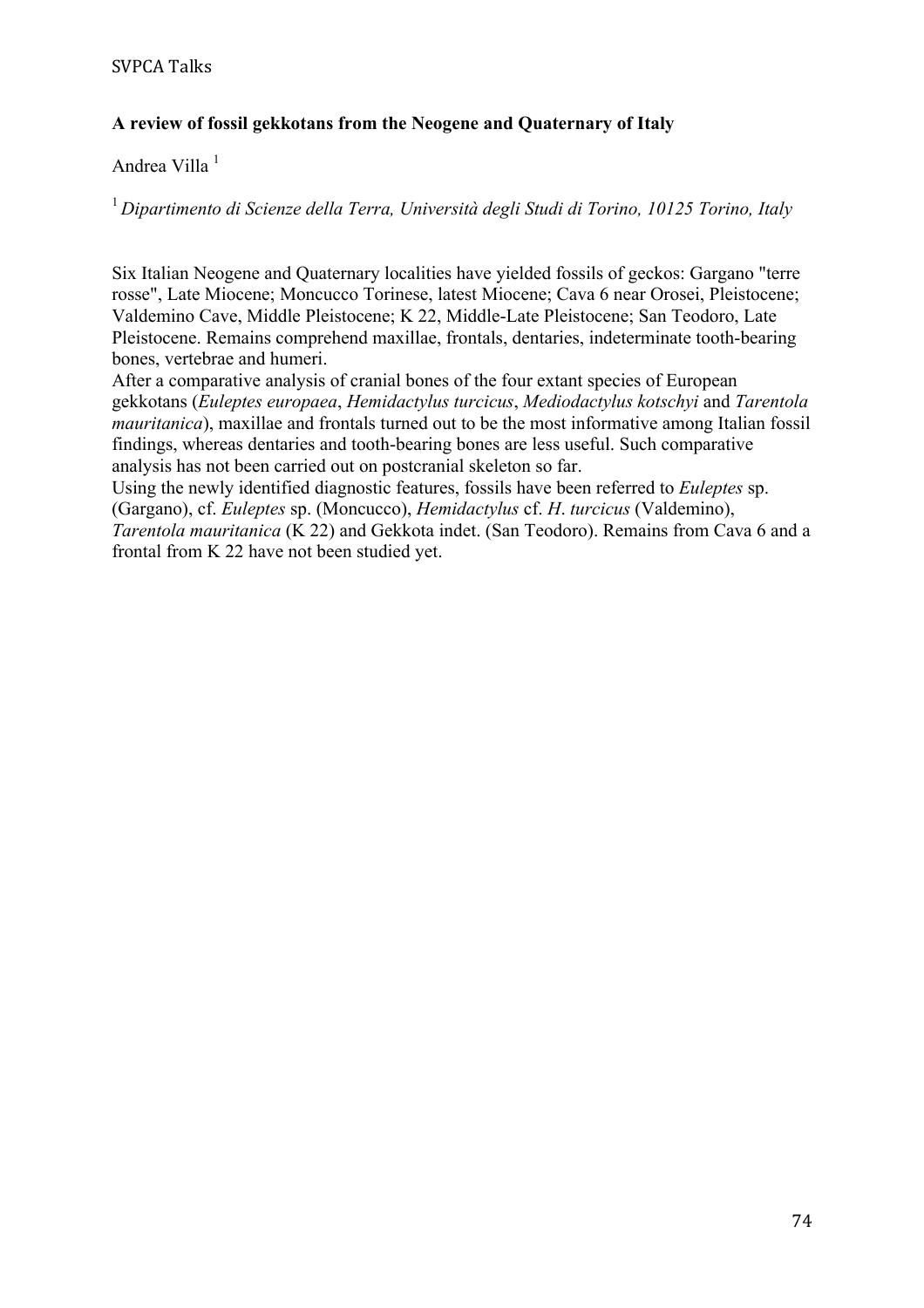# **A review of fossil gekkotans from the Neogene and Quaternary of Italy**

Andrea Villa <sup>1</sup>

<sup>1</sup>*Dipartimento di Scienze della Terra, Università degli Studi di Torino, 10125 Torino, Italy*

Six Italian Neogene and Quaternary localities have yielded fossils of geckos: Gargano "terre rosse", Late Miocene; Moncucco Torinese, latest Miocene; Cava 6 near Orosei, Pleistocene; Valdemino Cave, Middle Pleistocene; K 22, Middle-Late Pleistocene; San Teodoro, Late Pleistocene. Remains comprehend maxillae, frontals, dentaries, indeterminate tooth-bearing bones, vertebrae and humeri.

After a comparative analysis of cranial bones of the four extant species of European gekkotans (*Euleptes europaea*, *Hemidactylus turcicus*, *Mediodactylus kotschyi* and *Tarentola mauritanica*), maxillae and frontals turned out to be the most informative among Italian fossil findings, whereas dentaries and tooth-bearing bones are less useful. Such comparative analysis has not been carried out on postcranial skeleton so far.

Using the newly identified diagnostic features, fossils have been referred to *Euleptes* sp. (Gargano), cf. *Euleptes* sp. (Moncucco), *Hemidactylus* cf. *H*. *turcicus* (Valdemino), *Tarentola mauritanica* (K 22) and Gekkota indet. (San Teodoro). Remains from Cava 6 and a frontal from K 22 have not been studied yet.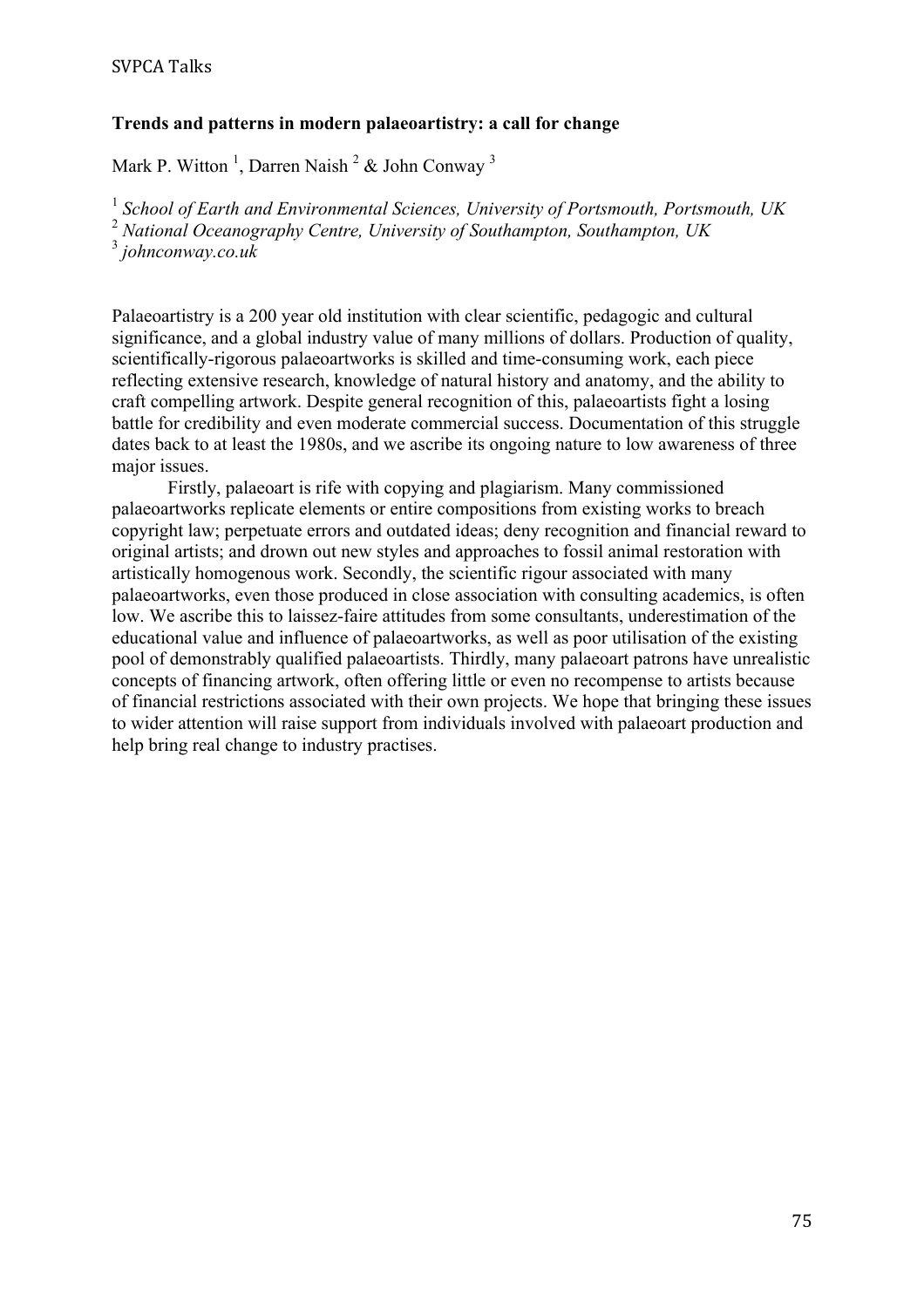### **Trends and patterns in modern palaeoartistry: a call for change**

Mark P. Witton<sup>1</sup>, Darren Naish<sup>2</sup> & John Conway<sup>3</sup>

<sup>1</sup> *School of Earth and Environmental Sciences, University of Portsmouth, Portsmouth, UK* <sup>2</sup> *National Oceanography Centre, University of Southampton, Southampton, UK*

<sup>3</sup> *johnconway.co.uk*

Palaeoartistry is a 200 year old institution with clear scientific, pedagogic and cultural significance, and a global industry value of many millions of dollars. Production of quality, scientifically-rigorous palaeoartworks is skilled and time-consuming work, each piece reflecting extensive research, knowledge of natural history and anatomy, and the ability to craft compelling artwork. Despite general recognition of this, palaeoartists fight a losing battle for credibility and even moderate commercial success. Documentation of this struggle dates back to at least the 1980s, and we ascribe its ongoing nature to low awareness of three major issues.

Firstly, palaeoart is rife with copying and plagiarism. Many commissioned palaeoartworks replicate elements or entire compositions from existing works to breach copyright law; perpetuate errors and outdated ideas; deny recognition and financial reward to original artists; and drown out new styles and approaches to fossil animal restoration with artistically homogenous work. Secondly, the scientific rigour associated with many palaeoartworks, even those produced in close association with consulting academics, is often low. We ascribe this to laissez-faire attitudes from some consultants, underestimation of the educational value and influence of palaeoartworks, as well as poor utilisation of the existing pool of demonstrably qualified palaeoartists. Thirdly, many palaeoart patrons have unrealistic concepts of financing artwork, often offering little or even no recompense to artists because of financial restrictions associated with their own projects. We hope that bringing these issues to wider attention will raise support from individuals involved with palaeoart production and help bring real change to industry practises.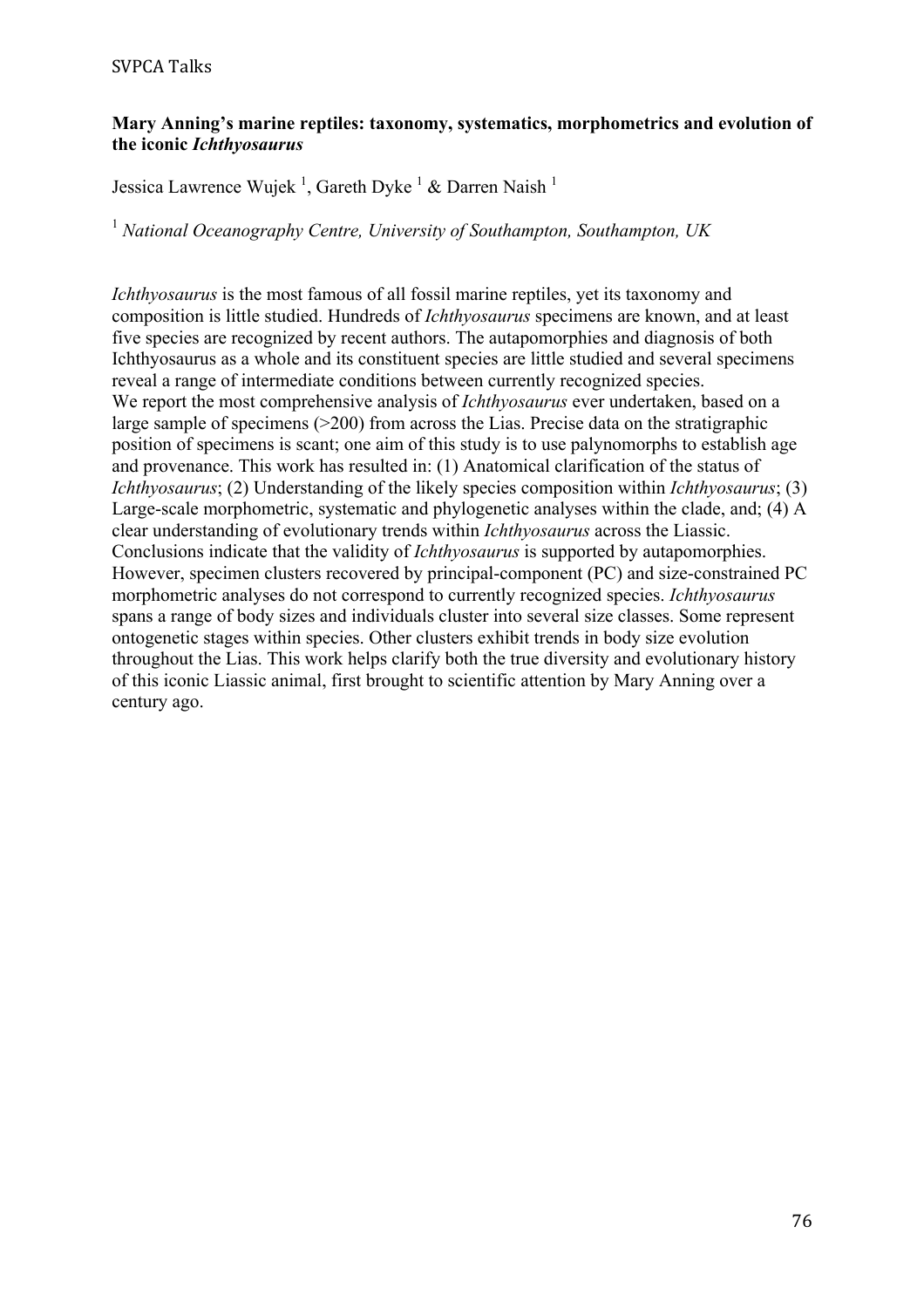#### SVPCA Talks

#### **Mary Anning's marine reptiles: taxonomy, systematics, morphometrics and evolution of the iconic** *Ichthyosaurus*

Jessica Lawrence Wujek<sup>1</sup>, Gareth Dyke<sup>1</sup> & Darren Naish<sup>1</sup>

<sup>1</sup> *National Oceanography Centre, University of Southampton, Southampton, UK*

*Ichthyosaurus* is the most famous of all fossil marine reptiles, yet its taxonomy and composition is little studied. Hundreds of *Ichthyosaurus* specimens are known, and at least five species are recognized by recent authors. The autapomorphies and diagnosis of both Ichthyosaurus as a whole and its constituent species are little studied and several specimens reveal a range of intermediate conditions between currently recognized species. We report the most comprehensive analysis of *Ichthyosaurus* ever undertaken, based on a large sample of specimens (>200) from across the Lias. Precise data on the stratigraphic position of specimens is scant; one aim of this study is to use palynomorphs to establish age and provenance. This work has resulted in: (1) Anatomical clarification of the status of *Ichthyosaurus*; (2) Understanding of the likely species composition within *Ichthyosaurus*; (3) Large-scale morphometric, systematic and phylogenetic analyses within the clade, and; (4) A clear understanding of evolutionary trends within *Ichthyosaurus* across the Liassic. Conclusions indicate that the validity of *Ichthyosaurus* is supported by autapomorphies. However, specimen clusters recovered by principal-component (PC) and size-constrained PC morphometric analyses do not correspond to currently recognized species. *Ichthyosaurus* spans a range of body sizes and individuals cluster into several size classes. Some represent ontogenetic stages within species. Other clusters exhibit trends in body size evolution throughout the Lias. This work helps clarify both the true diversity and evolutionary history of this iconic Liassic animal, first brought to scientific attention by Mary Anning over a century ago.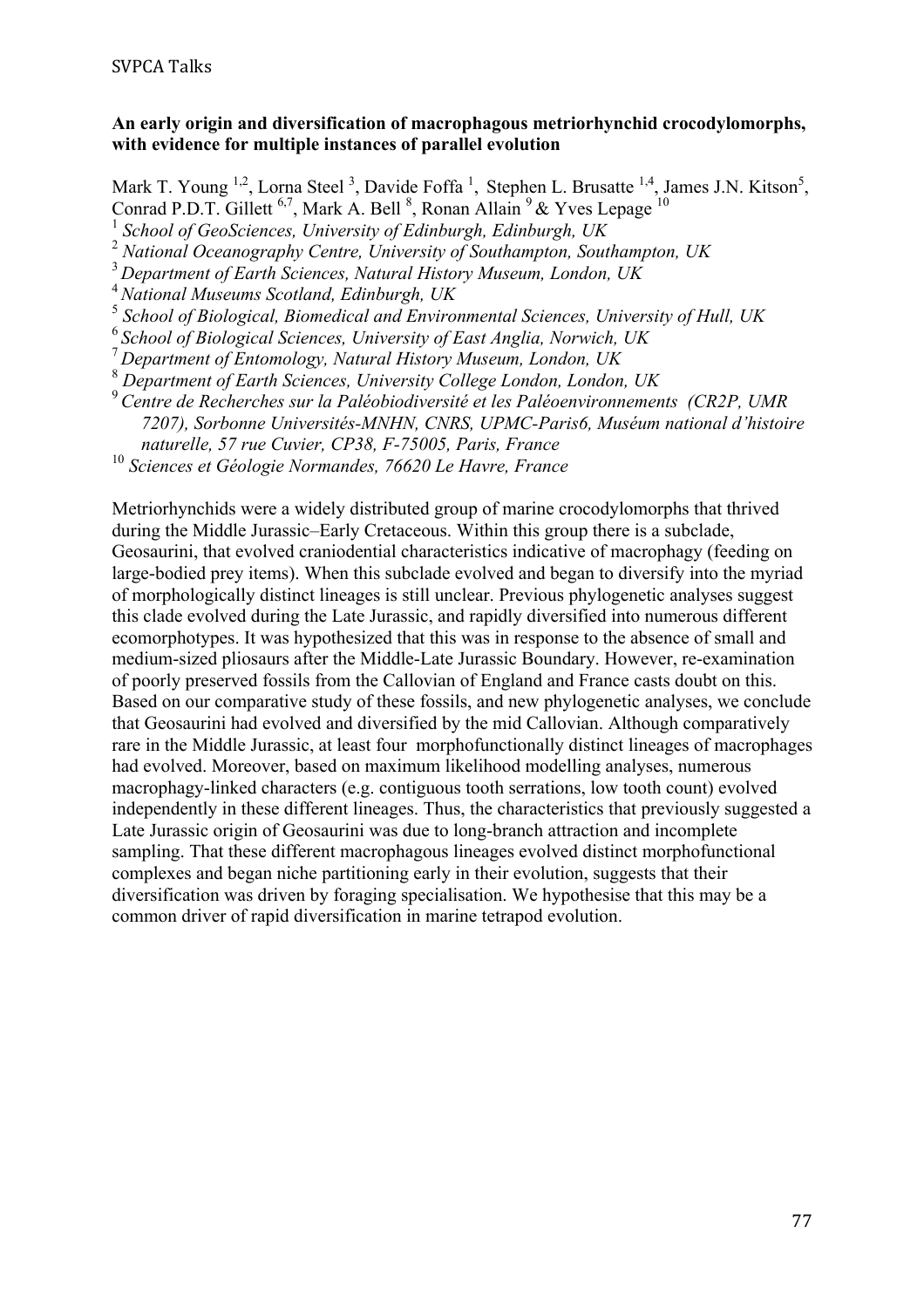### **An early origin and diversification of macrophagous metriorhynchid crocodylomorphs, with evidence for multiple instances of parallel evolution**

Mark T. Young <sup>1,2</sup>, Lorna Steel<sup>3</sup>, Davide Foffa<sup>1</sup>, Stephen L. Brusatte <sup>1,4</sup>, James J.N. Kitson<sup>5</sup>, Conrad P.D.T. Gillett <sup>6,7</sup>, Mark A. Bell  $^{8}$ , Ronan Allain  $^{9}$  & Yves Lepage  $^{10}$ 

<sup>1</sup> *School of GeoSciences, University of Edinburgh, Edinburgh, UK*

<sup>2</sup> *National Oceanography Centre, University of Southampton, Southampton, UK*

<sup>3</sup>*Department of Earth Sciences, Natural History Museum, London, UK* 

<sup>4</sup> *National Museums Scotland, Edinburgh, UK*

<sup>5</sup> *School of Biological, Biomedical and Environmental Sciences, University of Hull, UK*

<sup>6</sup>*School of Biological Sciences, University of East Anglia, Norwich, UK*

<sup>7</sup>*Department of Entomology, Natural History Museum, London, UK*

<sup>8</sup> *Department of Earth Sciences, University College London, London, UK*

<sup>9</sup>*Centre de Recherches sur la Paléobiodiversité et les Paléoenvironnements (CR2P, UMR 7207), Sorbonne Universités-MNHN, CNRS, UPMC-Paris6, Muséum national d'histoire naturelle, 57 rue Cuvier, CP38, F-75005, Paris, France*

<sup>10</sup> *Sciences et Géologie Normandes, 76620 Le Havre, France*

Metriorhynchids were a widely distributed group of marine crocodylomorphs that thrived during the Middle Jurassic–Early Cretaceous. Within this group there is a subclade, Geosaurini, that evolved craniodential characteristics indicative of macrophagy (feeding on large-bodied prey items). When this subclade evolved and began to diversify into the myriad of morphologically distinct lineages is still unclear. Previous phylogenetic analyses suggest this clade evolved during the Late Jurassic, and rapidly diversified into numerous different ecomorphotypes. It was hypothesized that this was in response to the absence of small and medium-sized pliosaurs after the Middle-Late Jurassic Boundary. However, re-examination of poorly preserved fossils from the Callovian of England and France casts doubt on this. Based on our comparative study of these fossils, and new phylogenetic analyses, we conclude that Geosaurini had evolved and diversified by the mid Callovian. Although comparatively rare in the Middle Jurassic, at least four morphofunctionally distinct lineages of macrophages had evolved. Moreover, based on maximum likelihood modelling analyses, numerous macrophagy-linked characters (e.g. contiguous tooth serrations, low tooth count) evolved independently in these different lineages. Thus, the characteristics that previously suggested a Late Jurassic origin of Geosaurini was due to long-branch attraction and incomplete sampling. That these different macrophagous lineages evolved distinct morphofunctional complexes and began niche partitioning early in their evolution, suggests that their diversification was driven by foraging specialisation. We hypothesise that this may be a common driver of rapid diversification in marine tetrapod evolution.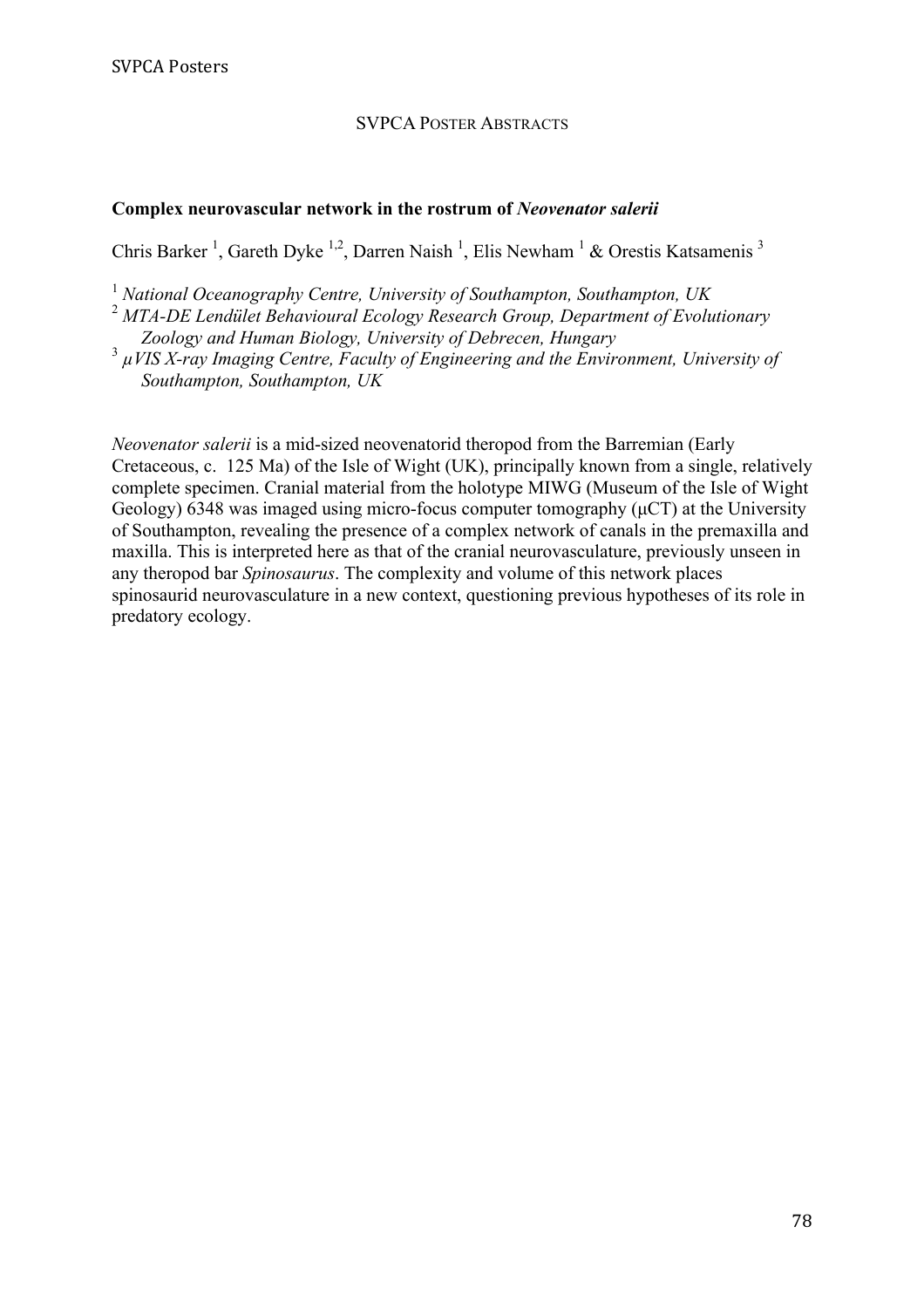#### SVPCA POSTER ABSTRACTS

#### **Complex neurovascular network in the rostrum of** *Neovenator salerii*

Chris Barker<sup>1</sup>, Gareth Dyke<sup>1,2</sup>, Darren Naish<sup>1</sup>, Elis Newham<sup>1</sup> & Orestis Katsamenis<sup>3</sup>

<sup>1</sup> *National Oceanography Centre, University of Southampton, Southampton, UK*

<sup>2</sup> *MTA-DE Lendület Behavioural Ecology Research Group, Department of Evolutionary Zoology and Human Biology, University of Debrecen, Hungary*

3 *µVIS X-ray Imaging Centre, Faculty of Engineering and the Environment, University of Southampton, Southampton, UK*

*Neovenator salerii* is a mid-sized neovenatorid theropod from the Barremian (Early Cretaceous, c. 125 Ma) of the Isle of Wight (UK), principally known from a single, relatively complete specimen. Cranial material from the holotype MIWG (Museum of the Isle of Wight Geology) 6348 was imaged using micro-focus computer tomography  $(\mu$ CT) at the University of Southampton, revealing the presence of a complex network of canals in the premaxilla and maxilla. This is interpreted here as that of the cranial neurovasculature, previously unseen in any theropod bar *Spinosaurus*. The complexity and volume of this network places spinosaurid neurovasculature in a new context, questioning previous hypotheses of its role in predatory ecology.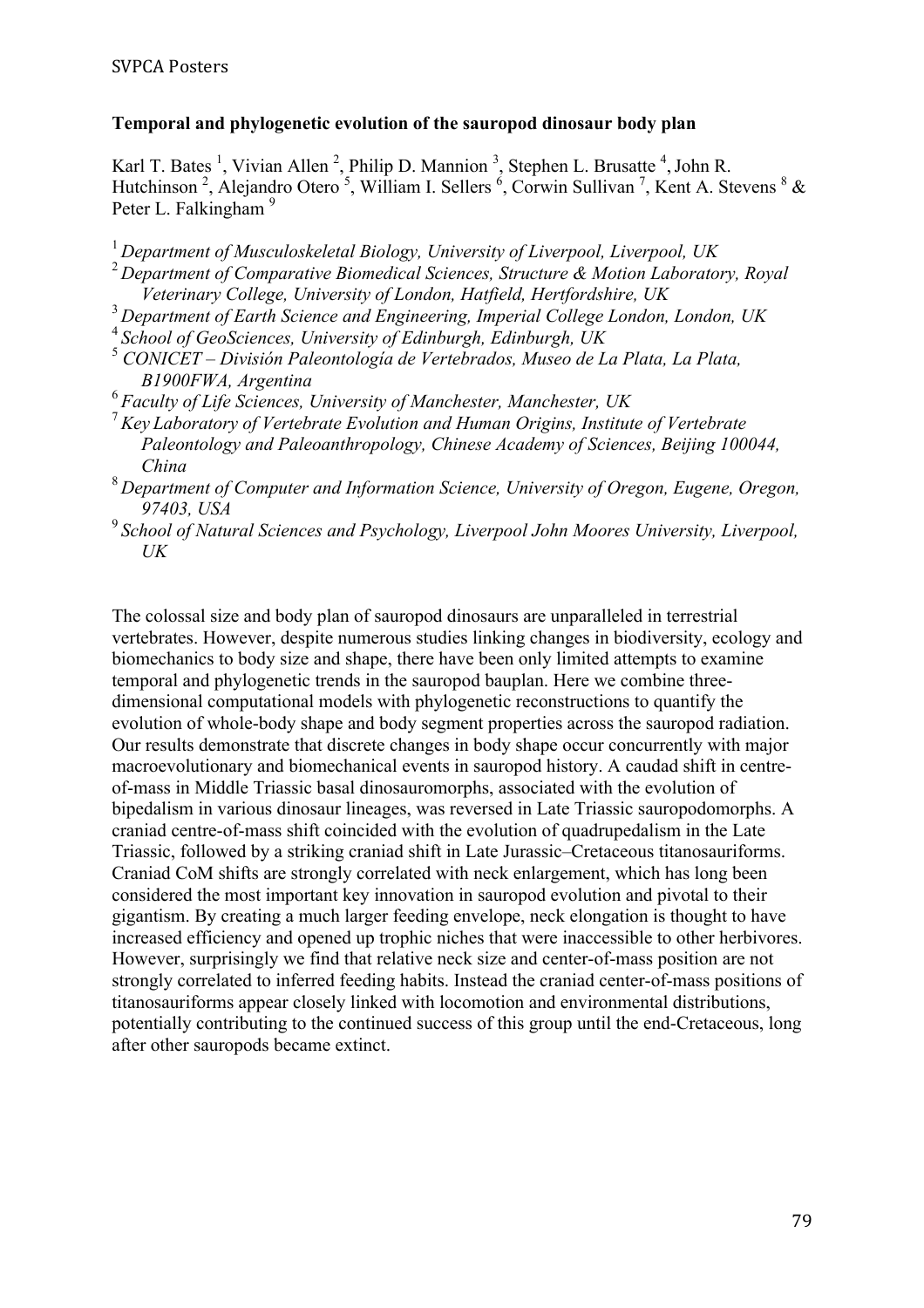### **Temporal and phylogenetic evolution of the sauropod dinosaur body plan**

Karl T. Bates<sup>1</sup>, Vivian Allen<sup>2</sup>, Philip D. Mannion<sup>3</sup>, Stephen L. Brusatte<sup>4</sup>, John R. Hutchinson<sup>2</sup>, Alejandro Otero<sup>5</sup>, William I. Sellers<sup>6</sup>, Corwin Sullivan<sup>7</sup>, Kent A. Stevens<sup>8</sup> & Peter L. Falkingham<sup>9</sup>

- <sup>1</sup>*Department of Musculoskeletal Biology, University of Liverpool, Liverpool, UK*
- <sup>2</sup>*Department of Comparative Biomedical Sciences, Structure & Motion Laboratory, Royal Veterinary College, University of London, Hatfield, Hertfordshire, UK*
- <sup>3</sup>*Department of Earth Science and Engineering, Imperial College London, London, UK*
- <sup>4</sup>*School of GeoSciences, University of Edinburgh, Edinburgh, UK*
- <sup>5</sup> *CONICET División Paleontología de Vertebrados, Museo de La Plata, La Plata, B1900FWA, Argentina*
- <sup>6</sup>*Faculty of Life Sciences, University of Manchester, Manchester, UK*
- <sup>7</sup>*Key Laboratory of Vertebrate Evolution and Human Origins, Institute of Vertebrate Paleontology and Paleoanthropology, Chinese Academy of Sciences, Beijing 100044, China*
- <sup>8</sup>*Department of Computer and Information Science, University of Oregon, Eugene, Oregon, 97403, USA*
- <sup>9</sup>*School of Natural Sciences and Psychology, Liverpool John Moores University, Liverpool, UK*

The colossal size and body plan of sauropod dinosaurs are unparalleled in terrestrial vertebrates. However, despite numerous studies linking changes in biodiversity, ecology and biomechanics to body size and shape, there have been only limited attempts to examine temporal and phylogenetic trends in the sauropod bauplan. Here we combine threedimensional computational models with phylogenetic reconstructions to quantify the evolution of whole-body shape and body segment properties across the sauropod radiation. Our results demonstrate that discrete changes in body shape occur concurrently with major macroevolutionary and biomechanical events in sauropod history. A caudad shift in centreof-mass in Middle Triassic basal dinosauromorphs, associated with the evolution of bipedalism in various dinosaur lineages, was reversed in Late Triassic sauropodomorphs. A craniad centre-of-mass shift coincided with the evolution of quadrupedalism in the Late Triassic, followed by a striking craniad shift in Late Jurassic–Cretaceous titanosauriforms. Craniad CoM shifts are strongly correlated with neck enlargement, which has long been considered the most important key innovation in sauropod evolution and pivotal to their gigantism. By creating a much larger feeding envelope, neck elongation is thought to have increased efficiency and opened up trophic niches that were inaccessible to other herbivores. However, surprisingly we find that relative neck size and center-of-mass position are not strongly correlated to inferred feeding habits. Instead the craniad center-of-mass positions of titanosauriforms appear closely linked with locomotion and environmental distributions, potentially contributing to the continued success of this group until the end-Cretaceous, long after other sauropods became extinct.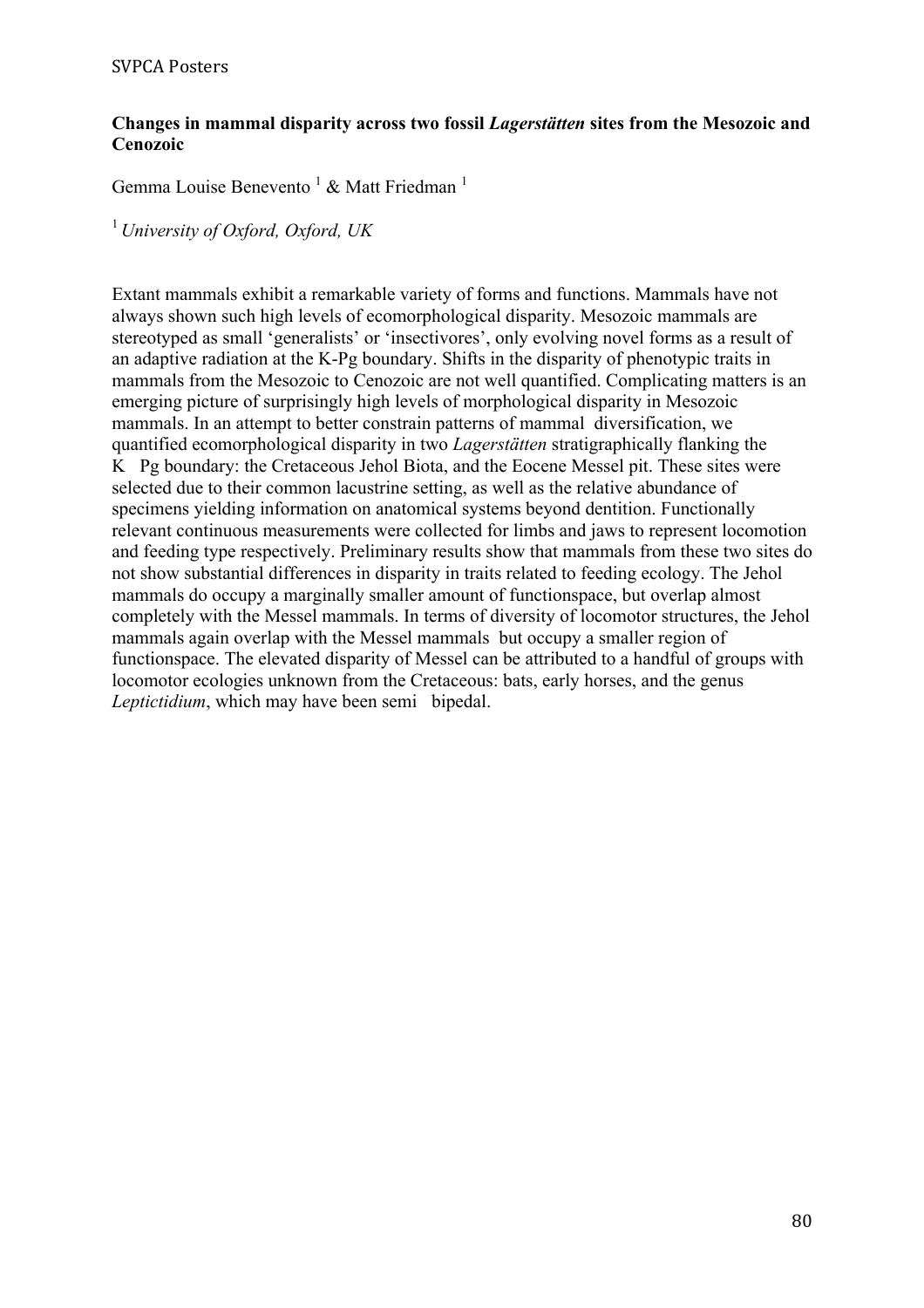#### **Changes in mammal disparity across two fossil** *Lagerstätten* **sites from the Mesozoic and Cenozoic**

Gemma Louise Benevento<sup>1</sup> & Matt Friedman<sup>1</sup>

<sup>1</sup>*University of Oxford, Oxford, UK*

Extant mammals exhibit a remarkable variety of forms and functions. Mammals have not always shown such high levels of ecomorphological disparity. Mesozoic mammals are stereotyped as small 'generalists' or 'insectivores', only evolving novel forms as a result of an adaptive radiation at the K-Pg boundary. Shifts in the disparity of phenotypic traits in mammals from the Mesozoic to Cenozoic are not well quantified. Complicating matters is an emerging picture of surprisingly high levels of morphological disparity in Mesozoic mammals. In an attempt to better constrain patterns of mammal diversification, we quantified ecomorphological disparity in two *Lagerstätten* stratigraphically flanking the K Pg boundary: the Cretaceous Jehol Biota, and the Eocene Messel pit. These sites were selected due to their common lacustrine setting, as well as the relative abundance of specimens yielding information on anatomical systems beyond dentition. Functionally relevant continuous measurements were collected for limbs and jaws to represent locomotion and feeding type respectively. Preliminary results show that mammals from these two sites do not show substantial differences in disparity in traits related to feeding ecology. The Jehol mammals do occupy a marginally smaller amount of functionspace, but overlap almost completely with the Messel mammals. In terms of diversity of locomotor structures, the Jehol mammals again overlap with the Messel mammals but occupy a smaller region of functionspace. The elevated disparity of Messel can be attributed to a handful of groups with locomotor ecologies unknown from the Cretaceous: bats, early horses, and the genus *Leptictidium*, which may have been semi bipedal.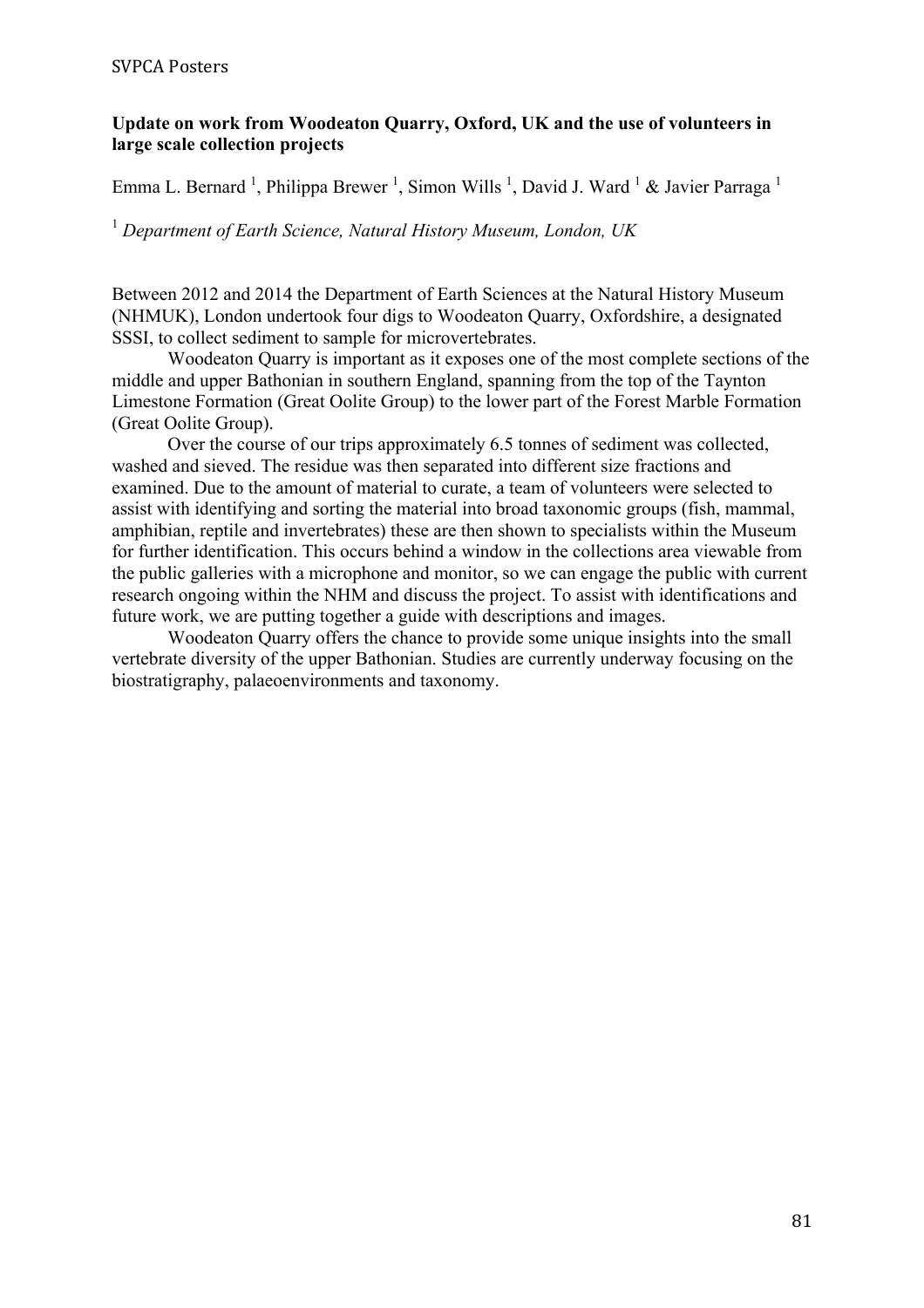### **Update on work from Woodeaton Quarry, Oxford, UK and the use of volunteers in large scale collection projects**

Emma L. Bernard<sup>1</sup>, Philippa Brewer<sup>1</sup>, Simon Wills<sup>1</sup>, David J. Ward<sup>1</sup> & Javier Parraga<sup>1</sup>

<sup>1</sup> *Department of Earth Science, Natural History Museum, London, UK*

Between 2012 and 2014 the Department of Earth Sciences at the Natural History Museum (NHMUK), London undertook four digs to Woodeaton Quarry, Oxfordshire, a designated SSSI, to collect sediment to sample for microvertebrates.

Woodeaton Quarry is important as it exposes one of the most complete sections of the middle and upper Bathonian in southern England, spanning from the top of the Taynton Limestone Formation (Great Oolite Group) to the lower part of the Forest Marble Formation (Great Oolite Group).

Over the course of our trips approximately 6.5 tonnes of sediment was collected, washed and sieved. The residue was then separated into different size fractions and examined. Due to the amount of material to curate, a team of volunteers were selected to assist with identifying and sorting the material into broad taxonomic groups (fish, mammal, amphibian, reptile and invertebrates) these are then shown to specialists within the Museum for further identification. This occurs behind a window in the collections area viewable from the public galleries with a microphone and monitor, so we can engage the public with current research ongoing within the NHM and discuss the project. To assist with identifications and future work, we are putting together a guide with descriptions and images.

Woodeaton Quarry offers the chance to provide some unique insights into the small vertebrate diversity of the upper Bathonian. Studies are currently underway focusing on the biostratigraphy, palaeoenvironments and taxonomy.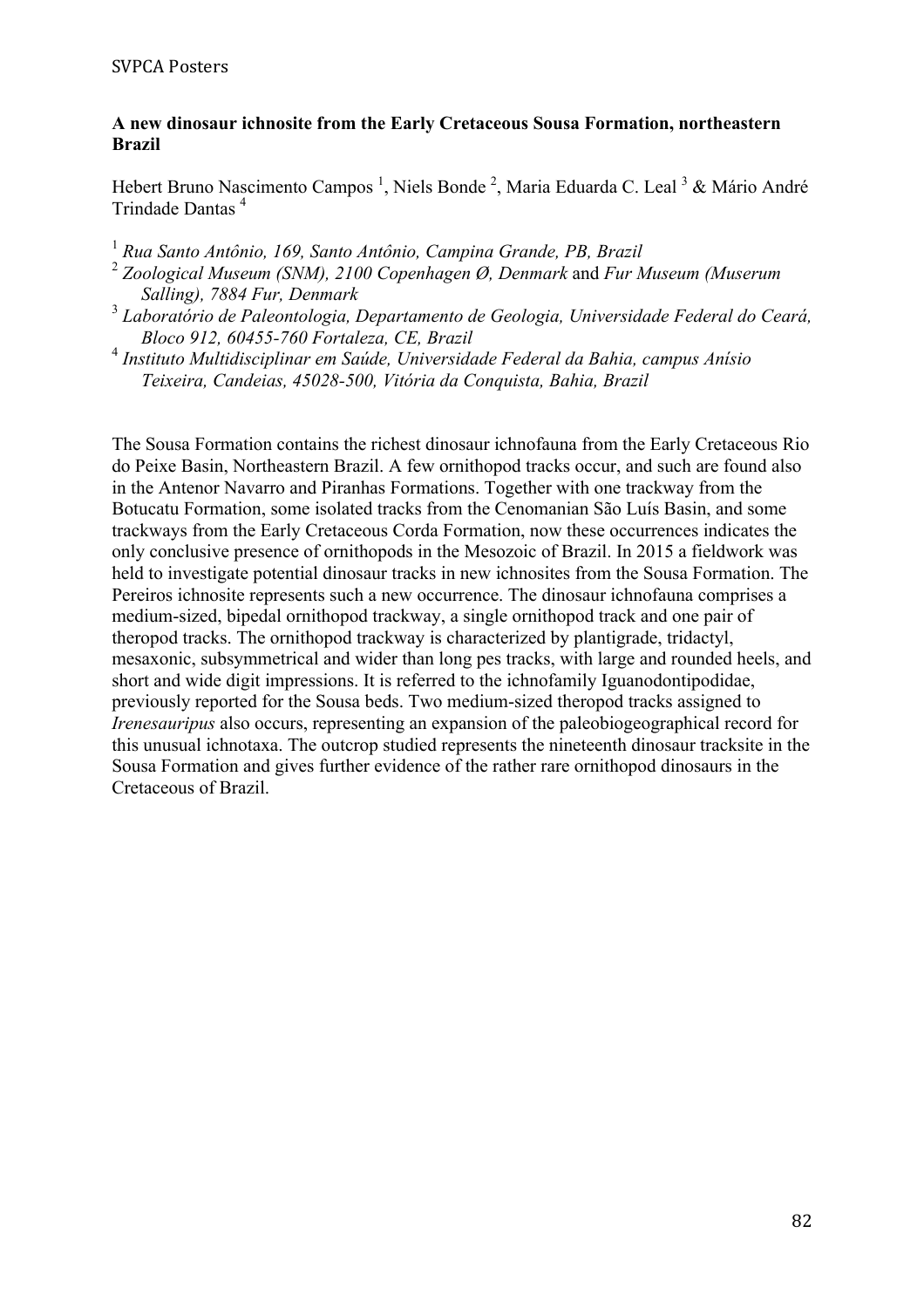#### **A new dinosaur ichnosite from the Early Cretaceous Sousa Formation, northeastern Brazil**

Hebert Bruno Nascimento Campos<sup>1</sup>, Niels Bonde<sup>2</sup>, Maria Eduarda C. Leal<sup>3</sup> & Mário André Trindade Dantas <sup>4</sup>

- <sup>1</sup> *Rua Santo Antônio, 169, Santo Antônio, Campina Grande, PB, Brazil*
- <sup>2</sup> *Zoological Museum (SNM), 2100 Copenhagen Ø, Denmark* and *Fur Museum (Muserum Salling), 7884 Fur, Denmark*
- <sup>3</sup> *Laboratório de Paleontologia, Departamento de Geologia, Universidade Federal do Ceará, Bloco 912, 60455-760 Fortaleza, CE, Brazil*
- <sup>4</sup> *Instituto Multidisciplinar em Saúde, Universidade Federal da Bahia, campus Anísio Teixeira, Candeias, 45028-500, Vitória da Conquista, Bahia, Brazil*

The Sousa Formation contains the richest dinosaur ichnofauna from the Early Cretaceous Rio do Peixe Basin, Northeastern Brazil. A few ornithopod tracks occur, and such are found also in the Antenor Navarro and Piranhas Formations. Together with one trackway from the Botucatu Formation, some isolated tracks from the Cenomanian São Luís Basin, and some trackways from the Early Cretaceous Corda Formation, now these occurrences indicates the only conclusive presence of ornithopods in the Mesozoic of Brazil. In 2015 a fieldwork was held to investigate potential dinosaur tracks in new ichnosites from the Sousa Formation. The Pereiros ichnosite represents such a new occurrence. The dinosaur ichnofauna comprises a medium-sized, bipedal ornithopod trackway, a single ornithopod track and one pair of theropod tracks. The ornithopod trackway is characterized by plantigrade, tridactyl, mesaxonic, subsymmetrical and wider than long pes tracks, with large and rounded heels, and short and wide digit impressions. It is referred to the ichnofamily Iguanodontipodidae, previously reported for the Sousa beds. Two medium-sized theropod tracks assigned to *Irenesauripus* also occurs, representing an expansion of the paleobiogeographical record for this unusual ichnotaxa. The outcrop studied represents the nineteenth dinosaur tracksite in the Sousa Formation and gives further evidence of the rather rare ornithopod dinosaurs in the Cretaceous of Brazil.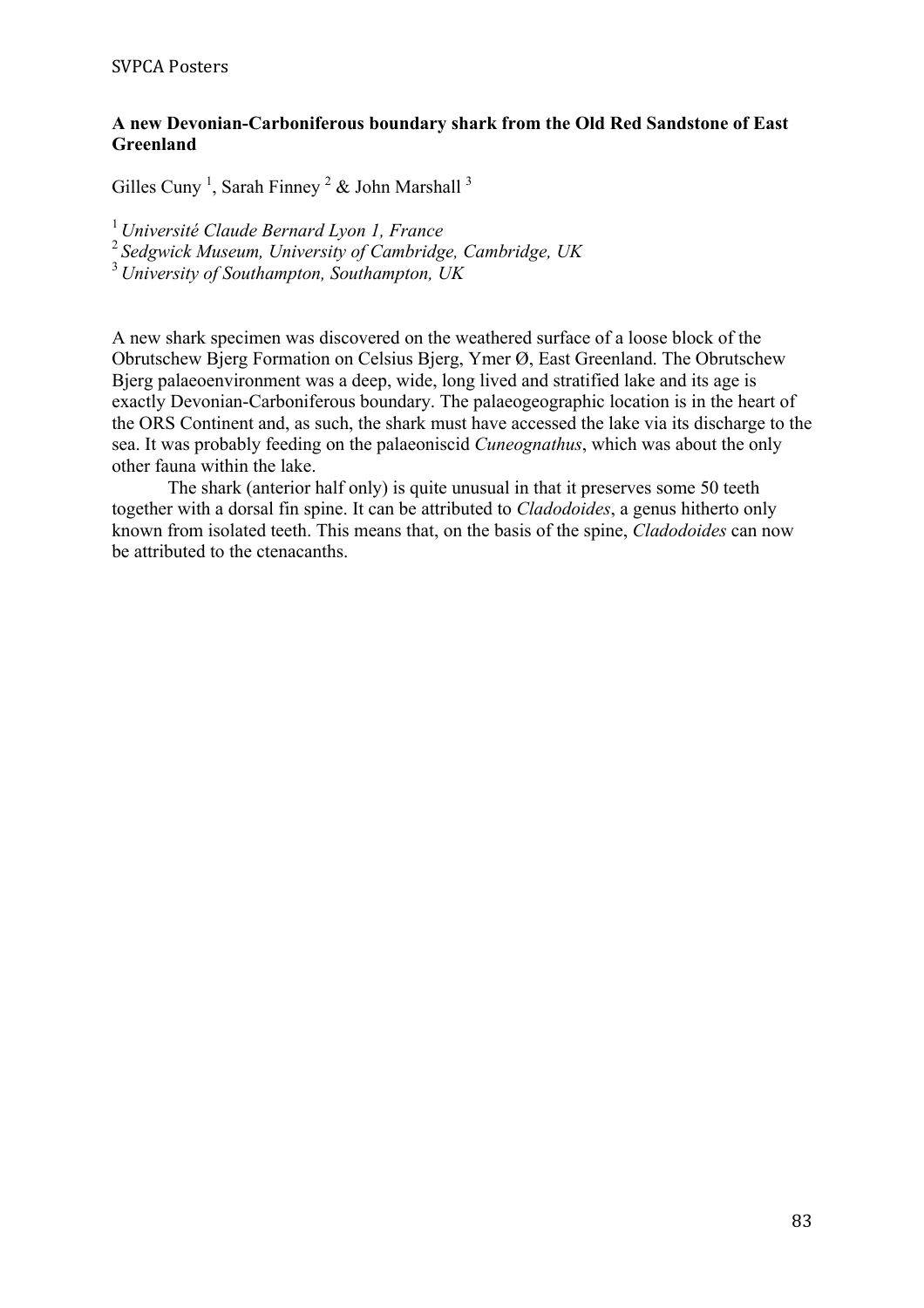### **A new Devonian-Carboniferous boundary shark from the Old Red Sandstone of East Greenland**

Gilles Cuny<sup>1</sup>, Sarah Finney<sup>2</sup> & John Marshall<sup>3</sup>

<sup>1</sup>*Université Claude Bernard Lyon 1, France*

<sup>2</sup>*Sedgwick Museum, University of Cambridge, Cambridge, UK*

<sup>3</sup>*University of Southampton, Southampton, UK*

A new shark specimen was discovered on the weathered surface of a loose block of the Obrutschew Bjerg Formation on Celsius Bjerg, Ymer Ø, East Greenland. The Obrutschew Bjerg palaeoenvironment was a deep, wide, long lived and stratified lake and its age is exactly Devonian-Carboniferous boundary. The palaeogeographic location is in the heart of the ORS Continent and, as such, the shark must have accessed the lake via its discharge to the sea. It was probably feeding on the palaeoniscid *Cuneognathus*, which was about the only other fauna within the lake.

The shark (anterior half only) is quite unusual in that it preserves some 50 teeth together with a dorsal fin spine. It can be attributed to *Cladodoides*, a genus hitherto only known from isolated teeth. This means that, on the basis of the spine, *Cladodoides* can now be attributed to the ctenacanths.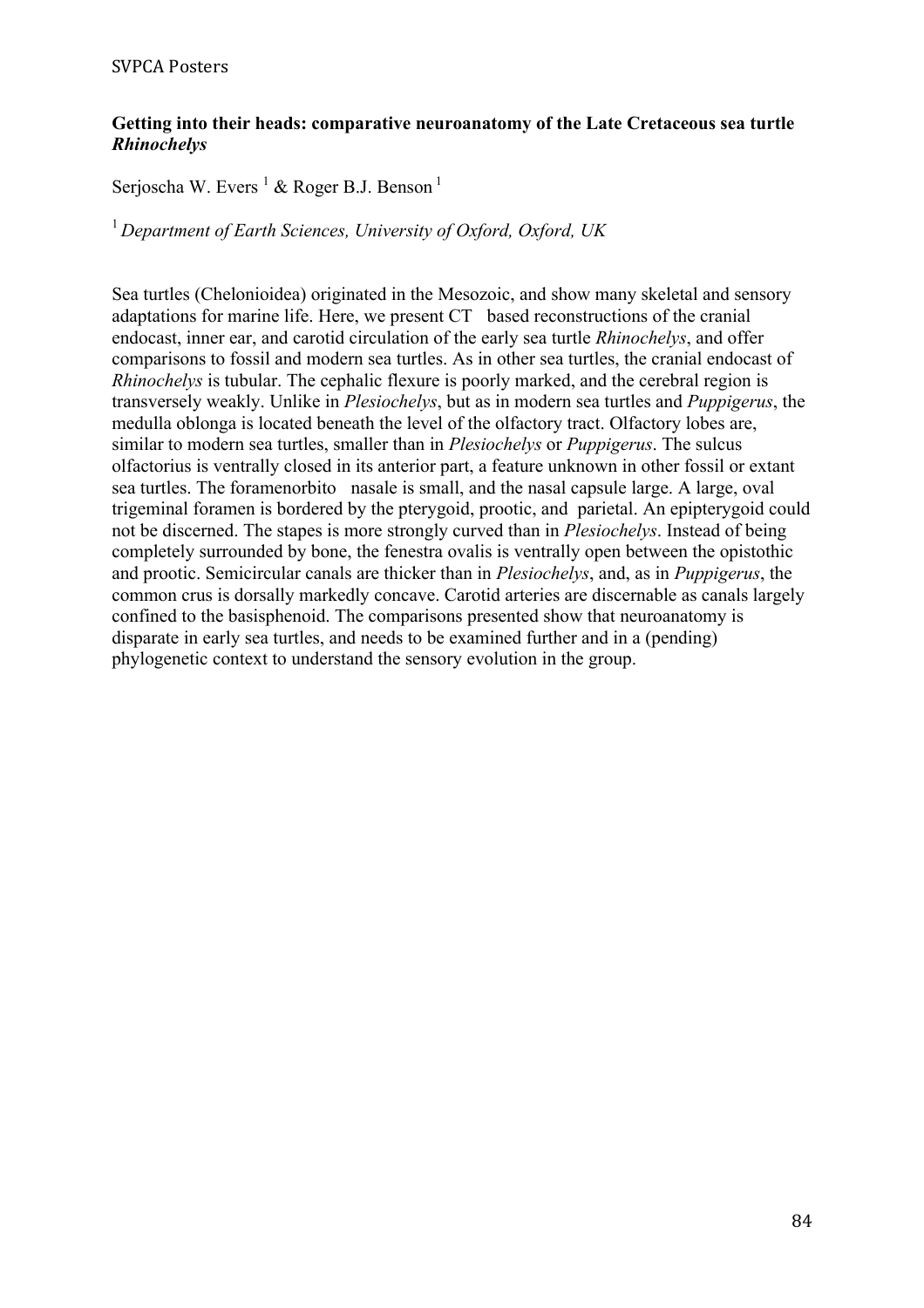### **Getting into their heads: comparative neuroanatomy of the Late Cretaceous sea turtle**  *Rhinochelys*

Serjoscha W. Evers <sup>1</sup> & Roger B.J. Benson <sup>1</sup>

<sup>1</sup>*Department of Earth Sciences, University of Oxford, Oxford, UK*

Sea turtles (Chelonioidea) originated in the Mesozoic, and show many skeletal and sensory adaptations for marine life. Here, we present CT based reconstructions of the cranial endocast, inner ear, and carotid circulation of the early sea turtle *Rhinochelys*, and offer comparisons to fossil and modern sea turtles. As in other sea turtles, the cranial endocast of *Rhinochelys* is tubular. The cephalic flexure is poorly marked, and the cerebral region is transversely weakly. Unlike in *Plesiochelys*, but as in modern sea turtles and *Puppigerus*, the medulla oblonga is located beneath the level of the olfactory tract. Olfactory lobes are, similar to modern sea turtles, smaller than in *Plesiochelys* or *Puppigerus*. The sulcus olfactorius is ventrally closed in its anterior part, a feature unknown in other fossil or extant sea turtles. The foramenorbito nasale is small, and the nasal capsule large. A large, oval trigeminal foramen is bordered by the pterygoid, prootic, and parietal. An epipterygoid could not be discerned. The stapes is more strongly curved than in *Plesiochelys*. Instead of being completely surrounded by bone, the fenestra ovalis is ventrally open between the opistothic and prootic. Semicircular canals are thicker than in *Plesiochelys*, and, as in *Puppigerus*, the common crus is dorsally markedly concave. Carotid arteries are discernable as canals largely confined to the basisphenoid. The comparisons presented show that neuroanatomy is disparate in early sea turtles, and needs to be examined further and in a (pending) phylogenetic context to understand the sensory evolution in the group.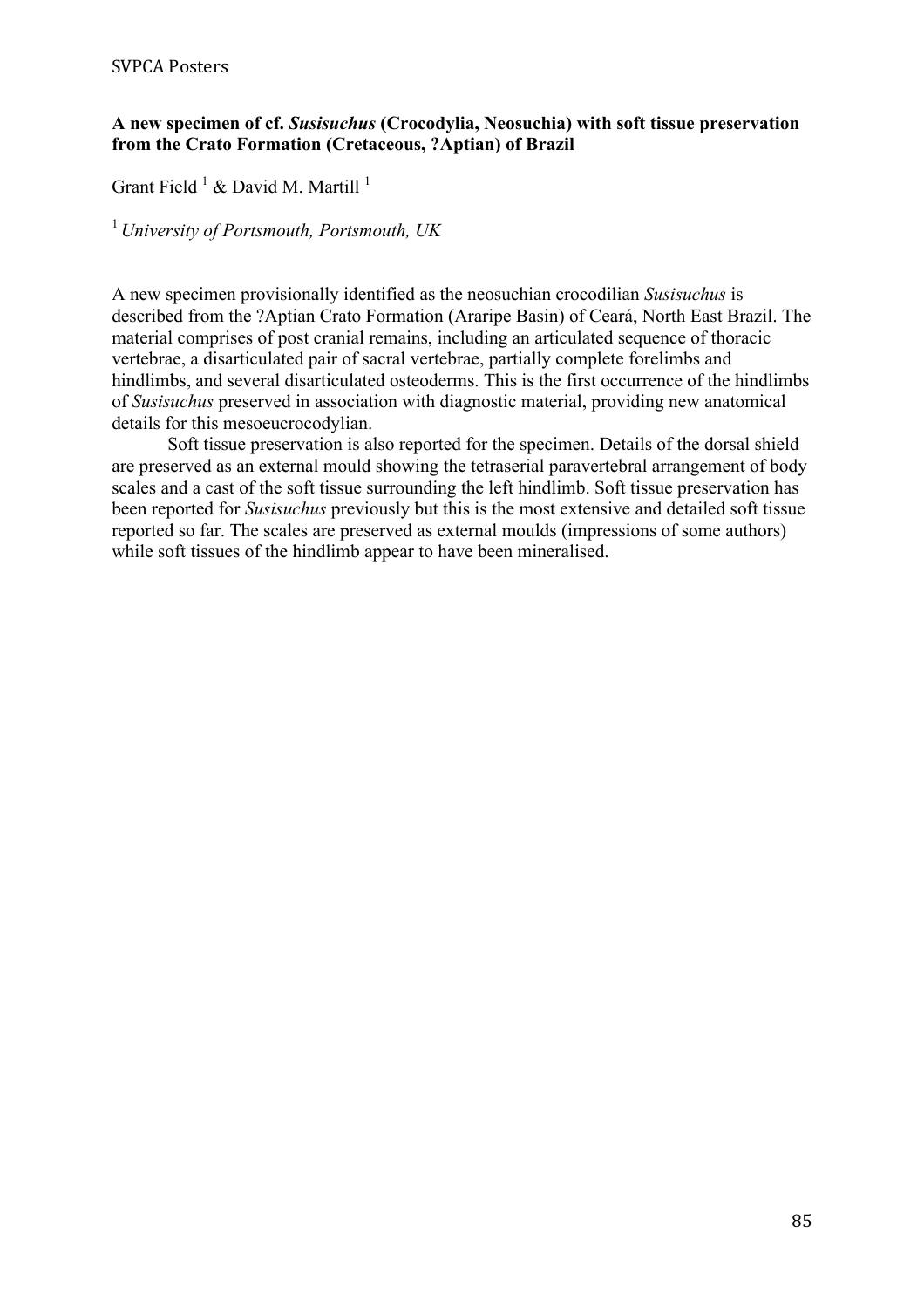# **A new specimen of cf.** *Susisuchus* **(Crocodylia, Neosuchia) with soft tissue preservation from the Crato Formation (Cretaceous, ?Aptian) of Brazil**

Grant Field  $^1$  & David M. Martill  $^1$ 

<sup>1</sup>*University of Portsmouth, Portsmouth, UK*

A new specimen provisionally identified as the neosuchian crocodilian *Susisuchus* is described from the ?Aptian Crato Formation (Araripe Basin) of Ceará, North East Brazil. The material comprises of post cranial remains, including an articulated sequence of thoracic vertebrae, a disarticulated pair of sacral vertebrae, partially complete forelimbs and hindlimbs, and several disarticulated osteoderms. This is the first occurrence of the hindlimbs of *Susisuchus* preserved in association with diagnostic material, providing new anatomical details for this mesoeucrocodylian.

Soft tissue preservation is also reported for the specimen. Details of the dorsal shield are preserved as an external mould showing the tetraserial paravertebral arrangement of body scales and a cast of the soft tissue surrounding the left hindlimb. Soft tissue preservation has been reported for *Susisuchus* previously but this is the most extensive and detailed soft tissue reported so far. The scales are preserved as external moulds (impressions of some authors) while soft tissues of the hindlimb appear to have been mineralised.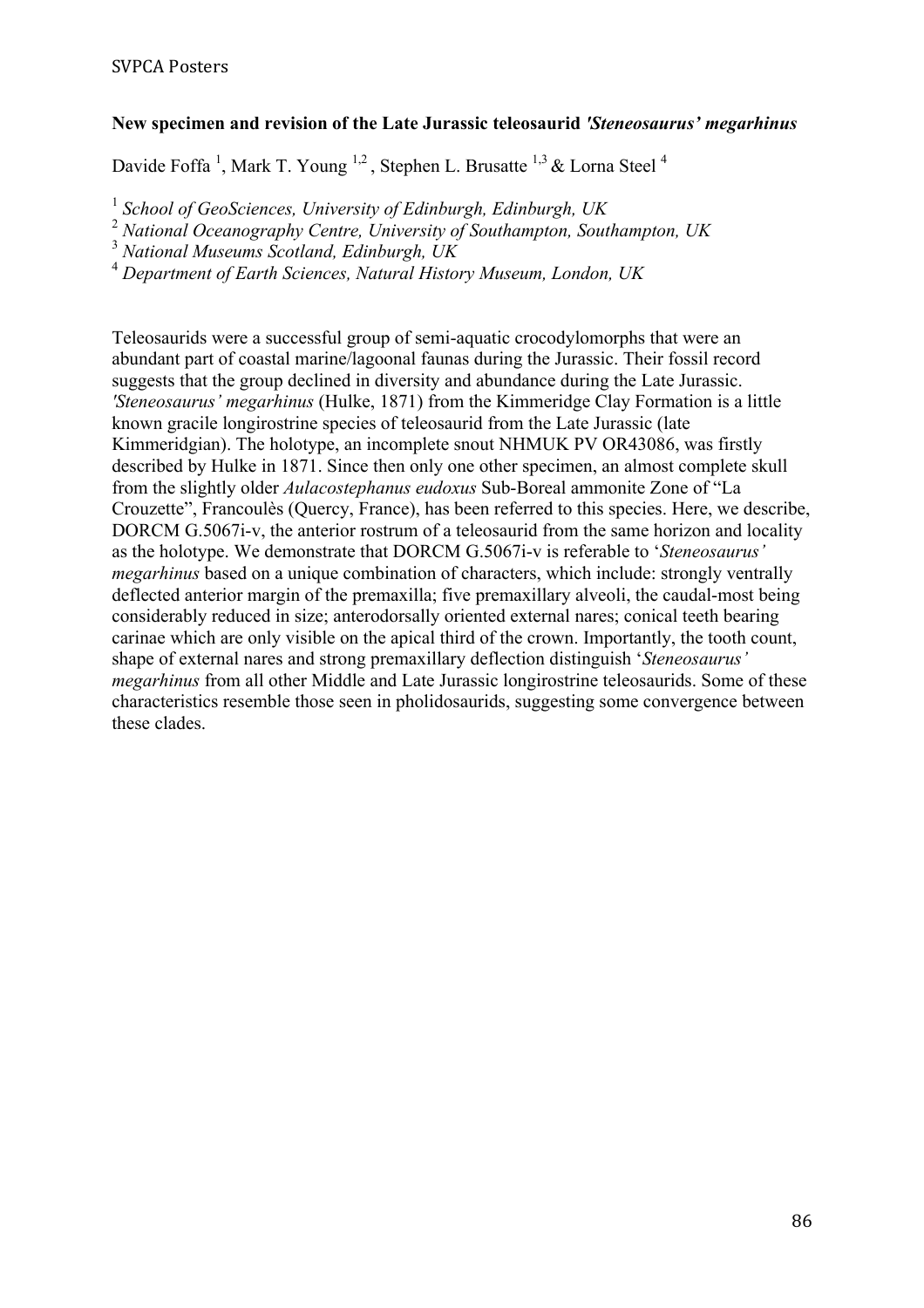# **New specimen and revision of the Late Jurassic teleosaurid** *'Steneosaurus' megarhinus*

Davide Foffa<sup>1</sup>, Mark T. Young <sup>1,2</sup>, Stephen L. Brusatte <sup>1,3</sup> & Lorna Steel<sup>4</sup>

<sup>1</sup> *School of GeoSciences, University of Edinburgh, Edinburgh, UK*

<sup>2</sup> *National Oceanography Centre, University of Southampton, Southampton, UK*

<sup>3</sup> *National Museums Scotland, Edinburgh, UK*

<sup>4</sup> *Department of Earth Sciences, Natural History Museum, London, UK*

Teleosaurids were a successful group of semi-aquatic crocodylomorphs that were an abundant part of coastal marine/lagoonal faunas during the Jurassic. Their fossil record suggests that the group declined in diversity and abundance during the Late Jurassic. *'Steneosaurus' megarhinus* (Hulke, 1871) from the Kimmeridge Clay Formation is a little known gracile longirostrine species of teleosaurid from the Late Jurassic (late Kimmeridgian). The holotype, an incomplete snout NHMUK PV OR43086, was firstly described by Hulke in 1871. Since then only one other specimen, an almost complete skull from the slightly older *Aulacostephanus eudoxus* Sub-Boreal ammonite Zone of "La Crouzette", Francoulès (Quercy, France), has been referred to this species. Here, we describe, DORCM G.5067*i*-v, the anterior rostrum of a teleosaurid from the same horizon and locality as the holotype. We demonstrate that DORCM G.5067i-v is referable to '*Steneosaurus' megarhinus* based on a unique combination of characters, which include: strongly ventrally deflected anterior margin of the premaxilla; five premaxillary alveoli, the caudal-most being considerably reduced in size; anterodorsally oriented external nares; conical teeth bearing carinae which are only visible on the apical third of the crown. Importantly, the tooth count, shape of external nares and strong premaxillary deflection distinguish '*Steneosaurus' megarhinus* from all other Middle and Late Jurassic longirostrine teleosaurids. Some of these characteristics resemble those seen in pholidosaurids, suggesting some convergence between these clades.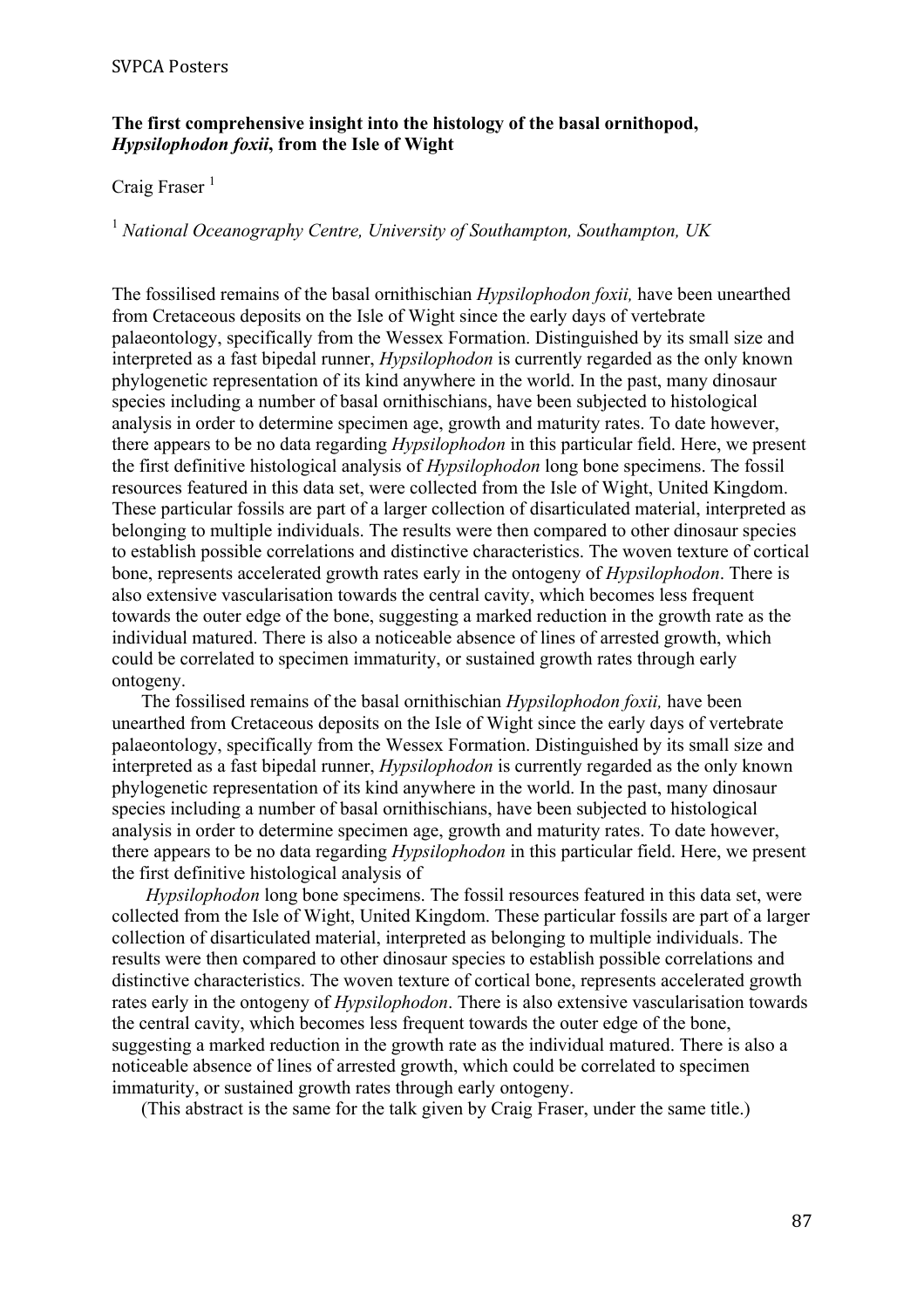#### **The first comprehensive insight into the histology of the basal ornithopod,**  *Hypsilophodon foxii***, from the Isle of Wight**

# Craig Fraser $<sup>1</sup>$ </sup>

<sup>1</sup> *National Oceanography Centre, University of Southampton, Southampton, UK*

The fossilised remains of the basal ornithischian *Hypsilophodon foxii,* have been unearthed from Cretaceous deposits on the Isle of Wight since the early days of vertebrate palaeontology, specifically from the Wessex Formation. Distinguished by its small size and interpreted as a fast bipedal runner, *Hypsilophodon* is currently regarded as the only known phylogenetic representation of its kind anywhere in the world. In the past, many dinosaur species including a number of basal ornithischians, have been subjected to histological analysis in order to determine specimen age, growth and maturity rates. To date however, there appears to be no data regarding *Hypsilophodon* in this particular field. Here, we present the first definitive histological analysis of *Hypsilophodon* long bone specimens. The fossil resources featured in this data set, were collected from the Isle of Wight, United Kingdom. These particular fossils are part of a larger collection of disarticulated material, interpreted as belonging to multiple individuals. The results were then compared to other dinosaur species to establish possible correlations and distinctive characteristics. The woven texture of cortical bone, represents accelerated growth rates early in the ontogeny of *Hypsilophodon*. There is also extensive vascularisation towards the central cavity, which becomes less frequent towards the outer edge of the bone, suggesting a marked reduction in the growth rate as the individual matured. There is also a noticeable absence of lines of arrested growth, which could be correlated to specimen immaturity, or sustained growth rates through early ontogeny.

The fossilised remains of the basal ornithischian *Hypsilophodon foxii,* have been unearthed from Cretaceous deposits on the Isle of Wight since the early days of vertebrate palaeontology, specifically from the Wessex Formation. Distinguished by its small size and interpreted as a fast bipedal runner, *Hypsilophodon* is currently regarded as the only known phylogenetic representation of its kind anywhere in the world. In the past, many dinosaur species including a number of basal ornithischians, have been subjected to histological analysis in order to determine specimen age, growth and maturity rates. To date however, there appears to be no data regarding *Hypsilophodon* in this particular field. Here, we present the first definitive histological analysis of

*Hypsilophodon* long bone specimens. The fossil resources featured in this data set, were collected from the Isle of Wight, United Kingdom. These particular fossils are part of a larger collection of disarticulated material, interpreted as belonging to multiple individuals. The results were then compared to other dinosaur species to establish possible correlations and distinctive characteristics. The woven texture of cortical bone, represents accelerated growth rates early in the ontogeny of *Hypsilophodon*. There is also extensive vascularisation towards the central cavity, which becomes less frequent towards the outer edge of the bone, suggesting a marked reduction in the growth rate as the individual matured. There is also a noticeable absence of lines of arrested growth, which could be correlated to specimen immaturity, or sustained growth rates through early ontogeny.

(This abstract is the same for the talk given by Craig Fraser, under the same title.)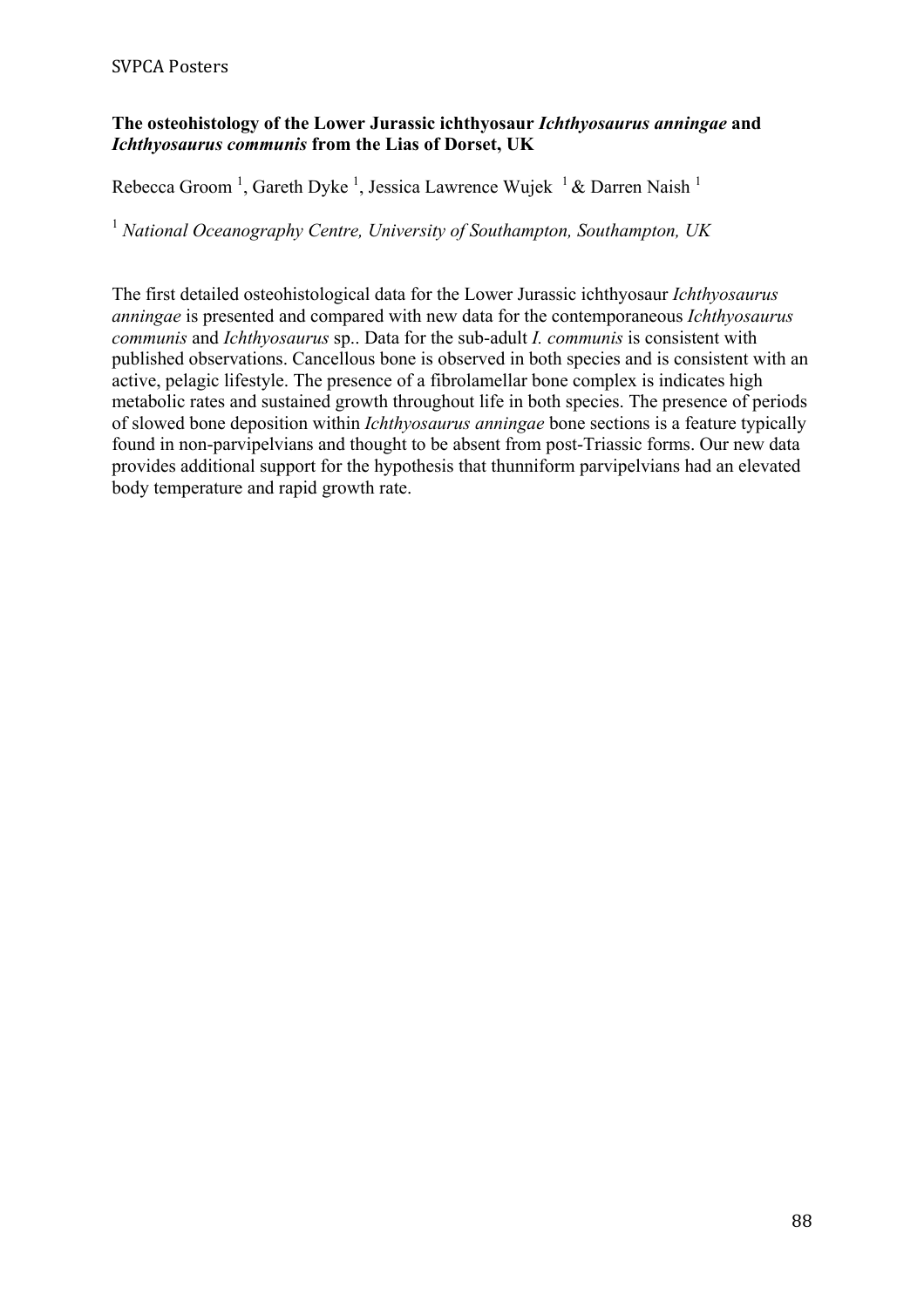# **The osteohistology of the Lower Jurassic ichthyosaur** *Ichthyosaurus anningae* **and**  *Ichthyosaurus communis* **from the Lias of Dorset, UK**

Rebecca Groom<sup>1</sup>, Gareth Dyke<sup>1</sup>, Jessica Lawrence Wujek<sup>1</sup> & Darren Naish<sup>1</sup>

<sup>1</sup> *National Oceanography Centre, University of Southampton, Southampton, UK*

The first detailed osteohistological data for the Lower Jurassic ichthyosaur *Ichthyosaurus anningae* is presented and compared with new data for the contemporaneous *Ichthyosaurus communis* and *Ichthyosaurus* sp.. Data for the sub-adult *I. communis* is consistent with published observations. Cancellous bone is observed in both species and is consistent with an active, pelagic lifestyle. The presence of a fibrolamellar bone complex is indicates high metabolic rates and sustained growth throughout life in both species. The presence of periods of slowed bone deposition within *Ichthyosaurus anningae* bone sections is a feature typically found in non-parvipelvians and thought to be absent from post-Triassic forms. Our new data provides additional support for the hypothesis that thunniform parvipelvians had an elevated body temperature and rapid growth rate.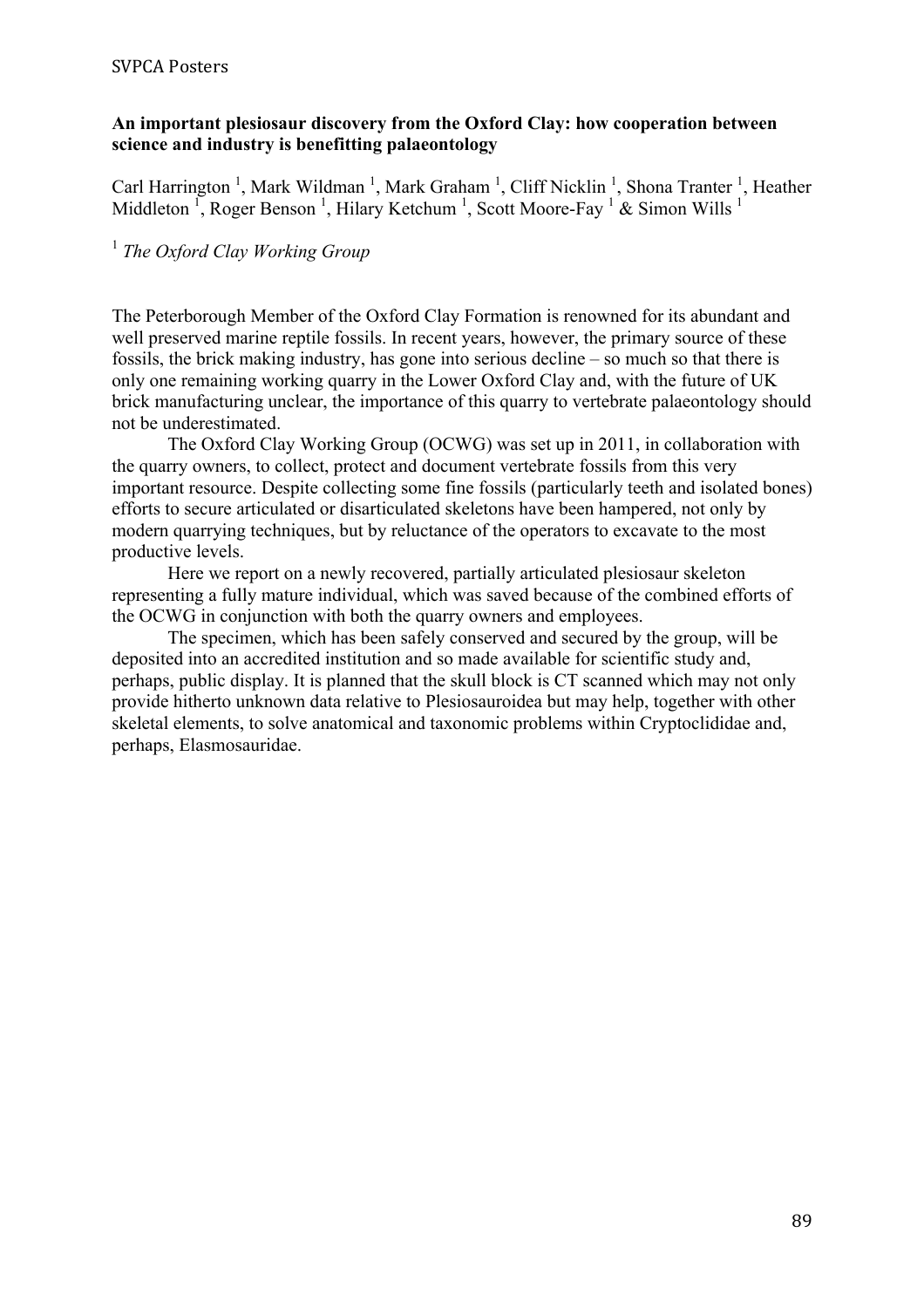### **An important plesiosaur discovery from the Oxford Clay: how cooperation between science and industry is benefitting palaeontology**

Carl Harrington<sup>1</sup>, Mark Wildman<sup>1</sup>, Mark Graham<sup>1</sup>, Cliff Nicklin<sup>1</sup>, Shona Tranter<sup>1</sup>, Heather Middleton<sup>1</sup>, Roger Benson<sup>1</sup>, Hilary Ketchum<sup>1</sup>, Scott Moore-Fay<sup>1</sup> & Simon Wills<sup>1</sup>

# <sup>1</sup> *The Oxford Clay Working Group*

The Peterborough Member of the Oxford Clay Formation is renowned for its abundant and well preserved marine reptile fossils. In recent years, however, the primary source of these fossils, the brick making industry, has gone into serious decline – so much so that there is only one remaining working quarry in the Lower Oxford Clay and, with the future of UK brick manufacturing unclear, the importance of this quarry to vertebrate palaeontology should not be underestimated.

The Oxford Clay Working Group (OCWG) was set up in 2011, in collaboration with the quarry owners, to collect, protect and document vertebrate fossils from this very important resource. Despite collecting some fine fossils (particularly teeth and isolated bones) efforts to secure articulated or disarticulated skeletons have been hampered, not only by modern quarrying techniques, but by reluctance of the operators to excavate to the most productive levels.

Here we report on a newly recovered, partially articulated plesiosaur skeleton representing a fully mature individual, which was saved because of the combined efforts of the OCWG in conjunction with both the quarry owners and employees.

The specimen, which has been safely conserved and secured by the group, will be deposited into an accredited institution and so made available for scientific study and, perhaps, public display. It is planned that the skull block is CT scanned which may not only provide hitherto unknown data relative to Plesiosauroidea but may help, together with other skeletal elements, to solve anatomical and taxonomic problems within Cryptoclididae and, perhaps, Elasmosauridae.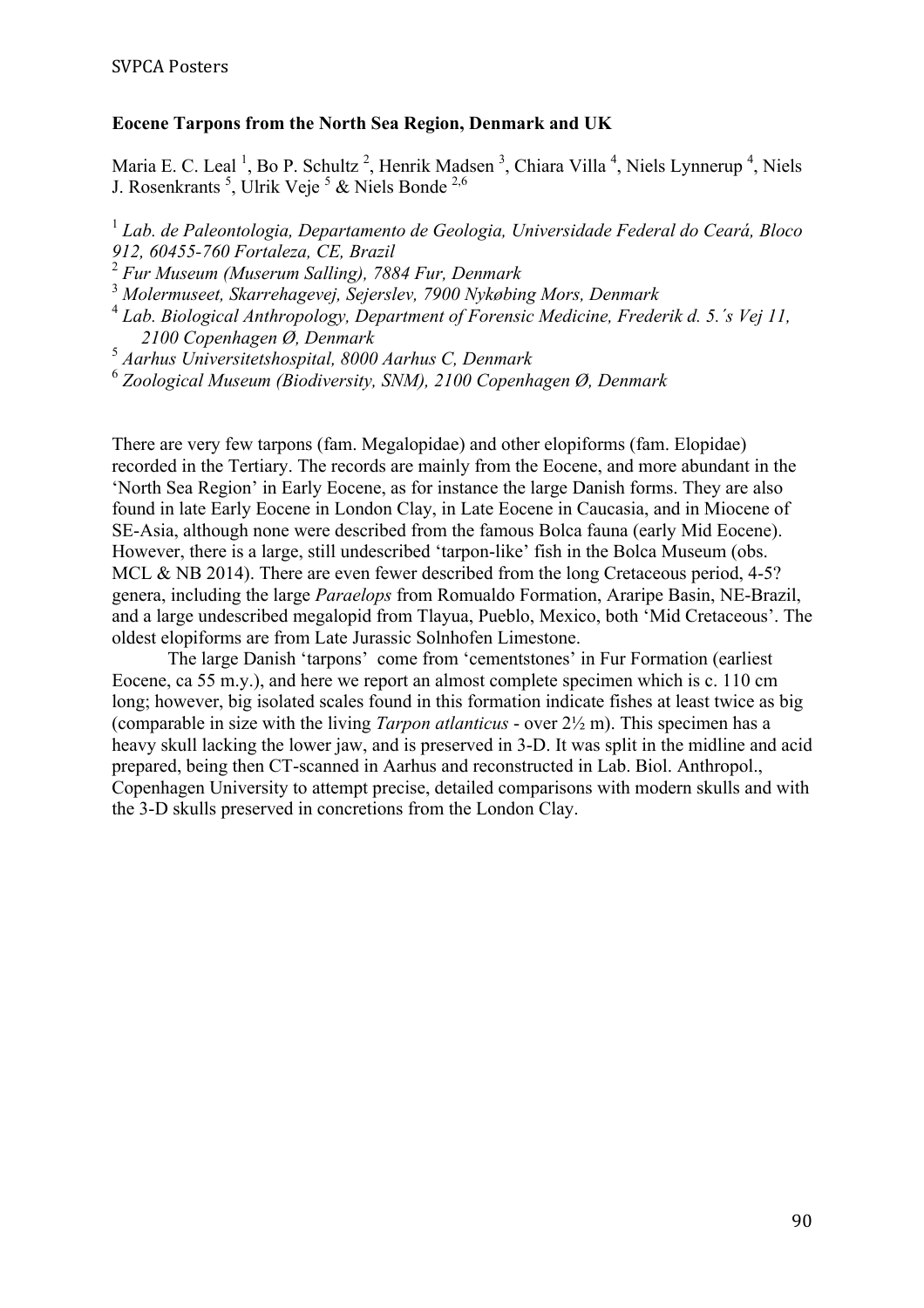# **Eocene Tarpons from the North Sea Region, Denmark and UK**

Maria E. C. Leal<sup>1</sup>, Bo P. Schultz<sup>2</sup>, Henrik Madsen<sup>3</sup>, Chiara Villa<sup>4</sup>, Niels Lynnerup<sup>4</sup>, Niels J. Rosenkrants<sup>5</sup>, Ulrik Veje<sup>5</sup> & Niels Bonde<sup>2,6</sup>

<sup>1</sup> *Lab. de Paleontologia, Departamento de Geologia, Universidade Federal do Ceará, Bloco 912, 60455-760 Fortaleza, CE, Brazil*

<sup>2</sup> *Fur Museum (Muserum Salling), 7884 Fur, Denmark*

<sup>3</sup> *Molermuseet, Skarrehagevej, Sejerslev, 7900 Nykøbing Mors, Denmark*

<sup>4</sup> *Lab. Biological Anthropology, Department of Forensic Medicine, Frederik d. 5.´s Vej 11, 2100 Copenhagen Ø, Denmark*

<sup>5</sup> *Aarhus Universitetshospital, 8000 Aarhus C, Denmark*

<sup>6</sup> *Zoological Museum (Biodiversity, SNM), 2100 Copenhagen Ø, Denmark*

There are very few tarpons (fam. Megalopidae) and other elopiforms (fam. Elopidae) recorded in the Tertiary. The records are mainly from the Eocene, and more abundant in the 'North Sea Region' in Early Eocene, as for instance the large Danish forms. They are also found in late Early Eocene in London Clay, in Late Eocene in Caucasia, and in Miocene of SE-Asia, although none were described from the famous Bolca fauna (early Mid Eocene). However, there is a large, still undescribed 'tarpon-like' fish in the Bolca Museum (obs. MCL & NB 2014). There are even fewer described from the long Cretaceous period, 4-5? genera, including the large *Paraelops* from Romualdo Formation, Araripe Basin, NE-Brazil, and a large undescribed megalopid from Tlayua, Pueblo, Mexico, both 'Mid Cretaceous'. The oldest elopiforms are from Late Jurassic Solnhofen Limestone.

The large Danish 'tarpons' come from 'cementstones' in Fur Formation (earliest Eocene, ca 55 m.y.), and here we report an almost complete specimen which is c. 110 cm long; however, big isolated scales found in this formation indicate fishes at least twice as big (comparable in size with the living *Tarpon atlanticus* - over 2½ m). This specimen has a heavy skull lacking the lower jaw, and is preserved in 3-D. It was split in the midline and acid prepared, being then CT-scanned in Aarhus and reconstructed in Lab. Biol. Anthropol., Copenhagen University to attempt precise, detailed comparisons with modern skulls and with the 3-D skulls preserved in concretions from the London Clay.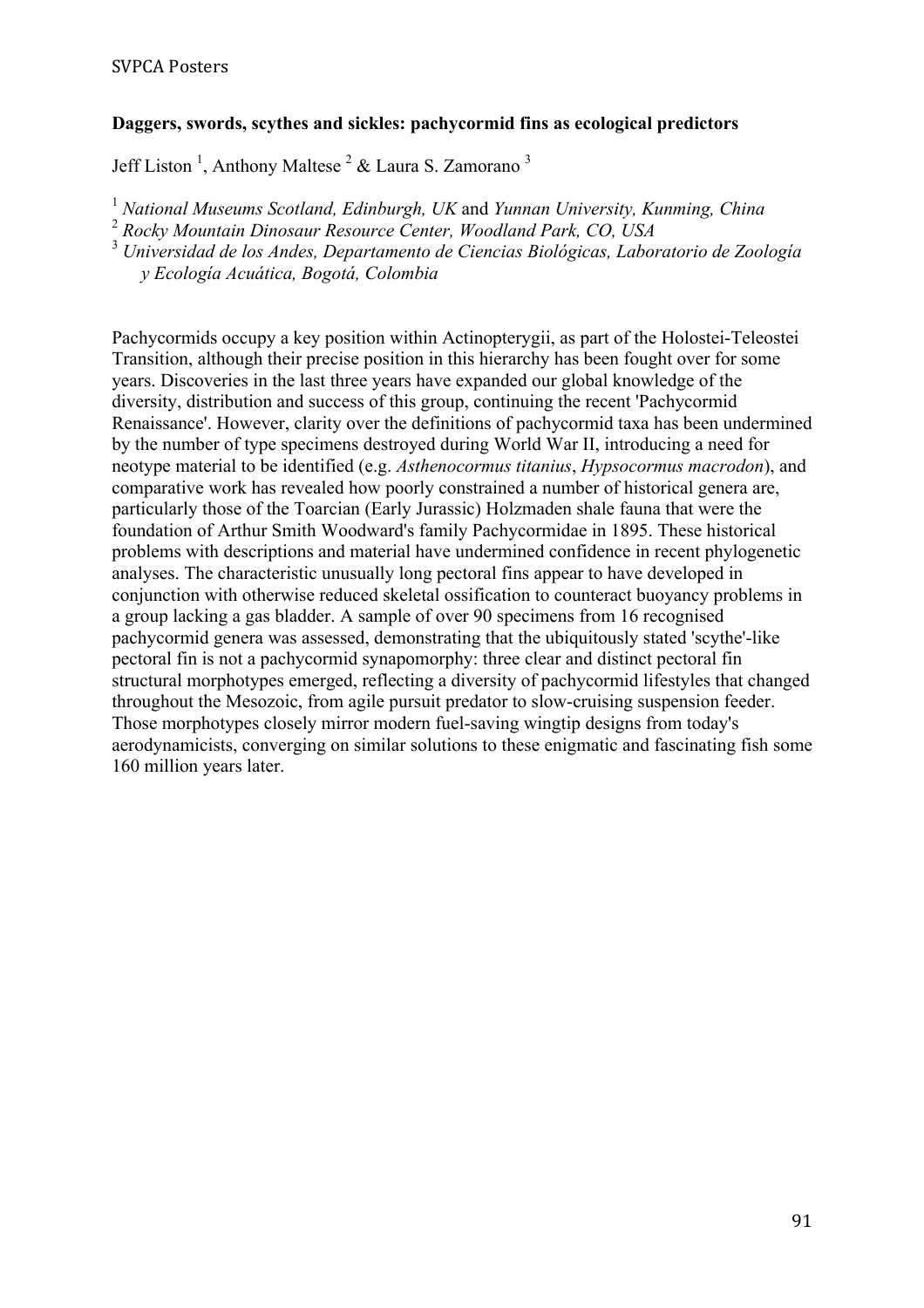#### **Daggers, swords, scythes and sickles: pachycormid fins as ecological predictors**

Jeff Liston<sup>1</sup>, Anthony Maltese<sup>2</sup> & Laura S. Zamorano<sup>3</sup>

<sup>1</sup> *National Museums Scotland, Edinburgh, UK* and *Yunnan University, Kunming, China*

<sup>2</sup> *Rocky Mountain Dinosaur Resource Center, Woodland Park, CO, USA*

<sup>3</sup> *Universidad de los Andes, Departamento de Ciencias Biológicas, Laboratorio de Zoología* 

*y Ecología Acuática, Bogotá, Colombia*

Pachycormids occupy a key position within Actinopterygii, as part of the Holostei-Teleostei Transition, although their precise position in this hierarchy has been fought over for some years. Discoveries in the last three years have expanded our global knowledge of the diversity, distribution and success of this group, continuing the recent 'Pachycormid Renaissance'. However, clarity over the definitions of pachycormid taxa has been undermined by the number of type specimens destroyed during World War II, introducing a need for neotype material to be identified (e.g. *Asthenocormus titanius*, *Hypsocormus macrodon*), and comparative work has revealed how poorly constrained a number of historical genera are, particularly those of the Toarcian (Early Jurassic) Holzmaden shale fauna that were the foundation of Arthur Smith Woodward's family Pachycormidae in 1895. These historical problems with descriptions and material have undermined confidence in recent phylogenetic analyses. The characteristic unusually long pectoral fins appear to have developed in conjunction with otherwise reduced skeletal ossification to counteract buoyancy problems in a group lacking a gas bladder. A sample of over 90 specimens from 16 recognised pachycormid genera was assessed, demonstrating that the ubiquitously stated 'scythe'-like pectoral fin is not a pachycormid synapomorphy: three clear and distinct pectoral fin structural morphotypes emerged, reflecting a diversity of pachycormid lifestyles that changed throughout the Mesozoic, from agile pursuit predator to slow-cruising suspension feeder. Those morphotypes closely mirror modern fuel-saving wingtip designs from today's aerodynamicists, converging on similar solutions to these enigmatic and fascinating fish some 160 million years later.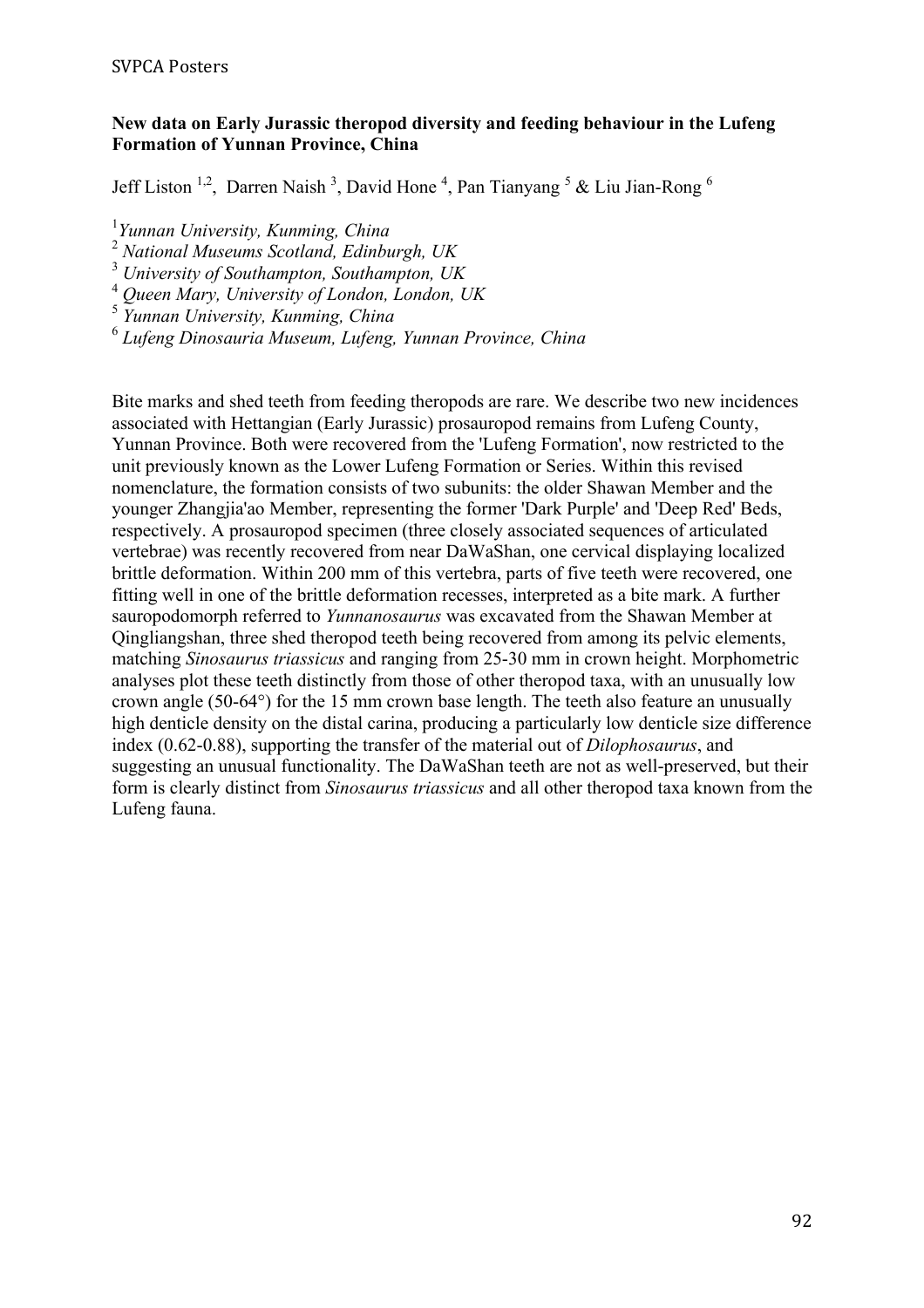### **New data on Early Jurassic theropod diversity and feeding behaviour in the Lufeng Formation of Yunnan Province, China**

Jeff Liston<sup>1,2</sup>, Darren Naish<sup>3</sup>, David Hone<sup>4</sup>, Pan Tianyang<sup>5</sup> & Liu Jian-Rong<sup>6</sup>

1 *Yunnan University, Kunming, China* 

<sup>2</sup> *National Museums Scotland, Edinburgh, UK*

<sup>3</sup> *University of Southampton, Southampton, UK*

<sup>4</sup> *Queen Mary, University of London, London, UK*

<sup>5</sup> *Yunnan University, Kunming, China*

<sup>6</sup> *Lufeng Dinosauria Museum, Lufeng, Yunnan Province, China*

Bite marks and shed teeth from feeding theropods are rare. We describe two new incidences associated with Hettangian (Early Jurassic) prosauropod remains from Lufeng County, Yunnan Province. Both were recovered from the 'Lufeng Formation', now restricted to the unit previously known as the Lower Lufeng Formation or Series. Within this revised nomenclature, the formation consists of two subunits: the older Shawan Member and the younger Zhangjia'ao Member, representing the former 'Dark Purple' and 'Deep Red' Beds, respectively. A prosauropod specimen (three closely associated sequences of articulated vertebrae) was recently recovered from near DaWaShan, one cervical displaying localized brittle deformation. Within 200 mm of this vertebra, parts of five teeth were recovered, one fitting well in one of the brittle deformation recesses, interpreted as a bite mark. A further sauropodomorph referred to *Yunnanosaurus* was excavated from the Shawan Member at Qingliangshan, three shed theropod teeth being recovered from among its pelvic elements, matching *Sinosaurus triassicus* and ranging from 25-30 mm in crown height. Morphometric analyses plot these teeth distinctly from those of other theropod taxa, with an unusually low crown angle (50-64°) for the 15 mm crown base length. The teeth also feature an unusually high denticle density on the distal carina, producing a particularly low denticle size difference index (0.62-0.88), supporting the transfer of the material out of *Dilophosaurus*, and suggesting an unusual functionality. The DaWaShan teeth are not as well-preserved, but their form is clearly distinct from *Sinosaurus triassicus* and all other theropod taxa known from the Lufeng fauna.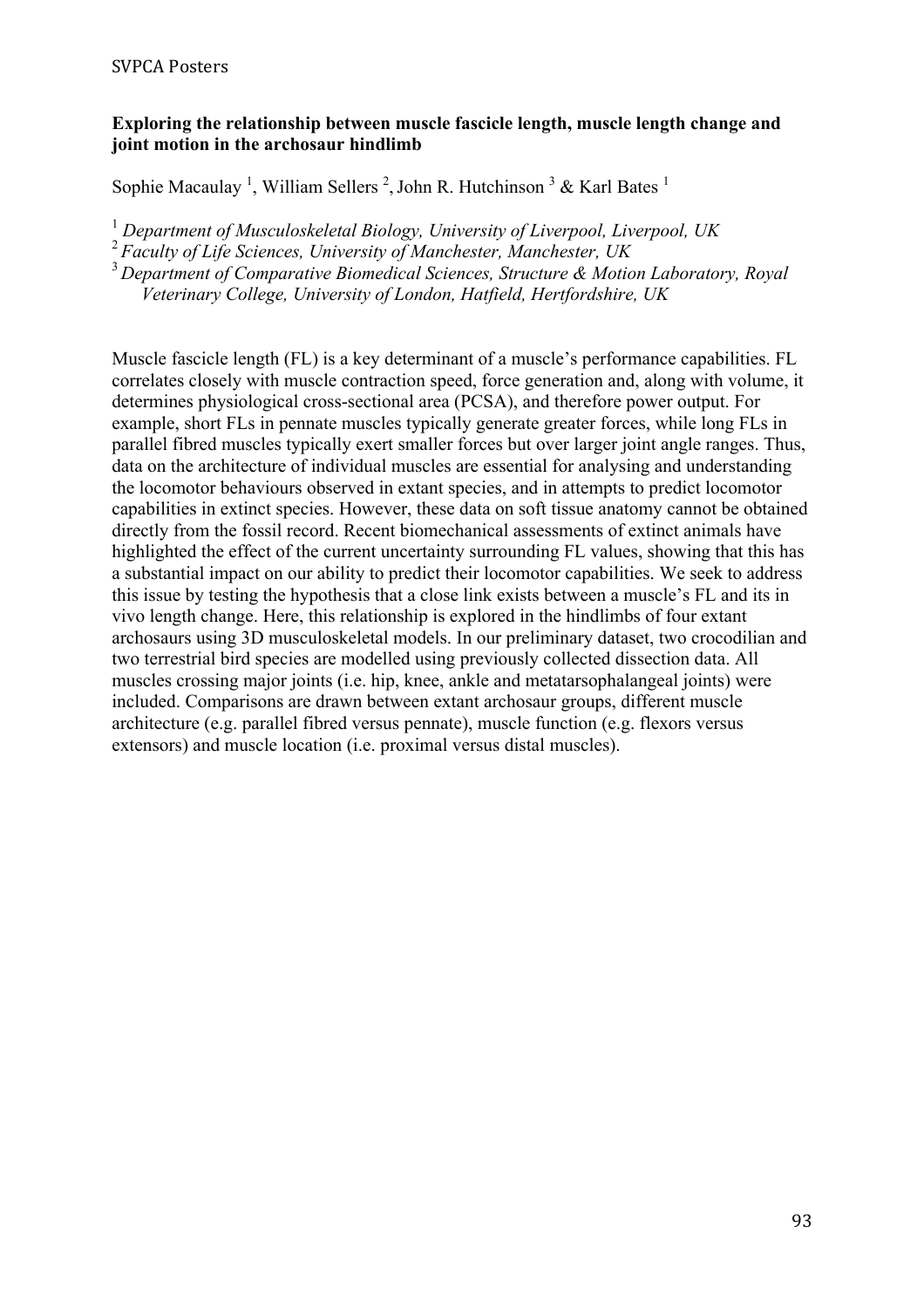### **Exploring the relationship between muscle fascicle length, muscle length change and joint motion in the archosaur hindlimb**

Sophie Macaulay<sup>1</sup>, William Sellers<sup>2</sup>, John R. Hutchinson<sup>3</sup> & Karl Bates<sup>1</sup>

<sup>1</sup> *Department of Musculoskeletal Biology, University of Liverpool, Liverpool, UK*

<sup>2</sup>*Faculty of Life Sciences, University of Manchester, Manchester, UK*

<sup>3</sup>*Department of Comparative Biomedical Sciences, Structure & Motion Laboratory, Royal Veterinary College, University of London, Hatfield, Hertfordshire, UK*

Muscle fascicle length (FL) is a key determinant of a muscle's performance capabilities. FL correlates closely with muscle contraction speed, force generation and, along with volume, it determines physiological cross-sectional area (PCSA), and therefore power output. For example, short FLs in pennate muscles typically generate greater forces, while long FLs in parallel fibred muscles typically exert smaller forces but over larger joint angle ranges. Thus, data on the architecture of individual muscles are essential for analysing and understanding the locomotor behaviours observed in extant species, and in attempts to predict locomotor capabilities in extinct species. However, these data on soft tissue anatomy cannot be obtained directly from the fossil record. Recent biomechanical assessments of extinct animals have highlighted the effect of the current uncertainty surrounding FL values, showing that this has a substantial impact on our ability to predict their locomotor capabilities. We seek to address this issue by testing the hypothesis that a close link exists between a muscle's FL and its in vivo length change. Here, this relationship is explored in the hindlimbs of four extant archosaurs using 3D musculoskeletal models. In our preliminary dataset, two crocodilian and two terrestrial bird species are modelled using previously collected dissection data. All muscles crossing major joints (i.e. hip, knee, ankle and metatarsophalangeal joints) were included. Comparisons are drawn between extant archosaur groups, different muscle architecture (e.g. parallel fibred versus pennate), muscle function (e.g. flexors versus extensors) and muscle location (i.e. proximal versus distal muscles).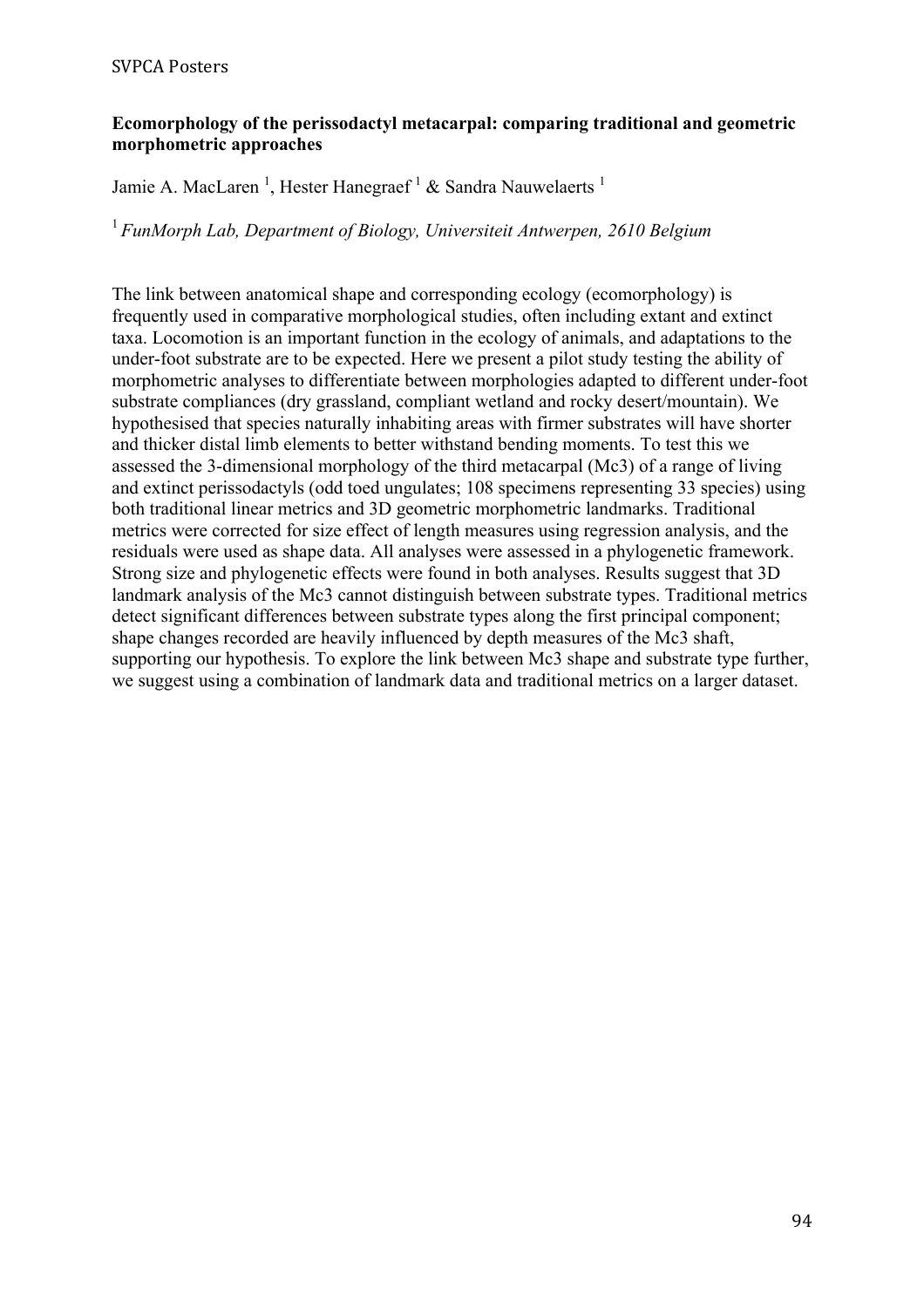### **Ecomorphology of the perissodactyl metacarpal: comparing traditional and geometric morphometric approaches**

Jamie A. MacLaren<sup>1</sup>, Hester Hanegraef<sup>1</sup> & Sandra Nauwelaerts<sup>1</sup>

<sup>1</sup>*FunMorph Lab, Department of Biology, Universiteit Antwerpen, 2610 Belgium*

The link between anatomical shape and corresponding ecology (ecomorphology) is frequently used in comparative morphological studies, often including extant and extinct taxa. Locomotion is an important function in the ecology of animals, and adaptations to the under-foot substrate are to be expected. Here we present a pilot study testing the ability of morphometric analyses to differentiate between morphologies adapted to different under-foot substrate compliances (dry grassland, compliant wetland and rocky desert/mountain). We hypothesised that species naturally inhabiting areas with firmer substrates will have shorter and thicker distal limb elements to better withstand bending moments. To test this we assessed the 3-dimensional morphology of the third metacarpal (Mc3) of a range of living and extinct perissodactyls (odd toed ungulates; 108 specimens representing 33 species) using both traditional linear metrics and 3D geometric morphometric landmarks. Traditional metrics were corrected for size effect of length measures using regression analysis, and the residuals were used as shape data. All analyses were assessed in a phylogenetic framework. Strong size and phylogenetic effects were found in both analyses. Results suggest that 3D landmark analysis of the Mc3 cannot distinguish between substrate types. Traditional metrics detect significant differences between substrate types along the first principal component; shape changes recorded are heavily influenced by depth measures of the Mc3 shaft, supporting our hypothesis. To explore the link between Mc3 shape and substrate type further, we suggest using a combination of landmark data and traditional metrics on a larger dataset.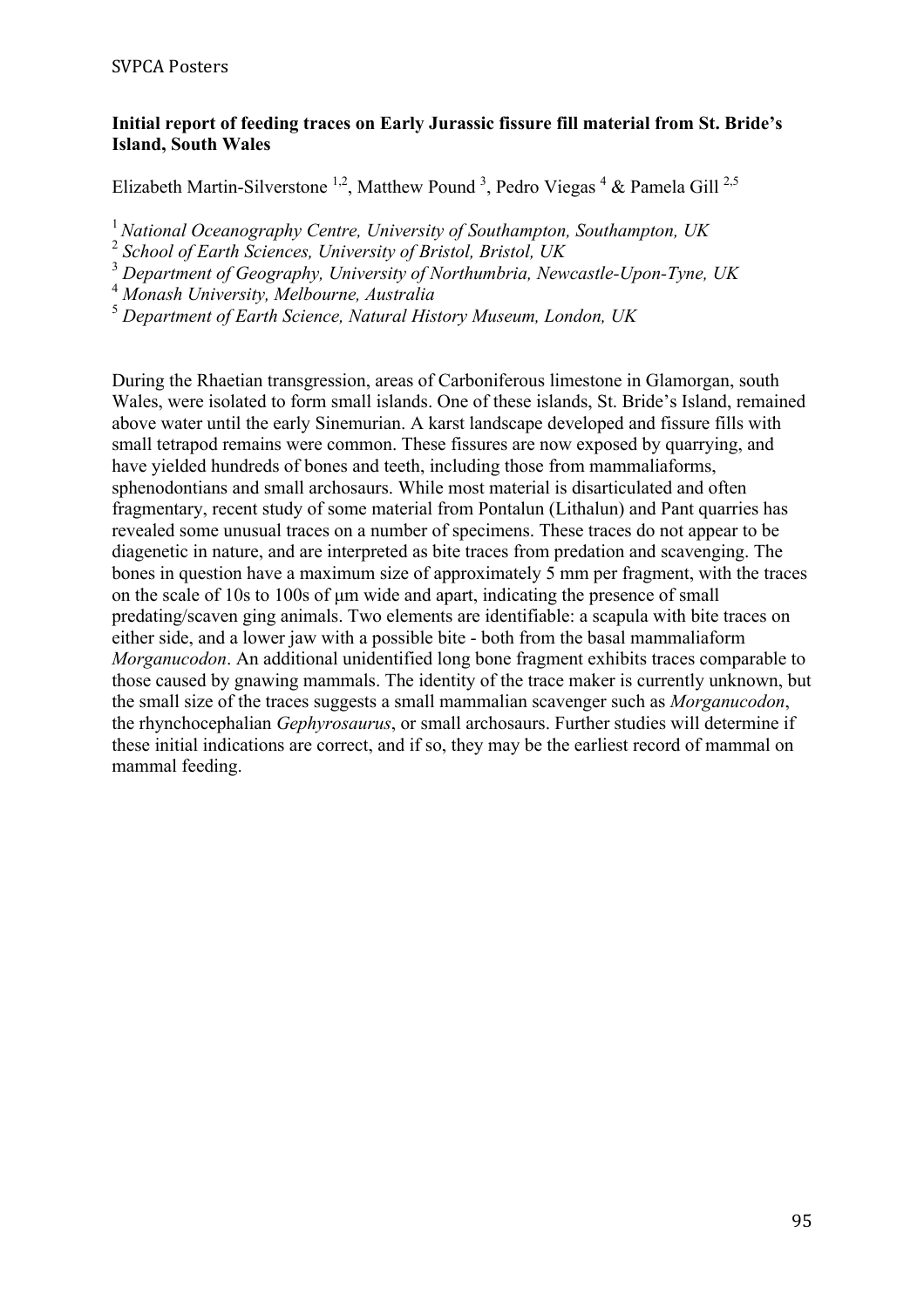### **Initial report of feeding traces on Early Jurassic fissure fill material from St. Bride's Island, South Wales**

Elizabeth Martin-Silverstone<sup>1,2</sup>, Matthew Pound<sup>3</sup>, Pedro Viegas<sup>4</sup> & Pamela Gill<sup>2,5</sup>

<sup>1</sup>*National Oceanography Centre, University of Southampton, Southampton, UK*

<sup>2</sup> *School of Earth Sciences, University of Bristol, Bristol, UK*

<sup>3</sup> *Department of Geography, University of Northumbria, Newcastle-Upon-Tyne, UK*

<sup>4</sup> *Monash University, Melbourne, Australia*

<sup>5</sup> *Department of Earth Science, Natural History Museum, London, UK*

During the Rhaetian transgression, areas of Carboniferous limestone in Glamorgan, south Wales, were isolated to form small islands. One of these islands, St. Bride's Island, remained above water until the early Sinemurian. A karst landscape developed and fissure fills with small tetrapod remains were common. These fissures are now exposed by quarrying, and have yielded hundreds of bones and teeth, including those from mammaliaforms, sphenodontians and small archosaurs. While most material is disarticulated and often fragmentary, recent study of some material from Pontalun (Lithalun) and Pant quarries has revealed some unusual traces on a number of specimens. These traces do not appear to be diagenetic in nature, and are interpreted as bite traces from predation and scavenging. The bones in question have a maximum size of approximately 5 mm per fragment, with the traces on the scale of 10s to 100s of um wide and apart, indicating the presence of small predating/scaven ging animals. Two elements are identifiable: a scapula with bite traces on either side, and a lower jaw with a possible bite - both from the basal mammaliaform *Morganucodon*. An additional unidentified long bone fragment exhibits traces comparable to those caused by gnawing mammals. The identity of the trace maker is currently unknown, but the small size of the traces suggests a small mammalian scavenger such as *Morganucodon*, the rhynchocephalian *Gephyrosaurus*, or small archosaurs. Further studies will determine if these initial indications are correct, and if so, they may be the earliest record of mammal on mammal feeding.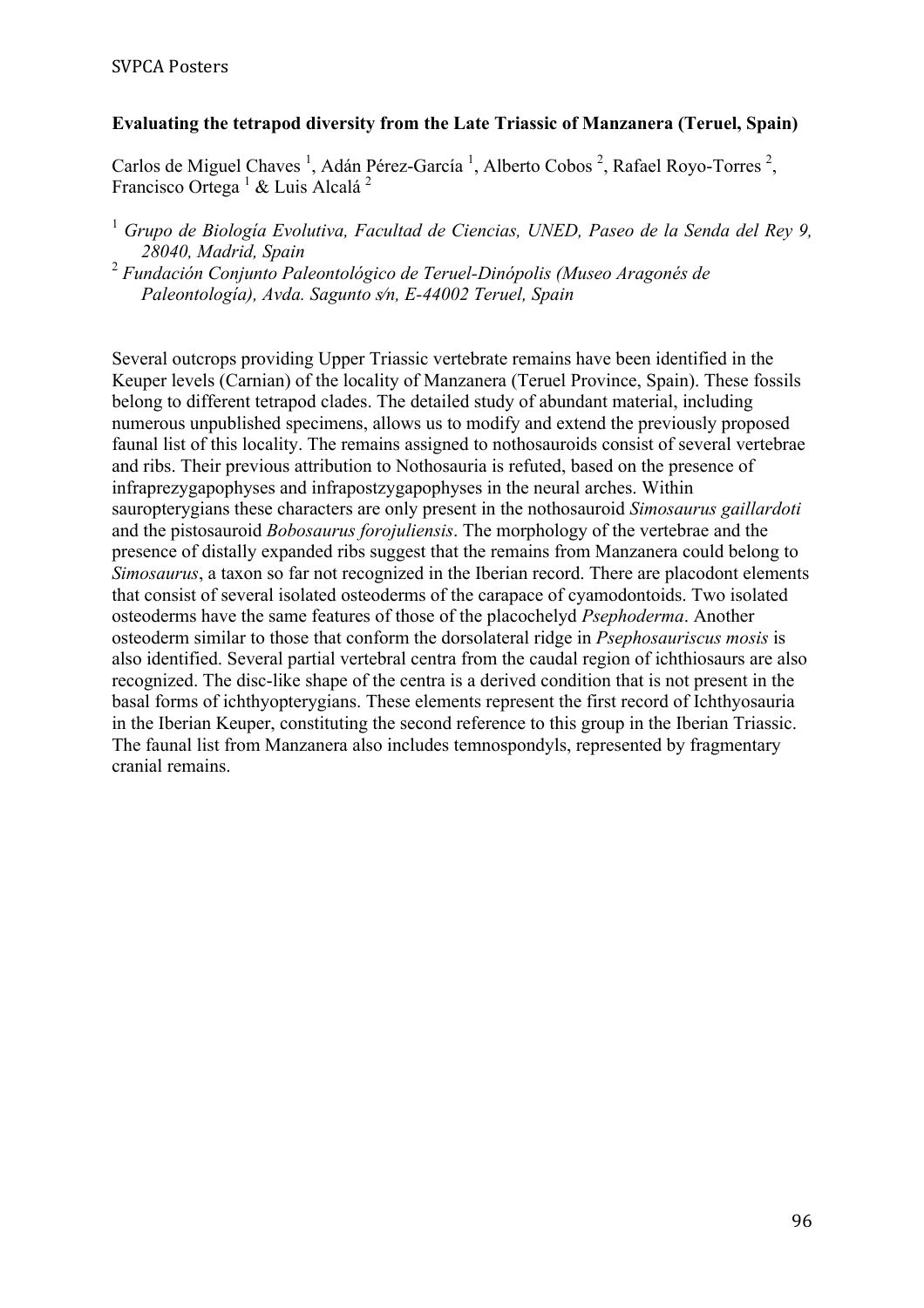# **Evaluating the tetrapod diversity from the Late Triassic of Manzanera (Teruel, Spain)**

Carlos de Miguel Chaves<sup>1</sup>, Adán Pérez-García<sup>1</sup>, Alberto Cobos<sup>2</sup>, Rafael Royo-Torres<sup>2</sup>, Francisco Ortega<sup>1</sup> & Luis Alcalá<sup>2</sup>

<sup>2</sup> *Fundación Conjunto Paleontológico de Teruel-Dinópolis (Museo Aragonés de Paleontología), Avda. Sagunto s⁄n, E-44002 Teruel, Spain*

Several outcrops providing Upper Triassic vertebrate remains have been identified in the Keuper levels (Carnian) of the locality of Manzanera (Teruel Province, Spain). These fossils belong to different tetrapod clades. The detailed study of abundant material, including numerous unpublished specimens, allows us to modify and extend the previously proposed faunal list of this locality. The remains assigned to nothosauroids consist of several vertebrae and ribs. Their previous attribution to Nothosauria is refuted, based on the presence of infraprezygapophyses and infrapostzygapophyses in the neural arches. Within sauropterygians these characters are only present in the nothosauroid *Simosaurus gaillardoti* and the pistosauroid *Bobosaurus forojuliensis*. The morphology of the vertebrae and the presence of distally expanded ribs suggest that the remains from Manzanera could belong to *Simosaurus*, a taxon so far not recognized in the Iberian record. There are placodont elements that consist of several isolated osteoderms of the carapace of cyamodontoids. Two isolated osteoderms have the same features of those of the placochelyd *Psephoderma*. Another osteoderm similar to those that conform the dorsolateral ridge in *Psephosauriscus mosis* is also identified. Several partial vertebral centra from the caudal region of ichthiosaurs are also recognized. The disc-like shape of the centra is a derived condition that is not present in the basal forms of ichthyopterygians. These elements represent the first record of Ichthyosauria in the Iberian Keuper, constituting the second reference to this group in the Iberian Triassic. The faunal list from Manzanera also includes temnospondyls, represented by fragmentary cranial remains.

<sup>1</sup> *Grupo de Biología Evolutiva, Facultad de Ciencias, UNED, Paseo de la Senda del Rey 9, 28040, Madrid, Spain*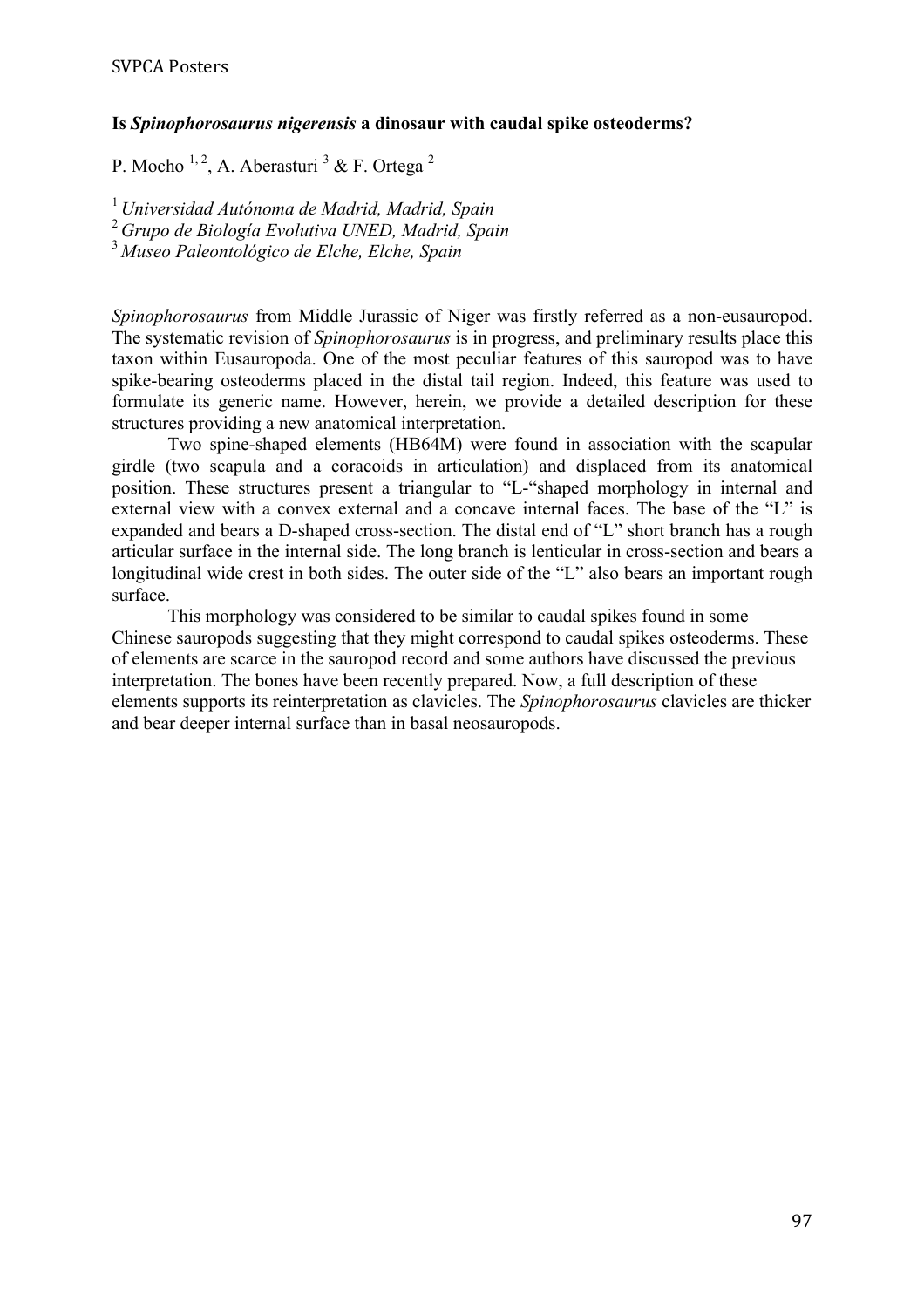#### **Is** *Spinophorosaurus nigerensis* **a dinosaur with caudal spike osteoderms?**

P. Mocho  $^{1, 2}$ , A. Aberasturi  $^3$  & F. Ortega  $^2$ 

<sup>1</sup>*Universidad Autónoma de Madrid, Madrid, Spain* <sup>2</sup>*Grupo de Biología Evolutiva UNED, Madrid, Spain* <sup>3</sup>*Museo Paleontológico de Elche, Elche, Spain*

*Spinophorosaurus* from Middle Jurassic of Niger was firstly referred as a non-eusauropod. The systematic revision of *Spinophorosaurus* is in progress, and preliminary results place this taxon within Eusauropoda. One of the most peculiar features of this sauropod was to have spike-bearing osteoderms placed in the distal tail region. Indeed, this feature was used to formulate its generic name. However, herein, we provide a detailed description for these structures providing a new anatomical interpretation.

Two spine-shaped elements (HB64M) were found in association with the scapular girdle (two scapula and a coracoids in articulation) and displaced from its anatomical position. These structures present a triangular to "L-"shaped morphology in internal and external view with a convex external and a concave internal faces. The base of the "L" is expanded and bears a D-shaped cross-section. The distal end of "L" short branch has a rough articular surface in the internal side. The long branch is lenticular in cross-section and bears a longitudinal wide crest in both sides. The outer side of the "L" also bears an important rough surface.

This morphology was considered to be similar to caudal spikes found in some Chinese sauropods suggesting that they might correspond to caudal spikes osteoderms. These of elements are scarce in the sauropod record and some authors have discussed the previous interpretation. The bones have been recently prepared. Now, a full description of these elements supports its reinterpretation as clavicles. The *Spinophorosaurus* clavicles are thicker and bear deeper internal surface than in basal neosauropods.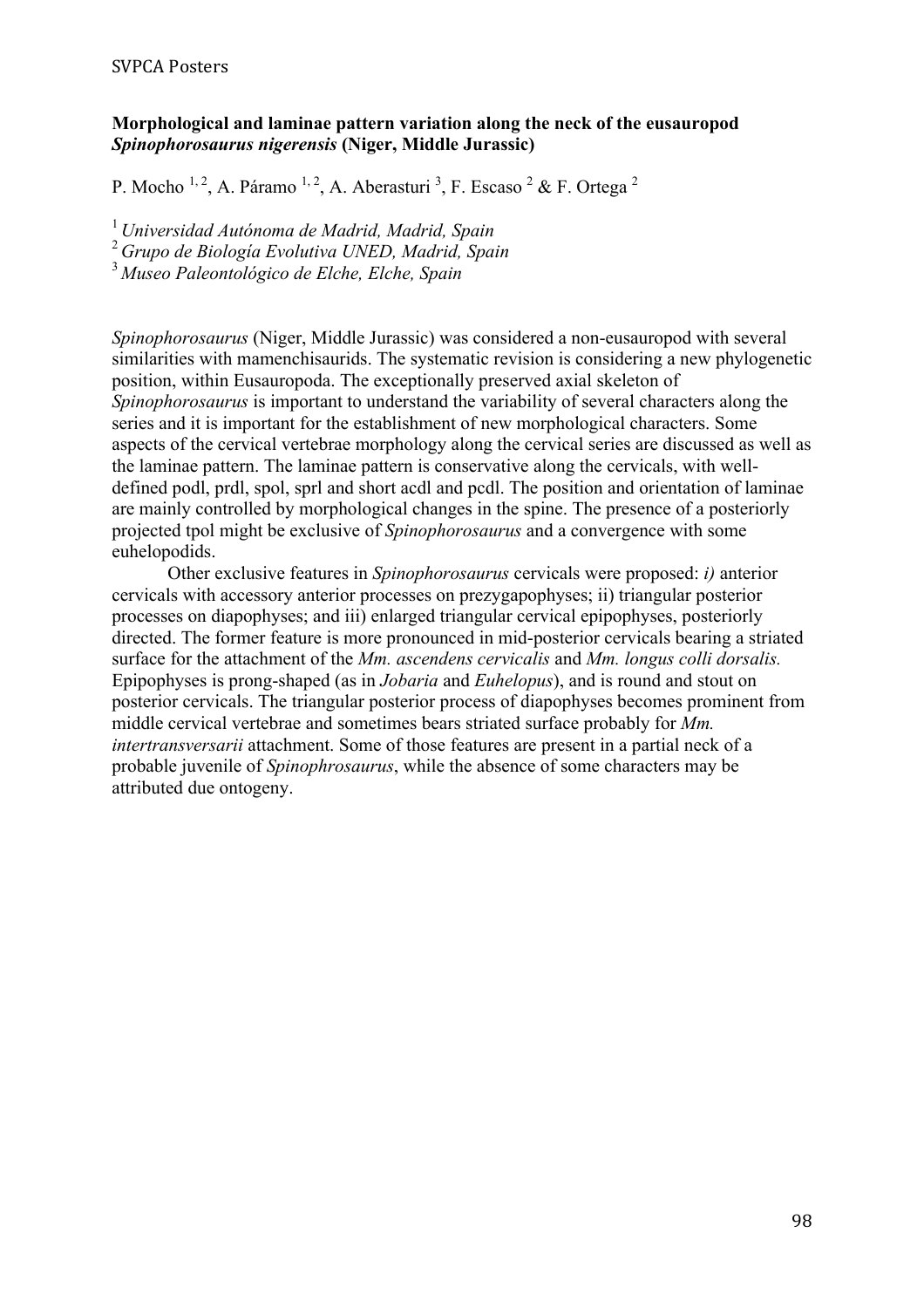### **Morphological and laminae pattern variation along the neck of the eusauropod**  *Spinophorosaurus nigerensis* **(Niger, Middle Jurassic)**

P. Mocho <sup>1, 2</sup>, A. Páramo <sup>1, 2</sup>, A. Aberasturi <sup>3</sup>, F. Escaso <sup>2</sup> & F. Ortega <sup>2</sup>

<sup>1</sup>*Universidad Autónoma de Madrid, Madrid, Spain*

<sup>2</sup>*Grupo de Biología Evolutiva UNED, Madrid, Spain*

<sup>3</sup> *Museo Paleontológico de Elche, Elche, Spain*

*Spinophorosaurus* (Niger, Middle Jurassic) was considered a non-eusauropod with several similarities with mamenchisaurids. The systematic revision is considering a new phylogenetic position, within Eusauropoda. The exceptionally preserved axial skeleton of *Spinophorosaurus* is important to understand the variability of several characters along the series and it is important for the establishment of new morphological characters. Some aspects of the cervical vertebrae morphology along the cervical series are discussed as well as the laminae pattern. The laminae pattern is conservative along the cervicals, with welldefined podl, prdl, spol, sprl and short acdl and pcdl. The position and orientation of laminae are mainly controlled by morphological changes in the spine. The presence of a posteriorly projected tpol might be exclusive of *Spinophorosaurus* and a convergence with some euhelopodids.

Other exclusive features in *Spinophorosaurus* cervicals were proposed: *i)* anterior cervicals with accessory anterior processes on prezygapophyses; ii) triangular posterior processes on diapophyses; and iii) enlarged triangular cervical epipophyses, posteriorly directed. The former feature is more pronounced in mid-posterior cervicals bearing a striated surface for the attachment of the *Mm. ascendens cervicalis* and *Mm. longus colli dorsalis.* Epipophyses is prong-shaped (as in *Jobaria* and *Euhelopus*), and is round and stout on posterior cervicals. The triangular posterior process of diapophyses becomes prominent from middle cervical vertebrae and sometimes bears striated surface probably for *Mm. intertransversarii* attachment. Some of those features are present in a partial neck of a probable juvenile of *Spinophrosaurus*, while the absence of some characters may be attributed due ontogeny.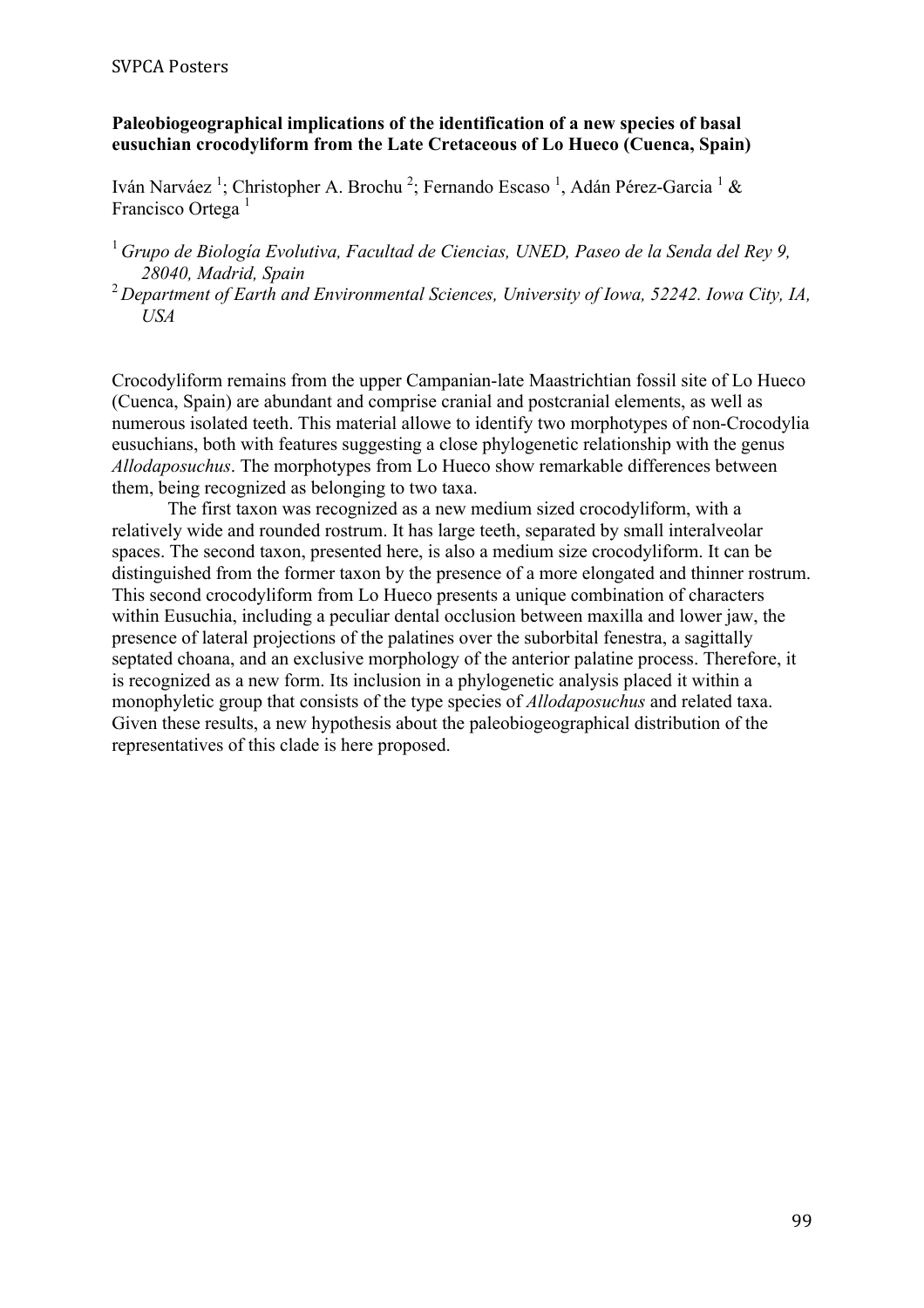# **Paleobiogeographical implications of the identification of a new species of basal eusuchian crocodyliform from the Late Cretaceous of Lo Hueco (Cuenca, Spain)**

Iván Narváez<sup>1</sup>; Christopher A. Brochu<sup>2</sup>; Fernando Escaso<sup>1</sup>, Adán Pérez-Garcia<sup>1</sup> & Francisco Ortega<sup>1</sup>

- <sup>1</sup>*Grupo de Biología Evolutiva, Facultad de Ciencias, UNED, Paseo de la Senda del Rey 9, 28040, Madrid, Spain*
- <sup>2</sup>*Department of Earth and Environmental Sciences, University of Iowa, 52242. Iowa City, IA, USA*

Crocodyliform remains from the upper Campanian-late Maastrichtian fossil site of Lo Hueco (Cuenca, Spain) are abundant and comprise cranial and postcranial elements, as well as numerous isolated teeth. This material allowe to identify two morphotypes of non-Crocodylia eusuchians, both with features suggesting a close phylogenetic relationship with the genus *Allodaposuchus*. The morphotypes from Lo Hueco show remarkable differences between them, being recognized as belonging to two taxa.

The first taxon was recognized as a new medium sized crocodyliform, with a relatively wide and rounded rostrum. It has large teeth, separated by small interalveolar spaces. The second taxon, presented here, is also a medium size crocodyliform. It can be distinguished from the former taxon by the presence of a more elongated and thinner rostrum. This second crocodyliform from Lo Hueco presents a unique combination of characters within Eusuchia, including a peculiar dental occlusion between maxilla and lower jaw, the presence of lateral projections of the palatines over the suborbital fenestra, a sagittally septated choana, and an exclusive morphology of the anterior palatine process. Therefore, it is recognized as a new form. Its inclusion in a phylogenetic analysis placed it within a monophyletic group that consists of the type species of *Allodaposuchus* and related taxa. Given these results, a new hypothesis about the paleobiogeographical distribution of the representatives of this clade is here proposed.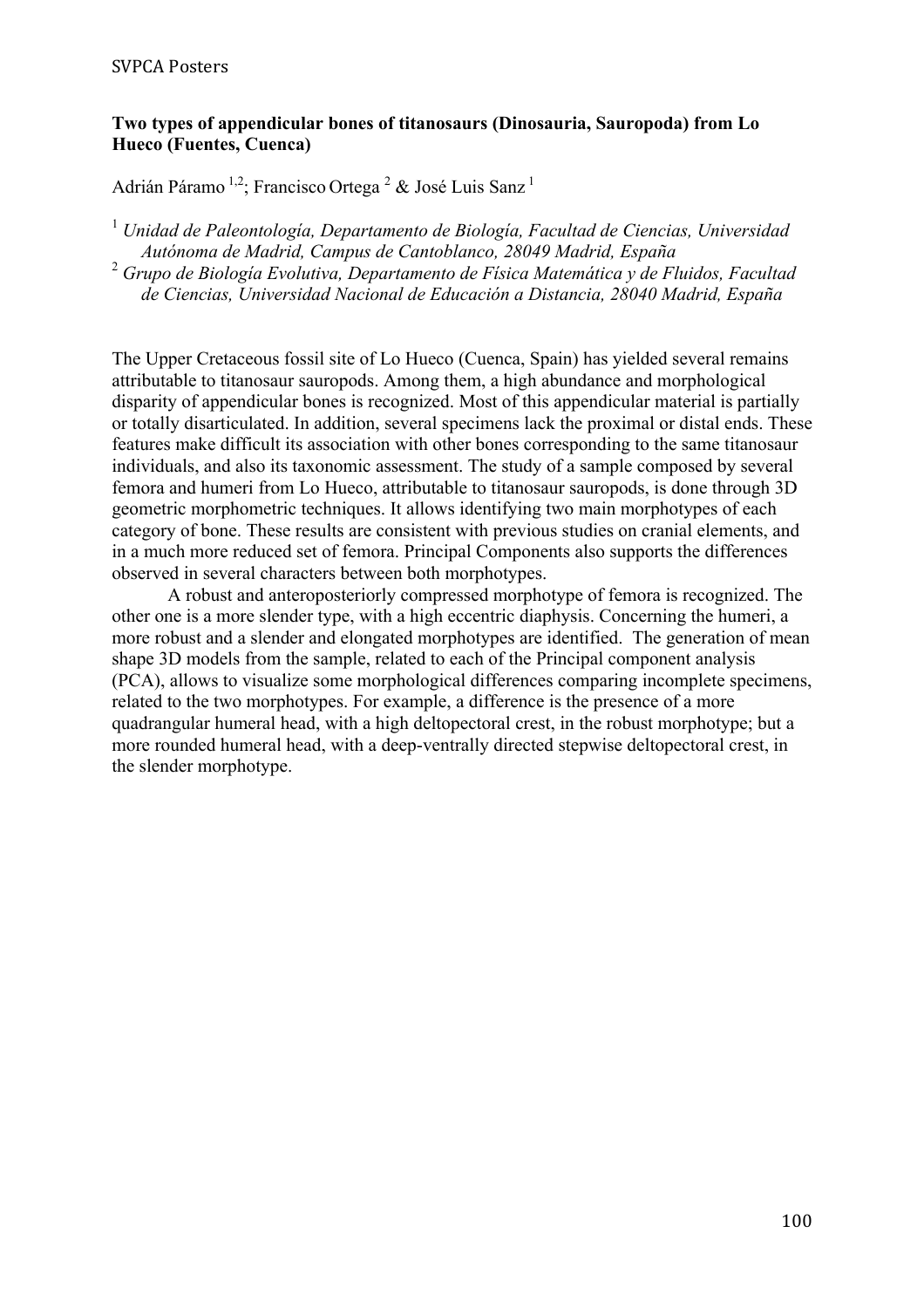### **Two types of appendicular bones of titanosaurs (Dinosauria, Sauropoda) from Lo Hueco (Fuentes, Cuenca)**

Adrián Páramo<sup>1,2</sup>; Francisco Ortega <sup>2</sup> & José Luis Sanz<sup>1</sup>

<sup>1</sup> *Unidad de Paleontología, Departamento de Biología, Facultad de Ciencias, Universidad Autónoma de Madrid, Campus de Cantoblanco, 28049 Madrid, España* <sup>2</sup> *Grupo de Biología Evolutiva, Departamento de Física Matemática y de Fluidos, Facultad de Ciencias, Universidad Nacional de Educación a Distancia, 28040 Madrid, España*

The Upper Cretaceous fossil site of Lo Hueco (Cuenca, Spain) has yielded several remains attributable to titanosaur sauropods. Among them, a high abundance and morphological disparity of appendicular bones is recognized. Most of this appendicular material is partially or totally disarticulated. In addition, several specimens lack the proximal or distal ends. These features make difficult its association with other bones corresponding to the same titanosaur individuals, and also its taxonomic assessment. The study of a sample composed by several femora and humeri from Lo Hueco, attributable to titanosaur sauropods, is done through 3D geometric morphometric techniques. It allows identifying two main morphotypes of each category of bone. These results are consistent with previous studies on cranial elements, and in a much more reduced set of femora. Principal Components also supports the differences observed in several characters between both morphotypes.

A robust and anteroposteriorly compressed morphotype of femora is recognized. The other one is a more slender type, with a high eccentric diaphysis. Concerning the humeri, a more robust and a slender and elongated morphotypes are identified. The generation of mean shape 3D models from the sample, related to each of the Principal component analysis (PCA), allows to visualize some morphological differences comparing incomplete specimens, related to the two morphotypes. For example, a difference is the presence of a more quadrangular humeral head, with a high deltopectoral crest, in the robust morphotype; but a more rounded humeral head, with a deep-ventrally directed stepwise deltopectoral crest, in the slender morphotype.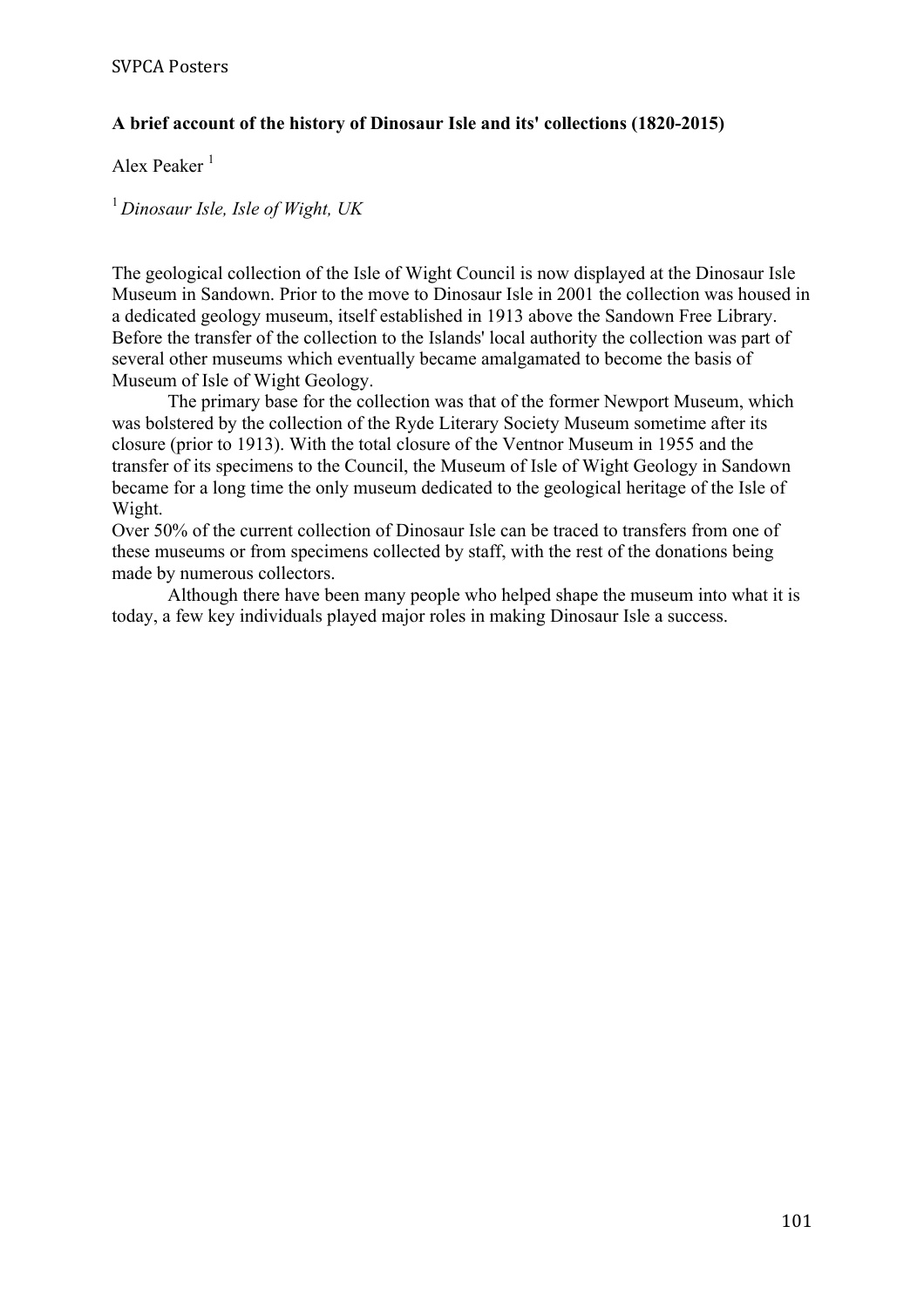# **A brief account of the history of Dinosaur Isle and its' collections (1820-2015)**

Alex Peaker<sup>1</sup>

<sup>1</sup>*Dinosaur Isle, Isle of Wight, UK*

The geological collection of the Isle of Wight Council is now displayed at the Dinosaur Isle Museum in Sandown. Prior to the move to Dinosaur Isle in 2001 the collection was housed in a dedicated geology museum, itself established in 1913 above the Sandown Free Library. Before the transfer of the collection to the Islands' local authority the collection was part of several other museums which eventually became amalgamated to become the basis of Museum of Isle of Wight Geology.

The primary base for the collection was that of the former Newport Museum, which was bolstered by the collection of the Ryde Literary Society Museum sometime after its closure (prior to 1913). With the total closure of the Ventnor Museum in 1955 and the transfer of its specimens to the Council, the Museum of Isle of Wight Geology in Sandown became for a long time the only museum dedicated to the geological heritage of the Isle of Wight.

Over 50% of the current collection of Dinosaur Isle can be traced to transfers from one of these museums or from specimens collected by staff, with the rest of the donations being made by numerous collectors.

Although there have been many people who helped shape the museum into what it is today, a few key individuals played major roles in making Dinosaur Isle a success.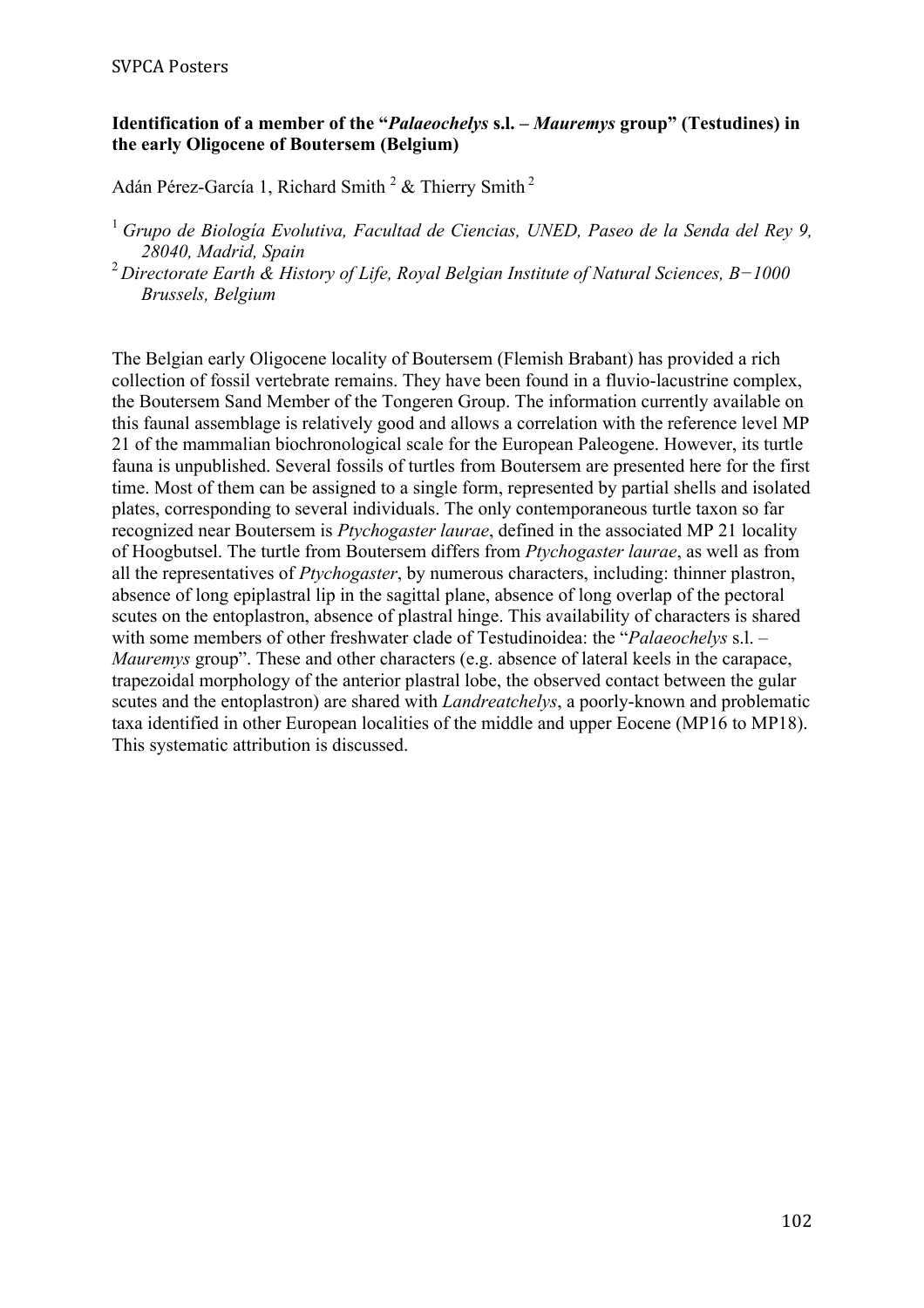### **Identification of a member of the "***Palaeochelys* **s.l. –** *Mauremys* **group" (Testudines) in the early Oligocene of Boutersem (Belgium)**

Adán Pérez-García 1, Richard Smith<sup>2</sup> & Thierry Smith<sup>2</sup>

- <sup>1</sup>*Grupo de Biología Evolutiva, Facultad de Ciencias, UNED, Paseo de la Senda del Rey 9, 28040, Madrid, Spain*
- <sup>2</sup>*Directorate Earth & History of Life, Royal Belgian Institute of Natural Sciences, B−1000 Brussels, Belgium*

The Belgian early Oligocene locality of Boutersem (Flemish Brabant) has provided a rich collection of fossil vertebrate remains. They have been found in a fluvio-lacustrine complex, the Boutersem Sand Member of the Tongeren Group. The information currently available on this faunal assemblage is relatively good and allows a correlation with the reference level MP 21 of the mammalian biochronological scale for the European Paleogene. However, its turtle fauna is unpublished. Several fossils of turtles from Boutersem are presented here for the first time. Most of them can be assigned to a single form, represented by partial shells and isolated plates, corresponding to several individuals. The only contemporaneous turtle taxon so far recognized near Boutersem is *Ptychogaster laurae*, defined in the associated MP 21 locality of Hoogbutsel. The turtle from Boutersem differs from *Ptychogaster laurae*, as well as from all the representatives of *Ptychogaster*, by numerous characters, including: thinner plastron, absence of long epiplastral lip in the sagittal plane, absence of long overlap of the pectoral scutes on the entoplastron, absence of plastral hinge. This availability of characters is shared with some members of other freshwater clade of Testudinoidea: the "*Palaeochelys* s.l. – *Mauremys* group". These and other characters (e.g. absence of lateral keels in the carapace, trapezoidal morphology of the anterior plastral lobe, the observed contact between the gular scutes and the entoplastron) are shared with *Landreatchelys*, a poorly-known and problematic taxa identified in other European localities of the middle and upper Eocene (MP16 to MP18). This systematic attribution is discussed.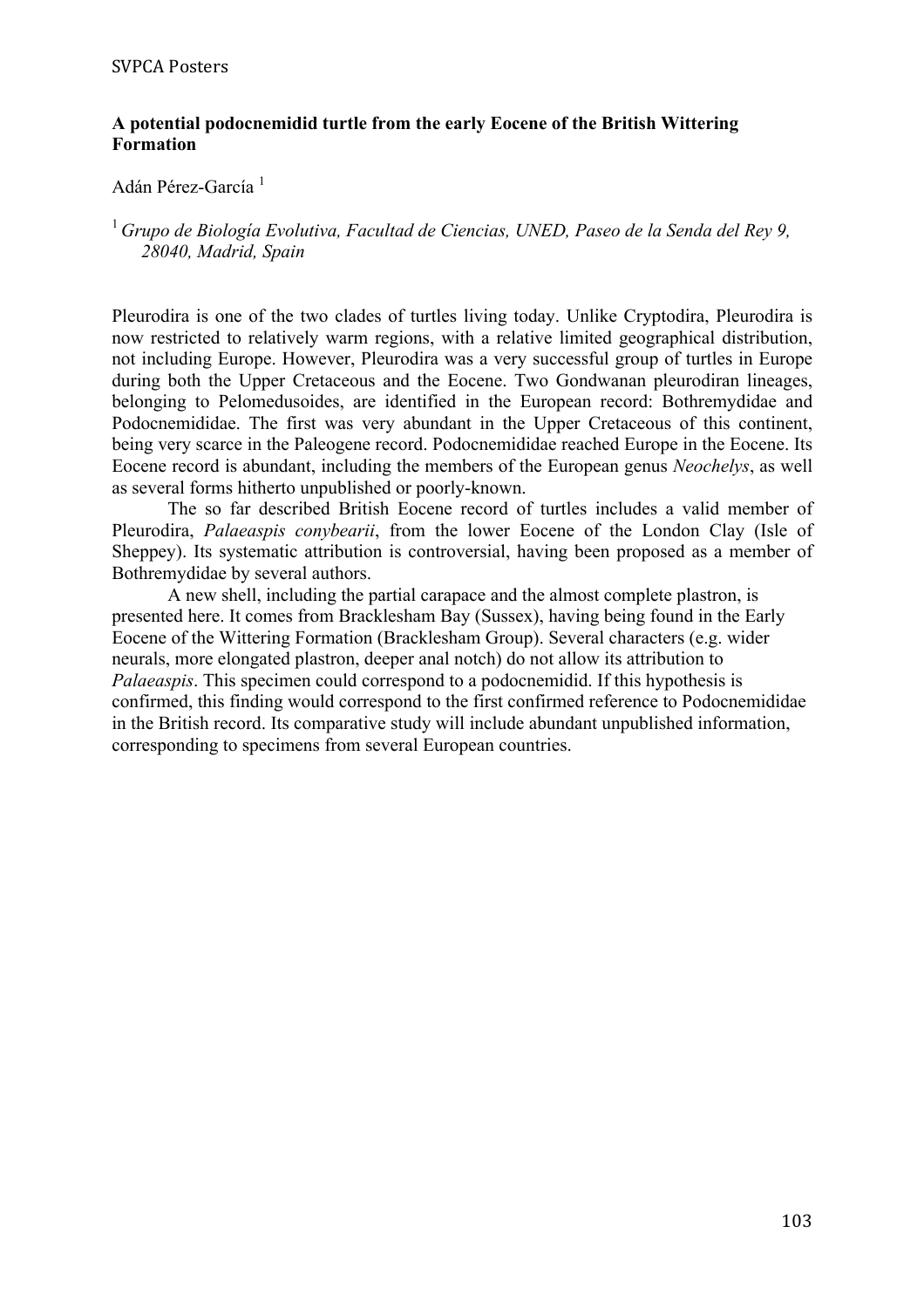#### **A potential podocnemidid turtle from the early Eocene of the British Wittering Formation**

#### Adán Pérez-García<sup>1</sup>

#### <sup>1</sup>*Grupo de Biología Evolutiva, Facultad de Ciencias, UNED, Paseo de la Senda del Rey 9, 28040, Madrid, Spain*

Pleurodira is one of the two clades of turtles living today. Unlike Cryptodira, Pleurodira is now restricted to relatively warm regions, with a relative limited geographical distribution, not including Europe. However, Pleurodira was a very successful group of turtles in Europe during both the Upper Cretaceous and the Eocene. Two Gondwanan pleurodiran lineages, belonging to Pelomedusoides, are identified in the European record: Bothremydidae and Podocnemididae. The first was very abundant in the Upper Cretaceous of this continent, being very scarce in the Paleogene record. Podocnemididae reached Europe in the Eocene. Its Eocene record is abundant, including the members of the European genus *Neochelys*, as well as several forms hitherto unpublished or poorly-known.

The so far described British Eocene record of turtles includes a valid member of Pleurodira, *Palaeaspis conybearii*, from the lower Eocene of the London Clay (Isle of Sheppey). Its systematic attribution is controversial, having been proposed as a member of Bothremydidae by several authors.

A new shell, including the partial carapace and the almost complete plastron, is presented here. It comes from Bracklesham Bay (Sussex), having being found in the Early Eocene of the Wittering Formation (Bracklesham Group). Several characters (e.g. wider neurals, more elongated plastron, deeper anal notch) do not allow its attribution to *Palaeaspis*. This specimen could correspond to a podocnemidid. If this hypothesis is confirmed, this finding would correspond to the first confirmed reference to Podocnemididae in the British record. Its comparative study will include abundant unpublished information, corresponding to specimens from several European countries.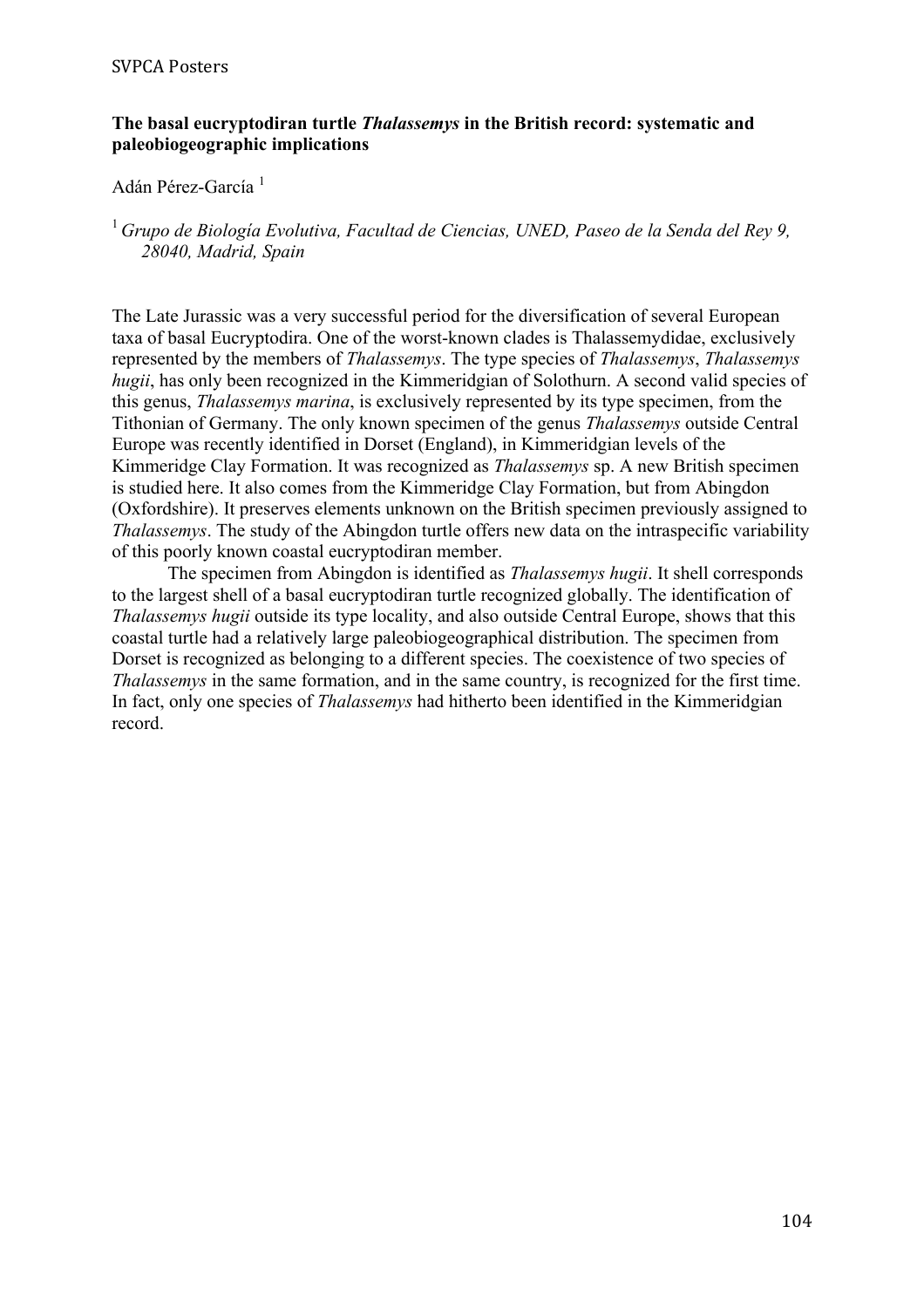#### **The basal eucryptodiran turtle** *Thalassemys* **in the British record: systematic and paleobiogeographic implications**

#### Adán Pérez-García<sup>1</sup>

#### <sup>1</sup>*Grupo de Biología Evolutiva, Facultad de Ciencias, UNED, Paseo de la Senda del Rey 9, 28040, Madrid, Spain*

The Late Jurassic was a very successful period for the diversification of several European taxa of basal Eucryptodira. One of the worst-known clades is Thalassemydidae, exclusively represented by the members of *Thalassemys*. The type species of *Thalassemys*, *Thalassemys hugii*, has only been recognized in the Kimmeridgian of Solothurn. A second valid species of this genus, *Thalassemys marina*, is exclusively represented by its type specimen, from the Tithonian of Germany. The only known specimen of the genus *Thalassemys* outside Central Europe was recently identified in Dorset (England), in Kimmeridgian levels of the Kimmeridge Clay Formation. It was recognized as *Thalassemys* sp. A new British specimen is studied here. It also comes from the Kimmeridge Clay Formation, but from Abingdon (Oxfordshire). It preserves elements unknown on the British specimen previously assigned to *Thalassemys*. The study of the Abingdon turtle offers new data on the intraspecific variability of this poorly known coastal eucryptodiran member.

The specimen from Abingdon is identified as *Thalassemys hugii*. It shell corresponds to the largest shell of a basal eucryptodiran turtle recognized globally. The identification of *Thalassemys hugii* outside its type locality, and also outside Central Europe, shows that this coastal turtle had a relatively large paleobiogeographical distribution. The specimen from Dorset is recognized as belonging to a different species. The coexistence of two species of *Thalassemys* in the same formation, and in the same country, is recognized for the first time. In fact, only one species of *Thalassemys* had hitherto been identified in the Kimmeridgian record.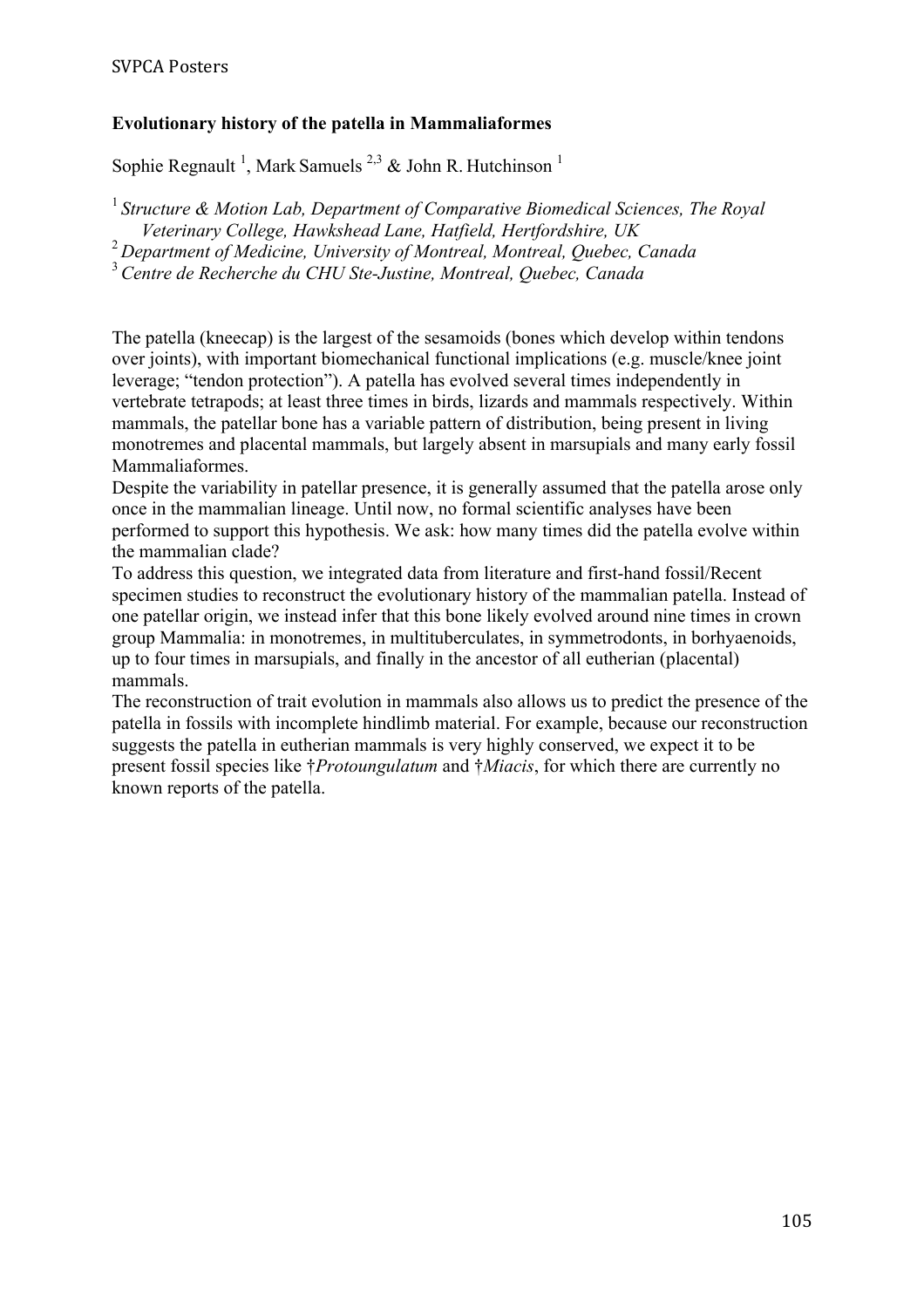# **Evolutionary history of the patella in Mammaliaformes**

Sophie Regnault<sup>1</sup>, Mark Samuels<sup>2,3</sup> & John R. Hutchinson<sup>1</sup>

<sup>1</sup> Structure & Motion Lab, Department of Comparative Biomedical Sciences, The Royal

*Veterinary College, Hawkshead Lane, Hatfield, Hertfordshire, UK*

<sup>2</sup>*Department of Medicine, University of Montreal, Montreal, Quebec, Canada*

<sup>3</sup>*Centre de Recherche du CHU Ste-Justine, Montreal, Quebec, Canada*

The patella (kneecap) is the largest of the sesamoids (bones which develop within tendons over joints), with important biomechanical functional implications (e.g. muscle/knee joint leverage; "tendon protection"). A patella has evolved several times independently in vertebrate tetrapods; at least three times in birds, lizards and mammals respectively. Within mammals, the patellar bone has a variable pattern of distribution, being present in living monotremes and placental mammals, but largely absent in marsupials and many early fossil Mammaliaformes.

Despite the variability in patellar presence, it is generally assumed that the patella arose only once in the mammalian lineage. Until now, no formal scientific analyses have been performed to support this hypothesis. We ask: how many times did the patella evolve within the mammalian clade?

To address this question, we integrated data from literature and first-hand fossil/Recent specimen studies to reconstruct the evolutionary history of the mammalian patella. Instead of one patellar origin, we instead infer that this bone likely evolved around nine times in crown group Mammalia: in monotremes, in multituberculates, in symmetrodonts, in borhyaenoids, up to four times in marsupials, and finally in the ancestor of all eutherian (placental) mammals.

The reconstruction of trait evolution in mammals also allows us to predict the presence of the patella in fossils with incomplete hindlimb material. For example, because our reconstruction suggests the patella in eutherian mammals is very highly conserved, we expect it to be present fossil species like †*Protoungulatum* and †*Miacis*, for which there are currently no known reports of the patella.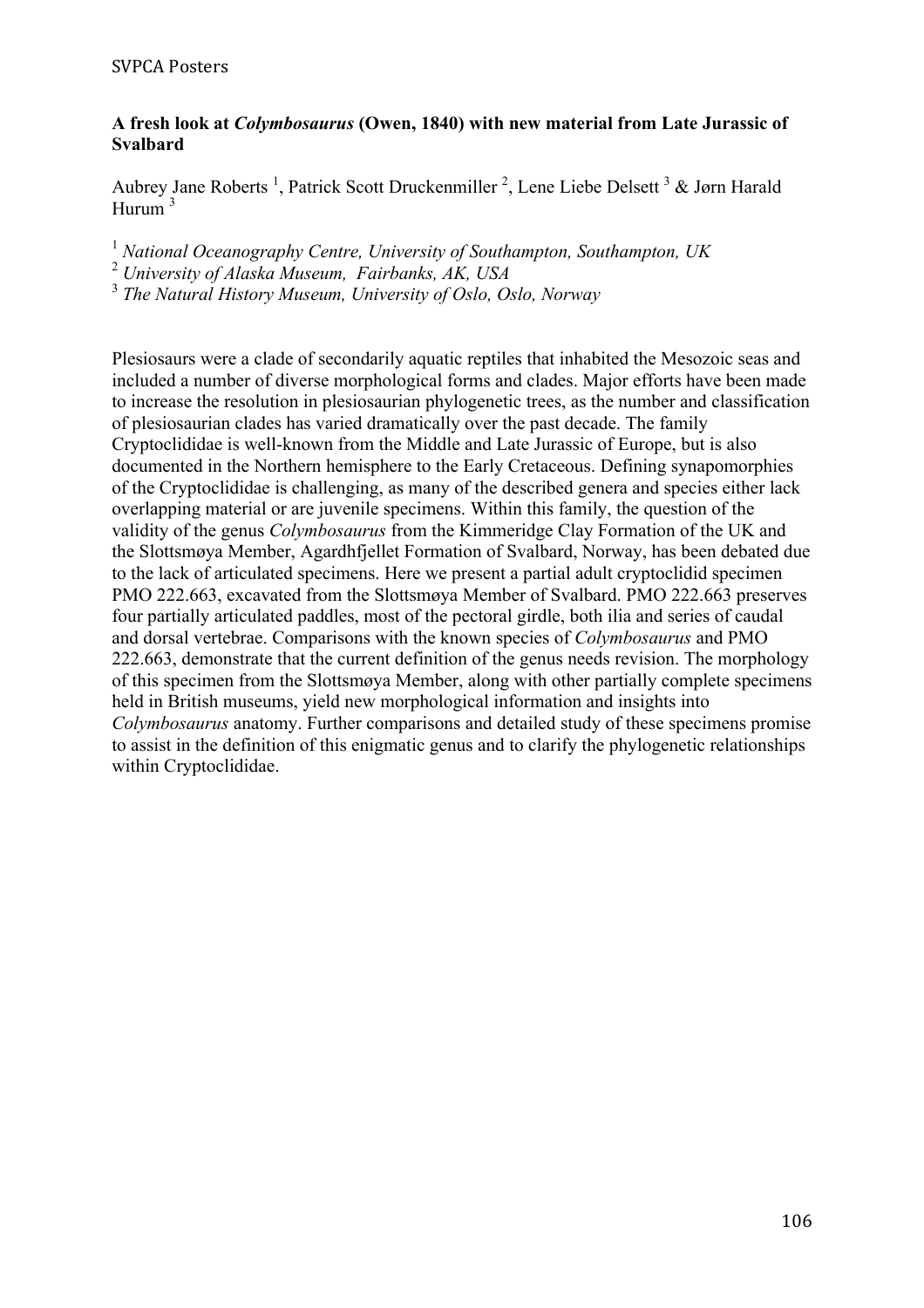### **A fresh look at** *Colymbosaurus* **(Owen, 1840) with new material from Late Jurassic of Svalbard**

Aubrey Jane Roberts<sup>1</sup>, Patrick Scott Druckenmiller<sup>2</sup>, Lene Liebe Delsett<sup>3</sup> & Jørn Harald Hurum <sup>3</sup>

<sup>1</sup> *National Oceanography Centre, University of Southampton, Southampton, UK*

<sup>2</sup> *University of Alaska Museum, Fairbanks, AK, USA*

<sup>3</sup> *The Natural History Museum, University of Oslo, Oslo, Norway*

Plesiosaurs were a clade of secondarily aquatic reptiles that inhabited the Mesozoic seas and included a number of diverse morphological forms and clades. Major efforts have been made to increase the resolution in plesiosaurian phylogenetic trees, as the number and classification of plesiosaurian clades has varied dramatically over the past decade. The family Cryptoclididae is well-known from the Middle and Late Jurassic of Europe, but is also documented in the Northern hemisphere to the Early Cretaceous. Defining synapomorphies of the Cryptoclididae is challenging, as many of the described genera and species either lack overlapping material or are juvenile specimens. Within this family, the question of the validity of the genus *Colymbosaurus* from the Kimmeridge Clay Formation of the UK and the Slottsmøya Member, Agardhfjellet Formation of Svalbard, Norway, has been debated due to the lack of articulated specimens. Here we present a partial adult cryptoclidid specimen PMO 222.663, excavated from the Slottsmøya Member of Svalbard. PMO 222.663 preserves four partially articulated paddles, most of the pectoral girdle, both ilia and series of caudal and dorsal vertebrae. Comparisons with the known species of *Colymbosaurus* and PMO 222.663, demonstrate that the current definition of the genus needs revision. The morphology of this specimen from the Slottsmøya Member, along with other partially complete specimens held in British museums, yield new morphological information and insights into *Colymbosaurus* anatomy. Further comparisons and detailed study of these specimens promise to assist in the definition of this enigmatic genus and to clarify the phylogenetic relationships within Cryptoclididae.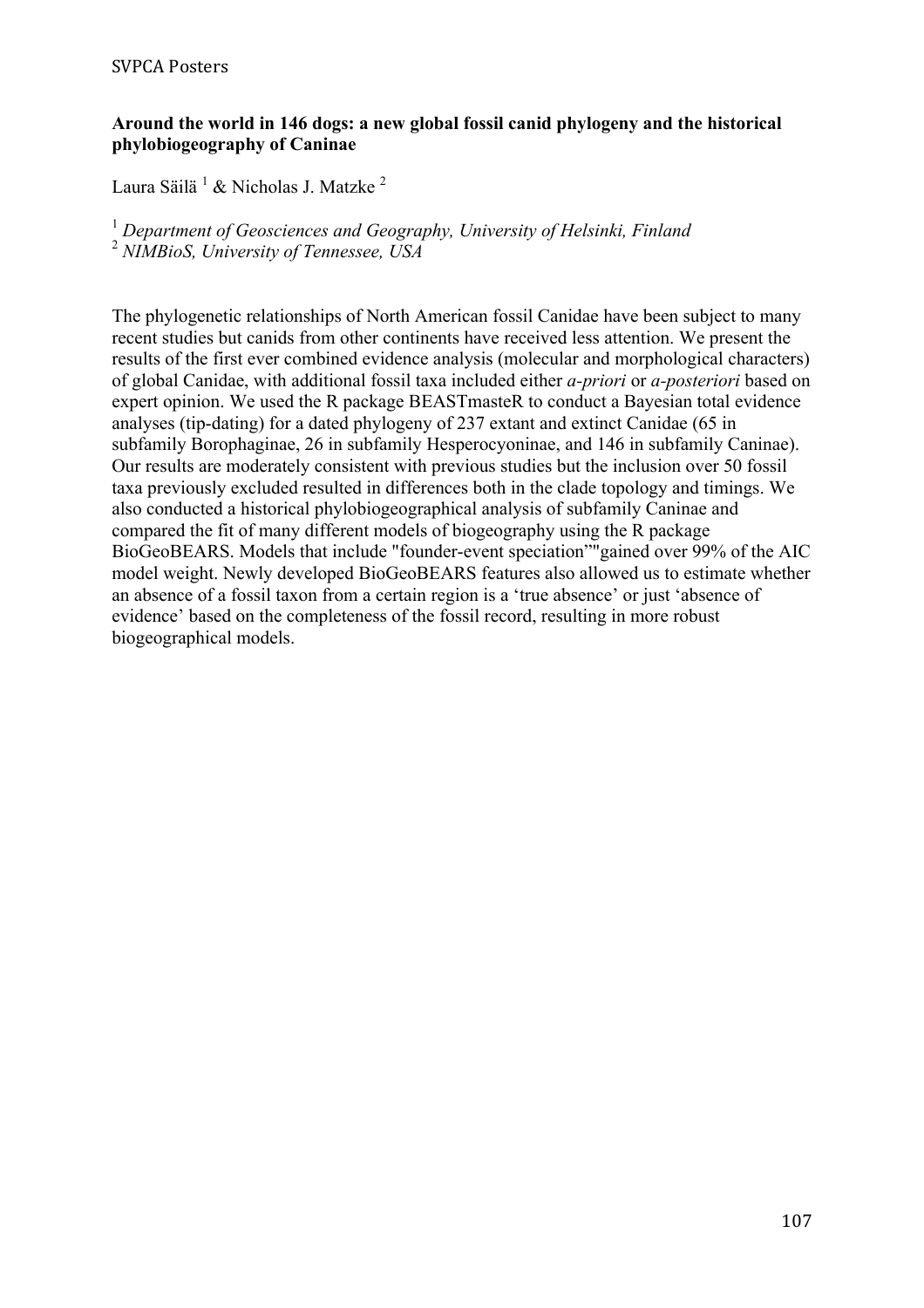### **Around the world in 146 dogs: a new global fossil canid phylogeny and the historical phylobiogeography of Caninae**

Laura Säilä <sup>1</sup> & Nicholas J. Matzke <sup>2</sup>

<sup>1</sup> *Department of Geosciences and Geography, University of Helsinki, Finland* <sup>2</sup> *NIMBioS, University of Tennessee, USA*

The phylogenetic relationships of North American fossil Canidae have been subject to many recent studies but canids from other continents have received less attention. We present the results of the first ever combined evidence analysis (molecular and morphological characters) of global Canidae, with additional fossil taxa included either *a-priori* or *a-posteriori* based on expert opinion. We used the R package BEASTmasteR to conduct a Bayesian total evidence analyses (tip-dating) for a dated phylogeny of 237 extant and extinct Canidae (65 in subfamily Borophaginae, 26 in subfamily Hesperocyoninae, and 146 in subfamily Caninae). Our results are moderately consistent with previous studies but the inclusion over 50 fossil taxa previously excluded resulted in differences both in the clade topology and timings. We also conducted a historical phylobiogeographical analysis of subfamily Caninae and compared the fit of many different models of biogeography using the R package BioGeoBEARS. Models that include "founder-event speciation""gained over 99% of the AIC model weight. Newly developed BioGeoBEARS features also allowed us to estimate whether an absence of a fossil taxon from a certain region is a 'true absence' or just 'absence of evidence' based on the completeness of the fossil record, resulting in more robust biogeographical models.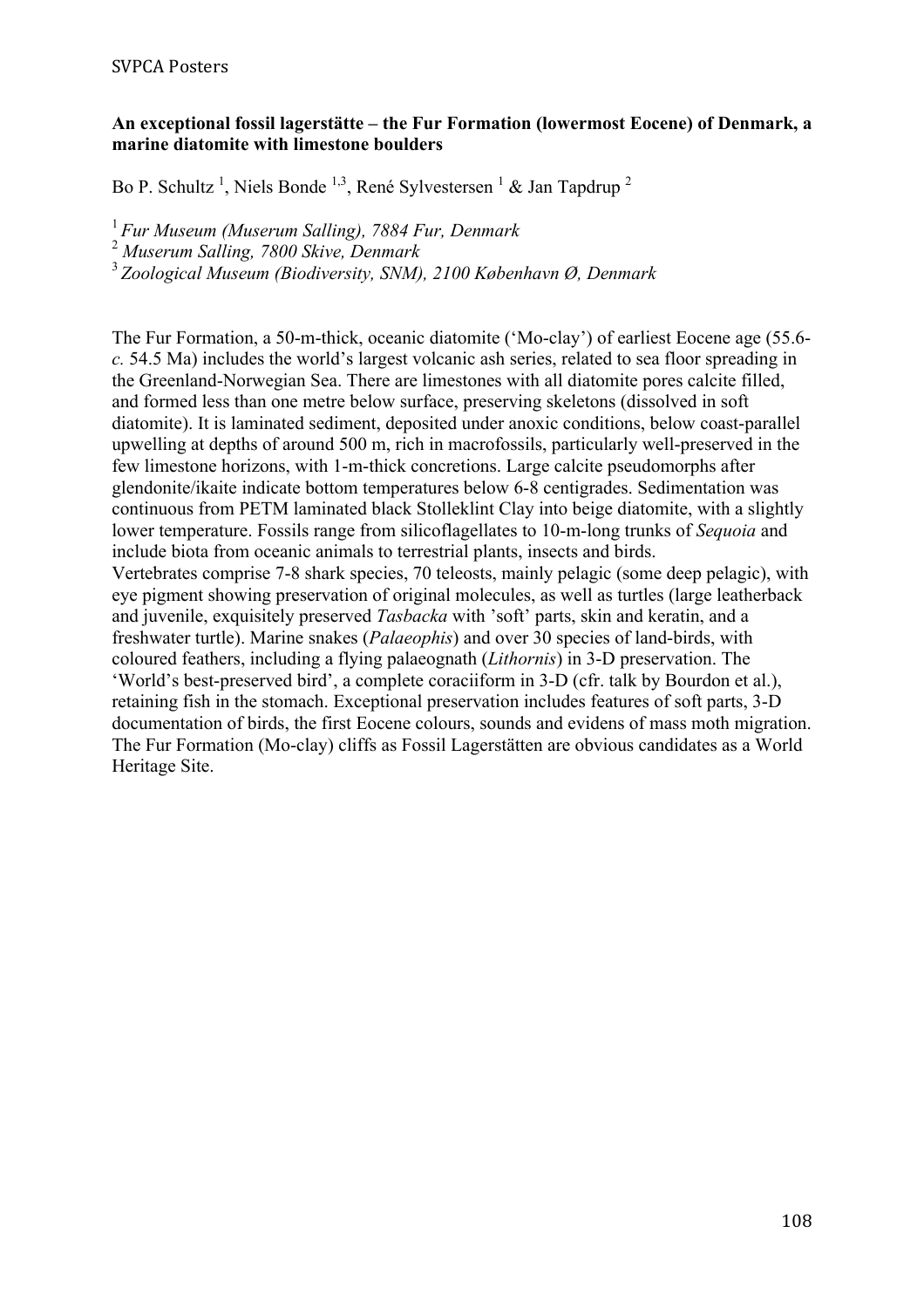### **An exceptional fossil lagerstätte – the Fur Formation (lowermost Eocene) of Denmark, a marine diatomite with limestone boulders**

Bo P. Schultz<sup>1</sup>, Niels Bonde<sup>1,3</sup>, René Sylvestersen <sup>1</sup> & Jan Tapdrup<sup>2</sup>

<sup>1</sup>*Fur Museum (Muserum Salling), 7884 Fur, Denmark* 

<sup>2</sup> *Muserum Salling, 7800 Skive, Denmark*

<sup>3</sup>*Zoological Museum (Biodiversity, SNM), 2100 København Ø, Denmark*

The Fur Formation, a 50-m-thick, oceanic diatomite ('Mo-clay') of earliest Eocene age (55.6 *c.* 54.5 Ma) includes the world's largest volcanic ash series, related to sea floor spreading in the Greenland-Norwegian Sea. There are limestones with all diatomite pores calcite filled, and formed less than one metre below surface, preserving skeletons (dissolved in soft diatomite). It is laminated sediment, deposited under anoxic conditions, below coast-parallel upwelling at depths of around 500 m, rich in macrofossils, particularly well-preserved in the few limestone horizons, with 1-m-thick concretions. Large calcite pseudomorphs after glendonite/ikaite indicate bottom temperatures below 6-8 centigrades. Sedimentation was continuous from PETM laminated black Stolleklint Clay into beige diatomite, with a slightly lower temperature. Fossils range from silicoflagellates to 10-m-long trunks of *Sequoia* and include biota from oceanic animals to terrestrial plants, insects and birds. Vertebrates comprise 7-8 shark species, 70 teleosts, mainly pelagic (some deep pelagic), with eye pigment showing preservation of original molecules, as well as turtles (large leatherback and juvenile, exquisitely preserved *Tasbacka* with 'soft' parts, skin and keratin, and a freshwater turtle). Marine snakes (*Palaeophis*) and over 30 species of land-birds, with coloured feathers, including a flying palaeognath (*Lithornis*) in 3-D preservation. The 'World's best-preserved bird', a complete coraciiform in 3-D (cfr. talk by Bourdon et al.), retaining fish in the stomach. Exceptional preservation includes features of soft parts, 3-D documentation of birds, the first Eocene colours, sounds and evidens of mass moth migration. The Fur Formation (Mo-clay) cliffs as Fossil Lagerstätten are obvious candidates as a World Heritage Site.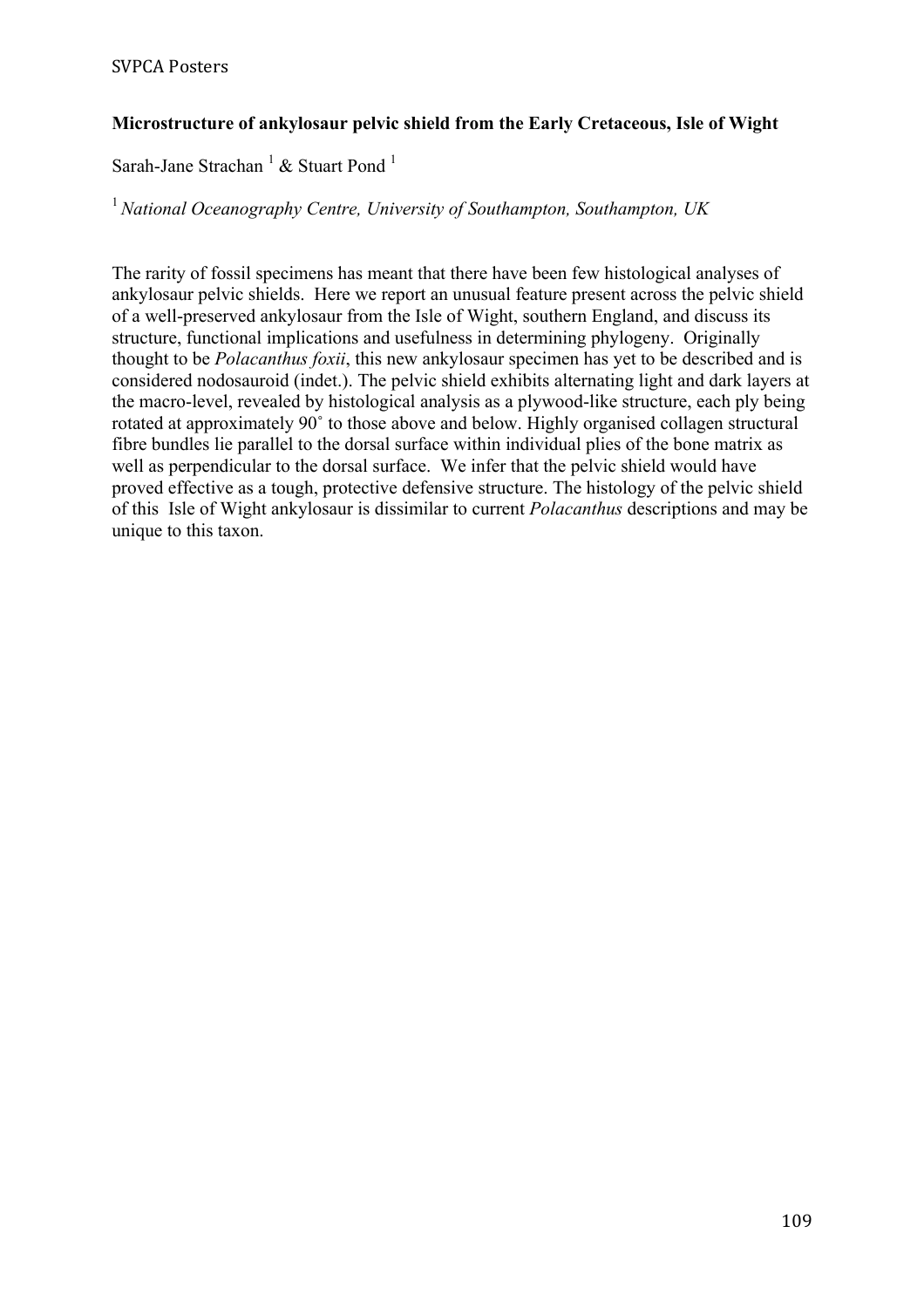# **Microstructure of ankylosaur pelvic shield from the Early Cretaceous, Isle of Wight**

Sarah-Jane Strachan  $^1$  & Stuart Pond  $^1$ 

<sup>1</sup>*National Oceanography Centre, University of Southampton, Southampton, UK*

The rarity of fossil specimens has meant that there have been few histological analyses of ankylosaur pelvic shields. Here we report an unusual feature present across the pelvic shield of a well-preserved ankylosaur from the Isle of Wight, southern England, and discuss its structure, functional implications and usefulness in determining phylogeny. Originally thought to be *Polacanthus foxii*, this new ankylosaur specimen has yet to be described and is considered nodosauroid (indet.). The pelvic shield exhibits alternating light and dark layers at the macro-level, revealed by histological analysis as a plywood-like structure, each ply being rotated at approximately 90˚ to those above and below. Highly organised collagen structural fibre bundles lie parallel to the dorsal surface within individual plies of the bone matrix as well as perpendicular to the dorsal surface. We infer that the pelvic shield would have proved effective as a tough, protective defensive structure. The histology of the pelvic shield of this Isle of Wight ankylosaur is dissimilar to current *Polacanthus* descriptions and may be unique to this taxon.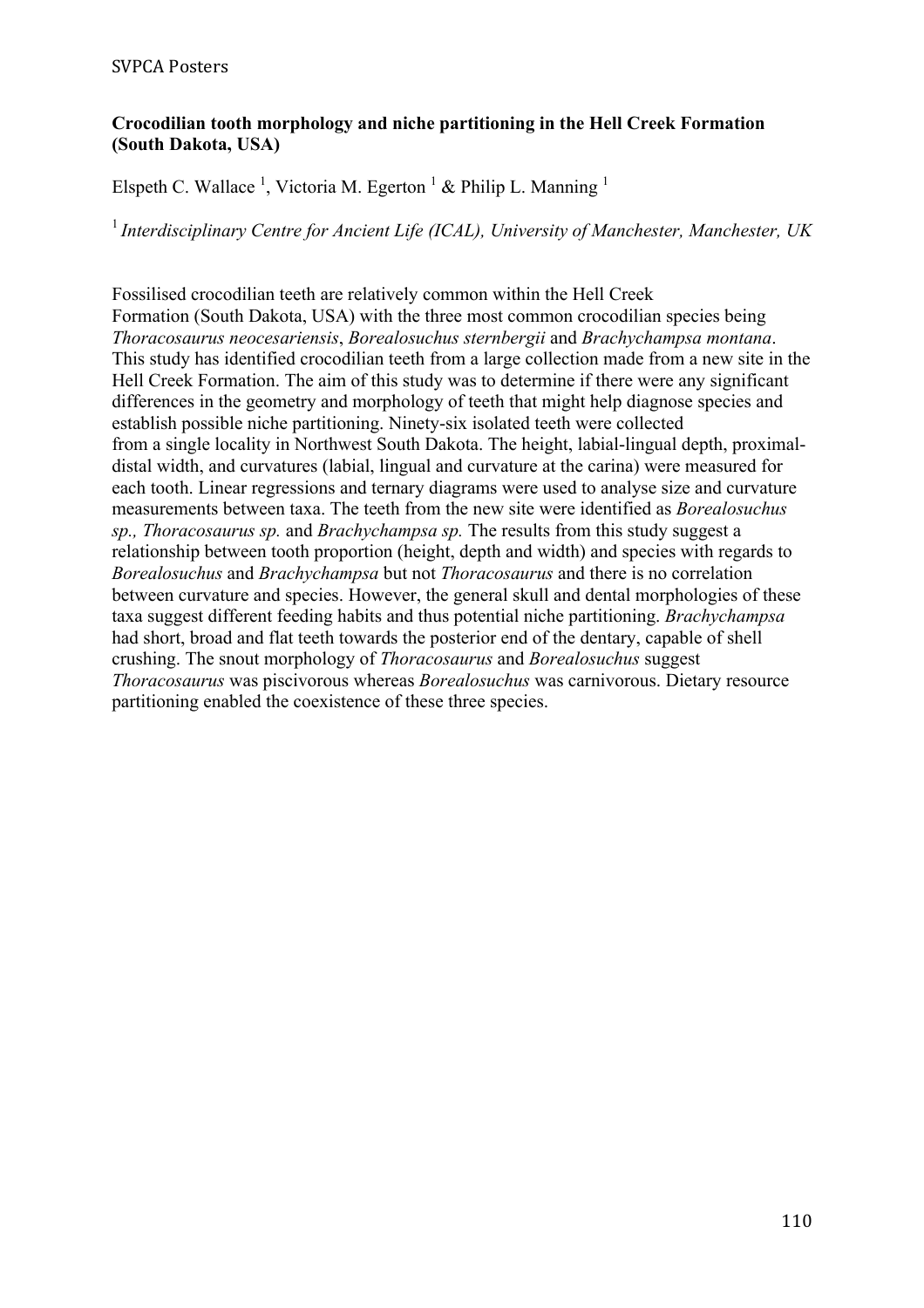# **Crocodilian tooth morphology and niche partitioning in the Hell Creek Formation (South Dakota, USA)**

Elspeth C. Wallace<sup>1</sup>, Victoria M. Egerton<sup>1</sup> & Philip L. Manning<sup>1</sup>

<sup>1</sup>*Interdisciplinary Centre for Ancient Life (ICAL), University of Manchester, Manchester, UK*

Fossilised crocodilian teeth are relatively common within the Hell Creek Formation (South Dakota, USA) with the three most common crocodilian species being *Thoracosaurus neocesariensis*, *Borealosuchus sternbergii* and *Brachychampsa montana*. This study has identified crocodilian teeth from a large collection made from a new site in the Hell Creek Formation. The aim of this study was to determine if there were any significant differences in the geometry and morphology of teeth that might help diagnose species and establish possible niche partitioning. Ninety-six isolated teeth were collected from a single locality in Northwest South Dakota. The height, labial-lingual depth, proximaldistal width, and curvatures (labial, lingual and curvature at the carina) were measured for each tooth. Linear regressions and ternary diagrams were used to analyse size and curvature measurements between taxa. The teeth from the new site were identified as *Borealosuchus sp., Thoracosaurus sp.* and *Brachychampsa sp.* The results from this study suggest a relationship between tooth proportion (height, depth and width) and species with regards to *Borealosuchus* and *Brachychampsa* but not *Thoracosaurus* and there is no correlation between curvature and species. However, the general skull and dental morphologies of these taxa suggest different feeding habits and thus potential niche partitioning. *Brachychampsa*  had short, broad and flat teeth towards the posterior end of the dentary, capable of shell crushing. The snout morphology of *Thoracosaurus* and *Borealosuchus* suggest *Thoracosaurus* was piscivorous whereas *Borealosuchus* was carnivorous. Dietary resource partitioning enabled the coexistence of these three species.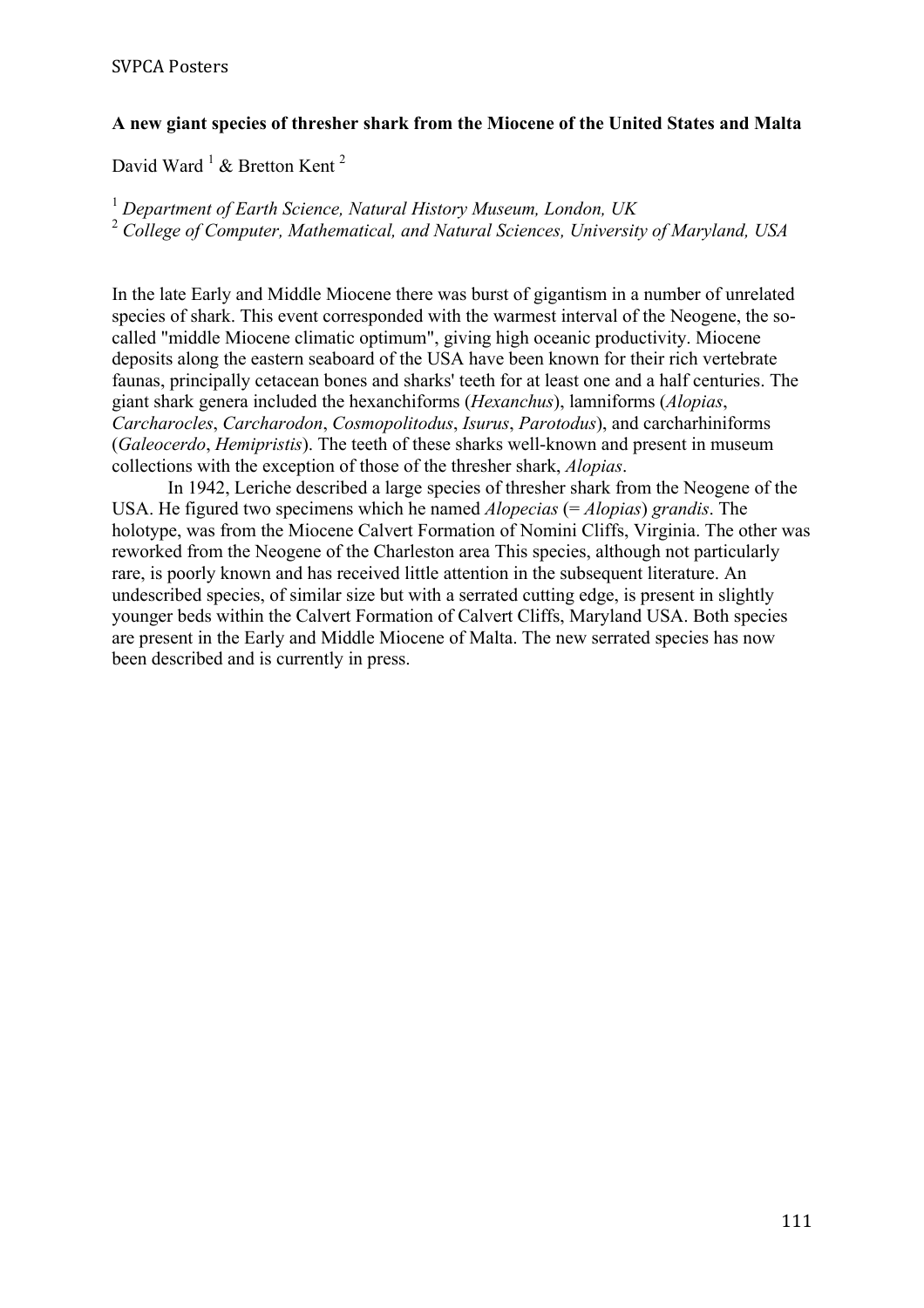# **A new giant species of thresher shark from the Miocene of the United States and Malta**

David Ward  $^1$  & Bretton Kent<sup>2</sup>

<sup>1</sup> *Department of Earth Science, Natural History Museum, London, UK* <sup>2</sup> *College of Computer, Mathematical, and Natural Sciences, University of Maryland, USA*

In the late Early and Middle Miocene there was burst of gigantism in a number of unrelated species of shark. This event corresponded with the warmest interval of the Neogene, the socalled "middle Miocene climatic optimum", giving high oceanic productivity. Miocene deposits along the eastern seaboard of the USA have been known for their rich vertebrate faunas, principally cetacean bones and sharks' teeth for at least one and a half centuries. The giant shark genera included the hexanchiforms (*Hexanchus*), lamniforms (*Alopias*, *Carcharocles*, *Carcharodon*, *Cosmopolitodus*, *Isurus*, *Parotodus*), and carcharhiniforms (*Galeocerdo*, *Hemipristis*). The teeth of these sharks well-known and present in museum collections with the exception of those of the thresher shark, *Alopias*.

In 1942, Leriche described a large species of thresher shark from the Neogene of the USA. He figured two specimens which he named *Alopecias* (= *Alopias*) *grandis*. The holotype, was from the Miocene Calvert Formation of Nomini Cliffs, Virginia. The other was reworked from the Neogene of the Charleston area This species, although not particularly rare, is poorly known and has received little attention in the subsequent literature. An undescribed species, of similar size but with a serrated cutting edge, is present in slightly younger beds within the Calvert Formation of Calvert Cliffs, Maryland USA. Both species are present in the Early and Middle Miocene of Malta. The new serrated species has now been described and is currently in press.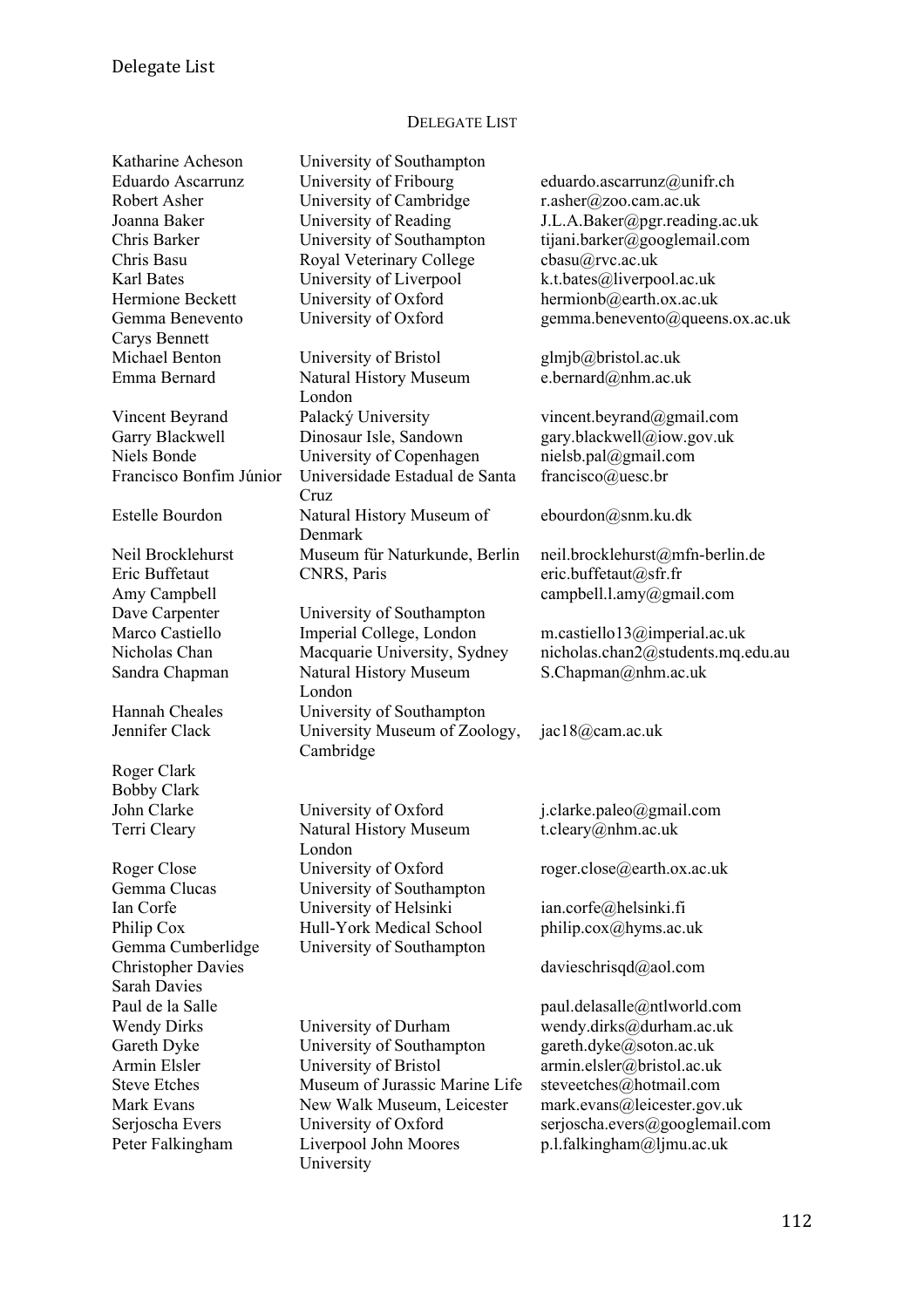# DELEGATE LIST

| Katharine Acheson         | University of Southampton                  |                                   |
|---------------------------|--------------------------------------------|-----------------------------------|
| <b>Eduardo Ascarrunz</b>  | University of Fribourg                     | eduardo.ascarrunz@unifr.ch        |
| Robert Asher              | University of Cambridge                    | r.asher@zoo.cam.ac.uk             |
| Joanna Baker              | University of Reading                      | J.L.A.Baker@pgr.reading.ac.uk     |
| <b>Chris Barker</b>       | University of Southampton                  | tijani.barker@googlemail.com      |
| Chris Basu                | Royal Veterinary College                   | cbasu@rvc.ac.uk                   |
| Karl Bates                | University of Liverpool                    | k.t.bates@liverpool.ac.uk         |
| Hermione Beckett          | University of Oxford                       | hermionb@earth.ox.ac.uk           |
| Gemma Benevento           | University of Oxford                       | gemma.benevento@queens.ox.ac.uk   |
| Carys Bennett             |                                            |                                   |
| Michael Benton            | University of Bristol                      | glmjb@bristol.ac.uk               |
| Emma Bernard              | Natural History Museum<br>London           | e.bernard@nhm.ac.uk               |
| Vincent Beyrand           | Palacký University                         | vincent.beyrand@gmail.com         |
| Garry Blackwell           | Dinosaur Isle, Sandown                     | gary.blackwell@iow.gov.uk         |
| Niels Bonde               | University of Copenhagen                   | nielsb.pal@gmail.com              |
| Francisco Bonfim Júnior   | Universidade Estadual de Santa             | francisco@uesc.br                 |
|                           | Cruz                                       |                                   |
| <b>Estelle Bourdon</b>    | Natural History Museum of                  | ebourdon@snm.ku.dk                |
|                           | Denmark                                    |                                   |
| Neil Brocklehurst         | Museum für Naturkunde, Berlin              | neil.brocklehurst@mfn-berlin.de   |
| Eric Buffetaut            | CNRS, Paris                                | eric.buffetaut@sfr.fr             |
| Amy Campbell              |                                            | campbell.l.amy@gmail.com          |
| Dave Carpenter            | University of Southampton                  |                                   |
| Marco Castiello           | Imperial College, London                   | m.castiello13@imperial.ac.uk      |
| Nicholas Chan             | Macquarie University, Sydney               | nicholas.chan2@students.mq.edu.au |
| Sandra Chapman            | Natural History Museum<br>London           | S.Chapman@nhm.ac.uk               |
| Hannah Cheales            | University of Southampton                  |                                   |
| Jennifer Clack            | University Museum of Zoology,<br>Cambridge | jac18@cam.ac.uk                   |
| Roger Clark               |                                            |                                   |
| <b>Bobby Clark</b>        |                                            |                                   |
| John Clarke               | University of Oxford                       | j.clarke.paleo@gmail.com          |
| Terri Cleary              | Natural History Museum                     | t.cleary@nhm.ac.uk                |
|                           | London                                     |                                   |
| Roger Close               | University of Oxford                       | roger.close@earth.ox.ac.uk        |
| Gemma Clucas              | University of Southampton                  |                                   |
| Ian Corfe                 | University of Helsinki                     | ian.corfe@helsinki.fi             |
| Philip Cox                | Hull-York Medical School                   | philip.cox@hyms.ac.uk             |
| Gemma Cumberlidge         | University of Southampton                  |                                   |
| <b>Christopher Davies</b> |                                            | davieschrisqd@aol.com             |
| <b>Sarah Davies</b>       |                                            |                                   |
| Paul de la Salle          |                                            | paul.delasalle@ntlworld.com       |
| <b>Wendy Dirks</b>        | University of Durham                       | wendy.dirks@durham.ac.uk          |
| Gareth Dyke               | University of Southampton                  | gareth.dyke@soton.ac.uk           |
| Armin Elsler              | University of Bristol                      | armin.elsler@bristol.ac.uk        |
| <b>Steve Etches</b>       | Museum of Jurassic Marine Life             | steveetches@hotmail.com           |
| Mark Evans                | New Walk Museum, Leicester                 | mark.evans@leicester.gov.uk       |
| Serjoscha Evers           | University of Oxford                       | serjoscha.evers@googlemail.com    |
| Peter Falkingham          | Liverpool John Moores                      | p.l.falkingham@ljmu.ac.uk         |
|                           | University                                 |                                   |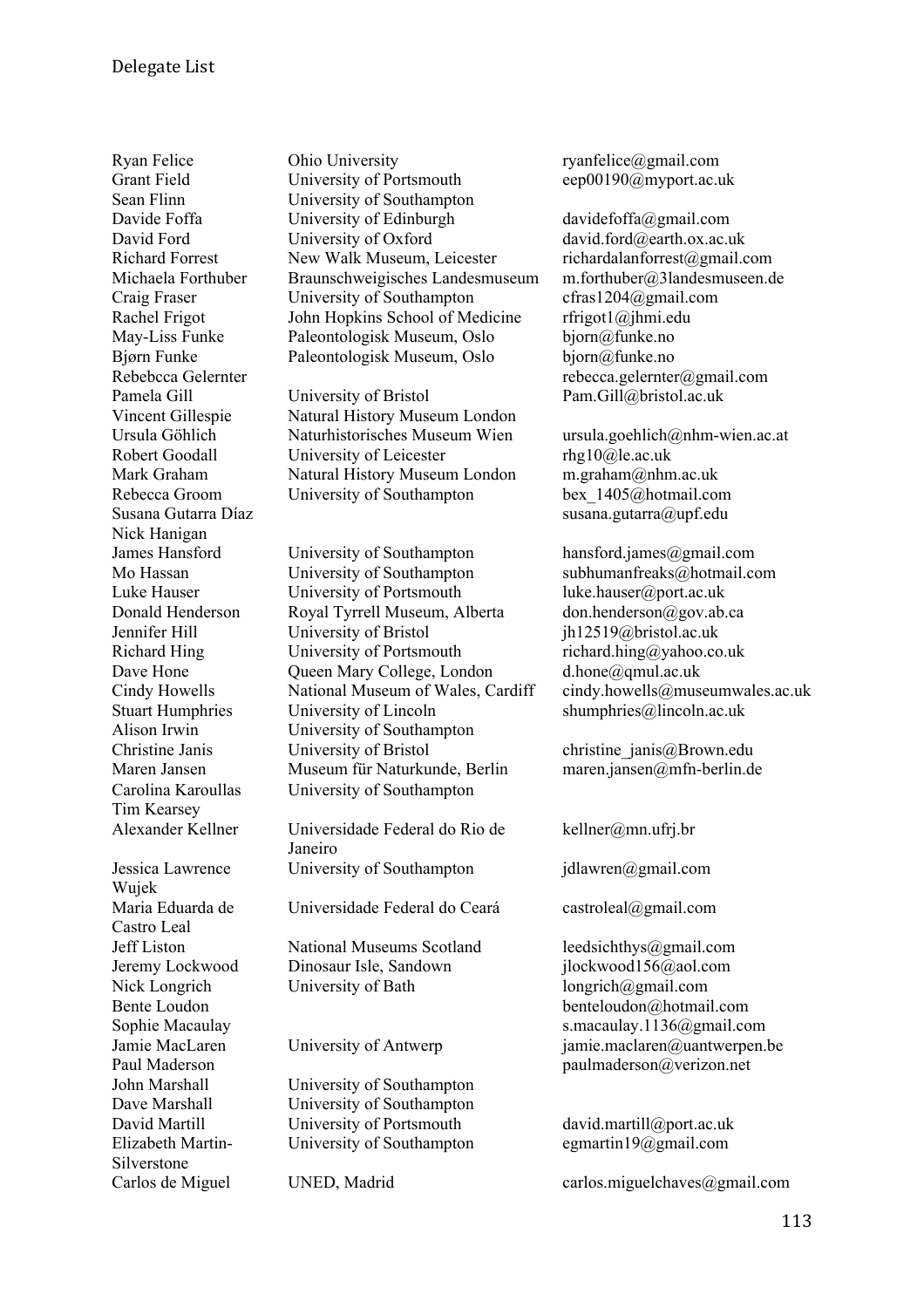Nick Hanigan Tim Kearsey Jessica Lawrence Wujek Maria Eduarda de Castro Leal

Elizabeth Martin-Silverstone

Ryan Felice **Communists** Ohio University **ryantelice** *communisty* ryantelice *communisty* ryantelice *communisty* Grant Field University of Portsmouth eep00190@myport.ac.uk<br>
Sean Flinn University of Southampton University of Southampton Davide Foffa **University of Edinburgh** davidefoffa@gmail.com David Ford University of Oxford david.ford@earth.ox.ac.uk Richard Forrest New Walk Museum, Leicester richardalanforrest@gmail.com Michaela Forthuber Braunschweigisches Landesmuseum m.forthuber@3landesmuseen.de Craig Fraser University of Southampton cfras1204@gmail.com Rachel Frigot John Hopkins School of Medicine rfrigot1@jhmi.edu May-Liss Funke Paleontologisk Museum, Oslo bjorn@funke.no Bjørn Funke Paleontologisk Museum, Oslo bjorn@funke.no

Pamela Gill Chiversity of Bristol Pam.Gill@bristol.ac.uk Vincent Gillespie Natural History Museum London Ursula Göhlich Naturhistorisches Museum Wien ursula.goehlich@nhm-wien.ac.at Robert Goodall University of Leicester rhg10@le.ac.uk Mark Graham Natural History Museum London m.graham@nhm.ac.uk Rebecca Groom University of Southampton bex 1405@hotmail.com

James Hansford University of Southampton hansford.james@gmail.com Mo Hassan University of Southampton subhumanfreaks@hotmail.com Luke Hauser University of Portsmouth luke.hauser@port.ac.uk Donald Henderson Royal Tyrrell Museum, Alberta don.henderson@gov.ab.ca Jennifer Hill University of Bristol jh12519@bristol.ac.uk Richard Hing University of Portsmouth richard.hing@yahoo.co.uk Dave Hone Cueen Mary College, London d.hone@qmul.ac.uk Stuart Humphries University of Lincoln shumphries@lincoln.ac.uk Alison Irwin University of Southampton Christine Janis University of Bristol christine\_janis@Brown.edu Maren Jansen Museum für Naturkunde, Berlin maren.jansen@mfn-berlin.de Carolina Karoullas University of Southampton

Alexander Kellner Universidade Federal do Rio de Janeiro University of Southampton jdlawren@gmail.com

Universidade Federal do Ceará castroleal@gmail.com

Jeff Liston National Museums Scotland leedsichthys@gmail.com Jeremy Lockwood Dinosaur Isle, Sandown jlockwood156@aol.com Nick Longrich University of Bath longrich@gmail.com

John Marshall University of Southampton Dave Marshall University of Southampton David Martill **University of Portsmouth** david.martill@port.ac.uk University of Southampton egmartin19@gmail.com

Rebebcca Gelernter rebecca.gelernter@gmail.com

Susana Gutarra Díaz **susana.gutarra@upf.edu** 

Cindy Howells National Museum of Wales, Cardiff cindy.howells@museumwales.ac.uk

kellner@mn.ufrj.br

Bente Loudon benteloudon benteloudon a hotmail.com Sophie Macaulay s.macaulay s.macaulay.1136@gmail.com Jamie MacLaren University of Antwerp jamie.maclaren@uantwerpen.be Paul Maderson paulmaderson@verizon.net

Carlos de Miguel UNED, Madrid carlos.miguelchaves@gmail.com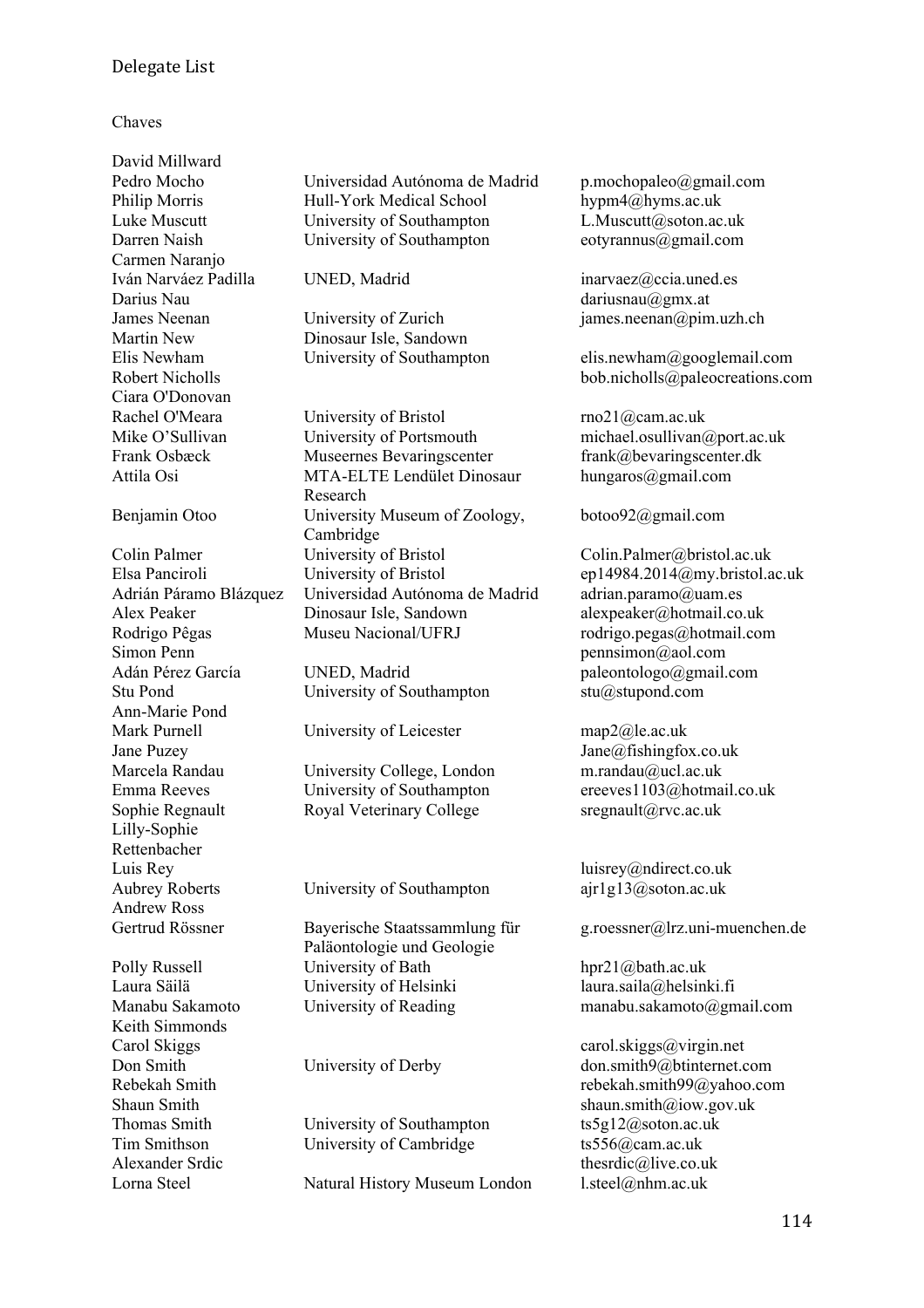## Delegate List

### Chaves

David Millward Carmen Naranjo Darius Nau dariusnau@gmx.at Ciara O'Donovan

Simon Penn pennsimon@aol.com Ann-Marie Pond Mark Purnell University of Leicester map2@le.ac.uk Jane Puzey Jane@fishingfox.co.uk Lilly-Sophie Rettenbacher Luis Rey luisrey@ndirect.co.uk Andrew Ross

Keith Simmonds

Pedro Mocho Universidad Autónoma de Madrid p.mochopaleo@gmail.com<br>Philip Morris Hull-York Medical School hypm4@hyms.ac.uk Philip Morris Hull-York Medical School Luke Muscutt University of Southampton L.Muscutt@soton.ac.uk Darren Naish University of Southampton eotyrannus@gmail.com

James Neenan **University of Zurich** iames.neenan@pim.uzh.ch Martin New Dinosaur Isle, Sandown

Rachel O'Meara University of Bristol rno21@cam.ac.uk Mike O'Sullivan University of Portsmouth michael.osullivan@port.ac.uk Frank Osbæck Museernes Bevaringscenter frank@bevaringscenter.dk Attila Osi MTA-ELTE Lendület Dinosaur Research Benjamin Otoo University Museum of Zoology, Cambridge Colin Palmer University of Bristol Colin.Palmer@bristol.ac.uk Elsa Panciroli University of Bristol ep14984.2014@my.bristol.ac.uk Adrián Páramo Blázquez Universidad Autónoma de Madrid adrian.paramo@uam.es Alex Peaker Dinosaur Isle, Sandown alexpeaker@hotmail.co.uk Rodrigo Pêgas Museu Nacional/UFRJ rodrigo.pegas@hotmail.com

Stu Pond University of Southampton stu@stupond.com

Marcela Randau University College, London m.randau@ucl.ac.uk Sophie Regnault Royal Veterinary College sregnault@rvc.ac.uk

Aubrey Roberts University of Southampton ajr1g13@soton.ac.uk

Gertrud Rössner Bayerische Staatssammlung für Paläontologie und Geologie Polly Russell **Example 20** University of Bath hpr21@bath.ac.uk Laura Säilä University of Helsinki laura.saila@helsinki.fi

Thomas Smith University of Southampton ts5g12@soton.ac.uk Tim Smithson University of Cambridge ts556@cam.ac.uk

Lorna Steel Natural History Museum London l.steel@nhm.ac.uk

Iván Narváez Padilla UNED, Madrid inarvaez@ccia.uned.es

Elis Newham University of Southampton elis.newham@googlemail.com Robert Nicholls bob.nicholls appleocreations.com

hungaros@gmail.com

botoo92@gmail.com

Adán Pérez García UNED, Madrid paleontologo@gmail.com

Emma Reeves University of Southampton ereeves1103@hotmail.co.uk

g.roessner@lrz.uni-muenchen.de

Manabu Sakamoto University of Reading manabu.sakamoto@gmail.com

Carol Skiggs carol.skiggs@virgin.net Don Smith University of Derby don.smith9@btinternet.com Rebekah Smith rebekah Smith rebekah Smith99@yahoo.com Shaun Smith shaun.smith@iow.gov.uk Alexander Srdic thesrdic thesrdic thesrdic all thesrdic co.uk